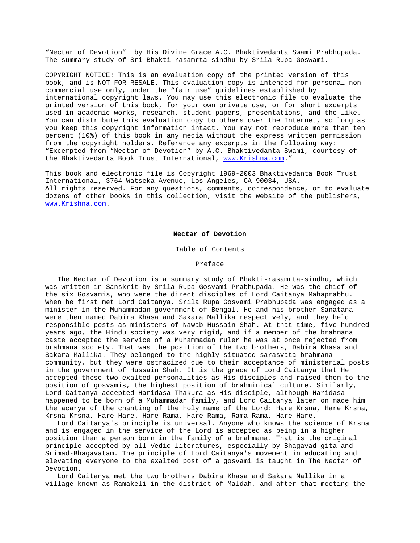"Nectar of Devotion" by His Divine Grace A.C. Bhaktivedanta Swami Prabhupada. The summary study of Sri Bhakti-rasamrta-sindhu by Srila Rupa Goswami.

COPYRIGHT NOTICE: This is an evaluation copy of the printed version of this book, and is NOT FOR RESALE. This evaluation copy is intended for personal noncommercial use only, under the "fair use" guidelines established by international copyright laws. You may use this electronic file to evaluate the printed version of this book, for your own private use, or for short excerpts used in academic works, research, student papers, presentations, and the like. You can distribute this evaluation copy to others over the Internet, so long as you keep this copyright information intact. You may not reproduce more than ten percent (10%) of this book in any media without the express written permission from the copyright holders. Reference any excerpts in the following way: "Excerpted from "Nectar of Devotion" by A.C. Bhaktivedanta Swami, courtesy of the Bhaktivedanta Book Trust International, www.Krishna.com."

This book and electronic file is Copyright 1969-2003 Bhaktivedanta Book Trust International, 3764 Watseka Avenue, Los Angeles, CA 90034, USA. All rights reserved. For any questions, comments, correspondence, or to evaluate dozens of other books in this collection, visit the website of the publishers, www.Krishna.com.

# **Nectar of Devotion**

#### Table of Contents

## Preface

 The Nectar of Devotion is a summary study of Bhakti-rasamrta-sindhu, which was written in Sanskrit by Srila Rupa Gosvami Prabhupada. He was the chief of the six Gosvamis, who were the direct disciples of Lord Caitanya Mahaprabhu. When he first met Lord Caitanya, Srila Rupa Gosvami Prabhupada was engaged as a minister in the Muhammadan government of Bengal. He and his brother Sanatana were then named Dabira Khasa and Sakara Mallika respectively, and they held responsible posts as ministers of Nawab Hussain Shah. At that time, five hundred years ago, the Hindu society was very rigid, and if a member of the brahmana caste accepted the service of a Muhammadan ruler he was at once rejected from brahmana society. That was the position of the two brothers, Dabira Khasa and Sakara Mallika. They belonged to the highly situated sarasvata-brahmana community, but they were ostracized due to their acceptance of ministerial posts in the government of Hussain Shah. It is the grace of Lord Caitanya that He accepted these two exalted personalities as His disciples and raised them to the position of gosvamis, the highest position of brahminical culture. Similarly, Lord Caitanya accepted Haridasa Thakura as His disciple, although Haridasa happened to be born of a Muhammadan family, and Lord Caitanya later on made him the acarya of the chanting of the holy name of the Lord: Hare Krsna, Hare Krsna, Krsna Krsna, Hare Hare. Hare Rama, Hare Rama, Rama Rama, Hare Hare.

 Lord Caitanya's principle is universal. Anyone who knows the science of Krsna and is engaged in the service of the Lord is accepted as being in a higher position than a person born in the family of a brahmana. That is the original principle accepted by all Vedic literatures, especially by Bhagavad-gita and Srimad-Bhagavatam. The principle of Lord Caitanya's movement in educating and elevating everyone to the exalted post of a gosvami is taught in The Nectar of Devotion.

 Lord Caitanya met the two brothers Dabira Khasa and Sakara Mallika in a village known as Ramakeli in the district of Maldah, and after that meeting the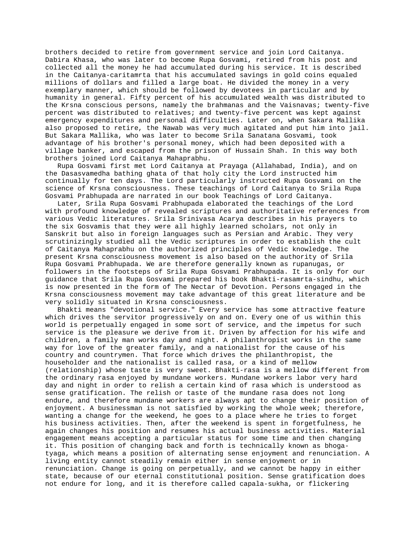brothers decided to retire from government service and join Lord Caitanya. Dabira Khasa, who was later to become Rupa Gosvami, retired from his post and collected all the money he had accumulated during his service. It is described in the Caitanya-caritamrta that his accumulated savings in gold coins equaled millions of dollars and filled a large boat. He divided the money in a very exemplary manner, which should be followed by devotees in particular and by humanity in general. Fifty percent of his accumulated wealth was distributed to the Krsna conscious persons, namely the brahmanas and the Vaisnavas; twenty-five percent was distributed to relatives; and twenty-five percent was kept against emergency expenditures and personal difficulties. Later on, when Sakara Mallika also proposed to retire, the Nawab was very much agitated and put him into jail. But Sakara Mallika, who was later to become Srila Sanatana Gosvami, took advantage of his brother's personal money, which had been deposited with a village banker, and escaped from the prison of Hussain Shah. In this way both brothers joined Lord Caitanya Mahaprabhu.

 Rupa Gosvami first met Lord Caitanya at Prayaga (Allahabad, India), and on the Dasasvamedha bathing ghata of that holy city the Lord instructed him continually for ten days. The Lord particularly instructed Rupa Gosvami on the science of Krsna consciousness. These teachings of Lord Caitanya to Srila Rupa Gosvami Prabhupada are narrated in our book Teachings of Lord Caitanya.

 Later, Srila Rupa Gosvami Prabhupada elaborated the teachings of the Lord with profound knowledge of revealed scriptures and authoritative references from various Vedic literatures. Srila Srinivasa Acarya describes in his prayers to the six Gosvamis that they were all highly learned scholars, not only in Sanskrit but also in foreign languages such as Persian and Arabic. They very scrutinizingly studied all the Vedic scriptures in order to establish the cult of Caitanya Mahaprabhu on the authorized principles of Vedic knowledge. The present Krsna consciousness movement is also based on the authority of Srila Rupa Gosvami Prabhupada. We are therefore generally known as rupanugas, or followers in the footsteps of Srila Rupa Gosvami Prabhupada. It is only for our guidance that Srila Rupa Gosvami prepared his book Bhakti-rasamrta-sindhu, which is now presented in the form of The Nectar of Devotion. Persons engaged in the Krsna consciousness movement may take advantage of this great literature and be very solidly situated in Krsna consciousness.

 Bhakti means "devotional service." Every service has some attractive feature which drives the servitor progressively on and on. Every one of us within this world is perpetually engaged in some sort of service, and the impetus for such service is the pleasure we derive from it. Driven by affection for his wife and children, a family man works day and night. A philanthropist works in the same way for love of the greater family, and a nationalist for the cause of his country and countrymen. That force which drives the philanthropist, the householder and the nationalist is called rasa, or a kind of mellow (relationship) whose taste is very sweet. Bhakti-rasa is a mellow different from the ordinary rasa enjoyed by mundane workers. Mundane workers labor very hard day and night in order to relish a certain kind of rasa which is understood as sense gratification. The relish or taste of the mundane rasa does not long endure, and therefore mundane workers are always apt to change their position of enjoyment. A businessman is not satisfied by working the whole week; therefore, wanting a change for the weekend, he goes to a place where he tries to forget his business activities. Then, after the weekend is spent in forgetfulness, he again changes his position and resumes his actual business activities. Material engagement means accepting a particular status for some time and then changing it. This position of changing back and forth is technically known as bhogatyaga, which means a position of alternating sense enjoyment and renunciation. A living entity cannot steadily remain either in sense enjoyment or in renunciation. Change is going on perpetually, and we cannot be happy in either state, because of our eternal constitutional position. Sense gratification does not endure for long, and it is therefore called capala-sukha, or flickering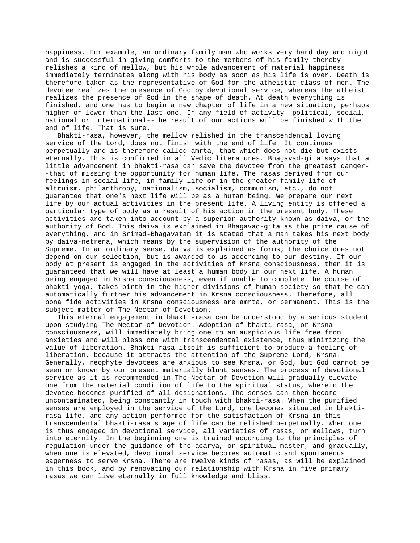happiness. For example, an ordinary family man who works very hard day and night and is successful in giving comforts to the members of his family thereby relishes a kind of mellow, but his whole advancement of material happiness immediately terminates along with his body as soon as his life is over. Death is therefore taken as the representative of God for the atheistic class of men. The devotee realizes the presence of God by devotional service, whereas the atheist realizes the presence of God in the shape of death. At death everything is finished, and one has to begin a new chapter of life in a new situation, perhaps higher or lower than the last one. In any field of activity--political, social, national or international--the result of our actions will be finished with the end of life. That is sure.

 Bhakti-rasa, however, the mellow relished in the transcendental loving service of the Lord, does not finish with the end of life. It continues perpetually and is therefore called amrta, that which does not die but exists eternally. This is confirmed in all Vedic literatures. Bhagavad-gita says that a little advancement in bhakti-rasa can save the devotee from the greatest danger- -that of missing the opportunity for human life. The rasas derived from our feelings in social life, in family life or in the greater family life of altruism, philanthropy, nationalism, socialism, communism, etc., do not guarantee that one's next life will be as a human being. We prepare our next life by our actual activities in the present life. A living entity is offered a particular type of body as a result of his action in the present body. These activities are taken into account by a superior authority known as daiva, or the authority of God. This daiva is explained in Bhagavad-gita as the prime cause of everything, and in Srimad-Bhagavatam it is stated that a man takes his next body by daiva-netrena, which means by the supervision of the authority of the Supreme. In an ordinary sense, daiva is explained as forms; the choice does not depend on our selection, but is awarded to us according to our destiny. If our body at present is engaged in the activities of Krsna consciousness, then it is guaranteed that we will have at least a human body in our next life. A human being engaged in Krsna consciousness, even if unable to complete the course of bhakti-yoga, takes birth in the higher divisions of human society so that he can automatically further his advancement in Krsna consciousness. Therefore, all bona fide activities in Krsna consciousness are amrta, or permanent. This is the subject matter of The Nectar of Devotion.

 This eternal engagement in bhakti-rasa can be understood by a serious student upon studying The Nectar of Devotion. Adoption of bhakti-rasa, or Krsna consciousness, will immediately bring one to an auspicious life free from anxieties and will bless one with transcendental existence, thus minimizing the value of liberation. Bhakti-rasa itself is sufficient to produce a feeling of liberation, because it attracts the attention of the Supreme Lord, Krsna. Generally, neophyte devotees are anxious to see Krsna, or God, but God cannot be seen or known by our present materially blunt senses. The process of devotional service as it is recommended in The Nectar of Devotion will gradually elevate one from the material condition of life to the spiritual status, wherein the devotee becomes purified of all designations. The senses can then become uncontaminated, being constantly in touch with bhakti-rasa. When the purified senses are employed in the service of the Lord, one becomes situated in bhaktirasa life, and any action performed for the satisfaction of Krsna in this transcendental bhakti-rasa stage of life can be relished perpetually. When one is thus engaged in devotional service, all varieties of rasas, or mellows, turn into eternity. In the beginning one is trained according to the principles of regulation under the guidance of the acarya, or spiritual master, and gradually, when one is elevated, devotional service becomes automatic and spontaneous eagerness to serve Krsna. There are twelve kinds of rasas, as will be explained in this book, and by renovating our relationship with Krsna in five primary rasas we can live eternally in full knowledge and bliss.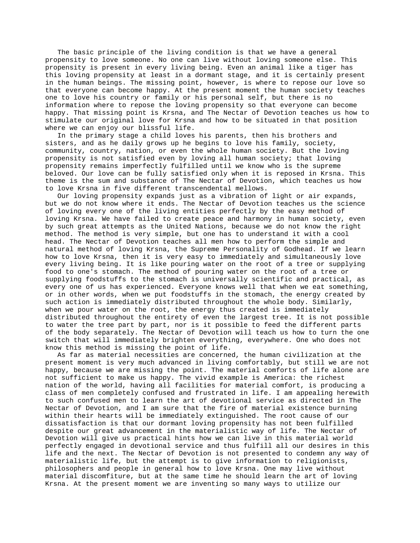The basic principle of the living condition is that we have a general propensity to love someone. No one can live without loving someone else. This propensity is present in every living being. Even an animal like a tiger has this loving propensity at least in a dormant stage, and it is certainly present in the human beings. The missing point, however, is where to repose our love so that everyone can become happy. At the present moment the human society teaches one to love his country or family or his personal self, but there is no information where to repose the loving propensity so that everyone can become happy. That missing point is Krsna, and The Nectar of Devotion teaches us how to stimulate our original love for Krsna and how to be situated in that position where we can enjoy our blissful life.

 In the primary stage a child loves his parents, then his brothers and sisters, and as he daily grows up he begins to love his family, society, community, country, nation, or even the whole human society. But the loving propensity is not satisfied even by loving all human society; that loving propensity remains imperfectly fulfilled until we know who is the supreme beloved. Our love can be fully satisfied only when it is reposed in Krsna. This theme is the sum and substance of The Nectar of Devotion, which teaches us how to love Krsna in five different transcendental mellows.

 Our loving propensity expands just as a vibration of light or air expands, but we do not know where it ends. The Nectar of Devotion teaches us the science of loving every one of the living entities perfectly by the easy method of loving Krsna. We have failed to create peace and harmony in human society, even by such great attempts as the United Nations, because we do not know the right method. The method is very simple, but one has to understand it with a cool head. The Nectar of Devotion teaches all men how to perform the simple and natural method of loving Krsna, the Supreme Personality of Godhead. If we learn how to love Krsna, then it is very easy to immediately and simultaneously love every living being. It is like pouring water on the root of a tree or supplying food to one's stomach. The method of pouring water on the root of a tree or supplying foodstuffs to the stomach is universally scientific and practical, as every one of us has experienced. Everyone knows well that when we eat something, or in other words, when we put foodstuffs in the stomach, the energy created by such action is immediately distributed throughout the whole body. Similarly, when we pour water on the root, the energy thus created is immediately distributed throughout the entirety of even the largest tree. It is not possible to water the tree part by part, nor is it possible to feed the different parts of the body separately. The Nectar of Devotion will teach us how to turn the one switch that will immediately brighten everything, everywhere. One who does not know this method is missing the point of life.

 As far as material necessities are concerned, the human civilization at the present moment is very much advanced in living comfortably, but still we are not happy, because we are missing the point. The material comforts of life alone are not sufficient to make us happy. The vivid example is America: the richest nation of the world, having all facilities for material comfort, is producing a class of men completely confused and frustrated in life. I am appealing herewith to such confused men to learn the art of devotional service as directed in The Nectar of Devotion, and I am sure that the fire of material existence burning within their hearts will be immediately extinguished. The root cause of our dissatisfaction is that our dormant loving propensity has not been fulfilled despite our great advancement in the materialistic way of life. The Nectar of Devotion will give us practical hints how we can live in this material world perfectly engaged in devotional service and thus fulfill all our desires in this life and the next. The Nectar of Devotion is not presented to condemn any way of materialistic life, but the attempt is to give information to religionists, philosophers and people in general how to love Krsna. One may live without material discomfiture, but at the same time he should learn the art of loving Krsna. At the present moment we are inventing so many ways to utilize our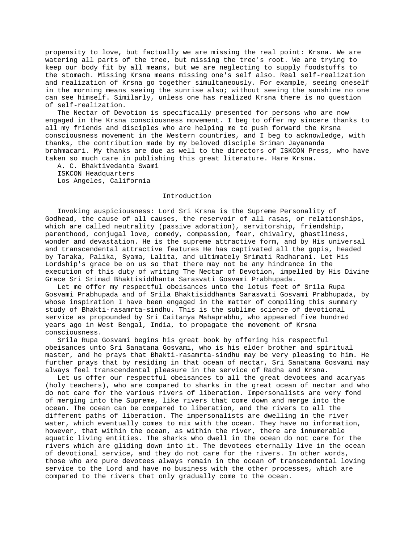propensity to love, but factually we are missing the real point: Krsna. We are watering all parts of the tree, but missing the tree's root. We are trying to keep our body fit by all means, but we are neglecting to supply foodstuffs to the stomach. Missing Krsna means missing one's self also. Real self-realization and realization of Krsna go together simultaneously. For example, seeing oneself in the morning means seeing the sunrise also; without seeing the sunshine no one can see himself. Similarly, unless one has realized Krsna there is no question of self-realization.

 The Nectar of Devotion is specifically presented for persons who are now engaged in the Krsna consciousness movement. I beg to offer my sincere thanks to all my friends and disciples who are helping me to push forward the Krsna consciousness movement in the Western countries, and I beg to acknowledge, with thanks, the contribution made by my beloved disciple Sriman Jayananda brahmacari. My thanks are due as well to the directors of ISKCON Press, who have taken so much care in publishing this great literature. Hare Krsna.

 A. C. Bhaktivedanta Swami ISKCON Headquarters Los Angeles, California

### Introduction

 Invoking auspiciousness: Lord Sri Krsna is the Supreme Personality of Godhead, the cause of all causes, the reservoir of all rasas, or relationships, which are called neutrality (passive adoration), servitorship, friendship, parenthood, conjugal love, comedy, compassion, fear, chivalry, ghastliness, wonder and devastation. He is the supreme attractive form, and by His universal and transcendental attractive features He has captivated all the gopis, headed by Taraka, Palika, Syama, Lalita, and ultimately Srimati Radharani. Let His Lordship's grace be on us so that there may not be any hindrance in the execution of this duty of writing The Nectar of Devotion, impelled by His Divine Grace Sri Srimad Bhaktisiddhanta Sarasvati Gosvami Prabhupada.

 Let me offer my respectful obeisances unto the lotus feet of Srila Rupa Gosvami Prabhupada and of Srila Bhaktisiddhanta Sarasvati Gosvami Prabhupada, by whose inspiration I have been engaged in the matter of compiling this summary study of Bhakti-rasamrta-sindhu. This is the sublime science of devotional service as propounded by Sri Caitanya Mahaprabhu, who appeared five hundred years ago in West Bengal, India, to propagate the movement of Krsna consciousness.

 Srila Rupa Gosvami begins his great book by offering his respectful obeisances unto Sri Sanatana Gosvami, who is his elder brother and spiritual master, and he prays that Bhakti-rasamrta-sindhu may be very pleasing to him. He further prays that by residing in that ocean of nectar, Sri Sanatana Gosvami may always feel transcendental pleasure in the service of Radha and Krsna.

 Let us offer our respectful obeisances to all the great devotees and acaryas (holy teachers), who are compared to sharks in the great ocean of nectar and who do not care for the various rivers of liberation. Impersonalists are very fond of merging into the Supreme, like rivers that come down and merge into the ocean. The ocean can be compared to liberation, and the rivers to all the different paths of liberation. The impersonalists are dwelling in the river water, which eventually comes to mix with the ocean. They have no information, however, that within the ocean, as within the river, there are innumerable aquatic living entities. The sharks who dwell in the ocean do not care for the rivers which are gliding down into it. The devotees eternally live in the ocean of devotional service, and they do not care for the rivers. In other words, those who are pure devotees always remain in the ocean of transcendental loving service to the Lord and have no business with the other processes, which are compared to the rivers that only gradually come to the ocean.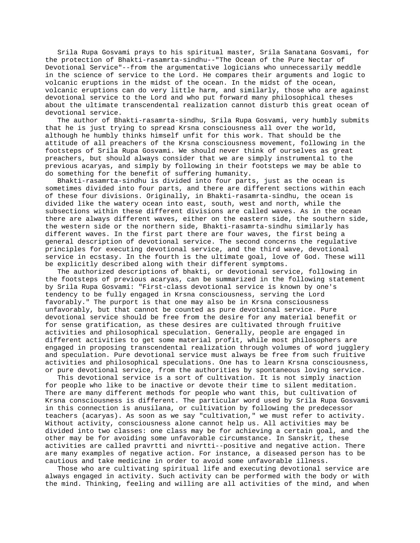Srila Rupa Gosvami prays to his spiritual master, Srila Sanatana Gosvami, for the protection of Bhakti-rasamrta-sindhu--"The Ocean of the Pure Nectar of Devotional Service"--from the argumentative logicians who unnecessarily meddle in the science of service to the Lord. He compares their arguments and logic to volcanic eruptions in the midst of the ocean. In the midst of the ocean, volcanic eruptions can do very little harm, and similarly, those who are against devotional service to the Lord and who put forward many philosophical theses about the ultimate transcendental realization cannot disturb this great ocean of devotional service.

 The author of Bhakti-rasamrta-sindhu, Srila Rupa Gosvami, very humbly submits that he is just trying to spread Krsna consciousness all over the world, although he humbly thinks himself unfit for this work. That should be the attitude of all preachers of the Krsna consciousness movement, following in the footsteps of Srila Rupa Gosvami. We should never think of ourselves as great preachers, but should always consider that we are simply instrumental to the previous acaryas, and simply by following in their footsteps we may be able to do something for the benefit of suffering humanity.

 Bhakti-rasamrta-sindhu is divided into four parts, just as the ocean is sometimes divided into four parts, and there are different sections within each of these four divisions. Originally, in Bhakti-rasamrta-sindhu, the ocean is divided like the watery ocean into east, south, west and north, while the subsections within these different divisions are called waves. As in the ocean there are always different waves, either on the eastern side, the southern side, the western side or the northern side, Bhakti-rasamrta-sindhu similarly has different waves. In the first part there are four waves, the first being a general description of devotional service. The second concerns the regulative principles for executing devotional service, and the third wave, devotional service in ecstasy. In the fourth is the ultimate goal, love of God. These will be explicitly described along with their different symptoms.

 The authorized descriptions of bhakti, or devotional service, following in the footsteps of previous acaryas, can be summarized in the following statement by Srila Rupa Gosvami: "First-class devotional service is known by one's tendency to be fully engaged in Krsna consciousness, serving the Lord favorably." The purport is that one may also be in Krsna consciousness unfavorably, but that cannot be counted as pure devotional service. Pure devotional service should be free from the desire for any material benefit or for sense gratification, as these desires are cultivated through fruitive activities and philosophical speculation. Generally, people are engaged in different activities to get some material profit, while most philosophers are engaged in proposing transcendental realization through volumes of word jugglery and speculation. Pure devotional service must always be free from such fruitive activities and philosophical speculations. One has to learn Krsna consciousness, or pure devotional service, from the authorities by spontaneous loving service.

 This devotional service is a sort of cultivation. It is not simply inaction for people who like to be inactive or devote their time to silent meditation. There are many different methods for people who want this, but cultivation of Krsna consciousness is different. The particular word used by Srila Rupa Gosvami in this connection is anusilana, or cultivation by following the predecessor teachers (acaryas). As soon as we say "cultivation," we must refer to activity. Without activity, consciousness alone cannot help us. All activities may be divided into two classes: one class may be for achieving a certain goal, and the other may be for avoiding some unfavorable circumstance. In Sanskrit, these activities are called pravrtti and nivrtti--positive and negative action. There are many examples of negative action. For instance, a diseased person has to be cautious and take medicine in order to avoid some unfavorable illness.

 Those who are cultivating spiritual life and executing devotional service are always engaged in activity. Such activity can be performed with the body or with the mind. Thinking, feeling and willing are all activities of the mind, and when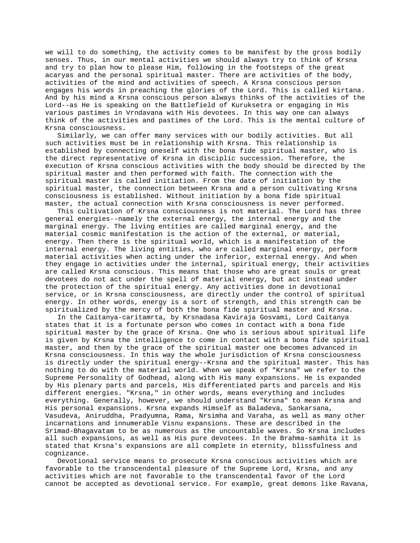we will to do something, the activity comes to be manifest by the gross bodily senses. Thus, in our mental activities we should always try to think of Krsna and try to plan how to please Him, following in the footsteps of the great acaryas and the personal spiritual master. There are activities of the body, activities of the mind and activities of speech. A Krsna conscious person engages his words in preaching the glories of the Lord. This is called kirtana. And by his mind a Krsna conscious person always thinks of the activities of the Lord--as He is speaking on the Battlefield of Kuruksetra or engaging in His various pastimes in Vrndavana with His devotees. In this way one can always think of the activities and pastimes of the Lord. This is the mental culture of Krsna consciousness.

 Similarly, we can offer many services with our bodily activities. But all such activities must be in relationship with Krsna. This relationship is established by connecting oneself with the bona fide spiritual master, who is the direct representative of Krsna in disciplic succession. Therefore, the execution of Krsna conscious activities with the body should be directed by the spiritual master and then performed with faith. The connection with the spiritual master is called initiation. From the date of initiation by the spiritual master, the connection between Krsna and a person cultivating Krsna consciousness is established. Without initiation by a bona fide spiritual master, the actual connection with Krsna consciousness is never performed.

 This cultivation of Krsna consciousness is not material. The Lord has three general energies--namely the external energy, the internal energy and the marginal energy. The living entities are called marginal energy, and the material cosmic manifestation is the action of the external, or material, energy. Then there is the spiritual world, which is a manifestation of the internal energy. The living entities, who are called marginal energy, perform material activities when acting under the inferior, external energy. And when they engage in activities under the internal, spiritual energy, their activities are called Krsna conscious. This means that those who are great souls or great devotees do not act under the spell of material energy, but act instead under the protection of the spiritual energy. Any activities done in devotional service, or in Krsna consciousness, are directly under the control of spiritual energy. In other words, energy is a sort of strength, and this strength can be spiritualized by the mercy of both the bona fide spiritual master and Krsna.

 In the Caitanya-caritamrta, by Krsnadasa Kaviraja Gosvami, Lord Caitanya states that it is a fortunate person who comes in contact with a bona fide spiritual master by the grace of Krsna. One who is serious about spiritual life is given by Krsna the intelligence to come in contact with a bona fide spiritual master, and then by the grace of the spiritual master one becomes advanced in Krsna consciousness. In this way the whole jurisdiction of Krsna consciousness is directly under the spiritual energy--Krsna and the spiritual master. This has nothing to do with the material world. When we speak of "Krsna" we refer to the Supreme Personality of Godhead, along with His many expansions. He is expanded by His plenary parts and parcels, His differentiated parts and parcels and His different energies. "Krsna," in other words, means everything and includes everything. Generally, however, we should understand "Krsna" to mean Krsna and His personal expansions. Krsna expands Himself as Baladeva, Sankarsana, Vasudeva, Aniruddha, Pradyumna, Rama, Nrsimha and Varaha, as well as many other incarnations and innumerable Visnu expansions. These are described in the Srimad-Bhagavatam to be as numerous as the uncountable waves. So Krsna includes all such expansions, as well as His pure devotees. In the Brahma-samhita it is stated that Krsna's expansions are all complete in eternity, blissfulness and cognizance.

 Devotional service means to prosecute Krsna conscious activities which are favorable to the transcendental pleasure of the Supreme Lord, Krsna, and any activities which are not favorable to the transcendental favor of the Lord cannot be accepted as devotional service. For example, great demons like Ravana,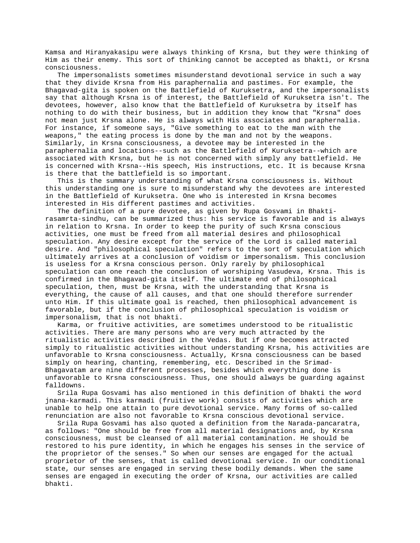Kamsa and Hiranyakasipu were always thinking of Krsna, but they were thinking of Him as their enemy. This sort of thinking cannot be accepted as bhakti, or Krsna consciousness.

 The impersonalists sometimes misunderstand devotional service in such a way that they divide Krsna from His paraphernalia and pastimes. For example, the Bhagavad-gita is spoken on the Battlefield of Kuruksetra, and the impersonalists say that although Krsna is of interest, the Battlefield of Kuruksetra isn't. The devotees, however, also know that the Battlefield of Kuruksetra by itself has nothing to do with their business, but in addition they know that "Krsna" does not mean just Krsna alone. He is always with His associates and paraphernalia. For instance, if someone says, "Give something to eat to the man with the weapons," the eating process is done by the man and not by the weapons. Similarly, in Krsna consciousness, a devotee may be interested in the paraphernalia and locations--such as the Battlefield of Kuruksetra--which are associated with Krsna, but he is not concerned with simply any battlefield. He is concerned with Krsna--His speech, His instructions, etc. It is because Krsna is there that the battlefield is so important.

 This is the summary understanding of what Krsna consciousness is. Without this understanding one is sure to misunderstand why the devotees are interested in the Battlefield of Kuruksetra. One who is interested in Krsna becomes interested in His different pastimes and activities.

 The definition of a pure devotee, as given by Rupa Gosvami in Bhaktirasamrta-sindhu, can be summarized thus: his service is favorable and is always in relation to Krsna. In order to keep the purity of such Krsna conscious activities, one must be freed from all material desires and philosophical speculation. Any desire except for the service of the Lord is called material desire. And "philosophical speculation" refers to the sort of speculation which ultimately arrives at a conclusion of voidism or impersonalism. This conclusion is useless for a Krsna conscious person. Only rarely by philosophical speculation can one reach the conclusion of worshiping Vasudeva, Krsna. This is confirmed in the Bhagavad-gita itself. The ultimate end of philosophical speculation, then, must be Krsna, with the understanding that Krsna is everything, the cause of all causes, and that one should therefore surrender unto Him. If this ultimate goal is reached, then philosophical advancement is favorable, but if the conclusion of philosophical speculation is voidism or impersonalism, that is not bhakti.

 Karma, or fruitive activities, are sometimes understood to be ritualistic activities. There are many persons who are very much attracted by the ritualistic activities described in the Vedas. But if one becomes attracted simply to ritualistic activities without understanding Krsna, his activities are unfavorable to Krsna consciousness. Actually, Krsna consciousness can be based simply on hearing, chanting, remembering, etc. Described in the Srimad-Bhagavatam are nine different processes, besides which everything done is unfavorable to Krsna consciousness. Thus, one should always be guarding against falldowns.

 Srila Rupa Gosvami has also mentioned in this definition of bhakti the word jnana-karmadi. This karmadi (fruitive work) consists of activities which are unable to help one attain to pure devotional service. Many forms of so-called renunciation are also not favorable to Krsna conscious devotional service.

 Srila Rupa Gosvami has also quoted a definition from the Narada-pancaratra, as follows: "One should be free from all material designations and, by Krsna consciousness, must be cleansed of all material contamination. He should be restored to his pure identity, in which he engages his senses in the service of the proprietor of the senses." So when our senses are engaged for the actual proprietor of the senses, that is called devotional service. In our conditional state, our senses are engaged in serving these bodily demands. When the same senses are engaged in executing the order of Krsna, our activities are called bhakti.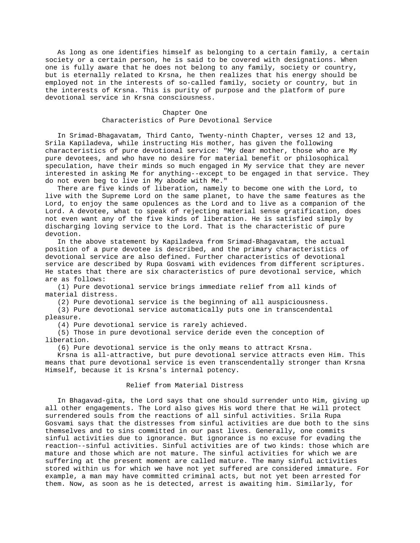As long as one identifies himself as belonging to a certain family, a certain society or a certain person, he is said to be covered with designations. When one is fully aware that he does not belong to any family, society or country, but is eternally related to Krsna, he then realizes that his energy should be employed not in the interests of so-called family, society or country, but in the interests of Krsna. This is purity of purpose and the platform of pure devotional service in Krsna consciousness.

## Chapter One Characteristics of Pure Devotional Service

 In Srimad-Bhagavatam, Third Canto, Twenty-ninth Chapter, verses 12 and 13, Srila Kapiladeva, while instructing His mother, has given the following characteristics of pure devotional service: "My dear mother, those who are My pure devotees, and who have no desire for material benefit or philosophical speculation, have their minds so much engaged in My service that they are never interested in asking Me for anything--except to be engaged in that service. They do not even beg to live in My abode with Me."

 There are five kinds of liberation, namely to become one with the Lord, to live with the Supreme Lord on the same planet, to have the same features as the Lord, to enjoy the same opulences as the Lord and to live as a companion of the Lord. A devotee, what to speak of rejecting material sense gratification, does not even want any of the five kinds of liberation. He is satisfied simply by discharging loving service to the Lord. That is the characteristic of pure devotion.

 In the above statement by Kapiladeva from Srimad-Bhagavatam, the actual position of a pure devotee is described, and the primary characteristics of devotional service are also defined. Further characteristics of devotional service are described by Rupa Gosvami with evidences from different scriptures. He states that there are six characteristics of pure devotional service, which are as follows:

 (1) Pure devotional service brings immediate relief from all kinds of material distress.

(2) Pure devotional service is the beginning of all auspiciousness.

 (3) Pure devotional service automatically puts one in transcendental pleasure.

(4) Pure devotional service is rarely achieved.

 (5) Those in pure devotional service deride even the conception of liberation.

(6) Pure devotional service is the only means to attract Krsna.

 Krsna is all-attractive, but pure devotional service attracts even Him. This means that pure devotional service is even transcendentally stronger than Krsna Himself, because it is Krsna's internal potency.

#### Relief from Material Distress

 In Bhagavad-gita, the Lord says that one should surrender unto Him, giving up all other engagements. The Lord also gives His word there that He will protect surrendered souls from the reactions of all sinful activities. Srila Rupa Gosvami says that the distresses from sinful activities are due both to the sins themselves and to sins committed in our past lives. Generally, one commits sinful activities due to ignorance. But ignorance is no excuse for evading the reaction--sinful activities. Sinful activities are of two kinds: those which are mature and those which are not mature. The sinful activities for which we are suffering at the present moment are called mature. The many sinful activities stored within us for which we have not yet suffered are considered immature. For example, a man may have committed criminal acts, but not yet been arrested for them. Now, as soon as he is detected, arrest is awaiting him. Similarly, for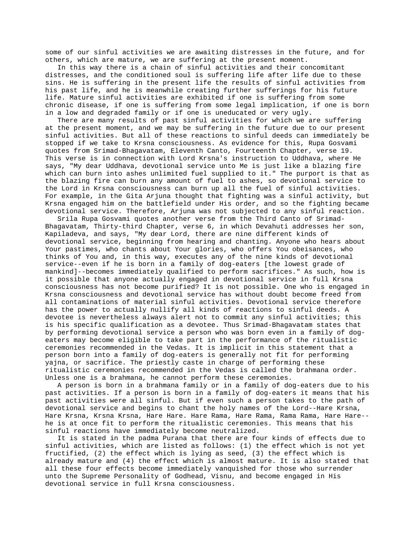some of our sinful activities we are awaiting distresses in the future, and for others, which are mature, we are suffering at the present moment.

 In this way there is a chain of sinful activities and their concomitant distresses, and the conditioned soul is suffering life after life due to these sins. He is suffering in the present life the results of sinful activities from his past life, and he is meanwhile creating further sufferings for his future life. Mature sinful activities are exhibited if one is suffering from some chronic disease, if one is suffering from some legal implication, if one is born in a low and degraded family or if one is uneducated or very ugly.

 There are many results of past sinful activities for which we are suffering at the present moment, and we may be suffering in the future due to our present sinful activities. But all of these reactions to sinful deeds can immediately be stopped if we take to Krsna consciousness. As evidence for this, Rupa Gosvami quotes from Srimad-Bhagavatam, Eleventh Canto, Fourteenth Chapter, verse 19. This verse is in connection with Lord Krsna's instruction to Uddhava, where He says, "My dear Uddhava, devotional service unto Me is just like a blazing fire which can burn into ashes unlimited fuel supplied to it." The purport is that as the blazing fire can burn any amount of fuel to ashes, so devotional service to the Lord in Krsna consciousness can burn up all the fuel of sinful activities. For example, in the Gita Arjuna thought that fighting was a sinful activity, but Krsna engaged him on the battlefield under His order, and so the fighting became devotional service. Therefore, Arjuna was not subjected to any sinful reaction.

 Srila Rupa Gosvami quotes another verse from the Third Canto of Srimad-Bhagavatam, Thirty-third Chapter, verse 6, in which Devahuti addresses her son, Kapiladeva, and says, "My dear Lord, there are nine different kinds of devotional service, beginning from hearing and chanting. Anyone who hears about Your pastimes, who chants about Your glories, who offers You obeisances, who thinks of You and, in this way, executes any of the nine kinds of devotional service--even if he is born in a family of dog-eaters [the lowest grade of mankind]--becomes immediately qualified to perform sacrifices." As such, how is it possible that anyone actually engaged in devotional service in full Krsna consciousness has not become purified? It is not possible. One who is engaged in Krsna consciousness and devotional service has without doubt become freed from all contaminations of material sinful activities. Devotional service therefore has the power to actually nullify all kinds of reactions to sinful deeds. A devotee is nevertheless always alert not to commit any sinful activities; this is his specific qualification as a devotee. Thus Srimad-Bhagavatam states that by performing devotional service a person who was born even in a family of dogeaters may become eligible to take part in the performance of the ritualistic ceremonies recommended in the Vedas. It is implicit in this statement that a person born into a family of dog-eaters is generally not fit for performing yajna, or sacrifice. The priestly caste in charge of performing these ritualistic ceremonies recommended in the Vedas is called the brahmana order. Unless one is a brahmana, he cannot perform these ceremonies.

 A person is born in a brahmana family or in a family of dog-eaters due to his past activities. If a person is born in a family of dog-eaters it means that his past activities were all sinful. But if even such a person takes to the path of devotional service and begins to chant the holy names of the Lord--Hare Krsna, Hare Krsna, Krsna Krsna, Hare Hare. Hare Rama, Hare Rama, Rama Rama, Hare Hare- he is at once fit to perform the ritualistic ceremonies. This means that his sinful reactions have immediately become neutralized.

 It is stated in the padma Purana that there are four kinds of effects due to sinful activities, which are listed as follows: (1) the effect which is not yet fructified, (2) the effect which is lying as seed, (3) the effect which is already mature and (4) the effect which is almost mature. It is also stated that all these four effects become immediately vanquished for those who surrender unto the Supreme Personality of Godhead, Visnu, and become engaged in His devotional service in full Krsna consciousness.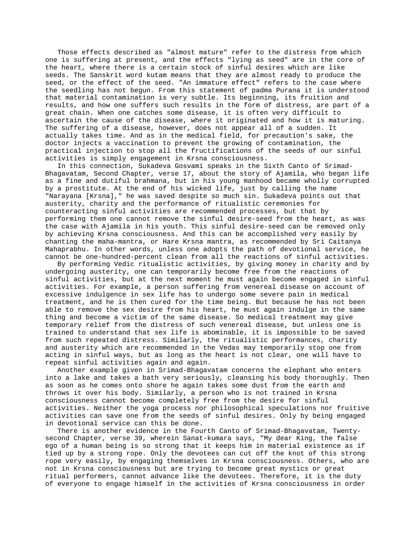Those effects described as "almost mature" refer to the distress from which one is suffering at present, and the effects "lying as seed" are in the core of the heart, where there is a certain stock of sinful desires which are like seeds. The Sanskrit word kutam means that they are almost ready to produce the seed, or the effect of the seed. "An immature effect" refers to the case where the seedling has not begun. From this statement of padma Purana it is understood that material contamination is very subtle. Its beginning, its fruition and results, and how one suffers such results in the form of distress, are part of a great chain. When one catches some disease, it is often very difficult to ascertain the cause of the disease, where it originated and how it is maturing. The suffering of a disease, however, does not appear all of a sudden. It actually takes time. And as in the medical field, for precaution's sake, the doctor injects a vaccination to prevent the growing of contamination, the practical injection to stop all the fructifications of the seeds of our sinful activities is simply engagement in Krsna consciousness.

 In this connection, Sukadeva Gosvami speaks in the Sixth Canto of Srimad-Bhagavatam, Second Chapter, verse 17, about the story of Ajamila, who began life as a fine and dutiful brahmana, but in his young manhood became wholly corrupted by a prostitute. At the end of his wicked life, just by calling the name "Narayana [Krsna]," he was saved despite so much sin. Sukadeva points out that austerity, charity and the performance of ritualistic ceremonies for counteracting sinful activities are recommended processes, but that by performing them one cannot remove the sinful desire-seed from the heart, as was the case with Ajamila in his youth. This sinful desire-seed can be removed only by achieving Krsna consciousness. And this can be accomplished very easily by chanting the maha-mantra, or Hare Krsna mantra, as recommended by Sri Caitanya Mahaprabhu. In other words, unless one adopts the path of devotional service, he cannot be one-hundred-percent clean from all the reactions of sinful activities.

 By performing Vedic ritualistic activities, by giving money in charity and by undergoing austerity, one can temporarily become free from the reactions of sinful activities, but at the next moment he must again become engaged in sinful activities. For example, a person suffering from venereal disease on account of excessive indulgence in sex life has to undergo some severe pain in medical treatment, and he is then cured for the time being. But because he has not been able to remove the sex desire from his heart, he must again indulge in the same thing and become a victim of the same disease. So medical treatment may give temporary relief from the distress of such venereal disease, but unless one is trained to understand that sex life is abominable, it is impossible to be saved from such repeated distress. Similarly, the ritualistic performances, charity and austerity which are recommended in the Vedas may temporarily stop one from acting in sinful ways, but as long as the heart is not clear, one will have to repeat sinful activities again and again.

 Another example given in Srimad-Bhagavatam concerns the elephant who enters into a lake and takes a bath very seriously, cleansing his body thoroughly. Then as soon as he comes onto shore he again takes some dust from the earth and throws it over his body. Similarly, a person who is not trained in Krsna consciousness cannot become completely free from the desire for sinful activities. Neither the yoga process nor philosophical speculations nor fruitive activities can save one from the seeds of sinful desires. Only by being engaged in devotional service can this be done.

 There is another evidence in the Fourth Canto of Srimad-Bhagavatam, Twentysecond Chapter, verse 39, wherein Sanat-kumara says, "My dear King, the false ego of a human being is so strong that it keeps him in material existence as if tied up by a strong rope. Only the devotees can cut off the knot of this strong rope very easily, by engaging themselves in Krsna consciousness. Others, who are not in Krsna consciousness but are trying to become great mystics or great ritual performers, cannot advance like the devotees. Therefore, it is the duty of everyone to engage himself in the activities of Krsna consciousness in order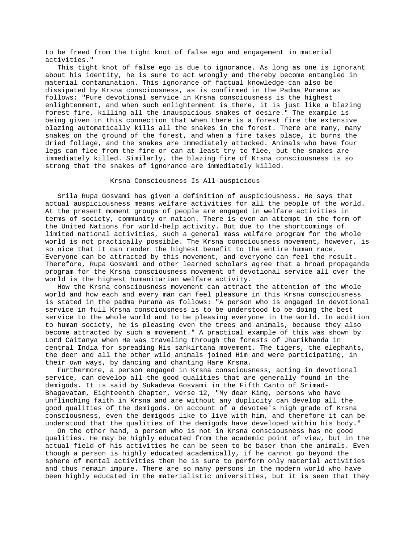to be freed from the tight knot of false ego and engagement in material activities."

 This tight knot of false ego is due to ignorance. As long as one is ignorant about his identity, he is sure to act wrongly and thereby become entangled in material contamination. This ignorance of factual knowledge can also be dissipated by Krsna consciousness, as is confirmed in the Padma Purana as follows: "Pure devotional service in Krsna consciousness is the highest enlightenment, and when such enlightenment is there, it is just like a blazing forest fire, killing all the inauspicious snakes of desire." The example is being given in this connection that when there is a forest fire the extensive blazing automatically kills all the snakes in the forest. There are many, many snakes on the ground of the forest, and when a fire takes place, it burns the dried foliage, and the snakes are immediately attacked. Animals who have four legs can flee from the fire or can at least try to flee, but the snakes are immediately killed. Similarly, the blazing fire of Krsna consciousness is so strong that the snakes of ignorance are immediately killed.

# Krsna Consciousness Is All-auspicious

 Srila Rupa Gosvami has given a definition of auspiciousness. He says that actual auspiciousness means welfare activities for all the people of the world. At the present moment groups of people are engaged in welfare activities in terms of society, community or nation. There is even an attempt in the form of the United Nations for world-help activity. But due to the shortcomings of limited national activities, such a general mass welfare program for the whole world is not practically possible. The Krsna consciousness movement, however, is so nice that it can render the highest benefit to the entire human race. Everyone can be attracted by this movement, and everyone can feel the result. Therefore, Rupa Gosvami and other learned scholars agree that a broad propaganda program for the Krsna consciousness movement of devotional service all over the world is the highest humanitarian welfare activity.

 How the Krsna consciousness movement can attract the attention of the whole world and how each and every man can feel pleasure in this Krsna consciousness is stated in the padma Purana as follows: "A person who is engaged in devotional service in full Krsna consciousness is to be understood to be doing the best service to the whole world and to be pleasing everyone in the world. In addition to human society, he is pleasing even the trees and animals, because they also become attracted by such a movement." A practical example of this was shown by Lord Caitanya when He was traveling through the forests of Jharikhanda in central India for spreading His sankirtana movement. The tigers, the elephants, the deer and all the other wild animals joined Him and were participating, in their own ways, by dancing and chanting Hare Krsna.

 Furthermore, a person engaged in Krsna consciousness, acting in devotional service, can develop all the good qualities that are generally found in the demigods. It is said by Sukadeva Gosvami in the Fifth Canto of Srimad-Bhagavatam, Eighteenth Chapter, verse 12, "My dear King, persons who have unflinching faith in Krsna and are without any duplicity can develop all the good qualities of the demigods. On account of a devotee's high grade of Krsna consciousness, even the demigods like to live with him, and therefore it can be understood that the qualities of the demigods have developed within his body."

 On the other hand, a person who is not in Krsna consciousness has no good qualities. He may be highly educated from the academic point of view, but in the actual field of his activities he can be seen to be baser than the animals. Even though a person is highly educated academically, if he cannot go beyond the sphere of mental activities then he is sure to perform only material activities and thus remain impure. There are so many persons in the modern world who have been highly educated in the materialistic universities, but it is seen that they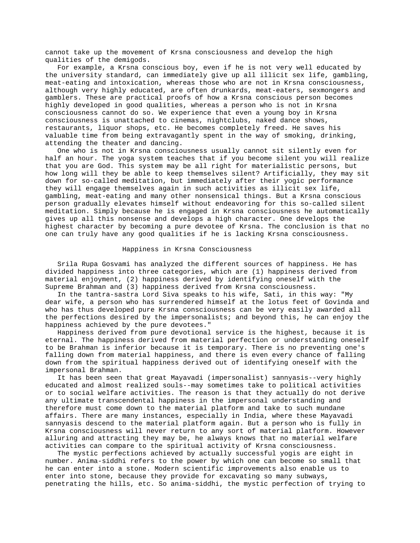cannot take up the movement of Krsna consciousness and develop the high qualities of the demigods.

 For example, a Krsna conscious boy, even if he is not very well educated by the university standard, can immediately give up all illicit sex life, gambling, meat-eating and intoxication, whereas those who are not in Krsna consciousness, although very highly educated, are often drunkards, meat-eaters, sexmongers and gamblers. These are practical proofs of how a Krsna conscious person becomes highly developed in good qualities, whereas a person who is not in Krsna consciousness cannot do so. We experience that even a young boy in Krsna consciousness is unattached to cinemas, nightclubs, naked dance shows, restaurants, liquor shops, etc. He becomes completely freed. He saves his valuable time from being extravagantly spent in the way of smoking, drinking, attending the theater and dancing.

 One who is not in Krsna consciousness usually cannot sit silently even for half an hour. The yoga system teaches that if you become silent you will realize that you are God. This system may be all right for materialistic persons, but how long will they be able to keep themselves silent? Artificially, they may sit down for so-called meditation, but immediately after their yogic performance they will engage themselves again in such activities as illicit sex life, gambling, meat-eating and many other nonsensical things. But a Krsna conscious person gradually elevates himself without endeavoring for this so-called silent meditation. Simply because he is engaged in Krsna consciousness he automatically gives up all this nonsense and develops a high character. One develops the highest character by becoming a pure devotee of Krsna. The conclusion is that no one can truly have any good qualities if he is lacking Krsna consciousness.

#### Happiness in Krsna Consciousness

 Srila Rupa Gosvami has analyzed the different sources of happiness. He has divided happiness into three categories, which are (1) happiness derived from material enjoyment, (2) happiness derived by identifying oneself with the Supreme Brahman and (3) happiness derived from Krsna consciousness.

 In the tantra-sastra Lord Siva speaks to his wife, Sati, in this way: "My dear wife, a person who has surrendered himself at the lotus feet of Govinda and who has thus developed pure Krsna consciousness can be very easily awarded all the perfections desired by the impersonalists; and beyond this, he can enjoy the happiness achieved by the pure devotees."

 Happiness derived from pure devotional service is the highest, because it is eternal. The happiness derived from material perfection or understanding oneself to be Brahman is inferior because it is temporary. There is no preventing one's falling down from material happiness, and there is even every chance of falling down from the spiritual happiness derived out of identifying oneself with the impersonal Brahman.

 It has been seen that great Mayavadi (impersonalist) sannyasis--very highly educated and almost realized souls--may sometimes take to political activities or to social welfare activities. The reason is that they actually do not derive any ultimate transcendental happiness in the impersonal understanding and therefore must come down to the material platform and take to such mundane affairs. There are many instances, especially in India, where these Mayavadi sannyasis descend to the material platform again. But a person who is fully in Krsna consciousness will never return to any sort of material platform. However alluring and attracting they may be, he always knows that no material welfare activities can compare to the spiritual activity of Krsna consciousness.

 The mystic perfections achieved by actually successful yogis are eight in number. Anima-siddhi refers to the power by which one can become so small that he can enter into a stone. Modern scientific improvements also enable us to enter into stone, because they provide for excavating so many subways, penetrating the hills, etc. So anima-siddhi, the mystic perfection of trying to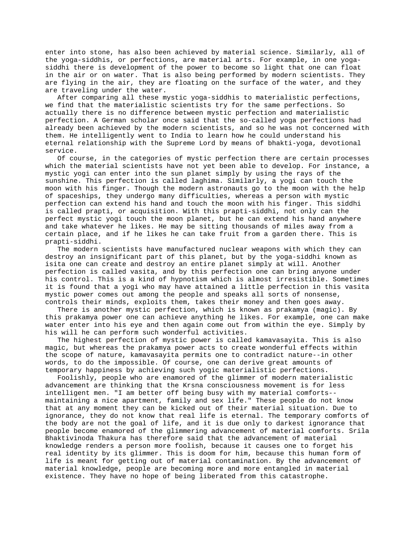enter into stone, has also been achieved by material science. Similarly, all of the yoga-siddhis, or perfections, are material arts. For example, in one yogasiddhi there is development of the power to become so light that one can float in the air or on water. That is also being performed by modern scientists. They are flying in the air, they are floating on the surface of the water, and they are traveling under the water.

 After comparing all these mystic yoga-siddhis to materialistic perfections, we find that the materialistic scientists try for the same perfections. So actually there is no difference between mystic perfection and materialistic perfection. A German scholar once said that the so-called yoga perfections had already been achieved by the modern scientists, and so he was not concerned with them. He intelligently went to India to learn how he could understand his eternal relationship with the Supreme Lord by means of bhakti-yoga, devotional service.

 Of course, in the categories of mystic perfection there are certain processes which the material scientists have not yet been able to develop. For instance, a mystic yogi can enter into the sun planet simply by using the rays of the sunshine. This perfection is called laghima. Similarly, a yogi can touch the moon with his finger. Though the modern astronauts go to the moon with the help of spaceships, they undergo many difficulties, whereas a person with mystic perfection can extend his hand and touch the moon with his finger. This siddhi is called prapti, or acquisition. With this prapti-siddhi, not only can the perfect mystic yogi touch the moon planet, but he can extend his hand anywhere and take whatever he likes. He may be sitting thousands of miles away from a certain place, and if he likes he can take fruit from a garden there. This is prapti-siddhi.

 The modern scientists have manufactured nuclear weapons with which they can destroy an insignificant part of this planet, but by the yoga-siddhi known as isita one can create and destroy an entire planet simply at will. Another perfection is called vasita, and by this perfection one can bring anyone under his control. This is a kind of hypnotism which is almost irresistible. Sometimes it is found that a yogi who may have attained a little perfection in this vasita mystic power comes out among the people and speaks all sorts of nonsense, controls their minds, exploits them, takes their money and then goes away.

 There is another mystic perfection, which is known as prakamya (magic). By this prakamya power one can achieve anything he likes. For example, one can make water enter into his eye and then again come out from within the eye. Simply by his will he can perform such wonderful activities.

 The highest perfection of mystic power is called kamavasayita. This is also magic, but whereas the prakamya power acts to create wonderful effects within the scope of nature, kamavasayita permits one to contradict nature--in other words, to do the impossible. Of course, one can derive great amounts of temporary happiness by achieving such yogic materialistic perfections.

 Foolishly, people who are enamored of the glimmer of modern materialistic advancement are thinking that the Krsna consciousness movement is for less intelligent men. "I am better off being busy with my material comforts- maintaining a nice apartment, family and sex life." These people do not know that at any moment they can be kicked out of their material situation. Due to ignorance, they do not know that real life is eternal. The temporary comforts of the body are not the goal of life, and it is due only to darkest ignorance that people become enamored of the glimmering advancement of material comforts. Srila Bhaktivinoda Thakura has therefore said that the advancement of material knowledge renders a person more foolish, because it causes one to forget his real identity by its glimmer. This is doom for him, because this human form of life is meant for getting out of material contamination. By the advancement of material knowledge, people are becoming more and more entangled in material existence. They have no hope of being liberated from this catastrophe.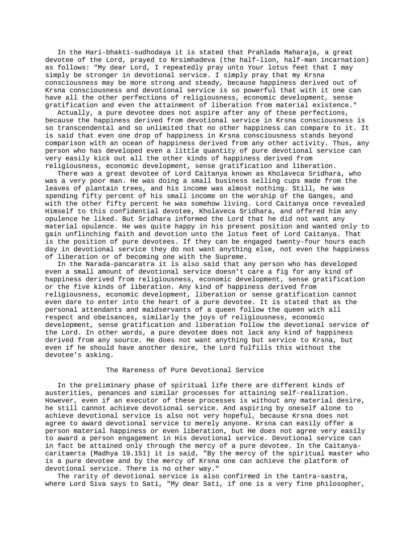In the Hari-bhakti-sudhodaya it is stated that Prahlada Maharaja, a great devotee of the Lord, prayed to Nrsimhadeva (the half-lion, half-man incarnation) as follows: "My dear Lord, I repeatedly pray unto Your lotus feet that I may simply be stronger in devotional service. I simply pray that my Krsna consciousness may be more strong and steady, because happiness derived out of Krsna consciousness and devotional service is so powerful that with it one can have all the other perfections of religiousness, economic development, sense gratification and even the attainment of liberation from material existence."

 Actually, a pure devotee does not aspire after any of these perfections, because the happiness derived from devotional service in Krsna consciousness is so transcendental and so unlimited that no other happiness can compare to it. It is said that even one drop of happiness in Krsna consciousness stands beyond comparison with an ocean of happiness derived from any other activity. Thus, any person who has developed even a little quantity of pure devotional service can very easily kick out all the other kinds of happiness derived from religiousness, economic development, sense gratification and liberation.

 There was a great devotee of Lord Caitanya known as Kholaveca Sridhara, who was a very poor man. He was doing a small business selling cups made from the leaves of plantain trees, and his income was almost nothing. Still, he was spending fifty percent of his small income on the worship of the Ganges, and with the other fifty percent he was somehow living. Lord Caitanya once revealed Himself to this confidential devotee, Kholaveca Sridhara, and offered him any opulence he liked. But Sridhara informed the Lord that he did not want any material opulence. He was quite happy in his present position and wanted only to gain unflinching faith and devotion unto the lotus feet of Lord Caitanya. That is the position of pure devotees. If they can be engaged twenty-four hours each day in devotional service they do not want anything else, not even the happiness of liberation or of becoming one with the Supreme.

 In the Narada-pancaratra it is also said that any person who has developed even a small amount of devotional service doesn't care a fig for any kind of happiness derived from religiousness, economic development, sense gratification or the five kinds of liberation. Any kind of happiness derived from religiousness, economic development, liberation or sense gratification cannot even dare to enter into the heart of a pure devotee. It is stated that as the personal attendants and maidservants of a queen follow the queen with all respect and obeisances, similarly the joys of religiousness, economic development, sense gratification and liberation follow the devotional service of the Lord. In other words, a pure devotee does not lack any kind of happiness derived from any source. He does not want anything but service to Krsna, but even if he should have another desire, the Lord fulfills this without the devotee's asking.

#### The Rareness of Pure Devotional Service

 In the preliminary phase of spiritual life there are different kinds of austerities, penances and similar processes for attaining self-realization. However, even if an executor of these processes is without any material desire, he still cannot achieve devotional service. And aspiring by oneself alone to achieve devotional service is also not very hopeful, because Krsna does not agree to award devotional service to merely anyone. Krsna can easily offer a person material happiness or even liberation, but He does not agree very easily to award a person engagement in His devotional service. Devotional service can in fact be attained only through the mercy of a pure devotee. In the Caitanyacaritamrta (Madhya 19.151) it is said, "By the mercy of the spiritual master who is a pure devotee and by the mercy of Krsna one can achieve the platform of devotional service. There is no other way."

 The rarity of devotional service is also confirmed in the tantra-sastra, where Lord Siva says to Sati, "My dear Sati, if one is a very fine philosopher,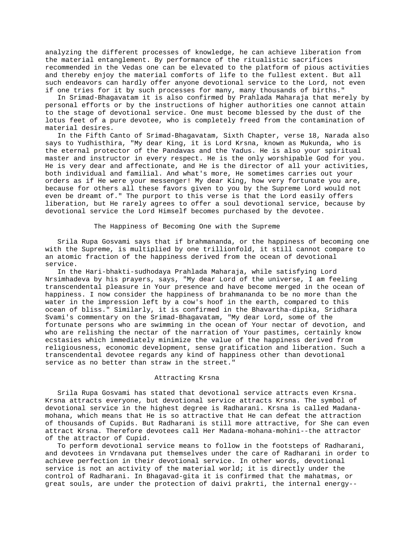analyzing the different processes of knowledge, he can achieve liberation from the material entanglement. By performance of the ritualistic sacrifices recommended in the Vedas one can be elevated to the platform of pious activities and thereby enjoy the material comforts of life to the fullest extent. But all such endeavors can hardly offer anyone devotional service to the Lord, not even if one tries for it by such processes for many, many thousands of births."

 In Srimad-Bhagavatam it is also confirmed by Prahlada Maharaja that merely by personal efforts or by the instructions of higher authorities one cannot attain to the stage of devotional service. One must become blessed by the dust of the lotus feet of a pure devotee, who is completely freed from the contamination of material desires.

 In the Fifth Canto of Srimad-Bhagavatam, Sixth Chapter, verse 18, Narada also says to Yudhisthira, "My dear King, it is Lord Krsna, known as Mukunda, who is the eternal protector of the Pandavas and the Yadus. He is also your spiritual master and instructor in every respect. He is the only worshipable God for you. He is very dear and affectionate, and He is the director of all your activities, both individual and familial. And what's more, He sometimes carries out your orders as if He were your messenger! My dear King, how very fortunate you are, because for others all these favors given to you by the Supreme Lord would not even be dreamt of." The purport to this verse is that the Lord easily offers liberation, but He rarely agrees to offer a soul devotional service, because by devotional service the Lord Himself becomes purchased by the devotee.

### The Happiness of Becoming One with the Supreme

 Srila Rupa Gosvami says that if brahmananda, or the happiness of becoming one with the Supreme, is multiplied by one trillionfold, it still cannot compare to an atomic fraction of the happiness derived from the ocean of devotional service.

 In the Hari-bhakti-sudhodaya Prahlada Maharaja, while satisfying Lord Nrsimhadeva by his prayers, says, "My dear Lord of the universe, I am feeling transcendental pleasure in Your presence and have become merged in the ocean of happiness. I now consider the happiness of brahmananda to be no more than the water in the impression left by a cow's hoof in the earth, compared to this ocean of bliss." Similarly, it is confirmed in the Bhavartha-dipika, Sridhara Svami's commentary on the Srimad-Bhagavatam, "My dear Lord, some of the fortunate persons who are swimming in the ocean of Your nectar of devotion, and who are relishing the nectar of the narration of Your pastimes, certainly know ecstasies which immediately minimize the value of the happiness derived from religiousness, economic development, sense gratification and liberation. Such a transcendental devotee regards any kind of happiness other than devotional service as no better than straw in the street."

### Attracting Krsna

 Srila Rupa Gosvami has stated that devotional service attracts even Krsna. Krsna attracts everyone, but devotional service attracts Krsna. The symbol of devotional service in the highest degree is Radharani. Krsna is called Madanamohana, which means that He is so attractive that He can defeat the attraction of thousands of Cupids. But Radharani is still more attractive, for She can even attract Krsna. Therefore devotees call Her Madana-mohana-mohini--the attractor of the attractor of Cupid.

 To perform devotional service means to follow in the footsteps of Radharani, and devotees in Vrndavana put themselves under the care of Radharani in order to achieve perfection in their devotional service. In other words, devotional service is not an activity of the material world; it is directly under the control of Radharani. In Bhagavad-gita it is confirmed that the mahatmas, or great souls, are under the protection of daivi prakrti, the internal energy--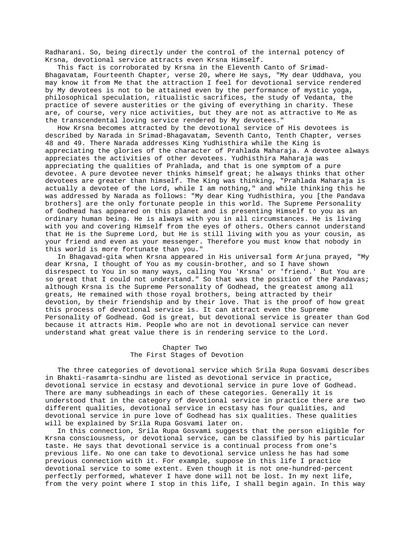Radharani. So, being directly under the control of the internal potency of Krsna, devotional service attracts even Krsna Himself.

 This fact is corroborated by Krsna in the Eleventh Canto of Srimad-Bhagavatam, Fourteenth Chapter, verse 20, where He says, "My dear Uddhava, you may know it from Me that the attraction I feel for devotional service rendered by My devotees is not to be attained even by the performance of mystic yoga, philosophical speculation, ritualistic sacrifices, the study of Vedanta, the practice of severe austerities or the giving of everything in charity. These are, of course, very nice activities, but they are not as attractive to Me as the transcendental loving service rendered by My devotees."

 How Krsna becomes attracted by the devotional service of His devotees is described by Narada in Srimad-Bhagavatam, Seventh Canto, Tenth Chapter, verses 48 and 49. There Narada addresses King Yudhisthira while the King is appreciating the glories of the character of Prahlada Maharaja. A devotee always appreciates the activities of other devotees. Yudhisthira Maharaja was appreciating the qualities of Prahlada, and that is one symptom of a pure devotee. A pure devotee never thinks himself great; he always thinks that other devotees are greater than himself. The King was thinking, "Prahlada Maharaja is actually a devotee of the Lord, while I am nothing," and while thinking this he was addressed by Narada as follows: "My dear King Yudhisthira, you [the Pandava brothers] are the only fortunate people in this world. The Supreme Personality of Godhead has appeared on this planet and is presenting Himself to you as an ordinary human being. He is always with you in all circumstances. He is living with you and covering Himself from the eyes of others. Others cannot understand that He is the Supreme Lord, but He is still living with you as your cousin, as your friend and even as your messenger. Therefore you must know that nobody in this world is more fortunate than you."

 In Bhagavad-gita when Krsna appeared in His universal form Arjuna prayed, "My dear Krsna, I thought of You as my cousin-brother, and so I have shown disrespect to You in so many ways, calling You 'Krsna' or 'friend.' But You are so great that I could not understand." So that was the position of the Pandavas; although Krsna is the Supreme Personality of Godhead, the greatest among all greats, He remained with those royal brothers, being attracted by their devotion, by their friendship and by their love. That is the proof of how great this process of devotional service is. It can attract even the Supreme Personality of Godhead. God is great, but devotional service is greater than God because it attracts Him. People who are not in devotional service can never understand what great value there is in rendering service to the Lord.

# Chapter Two The First Stages of Devotion

 The three categories of devotional service which Srila Rupa Gosvami describes in Bhakti-rasamrta-sindhu are listed as devotional service in practice, devotional service in ecstasy and devotional service in pure love of Godhead. There are many subheadings in each of these categories. Generally it is understood that in the category of devotional service in practice there are two different qualities, devotional service in ecstasy has four qualities, and devotional service in pure love of Godhead has six qualities. These qualities will be explained by Srila Rupa Gosvami later on.

 In this connection, Srila Rupa Gosvami suggests that the person eligible for Krsna consciousness, or devotional service, can be classified by his particular taste. He says that devotional service is a continual process from one's previous life. No one can take to devotional service unless he has had some previous connection with it. For example, suppose in this life I practice devotional service to some extent. Even though it is not one-hundred-percent perfectly performed, whatever I have done will not be lost. In my next life, from the very point where I stop in this life, I shall begin again. In this way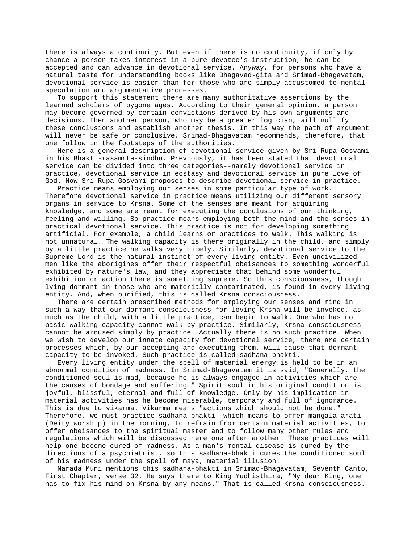there is always a continuity. But even if there is no continuity, if only by chance a person takes interest in a pure devotee's instruction, he can be accepted and can advance in devotional service. Anyway, for persons who have a natural taste for understanding books like Bhagavad-gita and Srimad-Bhagavatam, devotional service is easier than for those who are simply accustomed to mental speculation and argumentative processes.

 To support this statement there are many authoritative assertions by the learned scholars of bygone ages. According to their general opinion, a person may become governed by certain convictions derived by his own arguments and decisions. Then another person, who may be a greater logician, will nullify these conclusions and establish another thesis. In this way the path of argument will never be safe or conclusive. Srimad-Bhagavatam recommends, therefore, that one follow in the footsteps of the authorities.

 Here is a general description of devotional service given by Sri Rupa Gosvami in his Bhakti-rasamrta-sindhu. Previously, it has been stated that devotional service can be divided into three categories--namely devotional service in practice, devotional service in ecstasy and devotional service in pure love of God. Now Sri Rupa Gosvami proposes to describe devotional service in practice.

 Practice means employing our senses in some particular type of work. Therefore devotional service in practice means utilizing our different sensory organs in service to Krsna. Some of the senses are meant for acquiring knowledge, and some are meant for executing the conclusions of our thinking, feeling and willing. So practice means employing both the mind and the senses in practical devotional service. This practice is not for developing something artificial. For example, a child learns or practices to walk. This walking is not unnatural. The walking capacity is there originally in the child, and simply by a little practice he walks very nicely. Similarly, devotional service to the Supreme Lord is the natural instinct of every living entity. Even uncivilized men like the aborigines offer their respectful obeisances to something wonderful exhibited by nature's law, and they appreciate that behind some wonderful exhibition or action there is something supreme. So this consciousness, though lying dormant in those who are materially contaminated, is found in every living entity. And, when purified, this is called Krsna consciousness.

 There are certain prescribed methods for employing our senses and mind in such a way that our dormant consciousness for loving Krsna will be invoked, as much as the child, with a little practice, can begin to walk. One who has no basic walking capacity cannot walk by practice. Similarly, Krsna consciousness cannot be aroused simply by practice. Actually there is no such practice. When we wish to develop our innate capacity for devotional service, there are certain processes which, by our accepting and executing them, will cause that dormant capacity to be invoked. Such practice is called sadhana-bhakti.

 Every living entity under the spell of material energy is held to be in an abnormal condition of madness. In Srimad-Bhagavatam it is said, "Generally, the conditioned soul is mad, because he is always engaged in activities which are the causes of bondage and suffering." Spirit soul in his original condition is joyful, blissful, eternal and full of knowledge. Only by his implication in material activities has he become miserable, temporary and full of ignorance. This is due to vikarma. Vikarma means "actions which should not be done." Therefore, we must practice sadhana-bhakti--which means to offer mangala-arati (Deity worship) in the morning, to refrain from certain material activities, to offer obeisances to the spiritual master and to follow many other rules and regulations which will be discussed here one after another. These practices will help one become cured of madness. As a man's mental disease is cured by the directions of a psychiatrist, so this sadhana-bhakti cures the conditioned soul of his madness under the spell of maya, material illusion.

 Narada Muni mentions this sadhana-bhakti in Srimad-Bhagavatam, Seventh Canto, First Chapter, verse 32. He says there to King Yudhisthira, "My dear King, one has to fix his mind on Krsna by any means." That is called Krsna consciousness.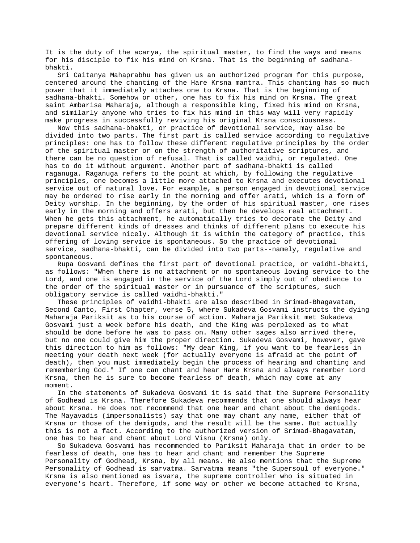It is the duty of the acarya, the spiritual master, to find the ways and means for his disciple to fix his mind on Krsna. That is the beginning of sadhanabhakti.

 Sri Caitanya Mahaprabhu has given us an authorized program for this purpose, centered around the chanting of the Hare Krsna mantra. This chanting has so much power that it immediately attaches one to Krsna. That is the beginning of sadhana-bhakti. Somehow or other, one has to fix his mind on Krsna. The great saint Ambarisa Maharaja, although a responsible king, fixed his mind on Krsna, and similarly anyone who tries to fix his mind in this way will very rapidly make progress in successfully reviving his original Krsna consciousness.

 Now this sadhana-bhakti, or practice of devotional service, may also be divided into two parts. The first part is called service according to regulative principles: one has to follow these different regulative principles by the order of the spiritual master or on the strength of authoritative scriptures, and there can be no question of refusal. That is called vaidhi, or regulated. One has to do it without argument. Another part of sadhana-bhakti is called raganuga. Raganuga refers to the point at which, by following the regulative principles, one becomes a little more attached to Krsna and executes devotional service out of natural love. For example, a person engaged in devotional service may be ordered to rise early in the morning and offer arati, which is a form of Deity worship. In the beginning, by the order of his spiritual master, one rises early in the morning and offers arati, but then he develops real attachment. When he gets this attachment, he automatically tries to decorate the Deity and prepare different kinds of dresses and thinks of different plans to execute his devotional service nicely. Although it is within the category of practice, this offering of loving service is spontaneous. So the practice of devotional service, sadhana-bhakti, can be divided into two parts--namely, regulative and spontaneous.

 Rupa Gosvami defines the first part of devotional practice, or vaidhi-bhakti, as follows: "When there is no attachment or no spontaneous loving service to the Lord, and one is engaged in the service of the Lord simply out of obedience to the order of the spiritual master or in pursuance of the scriptures, such obligatory service is called vaidhi-bhakti."

 These principles of vaidhi-bhakti are also described in Srimad-Bhagavatam, Second Canto, First Chapter, verse 5, where Sukadeva Gosvami instructs the dying Maharaja Pariksit as to his course of action. Maharaja Pariksit met Sukadeva Gosvami just a week before his death, and the King was perplexed as to what should be done before he was to pass on. Many other sages also arrived there, but no one could give him the proper direction. Sukadeva Gosvami, however, gave this direction to him as follows: "My dear King, if you want to be fearless in meeting your death next week (for actually everyone is afraid at the point of death), then you must immediately begin the process of hearing and chanting and remembering God." If one can chant and hear Hare Krsna and always remember Lord Krsna, then he is sure to become fearless of death, which may come at any moment.

 In the statements of Sukadeva Gosvami it is said that the Supreme Personality of Godhead is Krsna. Therefore Sukadeva recommends that one should always hear about Krsna. He does not recommend that one hear and chant about the demigods. The Mayavadis (impersonalists) say that one may chant any name, either that of Krsna or those of the demigods, and the result will be the same. But actually this is not a fact. According to the authorized version of Srimad-Bhagavatam, one has to hear and chant about Lord Visnu (Krsna) only.

 So Sukadeva Gosvami has recommended to Pariksit Maharaja that in order to be fearless of death, one has to hear and chant and remember the Supreme Personality of Godhead, Krsna, by all means. He also mentions that the Supreme Personality of Godhead is sarvatma. Sarvatma means "the Supersoul of everyone." Krsna is also mentioned as isvara, the supreme controller who is situated in everyone's heart. Therefore, if some way or other we become attached to Krsna,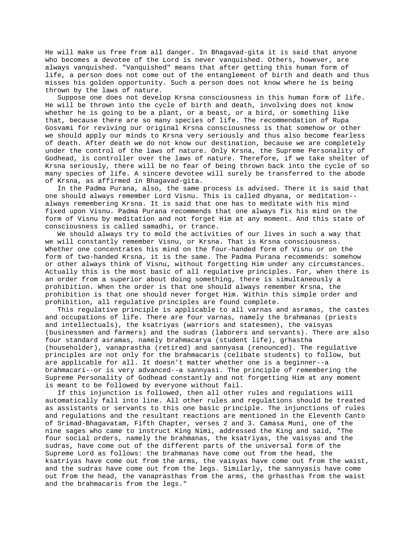He will make us free from all danger. In Bhagavad-gita it is said that anyone who becomes a devotee of the Lord is never vanquished. Others, however, are always vanquished. "Vanquished" means that after getting this human form of life, a person does not come out of the entanglement of birth and death and thus misses his golden opportunity. Such a person does not know where he is being thrown by the laws of nature.

 Suppose one does not develop Krsna consciousness in this human form of life. He will be thrown into the cycle of birth and death, involving does not know whether he is going to be a plant, or a beast, or a bird, or something like that, because there are so many species of life. The recommendation of Rupa Gosvami for reviving our original Krsna consciousness is that somehow or other we should apply our minds to Krsna very seriously and thus also become fearless of death. After death we do not know our destination, because we are completely under the control of the laws of nature. Only Krsna, the Supreme Personality of Godhead, is controller over the laws of nature. Therefore, if we take shelter of Krsna seriously, there will be no fear of being thrown back into the cycle of so many species of life. A sincere devotee will surely be transferred to the abode of Krsna, as affirmed in Bhagavad-gita.

 In the Padma Purana, also, the same process is advised. There it is said that one should always remember Lord Visnu. This is called dhyana, or meditation- always remembering Krsna. It is said that one has to meditate with his mind fixed upon Visnu. Padma Purana recommends that one always fix his mind on the form of Visnu by meditation and not forget Him at any moment. And this state of consciousness is called samadhi, or trance.

 We should always try to mold the activities of our lives in such a way that we will constantly remember Visnu, or Krsna. That is Krsna consciousness. Whether one concentrates his mind on the four-handed form of Visnu or on the form of two-handed Krsna, it is the same. The Padma Purana recommends: somehow or other always think of Visnu, without forgetting Him under any circumstances. Actually this is the most basic of all regulative principles. For, when there is an order from a superior about doing something, there is simultaneously a prohibition. When the order is that one should always remember Krsna, the prohibition is that one should never forget Him. Within this simple order and prohibition, all regulative principles are found complete.

 This regulative principle is applicable to all varnas and asramas, the castes and occupations of life. There are four varnas, namely the brahmanas (priests and intellectuals), the ksatriyas (warriors and statesmen), the vaisyas (businessmen and farmers) and the sudras (laborers and servants). There are also four standard asramas, namely brahmacarya (student life), grhastha (householder), vanaprastha (retired) and sannyasa (renounced). The regulative principles are not only for the brahmacaris (celibate students) to follow, but are applicable for all. It doesn't matter whether one is a beginner--a brahmacari--or is very advanced--a sannyasi. The principle of remembering the Supreme Personality of Godhead constantly and not forgetting Him at any moment is meant to be followed by everyone without fail.

 If this injunction is followed, then all other rules and regulations will automatically fall into line. All other rules and regulations should be treated as assistants or servants to this one basic principle. The injunctions of rules and regulations and the resultant reactions are mentioned in the Eleventh Canto of Srimad-Bhagavatam, Fifth Chapter, verses 2 and 3. Camasa Muni, one of the nine sages who came to instruct King Nimi, addressed the King and said, "The four social orders, namely the brahmanas, the ksatriyas, the vaisyas and the sudras, have come out of the different parts of the universal form of the Supreme Lord as follows: the brahmanas have come out from the head, the ksatriyas have come out from the arms, the vaisyas have come out from the waist, and the sudras have come out from the legs. Similarly, the sannyasis have come out from the head, the vanaprasthas from the arms, the grhasthas from the waist and the brahmacaris from the legs."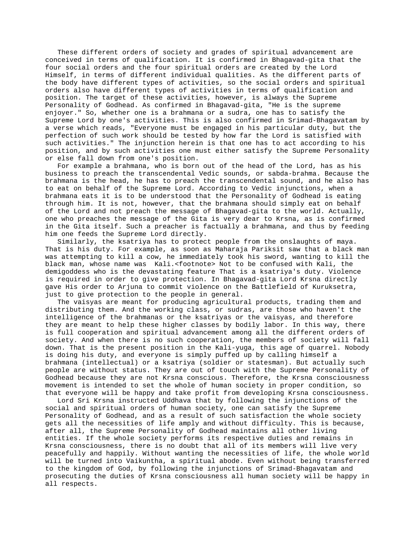These different orders of society and grades of spiritual advancement are conceived in terms of qualification. It is confirmed in Bhagavad-gita that the four social orders and the four spiritual orders are created by the Lord Himself, in terms of different individual qualities. As the different parts of the body have different types of activities, so the social orders and spiritual orders also have different types of activities in terms of qualification and position. The target of these activities, however, is always the Supreme Personality of Godhead. As confirmed in Bhagavad-gita, "He is the supreme enjoyer." So, whether one is a brahmana or a sudra, one has to satisfy the Supreme Lord by one's activities. This is also confirmed in Srimad-Bhagavatam by a verse which reads, "Everyone must be engaged in his particular duty, but the perfection of such work should be tested by how far the Lord is satisfied with such activities." The injunction herein is that one has to act according to his position, and by such activities one must either satisfy the Supreme Personality or else fall down from one's position.

 For example a brahmana, who is born out of the head of the Lord, has as his business to preach the transcendental Vedic sounds, or sabda-brahma. Because the brahmana is the head, he has to preach the transcendental sound, and he also has to eat on behalf of the Supreme Lord. According to Vedic injunctions, when a brahmana eats it is to be understood that the Personality of Godhead is eating through him. It is not, however, that the brahmana should simply eat on behalf of the Lord and not preach the message of Bhagavad-gita to the world. Actually, one who preaches the message of the Gita is very dear to Krsna, as is confirmed in the Gita itself. Such a preacher is factually a brahmana, and thus by feeding him one feeds the Supreme Lord directly.

 Similarly, the ksatriya has to protect people from the onslaughts of maya. That is his duty. For example, as soon as Maharaja Pariksit saw that a black man was attempting to kill a cow, he immediately took his sword, wanting to kill the black man, whose name was Kali.<footnote> Not to be confused with Kali, the demigoddess who is the devastating feature That is a ksatriya's duty. Violence is required in order to give protection. In Bhagavad-gita Lord Krsna directly gave His order to Arjuna to commit violence on the Battlefield of Kuruksetra, just to give protection to the people in general.

 The vaisyas are meant for producing agricultural products, trading them and distributing them. And the working class, or sudras, are those who haven't the intelligence of the brahmanas or the ksatriyas or the vaisyas, and therefore they are meant to help these higher classes by bodily labor. In this way, there is full cooperation and spiritual advancement among all the different orders of society. And when there is no such cooperation, the members of society will fall down. That is the present position in the Kali-yuga, this age of quarrel. Nobody is doing his duty, and everyone is simply puffed up by calling himself a brahmana (intellectual) or a ksatriya (soldier or statesman). But actually such people are without status. They are out of touch with the Supreme Personality of Godhead because they are not Krsna conscious. Therefore, the Krsna consciousness movement is intended to set the whole of human society in proper condition, so that everyone will be happy and take profit from developing Krsna consciousness.

 Lord Sri Krsna instructed Uddhava that by following the injunctions of the social and spiritual orders of human society, one can satisfy the Supreme Personality of Godhead, and as a result of such satisfaction the whole society gets all the necessities of life amply and without difficulty. This is because, after all, the Supreme Personality of Godhead maintains all other living entities. If the whole society performs its respective duties and remains in Krsna consciousness, there is no doubt that all of its members will live very peacefully and happily. Without wanting the necessities of life, the whole world will be turned into Vaikuntha, a spiritual abode. Even without being transferred to the kingdom of God, by following the injunctions of Srimad-Bhagavatam and prosecuting the duties of Krsna consciousness all human society will be happy in all respects.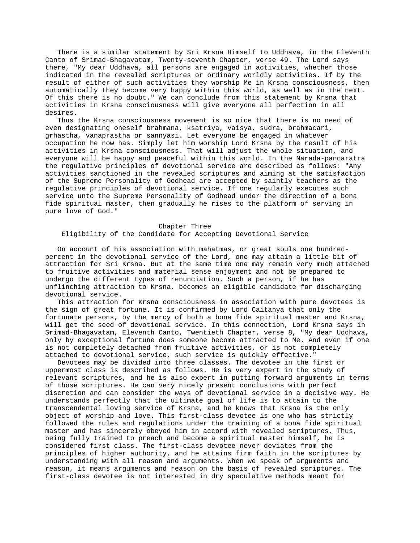There is a similar statement by Sri Krsna Himself to Uddhava, in the Eleventh Canto of Srimad-Bhagavatam, Twenty-seventh Chapter, verse 49. The Lord says there, "My dear Uddhava, all persons are engaged in activities, whether those indicated in the revealed scriptures or ordinary worldly activities. If by the result of either of such activities they worship Me in Krsna consciousness, then automatically they become very happy within this world, as well as in the next. Of this there is no doubt." We can conclude from this statement by Krsna that activities in Krsna consciousness will give everyone all perfection in all desires.

 Thus the Krsna consciousness movement is so nice that there is no need of even designating oneself brahmana, ksatriya, vaisya, sudra, brahmacari, grhastha, vanaprastha or sannyasi. Let everyone be engaged in whatever occupation he now has. Simply let him worship Lord Krsna by the result of his activities in Krsna consciousness. That will adjust the whole situation, and everyone will be happy and peaceful within this world. In the Narada-pancaratra the regulative principles of devotional service are described as follows: "Any activities sanctioned in the revealed scriptures and aiming at the satisfaction of the Supreme Personality of Godhead are accepted by saintly teachers as the regulative principles of devotional service. If one regularly executes such service unto the Supreme Personality of Godhead under the direction of a bona fide spiritual master, then gradually he rises to the platform of serving in pure love of God."

# Chapter Three Eligibility of the Candidate for Accepting Devotional Service

 On account of his association with mahatmas, or great souls one hundredpercent in the devotional service of the Lord, one may attain a little bit of attraction for Sri Krsna. But at the same time one may remain very much attached to fruitive activities and material sense enjoyment and not be prepared to undergo the different types of renunciation. Such a person, if he has unflinching attraction to Krsna, becomes an eligible candidate for discharging devotional service.

 This attraction for Krsna consciousness in association with pure devotees is the sign of great fortune. It is confirmed by Lord Caitanya that only the fortunate persons, by the mercy of both a bona fide spiritual master and Krsna, will get the seed of devotional service. In this connection, Lord Krsna says in Srimad-Bhagavatam, Eleventh Canto, Twentieth Chapter, verse 8, "My dear Uddhava, only by exceptional fortune does someone become attracted to Me. And even if one is not completely detached from fruitive activities, or is not completely attached to devotional service, such service is quickly effective."

 Devotees may be divided into three classes. The devotee in the first or uppermost class is described as follows. He is very expert in the study of relevant scriptures, and he is also expert in putting forward arguments in terms of those scriptures. He can very nicely present conclusions with perfect discretion and can consider the ways of devotional service in a decisive way. He understands perfectly that the ultimate goal of life is to attain to the transcendental loving service of Krsna, and he knows that Krsna is the only object of worship and love. This first-class devotee is one who has strictly followed the rules and regulations under the training of a bona fide spiritual master and has sincerely obeyed him in accord with revealed scriptures. Thus, being fully trained to preach and become a spiritual master himself, he is considered first class. The first-class devotee never deviates from the principles of higher authority, and he attains firm faith in the scriptures by understanding with all reason and arguments. When we speak of arguments and reason, it means arguments and reason on the basis of revealed scriptures. The first-class devotee is not interested in dry speculative methods meant for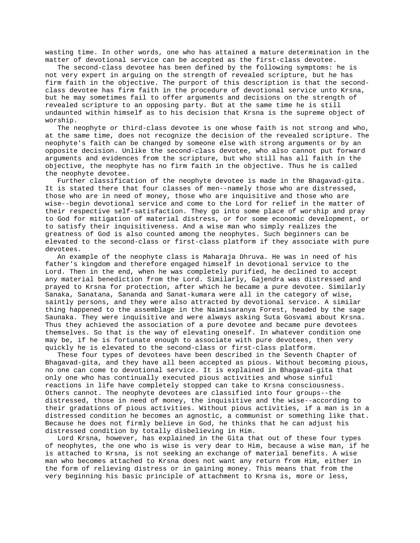wasting time. In other words, one who has attained a mature determination in the matter of devotional service can be accepted as the first-class devotee.

 The second-class devotee has been defined by the following symptoms: he is not very expert in arguing on the strength of revealed scripture, but he has firm faith in the objective. The purport of this description is that the secondclass devotee has firm faith in the procedure of devotional service unto Krsna, but he may sometimes fail to offer arguments and decisions on the strength of revealed scripture to an opposing party. But at the same time he is still undaunted within himself as to his decision that Krsna is the supreme object of worship.

 The neophyte or third-class devotee is one whose faith is not strong and who, at the same time, does not recognize the decision of the revealed scripture. The neophyte's faith can be changed by someone else with strong arguments or by an opposite decision. Unlike the second-class devotee, who also cannot put forward arguments and evidences from the scripture, but who still has all faith in the objective, the neophyte has no firm faith in the objective. Thus he is called the neophyte devotee.

 Further classification of the neophyte devotee is made in the Bhagavad-gita. It is stated there that four classes of men--namely those who are distressed, those who are in need of money, those who are inquisitive and those who are wise--begin devotional service and come to the Lord for relief in the matter of their respective self-satisfaction. They go into some place of worship and pray to God for mitigation of material distress, or for some economic development, or to satisfy their inquisitiveness. And a wise man who simply realizes the greatness of God is also counted among the neophytes. Such beginners can be elevated to the second-class or first-class platform if they associate with pure devotees.

 An example of the neophyte class is Maharaja Dhruva. He was in need of his father's kingdom and therefore engaged himself in devotional service to the Lord. Then in the end, when he was completely purified, he declined to accept any material benediction from the Lord. Similarly, Gajendra was distressed and prayed to Krsna for protection, after which he became a pure devotee. Similarly Sanaka, Sanatana, Sananda and Sanat-kumara were all in the category of wise, saintly persons, and they were also attracted by devotional service. A similar thing happened to the assemblage in the Naimisaranya Forest, headed by the sage Saunaka. They were inquisitive and were always asking Suta Gosvami about Krsna. Thus they achieved the association of a pure devotee and became pure devotees themselves. So that is the way of elevating oneself. In whatever condition one may be, if he is fortunate enough to associate with pure devotees, then very quickly he is elevated to the second-class or first-class platform.

 These four types of devotees have been described in the Seventh Chapter of Bhagavad-gita, and they have all been accepted as pious. Without becoming pious, no one can come to devotional service. It is explained in Bhagavad-gita that only one who has continually executed pious activities and whose sinful reactions in life have completely stopped can take to Krsna consciousness. Others cannot. The neophyte devotees are classified into four groups--the distressed, those in need of money, the inquisitive and the wise--according to their gradations of pious activities. Without pious activities, if a man is in a distressed condition he becomes an agnostic, a communist or something like that. Because he does not firmly believe in God, he thinks that he can adjust his distressed condition by totally disbelieving in Him.

 Lord Krsna, however, has explained in the Gita that out of these four types of neophytes, the one who is wise is very dear to Him, because a wise man, if he is attached to Krsna, is not seeking an exchange of material benefits. A wise man who becomes attached to Krsna does not want any return from Him, either in the form of relieving distress or in gaining money. This means that from the very beginning his basic principle of attachment to Krsna is, more or less,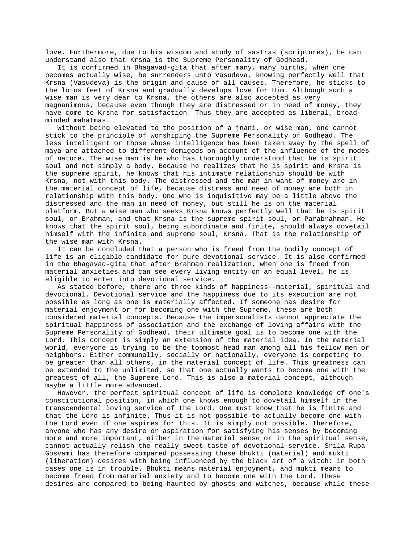love. Furthermore, due to his wisdom and study of sastras (scriptures), he can understand also that Krsna is the Supreme Personality of Godhead.

 It is confirmed in Bhagavad-gita that after many, many births, when one becomes actually wise, he surrenders unto Vasudeva, knowing perfectly well that Krsna (Vasudeva) is the origin and cause of all causes. Therefore, he sticks to the lotus feet of Krsna and gradually develops love for Him. Although such a wise man is very dear to Krsna, the others are also accepted as very magnanimous, because even though they are distressed or in need of money, they have come to Krsna for satisfaction. Thus they are accepted as liberal, broadminded mahatmas.

 Without being elevated to the position of a jnani, or wise man, one cannot stick to the principle of worshiping the Supreme Personality of Godhead. The less intelligent or those whose intelligence has been taken away by the spell of maya are attached to different demigods on account of the influence of the modes of nature. The wise man is he who has thoroughly understood that he is spirit soul and not simply a body. Because he realizes that he is spirit and Krsna is the supreme spirit, he knows that his intimate relationship should be with Krsna, not with this body. The distressed and the man in want of money are in the material concept of life, because distress and need of money are both in relationship with this body. One who is inquisitive may be a little above the distressed and the man in need of money, but still he is on the material platform. But a wise man who seeks Krsna knows perfectly well that he is spirit soul, or Brahman, and that Krsna is the supreme spirit soul, or Parabrahman. He knows that the spirit soul, being subordinate and finite, should always dovetail himself with the infinite and supreme soul, Krsna. That is the relationship of the wise man with Krsna.

 It can be concluded that a person who is freed from the bodily concept of life is an eligible candidate for pure devotional service. It is also confirmed in the Bhagavad-gita that after Brahman realization, when one is freed from material anxieties and can see every living entity on an equal level, he is eligible to enter into devotional service.

 As stated before, there are three kinds of happiness--material, spiritual and devotional. Devotional service and the happiness due to its execution are not possible as long as one is materially affected. If someone has desire for material enjoyment or for becoming one with the Supreme, these are both considered material concepts. Because the impersonalists cannot appreciate the spiritual happiness of association and the exchange of loving affairs with the Supreme Personality of Godhead, their ultimate goal is to become one with the Lord. This concept is simply an extension of the material idea. In the material world, everyone is trying to be the topmost head man among all his fellow men or neighbors. Either communally, socially or nationally, everyone is competing to be greater than all others, in the material concept of life. This greatness can be extended to the unlimited, so that one actually wants to become one with the greatest of all, the Supreme Lord. This is also a material concept, although maybe a little more advanced.

 However, the perfect spiritual concept of life is complete knowledge of one's constitutional position, in which one knows enough to dovetail himself in the transcendental loving service of the Lord. One must know that he is finite and that the Lord is infinite. Thus it is not possible to actually become one with the Lord even if one aspires for this. It is simply not possible. Therefore, anyone who has any desire or aspiration for satisfying his senses by becoming more and more important, either in the material sense or in the spiritual sense, cannot actually relish the really sweet taste of devotional service. Srila Rupa Gosvami has therefore compared possessing these bhukti (material) and mukti (liberation) desires with being influenced by the black art of a witch: in both cases one is in trouble. Bhukti means material enjoyment, and mukti means to become freed from material anxiety and to become one with the Lord. These desires are compared to being haunted by ghosts and witches, because while these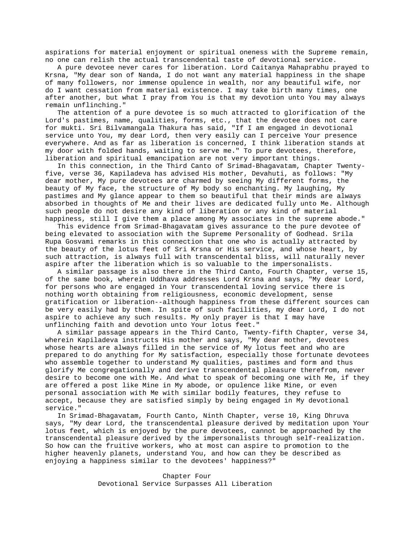aspirations for material enjoyment or spiritual oneness with the Supreme remain, no one can relish the actual transcendental taste of devotional service.

 A pure devotee never cares for liberation. Lord Caitanya Mahaprabhu prayed to Krsna, "My dear son of Nanda, I do not want any material happiness in the shape of many followers, nor immense opulence in wealth, nor any beautiful wife, nor do I want cessation from material existence. I may take birth many times, one after another, but what I pray from You is that my devotion unto You may always remain unflinching."

 The attention of a pure devotee is so much attracted to glorification of the Lord's pastimes, name, qualities, forms, etc., that the devotee does not care for mukti. Sri Bilvamangala Thakura has said, "If I am engaged in devotional service unto You, my dear Lord, then very easily can I perceive Your presence everywhere. And as far as liberation is concerned, I think liberation stands at my door with folded hands, waiting to serve me." To pure devotees, therefore, liberation and spiritual emancipation are not very important things.

 In this connection, in the Third Canto of Srimad-Bhagavatam, Chapter Twentyfive, verse 36, Kapiladeva has advised His mother, Devahuti, as follows: "My dear mother, My pure devotees are charmed by seeing My different forms, the beauty of My face, the structure of My body so enchanting. My laughing, My pastimes and My glance appear to them so beautiful that their minds are always absorbed in thoughts of Me and their lives are dedicated fully unto Me. Although such people do not desire any kind of liberation or any kind of material happiness, still I give them a place among My associates in the supreme abode."

 This evidence from Srimad-Bhagavatam gives assurance to the pure devotee of being elevated to association with the Supreme Personality of Godhead. Srila Rupa Gosvami remarks in this connection that one who is actually attracted by the beauty of the lotus feet of Sri Krsna or His service, and whose heart, by such attraction, is always full with transcendental bliss, will naturally never aspire after the liberation which is so valuable to the impersonalists.

 A similar passage is also there in the Third Canto, Fourth Chapter, verse 15, of the same book, wherein Uddhava addresses Lord Krsna and says, "My dear Lord, for persons who are engaged in Your transcendental loving service there is nothing worth obtaining from religiousness, economic development, sense gratification or liberation--although happiness from these different sources can be very easily had by them. In spite of such facilities, my dear Lord, I do not aspire to achieve any such results. My only prayer is that I may have unflinching faith and devotion unto Your lotus feet."

 A similar passage appears in the Third Canto, Twenty-fifth Chapter, verse 34, wherein Kapiladeva instructs His mother and says, "My dear mother, devotees whose hearts are always filled in the service of My lotus feet and who are prepared to do anything for My satisfaction, especially those fortunate devotees who assemble together to understand My qualities, pastimes and form and thus glorify Me congregationally and derive transcendental pleasure therefrom, never desire to become one with Me. And what to speak of becoming one with Me, if they are offered a post like Mine in My abode, or opulence like Mine, or even personal association with Me with similar bodily features, they refuse to accept, because they are satisfied simply by being engaged in My devotional service."

 In Srimad-Bhagavatam, Fourth Canto, Ninth Chapter, verse 10, King Dhruva says, "My dear Lord, the transcendental pleasure derived by meditation upon Your lotus feet, which is enjoyed by the pure devotees, cannot be approached by the transcendental pleasure derived by the impersonalists through self-realization. So how can the fruitive workers, who at most can aspire to promotion to the higher heavenly planets, understand You, and how can they be described as enjoying a happiness similar to the devotees' happiness?"

> Chapter Four Devotional Service Surpasses All Liberation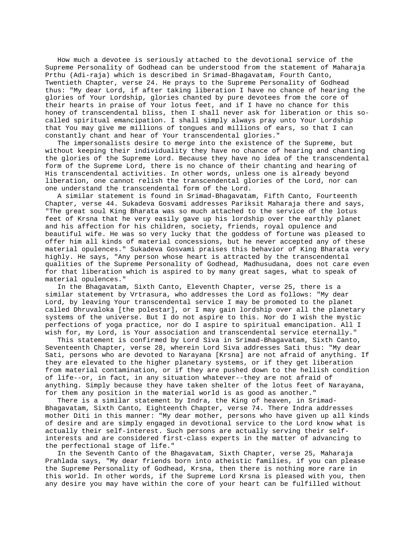How much a devotee is seriously attached to the devotional service of the Supreme Personality of Godhead can be understood from the statement of Maharaja Prthu (Adi-raja) which is described in Srimad-Bhagavatam, Fourth Canto, Twentieth Chapter, verse 24. He prays to the Supreme Personality of Godhead thus: "My dear Lord, if after taking liberation I have no chance of hearing the glories of Your Lordship, glories chanted by pure devotees from the core of their hearts in praise of Your lotus feet, and if I have no chance for this honey of transcendental bliss, then I shall never ask for liberation or this socalled spiritual emancipation. I shall simply always pray unto Your Lordship that You may give me millions of tongues and millions of ears, so that I can constantly chant and hear of Your transcendental glories."

 The impersonalists desire to merge into the existence of the Supreme, but without keeping their individuality they have no chance of hearing and chanting the glories of the Supreme Lord. Because they have no idea of the transcendental form of the Supreme Lord, there is no chance of their chanting and hearing of His transcendental activities. In other words, unless one is already beyond liberation, one cannot relish the transcendental glories of the Lord, nor can one understand the transcendental form of the Lord.

 A similar statement is found in Srimad-Bhagavatam, Fifth Canto, Fourteenth Chapter, verse 44. Sukadeva Gosvami addresses Pariksit Maharaja there and says, "The great soul King Bharata was so much attached to the service of the lotus feet of Krsna that he very easily gave up his lordship over the earthly planet and his affection for his children, society, friends, royal opulence and beautiful wife. He was so very lucky that the goddess of fortune was pleased to offer him all kinds of material concessions, but he never accepted any of these material opulences." Sukadeva Gosvami praises this behavior of King Bharata very highly. He says, "Any person whose heart is attracted by the transcendental qualities of the Supreme Personality of Godhead, Madhusudana, does not care even for that liberation which is aspired to by many great sages, what to speak of material opulences."

 In the Bhagavatam, Sixth Canto, Eleventh Chapter, verse 25, there is a similar statement by Vrtrasura, who addresses the Lord as follows: "My dear Lord, by leaving Your transcendental service I may be promoted to the planet called Dhruvaloka [the polestar], or I may gain lordship over all the planetary systems of the universe. But I do not aspire to this. Nor do I wish the mystic perfections of yoga practice, nor do I aspire to spiritual emancipation. All I wish for, my Lord, is Your association and transcendental service eternally."

 This statement is confirmed by Lord Siva in Srimad-Bhagavatam, Sixth Canto, Seventeenth Chapter, verse 28, wherein Lord Siva addresses Sati thus: "My dear Sati, persons who are devoted to Narayana [Krsna] are not afraid of anything. If they are elevated to the higher planetary systems, or if they get liberation from material contamination, or if they are pushed down to the hellish condition of life--or, in fact, in any situation whatever--they are not afraid of anything. Simply because they have taken shelter of the lotus feet of Narayana, for them any position in the material world is as good as another."

 There is a similar statement by Indra, the King of heaven, in Srimad-Bhagavatam, Sixth Canto, Eighteenth Chapter, verse 74. There Indra addresses mother Diti in this manner: "My dear mother, persons who have given up all kinds of desire and are simply engaged in devotional service to the Lord know what is actually their self-interest. Such persons are actually serving their selfinterests and are considered first-class experts in the matter of advancing to the perfectional stage of life."

 In the Seventh Canto of the Bhagavatam, Sixth Chapter, verse 25, Maharaja Prahlada says, "My dear friends born into atheistic families, if you can please the Supreme Personality of Godhead, Krsna, then there is nothing more rare in this world. In other words, if the Supreme Lord Krsna is pleased with you, then any desire you may have within the core of your heart can be fulfilled without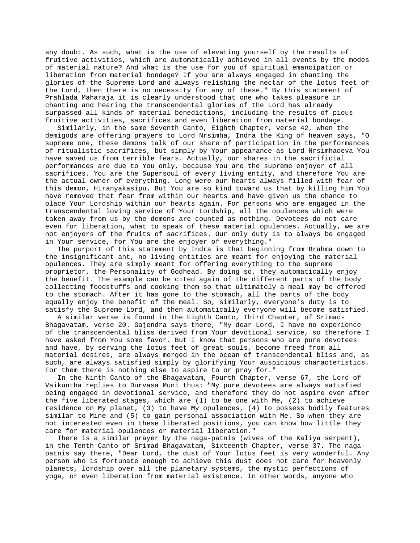any doubt. As such, what is the use of elevating yourself by the results of fruitive activities, which are automatically achieved in all events by the modes of material nature? And what is the use for you of spiritual emancipation or liberation from material bondage? If you are always engaged in chanting the glories of the Supreme Lord and always relishing the nectar of the lotus feet of the Lord, then there is no necessity for any of these." By this statement of Prahlada Maharaja it is clearly understood that one who takes pleasure in chanting and hearing the transcendental glories of the Lord has already surpassed all kinds of material benedictions, including the results of pious fruitive activities, sacrifices and even liberation from material bondage.

 Similarly, in the same Seventh Canto, Eighth Chapter, verse 42, when the demigods are offering prayers to Lord Nrsimha, Indra the King of heaven says, "O supreme one, these demons talk of our share of participation in the performances of ritualistic sacrifices, but simply by Your appearance as Lord Nrsimhadeva You have saved us from terrible fears. Actually, our shares in the sacrificial performances are due to You only, because You are the supreme enjoyer of all sacrifices. You are the Supersoul of every living entity, and therefore You are the actual owner of everything. Long were our hearts always filled with fear of this demon, Hiranyakasipu. But You are so kind toward us that by killing him You have removed that fear from within our hearts and have given us the chance to place Your Lordship within our hearts again. For persons who are engaged in the transcendental loving service of Your Lordship, all the opulences which were taken away from us by the demons are counted as nothing. Devotees do not care even for liberation, what to speak of these material opulences. Actually, we are not enjoyers of the fruits of sacrifices. Our only duty is to always be engaged in Your service, for You are the enjoyer of everything."

 The purport of this statement by Indra is that beginning from Brahma down to the insignificant ant, no living entities are meant for enjoying the material opulences. They are simply meant for offering everything to the supreme proprietor, the Personality of Godhead. By doing so, they automatically enjoy the benefit. The example can be cited again of the different parts of the body collecting foodstuffs and cooking them so that ultimately a meal may be offered to the stomach. After it has gone to the stomach, all the parts of the body equally enjoy the benefit of the meal. So, similarly, everyone's duty is to satisfy the Supreme Lord, and then automatically everyone will become satisfied.

 A similar verse is found in the Eighth Canto, Third Chapter, of Srimad-Bhagavatam, verse 20. Gajendra says there, "My dear Lord, I have no experience of the transcendental bliss derived from Your devotional service, so therefore I have asked from You some favor. But I know that persons who are pure devotees and have, by serving the lotus feet of great souls, become freed from all material desires, are always merged in the ocean of transcendental bliss and, as such, are always satisfied simply by glorifying Your auspicious characteristics. For them there is nothing else to aspire to or pray for."

 In the Ninth Canto of the Bhagavatam, Fourth Chapter, verse 67, the Lord of Vaikuntha replies to Durvasa Muni thus: "My pure devotees are always satisfied being engaged in devotional service, and therefore they do not aspire even after the five liberated stages, which are (1) to be one with Me, (2) to achieve residence on My planet, (3) to have My opulences, (4) to possess bodily features similar to Mine and (5) to gain personal association with Me. So when they are not interested even in these liberated positions, you can know how little they care for material opulences or material liberation."

 There is a similar prayer by the naga-patnis (wives of the Kaliya serpent), in the Tenth Canto of Srimad-Bhagavatam, Sixteenth Chapter, verse 37. The nagapatnis say there, "Dear Lord, the dust of Your lotus feet is very wonderful. Any person who is fortunate enough to achieve this dust does not care for heavenly planets, lordship over all the planetary systems, the mystic perfections of yoga, or even liberation from material existence. In other words, anyone who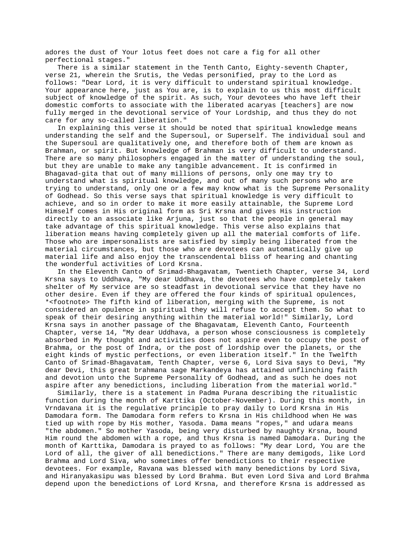adores the dust of Your lotus feet does not care a fig for all other perfectional stages."

 There is a similar statement in the Tenth Canto, Eighty-seventh Chapter, verse 21, wherein the Srutis, the Vedas personified, pray to the Lord as follows: "Dear Lord, it is very difficult to understand spiritual knowledge. Your appearance here, just as You are, is to explain to us this most difficult subject of knowledge of the spirit. As such, Your devotees who have left their domestic comforts to associate with the liberated acaryas [teachers] are now fully merged in the devotional service of Your Lordship, and thus they do not care for any so-called liberation."

 In explaining this verse it should be noted that spiritual knowledge means understanding the self and the Supersoul, or Superself. The individual soul and the Supersoul are qualitatively one, and therefore both of them are known as Brahman, or spirit. But knowledge of Brahman is very difficult to understand. There are so many philosophers engaged in the matter of understanding the soul, but they are unable to make any tangible advancement. It is confirmed in Bhagavad-gita that out of many millions of persons, only one may try to understand what is spiritual knowledge, and out of many such persons who are trying to understand, only one or a few may know what is the Supreme Personality of Godhead. So this verse says that spiritual knowledge is very difficult to achieve, and so in order to make it more easily attainable, the Supreme Lord Himself comes in His original form as Sri Krsna and gives His instruction directly to an associate like Arjuna, just so that the people in general may take advantage of this spiritual knowledge. This verse also explains that liberation means having completely given up all the material comforts of life. Those who are impersonalists are satisfied by simply being liberated from the material circumstances, but those who are devotees can automatically give up material life and also enjoy the transcendental bliss of hearing and chanting the wonderful activities of Lord Krsna.

 In the Eleventh Canto of Srimad-Bhagavatam, Twentieth Chapter, verse 34, Lord Krsna says to Uddhava, "My dear Uddhava, the devotees who have completely taken shelter of My service are so steadfast in devotional service that they have no other desire. Even if they are offered the four kinds of spiritual opulences, \*<footnote> The fifth kind of liberation, merging with the Supreme, is not considered an opulence in spiritual they will refuse to accept them. So what to speak of their desiring anything within the material world!" Similarly, Lord Krsna says in another passage of the Bhagavatam, Eleventh Canto, Fourteenth Chapter, verse 14, "My dear Uddhava, a person whose consciousness is completely absorbed in My thought and activities does not aspire even to occupy the post of Brahma, or the post of Indra, or the post of lordship over the planets, or the eight kinds of mystic perfections, or even liberation itself." In the Twelfth Canto of Srimad-Bhagavatam, Tenth Chapter, verse 6, Lord Siva says to Devi, "My dear Devi, this great brahmana sage Markandeya has attained unflinching faith and devotion unto the Supreme Personality of Godhead, and as such he does not aspire after any benedictions, including liberation from the material world."

 Similarly, there is a statement in Padma Purana describing the ritualistic function during the month of Karttika (October-November). During this month, in Vrndavana it is the regulative principle to pray daily to Lord Krsna in His Damodara form. The Damodara form refers to Krsna in His childhood when He was tied up with rope by His mother, Yasoda. Dama means "ropes," and udara means "the abdomen." So mother Yasoda, being very disturbed by naughty Krsna, bound Him round the abdomen with a rope, and thus Krsna is named Damodara. During the month of Karttika, Damodara is prayed to as follows: "My dear Lord, You are the Lord of all, the giver of all benedictions." There are many demigods, like Lord Brahma and Lord Siva, who sometimes offer benedictions to their respective devotees. For example, Ravana was blessed with many benedictions by Lord Siva, and Hiranyakasipu was blessed by Lord Brahma. But even Lord Siva and Lord Brahma depend upon the benedictions of Lord Krsna, and therefore Krsna is addressed as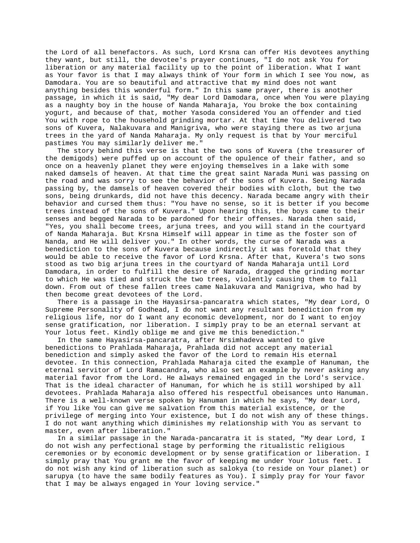the Lord of all benefactors. As such, Lord Krsna can offer His devotees anything they want, but still, the devotee's prayer continues, "I do not ask You for liberation or any material facility up to the point of liberation. What I want as Your favor is that I may always think of Your form in which I see You now, as Damodara. You are so beautiful and attractive that my mind does not want anything besides this wonderful form." In this same prayer, there is another passage, in which it is said, "My dear Lord Damodara, once when You were playing as a naughty boy in the house of Nanda Maharaja, You broke the box containing yogurt, and because of that, mother Yasoda considered You an offender and tied You with rope to the household grinding mortar. At that time You delivered two sons of Kuvera, Nalakuvara and Manigriva, who were staying there as two arjuna trees in the yard of Nanda Maharaja. My only request is that by Your merciful pastimes You may similarly deliver me."

 The story behind this verse is that the two sons of Kuvera (the treasurer of the demigods) were puffed up on account of the opulence of their father, and so once on a heavenly planet they were enjoying themselves in a lake with some naked damsels of heaven. At that time the great saint Narada Muni was passing on the road and was sorry to see the behavior of the sons of Kuvera. Seeing Narada passing by, the damsels of heaven covered their bodies with cloth, but the two sons, being drunkards, did not have this decency. Narada became angry with their behavior and cursed them thus: "You have no sense, so it is better if you become trees instead of the sons of Kuvera." Upon hearing this, the boys came to their senses and begged Narada to be pardoned for their offenses. Narada then said, "Yes, you shall become trees, arjuna trees, and you will stand in the courtyard of Nanda Maharaja. But Krsna Himself will appear in time as the foster son of Nanda, and He will deliver you." In other words, the curse of Narada was a benediction to the sons of Kuvera because indirectly it was foretold that they would be able to receive the favor of Lord Krsna. After that, Kuvera's two sons stood as two big arjuna trees in the courtyard of Nanda Maharaja until Lord Damodara, in order to fulfill the desire of Narada, dragged the grinding mortar to which He was tied and struck the two trees, violently causing them to fall down. From out of these fallen trees came Nalakuvara and Manigriva, who had by then become great devotees of the Lord.

 There is a passage in the Hayasirsa-pancaratra which states, "My dear Lord, O Supreme Personality of Godhead, I do not want any resultant benediction from my religious life, nor do I want any economic development, nor do I want to enjoy sense gratification, nor liberation. I simply pray to be an eternal servant at Your lotus feet. Kindly oblige me and give me this benediction."

 In the same Hayasirsa-pancaratra, after Nrsimhadeva wanted to give benedictions to Prahlada Maharaja, Prahlada did not accept any material benediction and simply asked the favor of the Lord to remain His eternal devotee. In this connection, Prahlada Maharaja cited the example of Hanuman, the eternal servitor of Lord Ramacandra, who also set an example by never asking any material favor from the Lord. He always remained engaged in the Lord's service. That is the ideal character of Hanuman, for which he is still worshiped by all devotees. Prahlada Maharaja also offered his respectful obeisances unto Hanuman. There is a well-known verse spoken by Hanuman in which he says, "My dear Lord, if You like You can give me salvation from this material existence, or the privilege of merging into Your existence, but I do not wish any of these things. I do not want anything which diminishes my relationship with You as servant to master, even after liberation."

 In a similar passage in the Narada-pancaratra it is stated, "My dear Lord, I do not wish any perfectional stage by performing the ritualistic religious ceremonies or by economic development or by sense gratification or liberation. I simply pray that You grant me the favor of keeping me under Your lotus feet. I do not wish any kind of liberation such as salokya (to reside on Your planet) or sarupya (to have the same bodily features as You). I simply pray for Your favor that I may be always engaged in Your loving service."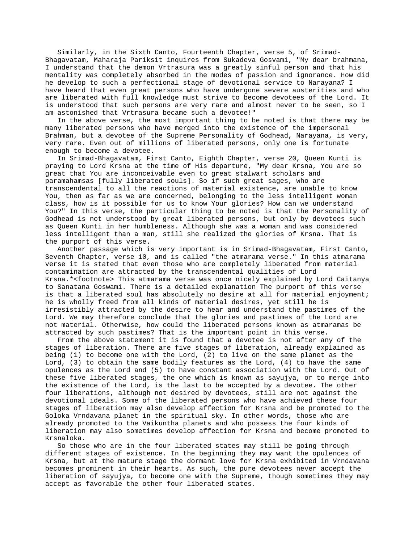Similarly, in the Sixth Canto, Fourteenth Chapter, verse 5, of Srimad-Bhagavatam, Maharaja Pariksit inquires from Sukadeva Gosvami, "My dear brahmana, I understand that the demon Vrtrasura was a greatly sinful person and that his mentality was completely absorbed in the modes of passion and ignorance. How did he develop to such a perfectional stage of devotional service to Narayana? I have heard that even great persons who have undergone severe austerities and who are liberated with full knowledge must strive to become devotees of the Lord. It is understood that such persons are very rare and almost never to be seen, so I am astonished that Vrtrasura became such a devotee!"

 In the above verse, the most important thing to be noted is that there may be many liberated persons who have merged into the existence of the impersonal Brahman, but a devotee of the Supreme Personality of Godhead, Narayana, is very, very rare. Even out of millions of liberated persons, only one is fortunate enough to become a devotee.

 In Srimad-Bhagavatam, First Canto, Eighth Chapter, verse 20, Queen Kunti is praying to Lord Krsna at the time of His departure, "My dear Krsna, You are so great that You are inconceivable even to great stalwart scholars and paramahamsas [fully liberated souls]. So if such great sages, who are transcendental to all the reactions of material existence, are unable to know You, then as far as we are concerned, belonging to the less intelligent woman class, how is it possible for us to know Your glories? How can we understand You?" In this verse, the particular thing to be noted is that the Personality of Godhead is not understood by great liberated persons, but only by devotees such as Queen Kunti in her humbleness. Although she was a woman and was considered less intelligent than a man, still she realized the glories of Krsna. That is the purport of this verse.

 Another passage which is very important is in Srimad-Bhagavatam, First Canto, Seventh Chapter, verse 10, and is called "the atmarama verse." In this atmarama verse it is stated that even those who are completely liberated from material contamination are attracted by the transcendental qualities of Lord Krsna.\*<footnote> This atmarama verse was once nicely explained by Lord Caitanya to Sanatana Goswami. There is a detailed explanation The purport of this verse is that a liberated soul has absolutely no desire at all for material enjoyment; he is wholly freed from all kinds of material desires, yet still he is irresistibly attracted by the desire to hear and understand the pastimes of the Lord. We may therefore conclude that the glories and pastimes of the Lord are not material. Otherwise, how could the liberated persons known as atmaramas be attracted by such pastimes? That is the important point in this verse.

 From the above statement it is found that a devotee is not after any of the stages of liberation. There are five stages of liberation, already explained as being (1) to become one with the Lord, (2) to live on the same planet as the Lord, (3) to obtain the same bodily features as the Lord, (4) to have the same opulences as the Lord and (5) to have constant association with the Lord. Out of these five liberated stages, the one which is known as sayujya, or to merge into the existence of the Lord, is the last to be accepted by a devotee. The other four liberations, although not desired by devotees, still are not against the devotional ideals. Some of the liberated persons who have achieved these four stages of liberation may also develop affection for Krsna and be promoted to the Goloka Vrndavana planet in the spiritual sky. In other words, those who are already promoted to the Vaikuntha planets and who possess the four kinds of liberation may also sometimes develop affection for Krsna and become promoted to Krsnaloka.

 So those who are in the four liberated states may still be going through different stages of existence. In the beginning they may want the opulences of Krsna, but at the mature stage the dormant love for Krsna exhibited in Vrndavana becomes prominent in their hearts. As such, the pure devotees never accept the liberation of sayujya, to become one with the Supreme, though sometimes they may accept as favorable the other four liberated states.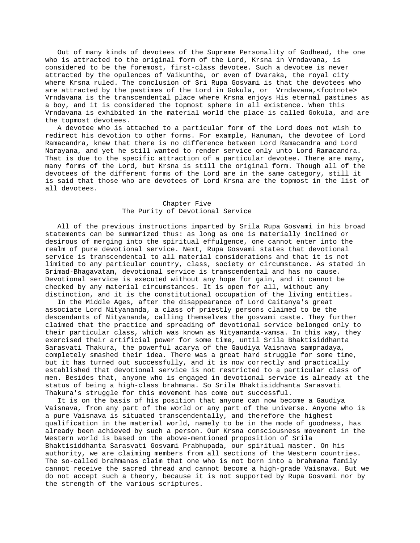Out of many kinds of devotees of the Supreme Personality of Godhead, the one who is attracted to the original form of the Lord, Krsna in Vrndavana, is considered to be the foremost, first-class devotee. Such a devotee is never attracted by the opulences of Vaikuntha, or even of Dvaraka, the royal city where Krsna ruled. The conclusion of Sri Rupa Gosvami is that the devotees who are attracted by the pastimes of the Lord in Gokula, or Vrndavana,<footnote> Vrndavana is the transcendental place where Krsna enjoys His eternal pastimes as a boy, and it is considered the topmost sphere in all existence. When this Vrndavana is exhibited in the material world the place is called Gokula, and are the topmost devotees.

 A devotee who is attached to a particular form of the Lord does not wish to redirect his devotion to other forms. For example, Hanuman, the devotee of Lord Ramacandra, knew that there is no difference between Lord Ramacandra and Lord Narayana, and yet he still wanted to render service only unto Lord Ramacandra. That is due to the specific attraction of a particular devotee. There are many, many forms of the Lord, but Krsna is still the original form. Though all of the devotees of the different forms of the Lord are in the same category, still it is said that those who are devotees of Lord Krsna are the topmost in the list of all devotees.

# Chapter Five The Purity of Devotional Service

 All of the previous instructions imparted by Srila Rupa Gosvami in his broad statements can be summarized thus: as long as one is materially inclined or desirous of merging into the spiritual effulgence, one cannot enter into the realm of pure devotional service. Next, Rupa Gosvami states that devotional service is transcendental to all material considerations and that it is not limited to any particular country, class, society or circumstance. As stated in Srimad-Bhagavatam, devotional service is transcendental and has no cause. Devotional service is executed without any hope for gain, and it cannot be checked by any material circumstances. It is open for all, without any distinction, and it is the constitutional occupation of the living entities.

 In the Middle Ages, after the disappearance of Lord Caitanya's great associate Lord Nityananda, a class of priestly persons claimed to be the descendants of Nityananda, calling themselves the gosvami caste. They further claimed that the practice and spreading of devotional service belonged only to their particular class, which was known as Nityananda-vamsa. In this way, they exercised their artificial power for some time, until Srila Bhaktisiddhanta Sarasvati Thakura, the powerful acarya of the Gaudiya Vaisnava sampradaya, completely smashed their idea. There was a great hard struggle for some time, but it has turned out successfully, and it is now correctly and practically established that devotional service is not restricted to a particular class of men. Besides that, anyone who is engaged in devotional service is already at the status of being a high-class brahmana. So Srila Bhaktisiddhanta Sarasvati Thakura's struggle for this movement has come out successful.

 It is on the basis of his position that anyone can now become a Gaudiya Vaisnava, from any part of the world or any part of the universe. Anyone who is a pure Vaisnava is situated transcendentally, and therefore the highest qualification in the material world, namely to be in the mode of goodness, has already been achieved by such a person. Our Krsna consciousness movement in the Western world is based on the above-mentioned proposition of Srila Bhaktisiddhanta Sarasvati Gosvami Prabhupada, our spiritual master. On his authority, we are claiming members from all sections of the Western countries. The so-called brahmanas claim that one who is not born into a brahmana family cannot receive the sacred thread and cannot become a high-grade Vaisnava. But we do not accept such a theory, because it is not supported by Rupa Gosvami nor by the strength of the various scriptures.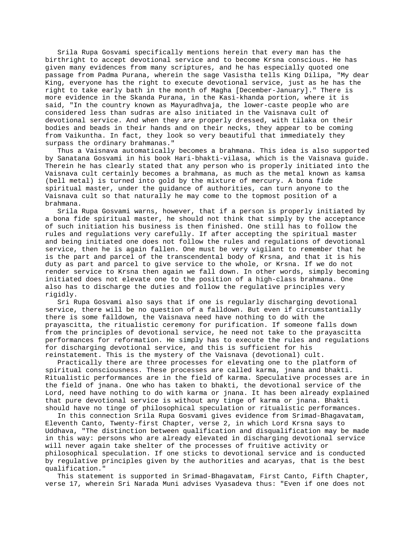Srila Rupa Gosvami specifically mentions herein that every man has the birthright to accept devotional service and to become Krsna conscious. He has given many evidences from many scriptures, and he has especially quoted one passage from Padma Purana, wherein the sage Vasistha tells King Dilipa, "My dear King, everyone has the right to execute devotional service, just as he has the right to take early bath in the month of Magha [December-January]." There is more evidence in the Skanda Purana, in the Kasi-khanda portion, where it is said, "In the country known as Mayuradhvaja, the lower-caste people who are considered less than sudras are also initiated in the Vaisnava cult of devotional service. And when they are properly dressed, with tilaka on their bodies and beads in their hands and on their necks, they appear to be coming from Vaikuntha. In fact, they look so very beautiful that immediately they surpass the ordinary brahmanas."

 Thus a Vaisnava automatically becomes a brahmana. This idea is also supported by Sanatana Gosvami in his book Hari-bhakti-vilasa, which is the Vaisnava guide. Therein he has clearly stated that any person who is properly initiated into the Vaisnava cult certainly becomes a brahmana, as much as the metal known as kamsa (bell metal) is turned into gold by the mixture of mercury. A bona fide spiritual master, under the guidance of authorities, can turn anyone to the Vaisnava cult so that naturally he may come to the topmost position of a brahmana.

 Srila Rupa Gosvami warns, however, that if a person is properly initiated by a bona fide spiritual master, he should not think that simply by the acceptance of such initiation his business is then finished. One still has to follow the rules and regulations very carefully. If after accepting the spiritual master and being initiated one does not follow the rules and regulations of devotional service, then he is again fallen. One must be very vigilant to remember that he is the part and parcel of the transcendental body of Krsna, and that it is his duty as part and parcel to give service to the whole, or Krsna. If we do not render service to Krsna then again we fall down. In other words, simply becoming initiated does not elevate one to the position of a high-class brahmana. One also has to discharge the duties and follow the regulative principles very rigidly.

 Sri Rupa Gosvami also says that if one is regularly discharging devotional service, there will be no question of a falldown. But even if circumstantially there is some falldown, the Vaisnava need have nothing to do with the prayascitta, the ritualistic ceremony for purification. If someone falls down from the principles of devotional service, he need not take to the prayascitta performances for reformation. He simply has to execute the rules and regulations for discharging devotional service, and this is sufficient for his reinstatement. This is the mystery of the Vaisnava (devotional) cult.

 Practically there are three processes for elevating one to the platform of spiritual consciousness. These processes are called karma, jnana and bhakti. Ritualistic performances are in the field of karma. Speculative processes are in the field of jnana. One who has taken to bhakti, the devotional service of the Lord, need have nothing to do with karma or jnana. It has been already explained that pure devotional service is without any tinge of karma or jnana. Bhakti should have no tinge of philosophical speculation or ritualistic performances.

 In this connection Srila Rupa Gosvami gives evidence from Srimad-Bhagavatam, Eleventh Canto, Twenty-first Chapter, verse 2, in which Lord Krsna says to Uddhava, "The distinction between qualification and disqualification may be made in this way: persons who are already elevated in discharging devotional service will never again take shelter of the processes of fruitive activity or philosophical speculation. If one sticks to devotional service and is conducted by regulative principles given by the authorities and acaryas, that is the best qualification."

 This statement is supported in Srimad-Bhagavatam, First Canto, Fifth Chapter, verse 17, wherein Sri Narada Muni advises Vyasadeva thus: "Even if one does not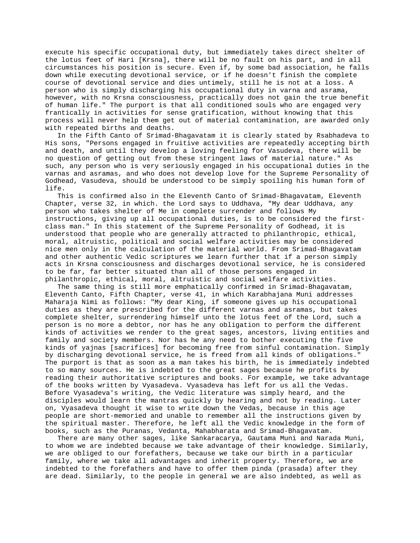execute his specific occupational duty, but immediately takes direct shelter of the lotus feet of Hari [Krsna], there will be no fault on his part, and in all circumstances his position is secure. Even if, by some bad association, he falls down while executing devotional service, or if he doesn't finish the complete course of devotional service and dies untimely, still he is not at a loss. A person who is simply discharging his occupational duty in varna and asrama, however, with no Krsna consciousness, practically does not gain the true benefit of human life." The purport is that all conditioned souls who are engaged very frantically in activities for sense gratification, without knowing that this process will never help them get out of material contamination, are awarded only with repeated births and deaths.

 In the Fifth Canto of Srimad-Bhagavatam it is clearly stated by Rsabhadeva to His sons, "Persons engaged in fruitive activities are repeatedly accepting birth and death, and until they develop a loving feeling for Vasudeva, there will be no question of getting out from these stringent laws of material nature." As such, any person who is very seriously engaged in his occupational duties in the varnas and asramas, and who does not develop love for the Supreme Personality of Godhead, Vasudeva, should be understood to be simply spoiling his human form of life.

 This is confirmed also in the Eleventh Canto of Srimad-Bhagavatam, Eleventh Chapter, verse 32, in which. the Lord says to Uddhava, "My dear Uddhava, any person who takes shelter of Me in complete surrender and follows My instructions, giving up all occupational duties, is to be considered the firstclass man." In this statement of the Supreme Personality of Godhead, it is understood that people who are generally attracted to philanthropic, ethical, moral, altruistic, political and social welfare activities may be considered nice men only in the calculation of the material world. From Srimad-Bhagavatam and other authentic Vedic scriptures we learn further that if a person simply acts in Krsna consciousness and discharges devotional service, he is considered to be far, far better situated than all of those persons engaged in philanthropic, ethical, moral, altruistic and social welfare activities.

 The same thing is still more emphatically confirmed in Srimad-Bhagavatam, Eleventh Canto, Fifth Chapter, verse 41, in which Karabhajana Muni addresses Maharaja Nimi as follows: "My dear King, if someone gives up his occupational duties as they are prescribed for the different varnas and asramas, but takes complete shelter, surrendering himself unto the lotus feet of the Lord, such a person is no more a debtor, nor has he any obligation to perform the different kinds of activities we render to the great sages, ancestors, living entities and family and society members. Nor has he any need to bother executing the five kinds of yajnas [sacrifices] for becoming free from sinful contamination. Simply by discharging devotional service, he is freed from all kinds of obligations." The purport is that as soon as a man takes his birth, he is immediately indebted to so many sources. He is indebted to the great sages because he profits by reading their authoritative scriptures and books. For example, we take advantage of the books written by Vyasadeva. Vyasadeva has left for us all the Vedas. Before Vyasadeva's writing, the Vedic literature was simply heard, and the disciples would learn the mantras quickly by hearing and not by reading. Later on, Vyasadeva thought it wise to write down the Vedas, because in this age people are short-memoried and unable to remember all the instructions given by the spiritual master. Therefore, he left all the Vedic knowledge in the form of books, such as the Puranas, Vedanta, Mahabharata and Srimad-Bhagavatam.

 There are many other sages, like Sankaracarya, Gautama Muni and Narada Muni, to whom we are indebted because we take advantage of their knowledge. Similarly, we are obliged to our forefathers, because we take our birth in a particular family, where we take all advantages and inherit property. Therefore, we are indebted to the forefathers and have to offer them pinda (prasada) after they are dead. Similarly, to the people in general we are also indebted, as well as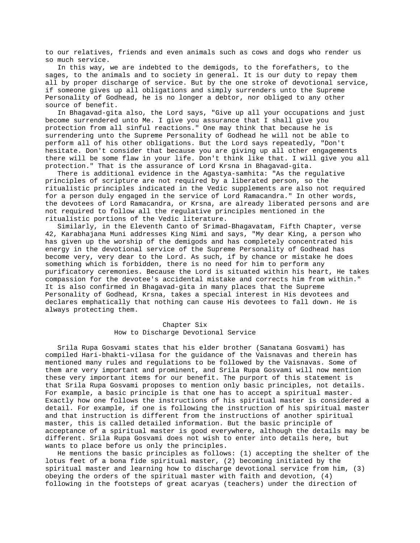to our relatives, friends and even animals such as cows and dogs who render us so much service.

 In this way, we are indebted to the demigods, to the forefathers, to the sages, to the animals and to society in general. It is our duty to repay them all by proper discharge of service. But by the one stroke of devotional service, if someone gives up all obligations and simply surrenders unto the Supreme Personality of Godhead, he is no longer a debtor, nor obliged to any other source of benefit.

 In Bhagavad-gita also, the Lord says, "Give up all your occupations and just become surrendered unto Me. I give you assurance that I shall give you protection from all sinful reactions." One may think that because he is surrendering unto the Supreme Personality of Godhead he will not be able to perform all of his other obligations. But the Lord says repeatedly, "Don't hesitate. Don't consider that because you are giving up all other engagements there will be some flaw in your life. Don't think like that. I will give you all protection." That is the assurance of Lord Krsna in Bhagavad-gita.

 There is additional evidence in the Agastya-samhita: "As the regulative principles of scripture are not required by a liberated person, so the ritualistic principles indicated in the Vedic supplements are also not required for a person duly engaged in the service of Lord Ramacandra." In other words, the devotees of Lord Ramacandra, or Krsna, are already liberated persons and are not required to follow all the regulative principles mentioned in the ritualistic portions of the Vedic literature.

 Similarly, in the Eleventh Canto of Srimad-Bhagavatam, Fifth Chapter, verse 42, Karabhajana Muni addresses King Nimi and says, "My dear King, a person who has given up the worship of the demigods and has completely concentrated his energy in the devotional service of the Supreme Personality of Godhead has become very, very dear to the Lord. As such, if by chance or mistake he does something which is forbidden, there is no need for him to perform any purificatory ceremonies. Because the Lord is situated within his heart, He takes compassion for the devotee's accidental mistake and corrects him from within." It is also confirmed in Bhagavad-gita in many places that the Supreme Personality of Godhead, Krsna, takes a special interest in His devotees and declares emphatically that nothing can cause His devotees to fall down. He is always protecting them.

### Chapter Six How to Discharge Devotional Service

 Srila Rupa Gosvami states that his elder brother (Sanatana Gosvami) has compiled Hari-bhakti-vilasa for the guidance of the Vaisnavas and therein has mentioned many rules and regulations to be followed by the Vaisnavas. Some of them are very important and prominent, and Srila Rupa Gosvami will now mention these very important items for our benefit. The purport of this statement is that Srila Rupa Gosvami proposes to mention only basic principles, not details. For example, a basic principle is that one has to accept a spiritual master. Exactly how one follows the instructions of his spiritual master is considered a detail. For example, if one is following the instruction of his spiritual master and that instruction is different from the instructions of another spiritual master, this is called detailed information. But the basic principle of acceptance of a spiritual master is good everywhere, although the details may be different. Srila Rupa Gosvami does not wish to enter into details here, but wants to place before us only the principles.

 He mentions the basic principles as follows: (1) accepting the shelter of the lotus feet of a bona fide spiritual master, (2) becoming initiated by the spiritual master and learning how to discharge devotional service from him, (3) obeying the orders of the spiritual master with faith and devotion,  $(4)$ following in the footsteps of great acaryas (teachers) under the direction of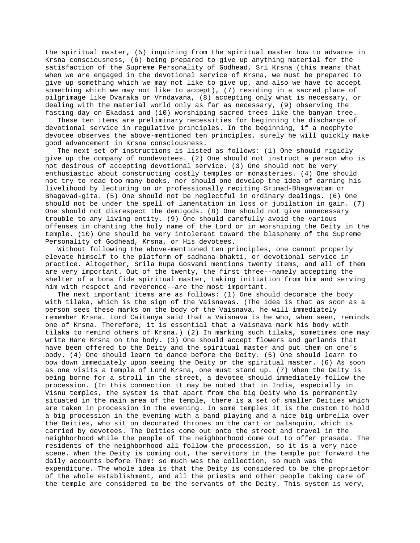the spiritual master, (5) inquiring from the spiritual master how to advance in Krsna consciousness, (6) being prepared to give up anything material for the satisfaction of the Supreme Personality of Godhead, Sri Krsna (this means that when we are engaged in the devotional service of Krsna, we must be prepared to give up something which we may not like to give up, and also we have to accept something which we may not like to accept), (7) residing in a sacred place of pilgrimage like Dvaraka or Vrndavana, (8) accepting only what is necessary, or dealing with the material world only as far as necessary, (9) observing the fasting day on Ekadasi and (10) worshiping sacred trees like the banyan tree.

 These ten items are preliminary necessities for beginning the discharge of devotional service in regulative principles. In the beginning, if a neophyte devotee observes the above-mentioned ten principles, surely he will quickly make good advancement in Krsna consciousness.

 The next set of instructions is listed as follows: (1) One should rigidly give up the company of nondevotees. (2) One should not instruct a person who is not desirous of accepting devotional service. (3) One should not be very enthusiastic about constructing costly temples or monasteries. (4) One should not try to read too many books, nor should one develop the idea of earning his livelihood by lecturing on or professionally reciting Srimad-Bhagavatam or Bhagavad-gita. (5) One should not be neglectful in ordinary dealings. (6) One should not be under the spell of lamentation in loss or jubilation in gain. (7) One should not disrespect the demigods. (8) One should not give unnecessary trouble to any living entity. (9) One should carefully avoid the various offenses in chanting the holy name of the Lord or in worshiping the Deity in the temple. (10) One should be very intolerant toward the blasphemy of the Supreme Personality of Godhead, Krsna, or His devotees.

 Without following the above-mentioned ten principles, one cannot properly elevate himself to the platform of sadhana-bhakti, or devotional service in practice. Altogether, Srila Rupa Gosvami mentions twenty items, and all of them are very important. Out of the twenty, the first three--namely accepting the shelter of a bona fide spiritual master, taking initiation from him and serving him with respect and reverence--are the most important.

 The next important items are as follows: (1) One should decorate the body with tilaka, which is the sign of the Vaisnavas. (The idea is that as soon as a person sees these marks on the body of the Vaisnava, he will immediately remember Krsna. Lord Caitanya said that a Vaisnava is he who, when seen, reminds one of Krsna. Therefore, it is essential that a Vaisnava mark his body with tilaka to remind others of Krsna.) (2) In marking such tilaka, sometimes one may write Hare Krsna on the body. (3) One should accept flowers and garlands that have been offered to the Deity and the spiritual master and put them on one's body. (4) One should learn to dance before the Deity. (5) One should learn to bow down immediately upon seeing the Deity or the spiritual master. (6) As soon as one visits a temple of Lord Krsna, one must stand up. (7) When the Deity is being borne for a stroll in the street, a devotee should immediately follow the procession. (In this connection it may be noted that in India, especially in Visnu temples, the system is that apart from the big Deity who is permanently situated in the main area of the temple, there is a set of smaller Deities which are taken in procession in the evening. In some temples it is the custom to hold a big procession in the evening with a band playing and a nice big umbrella over the Deities, who sit on decorated thrones on the cart or palanquin, which is carried by devotees. The Deities come out onto the street and travel in the neighborhood while the people of the neighborhood come out to offer prasada. The residents of the neighborhood all follow the procession, so it is a very nice scene. When the Deity is coming out, the servitors in the temple put forward the daily accounts before Them: so much was the collection, so much was the expenditure. The whole idea is that the Deity is considered to be the proprietor of the whole establishment, and all the priests and other people taking care of the temple are considered to be the servants of the Deity. This system is very,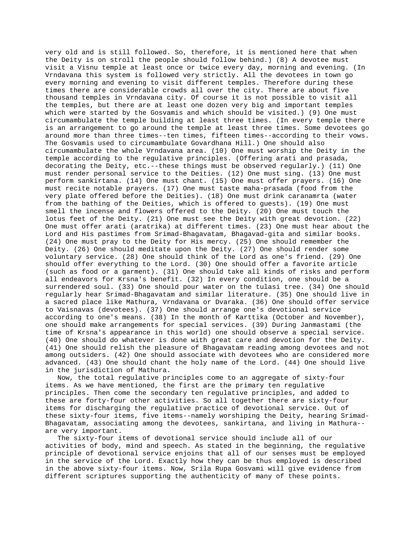very old and is still followed. So, therefore, it is mentioned here that when the Deity is on stroll the people should follow behind.) (8) A devotee must visit a Visnu temple at least once or twice every day, morning and evening. (In Vrndavana this system is followed very strictly. All the devotees in town go every morning and evening to visit different temples. Therefore during these times there are considerable crowds all over the city. There are about five thousand temples in Vrndavana city. Of course it is not possible to visit all the temples, but there are at least one dozen very big and important temples which were started by the Gosvamis and which should be visited.) (9) One must circumambulate the temple building at least three times. (In every temple there is an arrangement to go around the temple at least three times. Some devotees go around more than three times--ten times, fifteen times--according to their vows. The Gosvamis used to circumambulate Govardhana Hill.) One should also circumambulate the whole Vrndavana area. (10) One must worship the Deity in the temple according to the regulative principles. (Offering arati and prasada, decorating the Deity, etc.--these things must be observed regularly.) (11) One must render personal service to the Deities. (12) One must sing. (13) One must perform sankirtana. (14) One must chant. (15) One must offer prayers. (16) One must recite notable prayers. (17) One must taste maha-prasada (food from the very plate offered before the Deities). (18) One must drink caranamrta (water from the bathing of the Deities, which is offered to guests). (19) One must smell the incense and flowers offered to the Deity. (20) One must touch the lotus feet of the Deity. (21) One must see the Deity with great devotion. (22) One must offer arati (aratrika) at different times. (23) One must hear about the Lord and His pastimes from Srimad-Bhagavatam, Bhagavad-gita and similar books. (24) One must pray to the Deity for His mercy. (25) One should remember the Deity. (26) One should meditate upon the Deity. (27) One should render some voluntary service. (28) One should think of the Lord as one's friend. (29) One should offer everything to the Lord. (30) One should offer a favorite article (such as food or a garment). (31) One should take all kinds of risks and perform all endeavors for Krsna's benefit. (32) In every condition, one should be a surrendered soul. (33) One should pour water on the tulasi tree. (34) One should regularly hear Srimad-Bhagavatam and similar literature. (35) One should live in a sacred place like Mathura, Vrndavana or Dvaraka. (36) One should offer service to Vaisnavas (devotees). (37) One should arrange one's devotional service according to one's means. (38) In the month of Karttika (October and November), one should make arrangements for special services. (39) During Janmastami (the time of Krsna's appearance in this world) one should observe a special service. (40) One should do whatever is done with great care and devotion for the Deity. (41) One should relish the pleasure of Bhagavatam reading among devotees and not among outsiders. (42) One should associate with devotees who are considered more advanced. (43) One should chant the holy name of the Lord. (44) One should live in the jurisdiction of Mathura.

 Now, the total regulative principles come to an aggregate of sixty-four items. As we have mentioned, the first are the primary ten regulative principles. Then come the secondary ten regulative principles, and added to these are forty-four other activities. So all together there are sixty-four items for discharging the regulative practice of devotional service. Out of these sixty-four items, five items--namely worshiping the Deity, hearing Srimad-Bhagavatam, associating among the devotees, sankirtana, and living in Mathura- are very important.

 The sixty-four items of devotional service should include all of our activities of body, mind and speech. As stated in the beginning, the regulative principle of devotional service enjoins that all of our senses must be employed in the service of the Lord. Exactly how they can be thus employed is described in the above sixty-four items. Now, Srila Rupa Gosvami will give evidence from different scriptures supporting the authenticity of many of these points.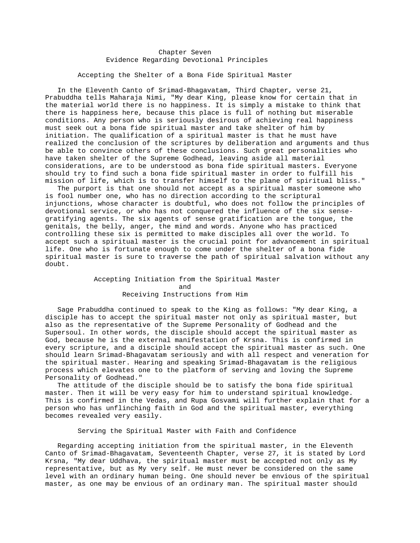# Chapter Seven Evidence Regarding Devotional Principles

Accepting the Shelter of a Bona Fide Spiritual Master

 In the Eleventh Canto of Srimad-Bhagavatam, Third Chapter, verse 21, Prabuddha tells Maharaja Nimi, "My dear King, please know for certain that in the material world there is no happiness. It is simply a mistake to think that there is happiness here, because this place is full of nothing but miserable conditions. Any person who is seriously desirous of achieving real happiness must seek out a bona fide spiritual master and take shelter of him by initiation. The qualification of a spiritual master is that he must have realized the conclusion of the scriptures by deliberation and arguments and thus be able to convince others of these conclusions. Such great personalities who have taken shelter of the Supreme Godhead, leaving aside all material considerations, are to be understood as bona fide spiritual masters. Everyone should try to find such a bona fide spiritual master in order to fulfill his mission of life, which is to transfer himself to the plane of spiritual bliss."

 The purport is that one should not accept as a spiritual master someone who is fool number one, who has no direction according to the scriptural injunctions, whose character is doubtful, who does not follow the principles of devotional service, or who has not conquered the influence of the six sensegratifying agents. The six agents of sense gratification are the tongue, the genitals, the belly, anger, the mind and words. Anyone who has practiced controlling these six is permitted to make disciples all over the world. To accept such a spiritual master is the crucial point for advancement in spiritual life. One who is fortunate enough to come under the shelter of a bona fide spiritual master is sure to traverse the path of spiritual salvation without any doubt.

# Accepting Initiation from the Spiritual Master and the contract of the contract of the contract of the contract of the contract of the contract of the contract of the contract of the contract of the contract of the contract of the contract of the contract of the contra Receiving Instructions from Him

 Sage Prabuddha continued to speak to the King as follows: "My dear King, a disciple has to accept the spiritual master not only as spiritual master, but also as the representative of the Supreme Personality of Godhead and the Supersoul. In other words, the disciple should accept the spiritual master as God, because he is the external manifestation of Krsna. This is confirmed in every scripture, and a disciple should accept the spiritual master as such. One should learn Srimad-Bhagavatam seriously and with all respect and veneration for the spiritual master. Hearing and speaking Srimad-Bhagavatam is the religious process which elevates one to the platform of serving and loving the Supreme Personality of Godhead."

 The attitude of the disciple should be to satisfy the bona fide spiritual master. Then it will be very easy for him to understand spiritual knowledge. This is confirmed in the Vedas, and Rupa Gosvami will further explain that for a person who has unflinching faith in God and the spiritual master, everything becomes revealed very easily.

# Serving the Spiritual Master with Faith and Confidence

 Regarding accepting initiation from the spiritual master, in the Eleventh Canto of Srimad-Bhagavatam, Seventeenth Chapter, verse 27, it is stated by Lord Krsna, "My dear Uddhava, the spiritual master must be accepted not only as My representative, but as My very self. He must never be considered on the same level with an ordinary human being. One should never be envious of the spiritual master, as one may be envious of an ordinary man. The spiritual master should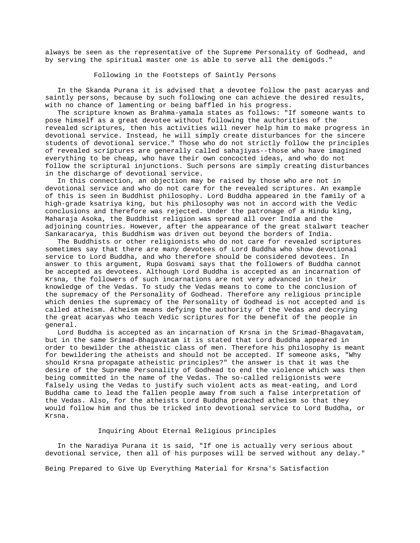always be seen as the representative of the Supreme Personality of Godhead, and by serving the spiritual master one is able to serve all the demigods."

## Following in the Footsteps of Saintly Persons

 In the Skanda Purana it is advised that a devotee follow the past acaryas and saintly persons, because by such following one can achieve the desired results, with no chance of lamenting or being baffled in his progress.

 The scripture known as Brahma-yamala states as follows: "If someone wants to pose himself as a great devotee without following the authorities of the revealed scriptures, then his activities will never help him to make progress in devotional service. Instead, he will simply create disturbances for the sincere students of devotional service." Those who do not strictly follow the principles of revealed scriptures are generally called sahajiyas--those who have imagined everything to be cheap, who have their own concocted ideas, and who do not follow the scriptural injunctions. Such persons are simply creating disturbances in the discharge of devotional service.

 In this connection, an objection may be raised by those who are not in devotional service and who do not care for the revealed scriptures. An example of this is seen in Buddhist philosophy. Lord Buddha appeared in the family of a high-grade ksatriya king, but his philosophy was not in accord with the Vedic conclusions and therefore was rejected. Under the patronage of a Hindu king, Maharaja Asoka, the Buddhist religion was spread all over India and the adjoining countries. However, after the appearance of the great stalwart teacher Sankaracarya, this Buddhism was driven out beyond the borders of India.

 The Buddhists or other religionists who do not care for revealed scriptures sometimes say that there are many devotees of Lord Buddha who show devotional service to Lord Buddha, and who therefore should be considered devotees. In answer to this argument, Rupa Gosvami says that the followers of Buddha cannot be accepted as devotees. Although Lord Buddha is accepted as an incarnation of Krsna, the followers of such incarnations are not very advanced in their knowledge of the Vedas. To study the Vedas means to come to the conclusion of the supremacy of the Personality of Godhead. Therefore any religious principle which denies the supremacy of the Personality of Godhead is not accepted and is called atheism. Atheism means defying the authority of the Vedas and decrying the great acaryas who teach Vedic scriptures for the benefit of the people in general.

 Lord Buddha is accepted as an incarnation of Krsna in the Srimad-Bhagavatam, but in the same Srimad-Bhagavatam it is stated that Lord Buddha appeared in order to bewilder the atheistic class of men. Therefore his philosophy is meant for bewildering the atheists and should not be accepted. If someone asks, "Why should Krsna propagate atheistic principles?" the answer is that it was the desire of the Supreme Personality of Godhead to end the violence which was then being committed in the name of the Vedas. The so-called religionists were falsely using the Vedas to justify such violent acts as meat-eating, and Lord Buddha came to lead the fallen people away from such a false interpretation of the Vedas. Also, for the atheists Lord Buddha preached atheism so that they would follow him and thus be tricked into devotional service to Lord Buddha, or Krsna.

# Inquiring About Eternal Religious principles

 In the Naradiya Purana it is said, "If one is actually very serious about devotional service, then all of his purposes will be served without any delay."

Being Prepared to Give Up Everything Material for Krsna's Satisfaction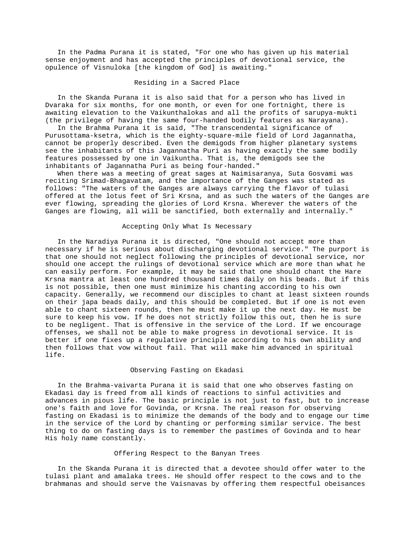In the Padma Purana it is stated, "For one who has given up his material sense enjoyment and has accepted the principles of devotional service, the opulence of Visnuloka [the kingdom of God] is awaiting."

#### Residing in a Sacred Place

 In the Skanda Purana it is also said that for a person who has lived in Dvaraka for six months, for one month, or even for one fortnight, there is awaiting elevation to the Vaikunthalokas and all the profits of sarupya-mukti (the privilege of having the same four-handed bodily features as Narayana).

 In the Brahma Purana it is said, "The transcendental significance of Purusottama-ksetra, which is the eighty-square-mile field of Lord Jagannatha, cannot be properly described. Even the demigods from higher planetary systems see the inhabitants of this Jagannatha Puri as having exactly the same bodily features possessed by one in Vaikuntha. That is, the demigods see the inhabitants of Jagannatha Puri as being four-handed."

 When there was a meeting of great sages at Naimisaranya, Suta Gosvami was reciting Srimad-Bhagavatam, and the importance of the Ganges was stated as follows: "The waters of the Ganges are always carrying the flavor of tulasi offered at the lotus feet of Sri Krsna, and as such the waters of the Ganges are ever flowing, spreading the glories of Lord Krsna. Wherever the waters of the Ganges are flowing, all will be sanctified, both externally and internally."

# Accepting Only What Is Necessary

 In the Naradiya Purana it is directed, "One should not accept more than necessary if he is serious about discharging devotional service." The purport is that one should not neglect following the principles of devotional service, nor should one accept the rulings of devotional service which are more than what he can easily perform. For example, it may be said that one should chant the Hare Krsna mantra at least one hundred thousand times daily on his beads. But if this is not possible, then one must minimize his chanting according to his own capacity. Generally, we recommend our disciples to chant at least sixteen rounds on their japa beads daily, and this should be completed. But if one is not even able to chant sixteen rounds, then he must make it up the next day. He must be sure to keep his vow. If he does not strictly follow this out, then he is sure to be negligent. That is offensive in the service of the Lord. If we encourage offenses, we shall not be able to make progress in devotional service. It is better if one fixes up a regulative principle according to his own ability and then follows that vow without fail. That will make him advanced in spiritual life.

#### Observing Fasting on Ekadasi

 In the Brahma-vaivarta Purana it is said that one who observes fasting on Ekadasi day is freed from all kinds of reactions to sinful activities and advances in pious life. The basic principle is not just to fast, but to increase one's faith and love for Govinda, or Krsna. The real reason for observing fasting on Ekadasi is to minimize the demands of the body and to engage our time in the service of the Lord by chanting or performing similar service. The best thing to do on fasting days is to remember the pastimes of Govinda and to hear His holy name constantly.

#### Offering Respect to the Banyan Trees

 In the Skanda Purana it is directed that a devotee should offer water to the tulasi plant and amalaka trees. He should offer respect to the cows and to the brahmanas and should serve the Vaisnavas by offering them respectful obeisances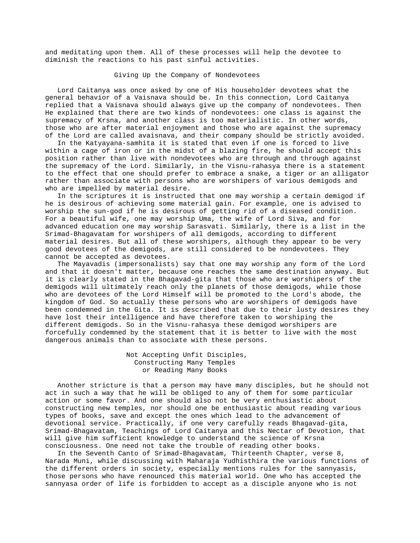and meditating upon them. All of these processes will help the devotee to diminish the reactions to his past sinful activities.

## Giving Up the Company of Nondevotees

 Lord Caitanya was once asked by one of His householder devotees what the general behavior of a Vaisnava should be. In this connection, Lord Caitanya replied that a Vaisnava should always give up the company of nondevotees. Then He explained that there are two kinds of nondevotees: one class is against the supremacy of Krsna, and another class is too materialistic. In other words, those who are after material enjoyment and those who are against the supremacy of the Lord are called avaisnava, and their company should be strictly avoided.

 In the Katyayana-samhita it is stated that even if one is forced to live within a cage of iron or in the midst of a blazing fire, he should accept this position rather than live with nondevotees who are through and through against the supremacy of the Lord. Similarly, in the Visnu-rahasya there is a statement to the effect that one should prefer to embrace a snake, a tiger or an alligator rather than associate with persons who are worshipers of various demigods and who are impelled by material desire.

 In the scriptures it is instructed that one may worship a certain demigod if he is desirous of achieving some material gain. For example, one is advised to worship the sun-god if he is desirous of getting rid of a diseased condition. For a beautiful wife, one may worship Uma, the wife of Lord Siva, and for advanced education one may worship Sarasvati. Similarly, there is a list in the Srimad-Bhagavatam for worshipers of all demigods, according to different material desires. But all of these worshipers, although they appear to be very good devotees of the demigods, are still considered to be nondevotees. They cannot be accepted as devotees.

 The Mayavadis (impersonalists) say that one may worship any form of the Lord and that it doesn't matter, because one reaches the same destination anyway. But it is clearly stated in the Bhagavad-gita that those who are worshipers of the demigods will ultimately reach only the planets of those demigods, while those who are devotees of the Lord Himself will be promoted to the Lord's abode, the kingdom of God. So actually these persons who are worshipers of demigods have been condemned in the Gita. It is described that due to their lusty desires they have lost their intelligence and have therefore taken to worshiping the different demigods. So in the Visnu-rahasya these demigod worshipers are forcefully condemned by the statement that it is better to live with the most dangerous animals than to associate with these persons.

> Not Accepting Unfit Disciples, Constructing Many Temples or Reading Many Books

 Another stricture is that a person may have many disciples, but he should not act in such a way that he will be obliged to any of them for some particular action or some favor. And one should also not be very enthusiastic about constructing new temples, nor should one be enthusiastic about reading various types of books, save and except the ones which lead to the advancement of devotional service. Practically, if one very carefully reads Bhagavad-gita, Srimad-Bhagavatam, Teachings of Lord Caitanya and this Nectar of Devotion, that will give him sufficient knowledge to understand the science of Krsna consciousness. One need not take the trouble of reading other books.

 In the Seventh Canto of Srimad-Bhagavatam, Thirteenth Chapter, verse 8, Narada Muni, while discussing with Maharaja Yudhisthira the various functions of the different orders in society, especially mentions rules for the sannyasis, those persons who have renounced this material world. One who has accepted the sannyasa order of life is forbidden to accept as a disciple anyone who is not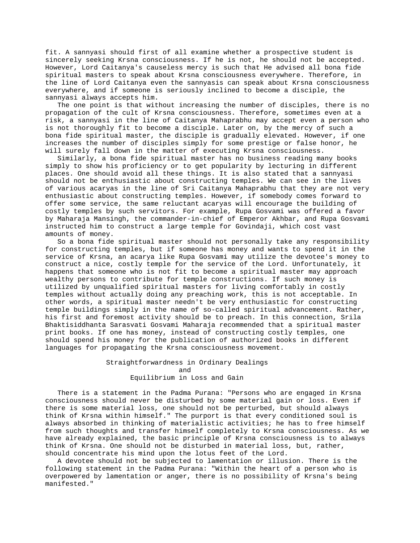fit. A sannyasi should first of all examine whether a prospective student is sincerely seeking Krsna consciousness. If he is not, he should not be accepted. However, Lord Caitanya's causeless mercy is such that He advised all bona fide spiritual masters to speak about Krsna consciousness everywhere. Therefore, in the line of Lord Caitanya even the sannyasis can speak about Krsna consciousness everywhere, and if someone is seriously inclined to become a disciple, the sannyasi always accepts him.

 The one point is that without increasing the number of disciples, there is no propagation of the cult of Krsna consciousness. Therefore, sometimes even at a risk, a sannyasi in the line of Caitanya Mahaprabhu may accept even a person who is not thoroughly fit to become a disciple. Later on, by the mercy of such a bona fide spiritual master, the disciple is gradually elevated. However, if one increases the number of disciples simply for some prestige or false honor, he will surely fall down in the matter of executing Krsna consciousness.

 Similarly, a bona fide spiritual master has no business reading many books simply to show his proficiency or to get popularity by lecturing in different places. One should avoid all these things. It is also stated that a sannyasi should not be enthusiastic about constructing temples. We can see in the lives of various acaryas in the line of Sri Caitanya Mahaprabhu that they are not very enthusiastic about constructing temples. However, if somebody comes forward to offer some service, the same reluctant acaryas will encourage the building of costly temples by such servitors. For example, Rupa Gosvami was offered a favor by Maharaja Mansingh, the commander-in-chief of Emperor Akhbar, and Rupa Gosvami instructed him to construct a large temple for Govindaji, which cost vast amounts of money.

 So a bona fide spiritual master should not personally take any responsibility for constructing temples, but if someone has money and wants to spend it in the service of Krsna, an acarya like Rupa Gosvami may utilize the devotee's money to construct a nice, costly temple for the service of the Lord. Unfortunately, it happens that someone who is not fit to become a spiritual master may approach wealthy persons to contribute for temple constructions. If such money is utilized by unqualified spiritual masters for living comfortably in costly temples without actually doing any preaching work, this is not acceptable. In other words, a spiritual master needn't be very enthusiastic for constructing temple buildings simply in the name of so-called spiritual advancement. Rather, his first and foremost activity should be to preach. In this connection, Srila Bhaktisiddhanta Sarasvati Gosvami Maharaja recommended that a spiritual master print books. If one has money, instead of constructing costly temples, one should spend his money for the publication of authorized books in different languages for propagating the Krsna consciousness movement.

# Straightforwardness in Ordinary Dealings and and a state of the state of the state of the state of the state of the state of the state of the state of the state of the state of the state of the state of the state of the state of the state of the state of the stat Equilibrium in Loss and Gain

 There is a statement in the Padma Purana: "Persons who are engaged in Krsna consciousness should never be disturbed by some material gain or loss. Even if there is some material loss, one should not be perturbed, but should always think of Krsna within himself." The purport is that every conditioned soul is always absorbed in thinking of materialistic activities; he has to free himself from such thoughts and transfer himself completely to Krsna consciousness. As we have already explained, the basic principle of Krsna consciousness is to always think of Krsna. One should not be disturbed in material loss, but, rather, should concentrate his mind upon the lotus feet of the Lord.

 A devotee should not be subjected to lamentation or illusion. There is the following statement in the Padma Purana: "Within the heart of a person who is overpowered by lamentation or anger, there is no possibility of Krsna's being manifested."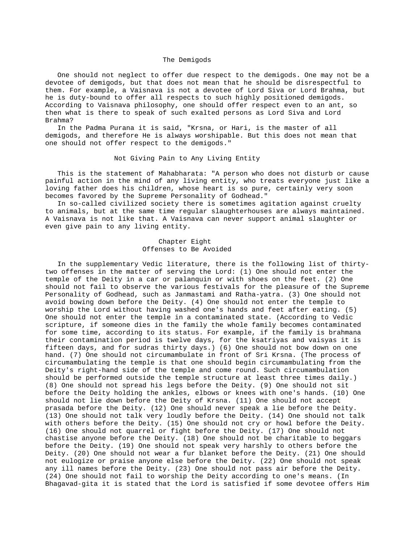#### The Demigods

 One should not neglect to offer due respect to the demigods. One may not be a devotee of demigods, but that does not mean that he should be disrespectful to them. For example, a Vaisnava is not a devotee of Lord Siva or Lord Brahma, but he is duty-bound to offer all respects to such highly positioned demigods. According to Vaisnava philosophy, one should offer respect even to an ant, so then what is there to speak of such exalted persons as Lord Siva and Lord Brahma?

 In the Padma Purana it is said, "Krsna, or Hari, is the master of all demigods, and therefore He is always worshipable. But this does not mean that one should not offer respect to the demigods."

## Not Giving Pain to Any Living Entity

 This is the statement of Mahabharata: "A person who does not disturb or cause painful action in the mind of any living entity, who treats everyone just like a loving father does his children, whose heart is so pure, certainly very soon becomes favored by the Supreme Personality of Godhead."

 In so-called civilized society there is sometimes agitation against cruelty to animals, but at the same time regular slaughterhouses are always maintained. A Vaisnava is not like that. A Vaisnava can never support animal slaughter or even give pain to any living entity.

# Chapter Eight Offenses to Be Avoided

 In the supplementary Vedic literature, there is the following list of thirtytwo offenses in the matter of serving the Lord: (1) One should not enter the temple of the Deity in a car or palanquin or with shoes on the feet. (2) One should not fail to observe the various festivals for the pleasure of the Supreme Personality of Godhead, such as Janmastami and Ratha-yatra. (3) One should not avoid bowing down before the Deity. (4) One should not enter the temple to worship the Lord without having washed one's hands and feet after eating. (5) One should not enter the temple in a contaminated state. (According to Vedic scripture, if someone dies in the family the whole family becomes contaminated for some time, according to its status. For example, if the family is brahmana their contamination period is twelve days, for the ksatriyas and vaisyas it is fifteen days, and for sudras thirty days.) (6) One should not bow down on one hand. (7) One should not circumambulate in front of Sri Krsna. (The process of circumambulating the temple is that one should begin circumambulating from the Deity's right-hand side of the temple and come round. Such circumambulation should be performed outside the temple structure at least three times daily.) (8) One should not spread his legs before the Deity. (9) One should not sit before the Deity holding the ankles, elbows or knees with one's hands. (10) One should not lie down before the Deity of Krsna. (11) One should not accept prasada before the Deity. (12) One should never speak a lie before the Deity. (13) One should not talk very loudly before the Deity. (14) One should not talk with others before the Deity. (15) One should not cry or howl before the Deity. (16) One should not quarrel or fight before the Deity. (17) One should not chastise anyone before the Deity. (18) One should not be charitable to beggars before the Deity. (19) One should not speak very harshly to others before the Deity. (20) One should not wear a fur blanket before the Deity. (21) One should not eulogize or praise anyone else before the Deity. (22) One should not speak any ill names before the Deity. (23) One should not pass air before the Deity. (24) One should not fail to worship the Deity according to one's means. (In Bhagavad-gita it is stated that the Lord is satisfied if some devotee offers Him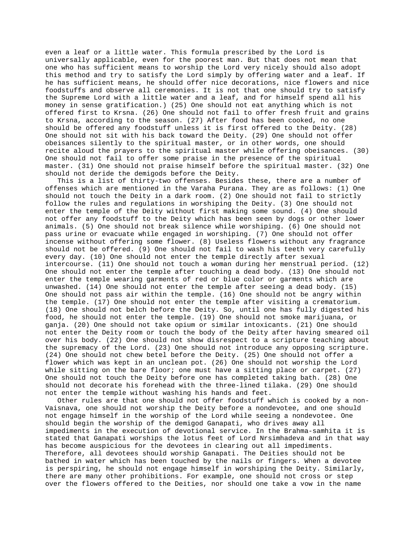even a leaf or a little water. This formula prescribed by the Lord is universally applicable, even for the poorest man. But that does not mean that one who has sufficient means to worship the Lord very nicely should also adopt this method and try to satisfy the Lord simply by offering water and a leaf. If he has sufficient means, he should offer nice decorations, nice flowers and nice foodstuffs and observe all ceremonies. It is not that one should try to satisfy the Supreme Lord with a little water and a leaf, and for himself spend all his money in sense gratification.) (25) One should not eat anything which is not offered first to Krsna. (26) One should not fail to offer fresh fruit and grains to Krsna, according to the season. (27) After food has been cooked, no one should be offered any foodstuff unless it is first offered to the Deity. (28) One should not sit with his back toward the Deity. (29) One should not offer obeisances silently to the spiritual master, or in other words, one should recite aloud the prayers to the spiritual master while offering obeisances. (30) One should not fail to offer some praise in the presence of the spiritual master. (31) One should not praise himself before the spiritual master. (32) One should not deride the demigods before the Deity.

 This is a list of thirty-two offenses. Besides these, there are a number of offenses which are mentioned in the Varaha Purana. They are as follows: (1) One should not touch the Deity in a dark room. (2) One should not fail to strictly follow the rules and regulations in worshiping the Deity. (3) One should not enter the temple of the Deity without first making some sound. (4) One should not offer any foodstuff to the Deity which has been seen by dogs or other lower animals. (5) One should not break silence while worshiping. (6) One should not pass urine or evacuate while engaged in worshiping. (7) One should not offer incense without offering some flower. (8) Useless flowers without any fragrance should not be offered. (9) One should not fail to wash his teeth very carefully every day. (10) One should not enter the temple directly after sexual intercourse. (11) One should not touch a woman during her menstrual period. (12) One should not enter the temple after touching a dead body. (13) One should not enter the temple wearing garments of red or blue color or garments which are unwashed. (14) One should not enter the temple after seeing a dead body. (15) One should not pass air within the temple. (16) One should not be angry within the temple. (17) One should not enter the temple after visiting a crematorium. (18) One should not belch before the Deity. So, until one has fully digested his food, he should not enter the temple. (19) One should not smoke marijuana, or ganja. (20) One should not take opium or similar intoxicants. (21) One should not enter the Deity room or touch the body of the Deity after having smeared oil over his body. (22) One should not show disrespect to a scripture teaching about the supremacy of the Lord. (23) One should not introduce any opposing scripture. (24) One should not chew betel before the Deity. (25) One should not offer a flower which was kept in an unclean pot. (26) One should not worship the Lord while sitting on the bare floor; one must have a sitting place or carpet. (27) One should not touch the Deity before one has completed taking bath. (28) One should not decorate his forehead with the three-lined tilaka. (29) One should not enter the temple without washing his hands and feet.

 Other rules are that one should not offer foodstuff which is cooked by a non-Vaisnava, one should not worship the Deity before a nondevotee, and one should not engage himself in the worship of the Lord while seeing a nondevotee. One should begin the worship of the demigod Ganapati, who drives away all impediments in the execution of devotional service. In the Brahma-samhita it is stated that Ganapati worships the lotus feet of Lord Nrsimhadeva and in that way has become auspicious for the devotees in clearing out all impediments. Therefore, all devotees should worship Ganapati. The Deities should not be bathed in water which has been touched by the nails or fingers. When a devotee is perspiring, he should not engage himself in worshiping the Deity. Similarly, there are many other prohibitions. For example, one should not cross or step over the flowers offered to the Deities, nor should one take a vow in the name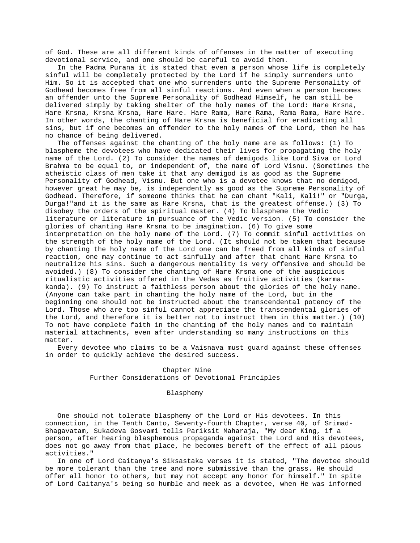of God. These are all different kinds of offenses in the matter of executing devotional service, and one should be careful to avoid them.

 In the Padma Purana it is stated that even a person whose life is completely sinful will be completely protected by the Lord if he simply surrenders unto Him. So it is accepted that one who surrenders unto the Supreme Personality of Godhead becomes free from all sinful reactions. And even when a person becomes an offender unto the Supreme Personality of Godhead Himself, he can still be delivered simply by taking shelter of the holy names of the Lord: Hare Krsna, Hare Krsna, Krsna Krsna, Hare Hare. Hare Rama, Hare Rama, Rama Rama, Hare Hare. In other words, the chanting of Hare Krsna is beneficial for eradicating all sins, but if one becomes an offender to the holy names of the Lord, then he has no chance of being delivered.

 The offenses against the chanting of the holy name are as follows: (1) To blaspheme the devotees who have dedicated their lives for propagating the holy name of the Lord. (2) To consider the names of demigods like Lord Siva or Lord Brahma to be equal to, or independent of, the name of Lord Visnu. (Sometimes the atheistic class of men take it that any demigod is as good as the Supreme Personality of Godhead, Visnu. But one who is a devotee knows that no demigod, however great he may be, is independently as good as the Supreme Personality of Godhead. Therefore, if someone thinks that he can chant "Kali, Kali!" or "Durga, Durga!"and it is the same as Hare Krsna, that is the greatest offense.) (3) To disobey the orders of the spiritual master. (4) To blaspheme the Vedic literature or literature in pursuance of the Vedic version. (5) To consider the glories of chanting Hare Krsna to be imagination. (6) To give some interpretation on the holy name of the Lord. (7) To commit sinful activities on the strength of the holy name of the Lord. (It should not be taken that because by chanting the holy name of the Lord one can be freed from all kinds of sinful reaction, one may continue to act sinfully and after that chant Hare Krsna to neutralize his sins. Such a dangerous mentality is very offensive and should be avoided.) (8) To consider the chanting of Hare Krsna one of the auspicious ritualistic activities offered in the Vedas as fruitive activities (karmakanda). (9) To instruct a faithless person about the glories of the holy name. (Anyone can take part in chanting the holy name of the Lord, but in the beginning one should not be instructed about the transcendental potency of the Lord. Those who are too sinful cannot appreciate the transcendental glories of the Lord, and therefore it is better not to instruct them in this matter.) (10) To not have complete faith in the chanting of the holy names and to maintain material attachments, even after understanding so many instructions on this matter.

 Every devotee who claims to be a Vaisnava must guard against these offenses in order to quickly achieve the desired success.

> Chapter Nine Further Considerations of Devotional Principles

#### Blasphemy

 One should not tolerate blasphemy of the Lord or His devotees. In this connection, in the Tenth Canto, Seventy-fourth Chapter, verse 40, of Srimad-Bhagavatam, Sukadeva Gosvami tells Pariksit Maharaja, "My dear King, if a person, after hearing blasphemous propaganda against the Lord and His devotees, does not go away from that place, he becomes bereft of the effect of all pious activities."

 In one of Lord Caitanya's Siksastaka verses it is stated, "The devotee should be more tolerant than the tree and more submissive than the grass. He should offer all honor to others, but may not accept any honor for himself." In spite of Lord Caitanya's being so humble and meek as a devotee, when He was informed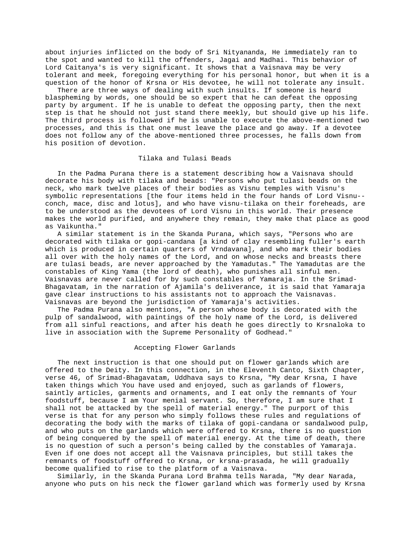about injuries inflicted on the body of Sri Nityananda, He immediately ran to the spot and wanted to kill the offenders, Jagai and Madhai. This behavior of Lord Caitanya's is very significant. It shows that a Vaisnava may be very tolerant and meek, foregoing everything for his personal honor, but when it is a question of the honor of Krsna or His devotee, he will not tolerate any insult.

 There are three ways of dealing with such insults. If someone is heard blaspheming by words, one should be so expert that he can defeat the opposing party by argument. If he is unable to defeat the opposing party, then the next step is that he should not just stand there meekly, but should give up his life. The third process is followed if he is unable to execute the above-mentioned two processes, and this is that one must leave the place and go away. If a devotee does not follow any of the above-mentioned three processes, he falls down from his position of devotion.

## Tilaka and Tulasi Beads

 In the Padma Purana there is a statement describing how a Vaisnava should decorate his body with tilaka and beads: "Persons who put tulasi beads on the neck, who mark twelve places of their bodies as Visnu temples with Visnu's symbolic representations [the four items held in the four hands of Lord Visnu- conch, mace, disc and lotus], and who have visnu-tilaka on their foreheads, are to be understood as the devotees of Lord Visnu in this world. Their presence makes the world purified, and anywhere they remain, they make that place as good as Vaikuntha."

 A similar statement is in the Skanda Purana, which says, "Persons who are decorated with tilaka or gopi-candana [a kind of clay resembling fuller's earth which is produced in certain quarters of Vrndavana], and who mark their bodies all over with the holy names of the Lord, and on whose necks and breasts there are tulasi beads, are never approached by the Yamadutas." The Yamadutas are the constables of King Yama (the lord of death), who punishes all sinful men. Vaisnavas are never called for by such constables of Yamaraja. In the Srimad-Bhagavatam, in the narration of Ajamila's deliverance, it is said that Yamaraja gave clear instructions to his assistants not to approach the Vaisnavas. Vaisnavas are beyond the jurisdiction of Yamaraja's activities.

 The Padma Purana also mentions, "A person whose body is decorated with the pulp of sandalwood, with paintings of the holy name of the Lord, is delivered from all sinful reactions, and after his death he goes directly to Krsnaloka to live in association with the Supreme Personality of Godhead."

# Accepting Flower Garlands

 The next instruction is that one should put on flower garlands which are offered to the Deity. In this connection, in the Eleventh Canto, Sixth Chapter, verse 46, of Srimad-Bhagavatam, Uddhava says to Krsna, "My dear Krsna, I have taken things which You have used and enjoyed, such as garlands of flowers, saintly articles, garments and ornaments, and I eat only the remnants of Your foodstuff, because I am Your menial servant. So, therefore, I am sure that I shall not be attacked by the spell of material energy." The purport of this verse is that for any person who simply follows these rules and regulations of decorating the body with the marks of tilaka of gopi-candana or sandalwood pulp, and who puts on the garlands which were offered to Krsna, there is no question of being conquered by the spell of material energy. At the time of death, there is no question of such a person's being called by the constables of Yamaraja. Even if one does not accept all the Vaisnava principles, but still takes the remnants of foodstuff offered to Krsna, or krsna-prasada, he will gradually become qualified to rise to the platform of a Vaisnava.

 Similarly, in the Skanda Purana Lord Brahma tells Narada, "My dear Narada, anyone who puts on his neck the flower garland which was formerly used by Krsna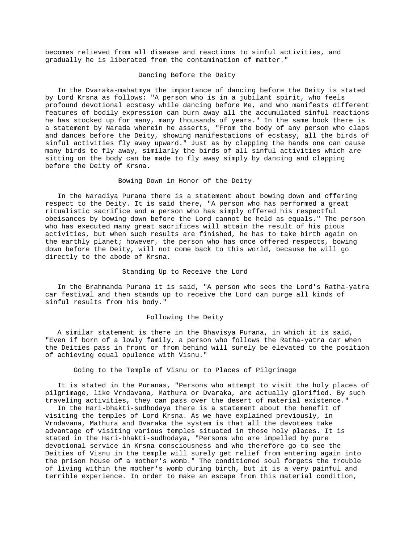becomes relieved from all disease and reactions to sinful activities, and gradually he is liberated from the contamination of matter."

## Dancing Before the Deity

 In the Dvaraka-mahatmya the importance of dancing before the Deity is stated by Lord Krsna as follows: "A person who is in a jubilant spirit, who feels profound devotional ecstasy while dancing before Me, and who manifests different features of bodily expression can burn away all the accumulated sinful reactions he has stocked up for many, many thousands of years." In the same book there is a statement by Narada wherein he asserts, "From the body of any person who claps and dances before the Deity, showing manifestations of ecstasy, all the birds of sinful activities fly away upward." Just as by clapping the hands one can cause many birds to fly away, similarly the birds of all sinful activities which are sitting on the body can be made to fly away simply by dancing and clapping before the Deity of Krsna.

# Bowing Down in Honor of the Deity

 In the Naradiya Purana there is a statement about bowing down and offering respect to the Deity. It is said there, "A person who has performed a great ritualistic sacrifice and a person who has simply offered his respectful obeisances by bowing down before the Lord cannot be held as equals." The person who has executed many great sacrifices will attain the result of his pious activities, but when such results are finished, he has to take birth again on the earthly planet; however, the person who has once offered respects, bowing down before the Deity, will not come back to this world, because he will go directly to the abode of Krsna.

## Standing Up to Receive the Lord

 In the Brahmanda Purana it is said, "A person who sees the Lord's Ratha-yatra car festival and then stands up to receive the Lord can purge all kinds of sinful results from his body."

# Following the Deity

 A similar statement is there in the Bhavisya Purana, in which it is said, "Even if born of a lowly family, a person who follows the Ratha-yatra car when the Deities pass in front or from behind will surely be elevated to the position of achieving equal opulence with Visnu."

#### Going to the Temple of Visnu or to Places of Pilgrimage

 It is stated in the Puranas, "Persons who attempt to visit the holy places of pilgrimage, like Vrndavana, Mathura or Dvaraka, are actually glorified. By such traveling activities, they can pass over the desert of material existence."

 In the Hari-bhakti-sudhodaya there is a statement about the benefit of visiting the temples of Lord Krsna. As we have explained previously, in Vrndavana, Mathura and Dvaraka the system is that all the devotees take advantage of visiting various temples situated in those holy places. It is stated in the Hari-bhakti-sudhodaya, "Persons who are impelled by pure devotional service in Krsna consciousness and who therefore go to see the Deities of Visnu in the temple will surely get relief from entering again into the prison house of a mother's womb." The conditioned soul forgets the trouble of living within the mother's womb during birth, but it is a very painful and terrible experience. In order to make an escape from this material condition,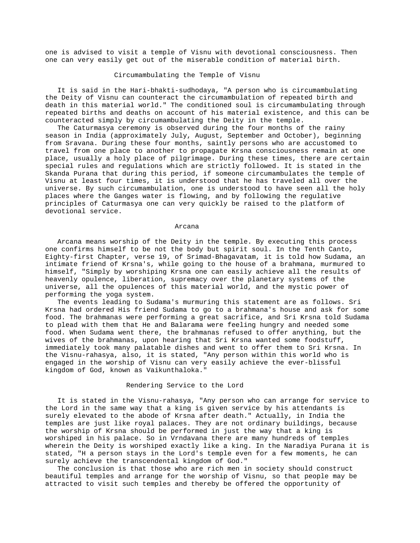one is advised to visit a temple of Visnu with devotional consciousness. Then one can very easily get out of the miserable condition of material birth.

## Circumambulating the Temple of Visnu

 It is said in the Hari-bhakti-sudhodaya, "A person who is circumambulating the Deity of Visnu can counteract the circumambulation of repeated birth and death in this material world." The conditioned soul is circumambulating through repeated births and deaths on account of his material existence, and this can be counteracted simply by circumambulating the Deity in the temple.

 The Caturmasya ceremony is observed during the four months of the rainy season in India (approximately July, August, September and October), beginning from Sravana. During these four months, saintly persons who are accustomed to travel from one place to another to propagate Krsna consciousness remain at one place, usually a holy place of pilgrimage. During these times, there are certain special rules and regulations which are strictly followed. It is stated in the Skanda Purana that during this period, if someone circumambulates the temple of Visnu at least four times, it is understood that he has traveled all over the universe. By such circumambulation, one is understood to have seen all the holy places where the Ganges water is flowing, and by following the regulative principles of Caturmasya one can very quickly be raised to the platform of devotional service.

#### Arcana

 Arcana means worship of the Deity in the temple. By executing this process one confirms himself to be not the body but spirit soul. In the Tenth Canto, Eighty-first Chapter, verse 19, of Srimad-Bhagavatam, it is told how Sudama, an intimate friend of Krsna's, while going to the house of a brahmana, murmured to himself, "Simply by worshiping Krsna one can easily achieve all the results of heavenly opulence, liberation, supremacy over the planetary systems of the universe, all the opulences of this material world, and the mystic power of performing the yoga system.

 The events leading to Sudama's murmuring this statement are as follows. Sri Krsna had ordered His friend Sudama to go to a brahmana's house and ask for some food. The brahmanas were performing a great sacrifice, and Sri Krsna told Sudama to plead with them that He and Balarama were feeling hungry and needed some food. When Sudama went there, the brahmanas refused to offer anything, but the wives of the brahmanas, upon hearing that Sri Krsna wanted some foodstuff, immediately took many palatable dishes and went to offer them to Sri Krsna. In the Visnu-rahasya, also, it is stated, "Any person within this world who is engaged in the worship of Visnu can very easily achieve the ever-blissful kingdom of God, known as Vaikunthaloka."

# Rendering Service to the Lord

 It is stated in the Visnu-rahasya, "Any person who can arrange for service to the Lord in the same way that a king is given service by his attendants is surely elevated to the abode of Krsna after death." Actually, in India the temples are just like royal palaces. They are not ordinary buildings, because the worship of Krsna should be performed in just the way that a king is worshiped in his palace. So in Vrndavana there are many hundreds of temples wherein the Deity is worshiped exactly like a king. In the Naradiya Purana it is stated, "H a person stays in the Lord's temple even for a few moments, he can surely achieve the transcendental kingdom of God."

 The conclusion is that those who are rich men in society should construct beautiful temples and arrange for the worship of Visnu, so that people may be attracted to visit such temples and thereby be offered the opportunity of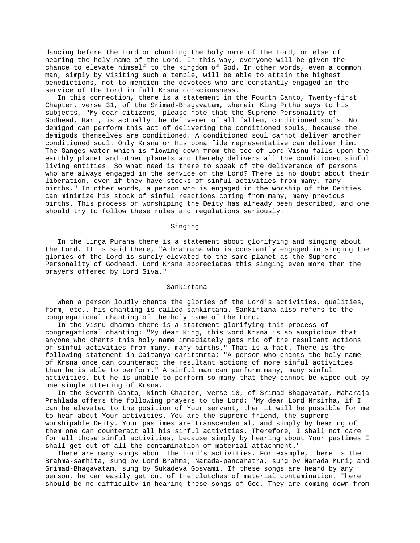dancing before the Lord or chanting the holy name of the Lord, or else of hearing the holy name of the Lord. In this way, everyone will be given the chance to elevate himself to the kingdom of God. In other words, even a common man, simply by visiting such a temple, will be able to attain the highest benedictions, not to mention the devotees who are constantly engaged in the service of the Lord in full Krsna consciousness.

 In this connection, there is a statement in the Fourth Canto, Twenty-first Chapter, verse 31, of the Srimad-Bhagavatam, wherein King Prthu says to his subjects, "My dear citizens, please note that the Supreme Personality of Godhead, Hari, is actually the deliverer of all fallen, conditioned souls. No demigod can perform this act of delivering the conditioned souls, because the demigods themselves are conditioned. A conditioned soul cannot deliver another conditioned soul. Only Krsna or His bona fide representative can deliver him. The Ganges water which is flowing down from the toe of Lord Visnu falls upon the earthly planet and other planets and thereby delivers all the conditioned sinful living entities. So what need is there to speak of the deliverance of persons who are always engaged in the service of the Lord? There is no doubt about their liberation, even if they have stocks of sinful activities from many, many births." In other words, a person who is engaged in the worship of the Deities can minimize his stock of sinful reactions coming from many, many previous births. This process of worshiping the Deity has already been described, and one should try to follow these rules and regulations seriously.

#### Singing

 In the Linga Purana there is a statement about glorifying and singing about the Lord. It is said there, "A brahmana who is constantly engaged in singing the glories of the Lord is surely elevated to the same planet as the Supreme Personality of Godhead. Lord Krsna appreciates this singing even more than the prayers offered by Lord Siva."

#### Sankirtana

 When a person loudly chants the glories of the Lord's activities, qualities, form, etc., his chanting is called sankirtana. Sankirtana also refers to the congregational chanting of the holy name of the Lord.

 In the Visnu-dharma there is a statement glorifying this process of congregational chanting: "My dear King, this word Krsna is so auspicious that anyone who chants this holy name immediately gets rid of the resultant actions of sinful activities from many, many births." That is a fact. There is the following statement in Caitanya-caritamrta: "A person who chants the holy name of Krsna once can counteract the resultant actions of more sinful activities than he is able to perform." A sinful man can perform many, many sinful activities, but he is unable to perform so many that they cannot be wiped out by one single uttering of Krsna.

 In the Seventh Canto, Ninth Chapter, verse 18, of Srimad-Bhagavatam, Maharaja Prahlada offers the following prayers to the Lord: "My dear Lord Nrsimha, if I can be elevated to the position of Your servant, then it will be possible for me to hear about Your activities. You are the supreme friend, the supreme worshipable Deity. Your pastimes are transcendental, and simply by hearing of them one can counteract all his sinful activities. Therefore, I shall not care for all those sinful activities, because simply by hearing about Your pastimes I shall get out of all the contamination of material attachment."

 There are many songs about the Lord's activities. For example, there is the Brahma-samhita, sung by Lord Brahma; Narada-pancaratra, sung by Narada Muni; and Srimad-Bhagavatam, sung by Sukadeva Gosvami. If these songs are heard by any person, he can easily get out of the clutches of material contamination. There should be no difficulty in hearing these songs of God. They are coming down from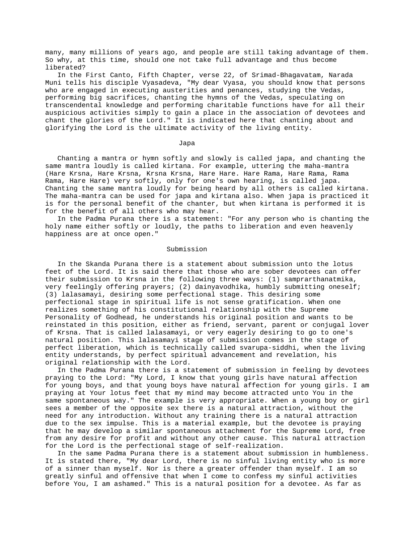many, many millions of years ago, and people are still taking advantage of them. So why, at this time, should one not take full advantage and thus become liberated?

 In the First Canto, Fifth Chapter, verse 22, of Srimad-Bhagavatam, Narada Muni tells his disciple Vyasadeva, "My dear Vyasa, you should know that persons who are engaged in executing austerities and penances, studying the Vedas, performing big sacrifices, chanting the hymns of the Vedas, speculating on transcendental knowledge and performing charitable functions have for all their auspicious activities simply to gain a place in the association of devotees and chant the glories of the Lord." It is indicated here that chanting about and glorifying the Lord is the ultimate activity of the living entity.

#### Japa

 Chanting a mantra or hymn softly and slowly is called japa, and chanting the same mantra loudly is called kirtana. For example, uttering the maha-mantra (Hare Krsna, Hare Krsna, Krsna Krsna, Hare Hare. Hare Rama, Hare Rama, Rama Rama, Hare Hare) very softly, only for one's own hearing, is called japa. Chanting the same mantra loudly for being heard by all others is called kirtana. The maha-mantra can be used for japa and kirtana also. When japa is practiced it is for the personal benefit of the chanter, but when kirtana is performed it is for the benefit of all others who may hear.

 In the Padma Purana there is a statement: "For any person who is chanting the holy name either softly or loudly, the paths to liberation and even heavenly happiness are at once open."

#### Submission

 In the Skanda Purana there is a statement about submission unto the lotus feet of the Lord. It is said there that those who are sober devotees can offer their submission to Krsna in the following three ways: (1) samprarthanatmika, very feelingly offering prayers; (2) dainyavodhika, humbly submitting oneself; (3) lalasamayi, desiring some perfectional stage. This desiring some perfectional stage in spiritual life is not sense gratification. When one realizes something of his constitutional relationship with the Supreme Personality of Godhead, he understands his original position and wants to be reinstated in this position, either as friend, servant, parent or conjugal lover of Krsna. That is called lalasamayi, or very eagerly desiring to go to one's natural position. This lalasamayi stage of submission comes in the stage of perfect liberation, which is technically called svarupa-siddhi, when the living entity understands, by perfect spiritual advancement and revelation, his original relationship with the Lord.

 In the Padma Purana there is a statement of submission in feeling by devotees praying to the Lord: "My Lord, I know that young girls have natural affection for young boys, and that young boys have natural affection for young girls. I am praying at Your lotus feet that my mind may become attracted unto You in the same spontaneous way." The example is very appropriate. When a young boy or girl sees a member of the opposite sex there is a natural attraction, without the need for any introduction. Without any training there is a natural attraction due to the sex impulse. This is a material example, but the devotee is praying that he may develop a similar spontaneous attachment for the Supreme Lord, free from any desire for profit and without any other cause. This natural attraction for the Lord is the perfectional stage of self-realization.

 In the same Padma Purana there is a statement about submission in humbleness. It is stated there, "My dear Lord, there is no sinful living entity who is more of a sinner than myself. Nor is there a greater offender than myself. I am so greatly sinful and offensive that when I come to confess my sinful activities before You, I am ashamed." This is a natural position for a devotee. As far as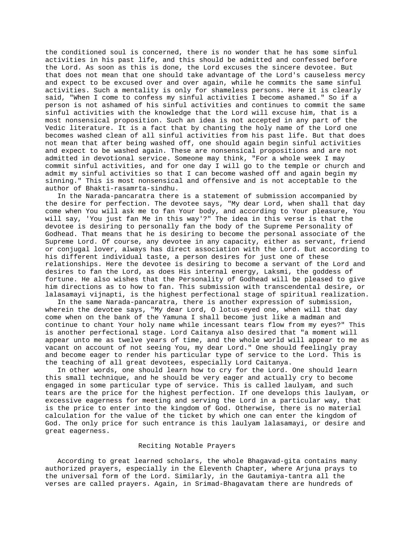the conditioned soul is concerned, there is no wonder that he has some sinful activities in his past life, and this should be admitted and confessed before the Lord. As soon as this is done, the Lord excuses the sincere devotee. But that does not mean that one should take advantage of the Lord's causeless mercy and expect to be excused over and over again, while he commits the same sinful activities. Such a mentality is only for shameless persons. Here it is clearly said, "When I come to confess my sinful activities I become ashamed." So if a person is not ashamed of his sinful activities and continues to commit the same sinful activities with the knowledge that the Lord will excuse him, that is a most nonsensical proposition. Such an idea is not accepted in any part of the Vedic literature. It is a fact that by chanting the holy name of the Lord one becomes washed clean of all sinful activities from his past life. But that does not mean that after being washed off, one should again begin sinful activities and expect to be washed again. These are nonsensical propositions and are not admitted in devotional service. Someone may think, "For a whole week I may commit sinful activities, and for one day I will go to the temple or church and admit my sinful activities so that I can become washed off and again begin my sinning." This is most nonsensical and offensive and is not acceptable to the author of Bhakti-rasamrta-sindhu.

 In the Narada-pancaratra there is a statement of submission accompanied by the desire for perfection. The devotee says, "My dear Lord, when shall that day come when You will ask me to fan Your body, and according to Your pleasure, You will say, 'You just fan Me in this way'?" The idea in this verse is that the devotee is desiring to personally fan the body of the Supreme Personality of Godhead. That means that he is desiring to become the personal associate of the Supreme Lord. Of course, any devotee in any capacity, either as servant, friend or conjugal lover, always has direct association with the Lord. But according to his different individual taste, a person desires for just one of these relationships. Here the devotee is desiring to become a servant of the Lord and desires to fan the Lord, as does His internal energy, Laksmi, the goddess of fortune. He also wishes that the Personality of Godhead will be pleased to give him directions as to how to fan. This submission with transcendental desire, or lalasamayi vijnapti, is the highest perfectional stage of spiritual realization.

 In the same Narada-pancaratra, there is another expression of submission, wherein the devotee says, "My dear Lord, O lotus-eyed one, when will that day come when on the bank of the Yamuna I shall become just like a madman and continue to chant Your holy name while incessant tears flow from my eyes?" This is another perfectional stage. Lord Caitanya also desired that "a moment will appear unto me as twelve years of time, and the whole world will appear to me as vacant on account of not seeing You, my dear Lord." One should feelingly pray and become eager to render his particular type of service to the Lord. This is the teaching of all great devotees, especially Lord Caitanya.

 In other words, one should learn how to cry for the Lord. One should learn this small technique, and he should be very eager and actually cry to become engaged in some particular type of service. This is called laulyam, and such tears are the price for the highest perfection. If one develops this laulyam, or excessive eagerness for meeting and serving the Lord in a particular way, that is the price to enter into the kingdom of God. Otherwise, there is no material calculation for the value of the ticket by which one can enter the kingdom of God. The only price for such entrance is this laulyam lalasamayi, or desire and great eagerness.

# Reciting Notable Prayers

 According to great learned scholars, the whole Bhagavad-gita contains many authorized prayers, especially in the Eleventh Chapter, where Arjuna prays to the universal form of the Lord. Similarly, in the Gautamiya-tantra all the verses are called prayers. Again, in Srimad-Bhagavatam there are hundreds of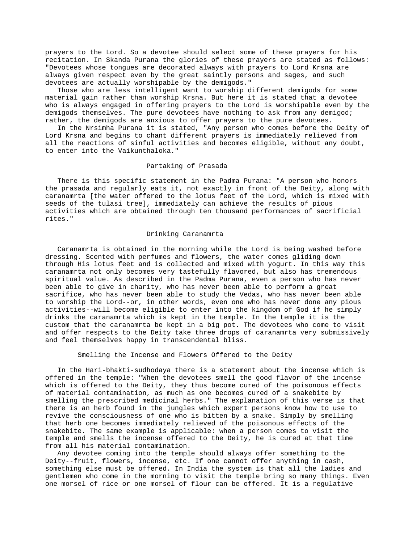prayers to the Lord. So a devotee should select some of these prayers for his recitation. In Skanda Purana the glories of these prayers are stated as follows: "Devotees whose tongues are decorated always with prayers to Lord Krsna are always given respect even by the great saintly persons and sages, and such devotees are actually worshipable by the demigods."

 Those who are less intelligent want to worship different demigods for some material gain rather than worship Krsna. But here it is stated that a devotee who is always engaged in offering prayers to the Lord is worshipable even by the demigods themselves. The pure devotees have nothing to ask from any demigod; rather, the demigods are anxious to offer prayers to the pure devotees.

 In the Nrsimha Purana it is stated, "Any person who comes before the Deity of Lord Krsna and begins to chant different prayers is immediately relieved from all the reactions of sinful activities and becomes eligible, without any doubt, to enter into the Vaikunthaloka."

#### Partaking of Prasada

 There is this specific statement in the Padma Purana: "A person who honors the prasada and regularly eats it, not exactly in front of the Deity, along with caranamrta [the water offered to the lotus feet of the Lord, which is mixed with seeds of the tulasi tree], immediately can achieve the results of pious activities which are obtained through ten thousand performances of sacrificial rites."

# Drinking Caranamrta

 Caranamrta is obtained in the morning while the Lord is being washed before dressing. Scented with perfumes and flowers, the water comes gliding down through His lotus feet and is collected and mixed with yogurt. In this way this caranamrta not only becomes very tastefully flavored, but also has tremendous spiritual value. As described in the Padma Purana, even a person who has never been able to give in charity, who has never been able to perform a great sacrifice, who has never been able to study the Vedas, who has never been able to worship the Lord--or, in other words, even one who has never done any pious activities--will become eligible to enter into the kingdom of God if he simply drinks the caranamrta which is kept in the temple. In the temple it is the custom that the caranamrta be kept in a big pot. The devotees who come to visit and offer respects to the Deity take three drops of caranamrta very submissively and feel themselves happy in transcendental bliss.

Smelling the Incense and Flowers Offered to the Deity

 In the Hari-bhakti-sudhodaya there is a statement about the incense which is offered in the temple: "When the devotees smell the good flavor of the incense which is offered to the Deity, they thus become cured of the poisonous effects of material contamination, as much as one becomes cured of a snakebite by smelling the prescribed medicinal herbs." The explanation of this verse is that there is an herb found in the jungles which expert persons know how to use to revive the consciousness of one who is bitten by a snake. Simply by smelling that herb one becomes immediately relieved of the poisonous effects of the snakebite. The same example is applicable: when a person comes to visit the temple and smells the incense offered to the Deity, he is cured at that time from all his material contamination.

 Any devotee coming into the temple should always offer something to the Deity--fruit, flowers, incense, etc. If one cannot offer anything in cash, something else must be offered. In India the system is that all the ladies and gentlemen who come in the morning to visit the temple bring so many things. Even one morsel of rice or one morsel of flour can be offered. It is a regulative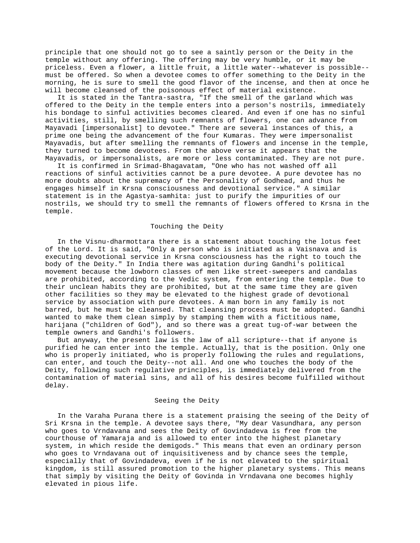principle that one should not go to see a saintly person or the Deity in the temple without any offering. The offering may be very humble, or it may be priceless. Even a flower, a little fruit, a little water--whatever is possible- must be offered. So when a devotee comes to offer something to the Deity in the morning, he is sure to smell the good flavor of the incense, and then at once he will become cleansed of the poisonous effect of material existence.

 It is stated in the Tantra-sastra, "If the smell of the garland which was offered to the Deity in the temple enters into a person's nostrils, immediately his bondage to sinful activities becomes cleared. And even if one has no sinful activities, still, by smelling such remnants of flowers, one can advance from Mayavadi [impersonalist] to devotee." There are several instances of this, a prime one being the advancement of the four Kumaras. They were impersonalist Mayavadis, but after smelling the remnants of flowers and incense in the temple, they turned to become devotees. From the above verse it appears that the Mayavadis, or impersonalists, are more or less contaminated. They are not pure.

 It is confirmed in Srimad-Bhagavatam, "One who has not washed off all reactions of sinful activities cannot be a pure devotee. A pure devotee has no more doubts about the supremacy of the Personality of Godhead, and thus he engages himself in Krsna consciousness and devotional service." A similar statement is in the Agastya-samhita: just to purify the impurities of our nostrils, we should try to smell the remnants of flowers offered to Krsna in the temple.

## Touching the Deity

 In the Visnu-dharmottara there is a statement about touching the lotus feet of the Lord. It is said, "Only a person who is initiated as a Vaisnava and is executing devotional service in Krsna consciousness has the right to touch the body of the Deity." In India there was agitation during Gandhi's political movement because the lowborn classes of men like street-sweepers and candalas are prohibited, according to the Vedic system, from entering the temple. Due to their unclean habits they are prohibited, but at the same time they are given other facilities so they may be elevated to the highest grade of devotional service by association with pure devotees. A man born in any family is not barred, but he must be cleansed. That cleansing process must be adopted. Gandhi wanted to make them clean simply by stamping them with a fictitious name, harijana ("children of God"), and so there was a great tug-of-war between the temple owners and Gandhi's followers.

 But anyway, the present law is the law of all scripture--that if anyone is purified he can enter into the temple. Actually, that is the position. Only one who is properly initiated, who is properly following the rules and regulations, can enter, and touch the Deity--not all. And one who touches the body of the Deity, following such regulative principles, is immediately delivered from the contamination of material sins, and all of his desires become fulfilled without delay.

#### Seeing the Deity

 In the Varaha Purana there is a statement praising the seeing of the Deity of Sri Krsna in the temple. A devotee says there, "My dear Vasundhara, any person who goes to Vrndavana and sees the Deity of Govindadeva is free from the courthouse of Yamaraja and is allowed to enter into the highest planetary system, in which reside the demigods." This means that even an ordinary person who goes to Vrndavana out of inquisitiveness and by chance sees the temple, especially that of Govindadeva, even if he is not elevated to the spiritual kingdom, is still assured promotion to the higher planetary systems. This means that simply by visiting the Deity of Govinda in Vrndavana one becomes highly elevated in pious life.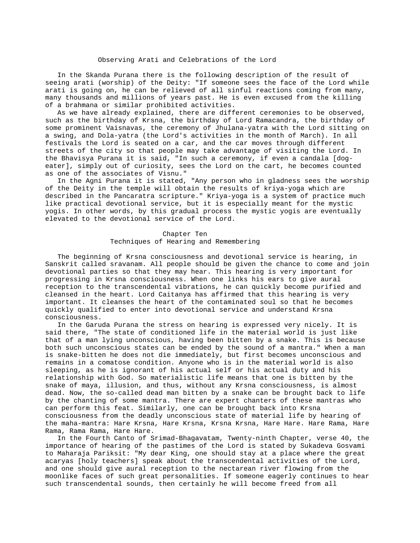## Observing Arati and Celebrations of the Lord

 In the Skanda Purana there is the following description of the result of seeing arati (worship) of the Deity: "If someone sees the face of the Lord while arati is going on, he can be relieved of all sinful reactions coming from many, many thousands and millions of years past. He is even excused from the killing of a brahmana or similar prohibited activities.

 As we have already explained, there are different ceremonies to be observed, such as the birthday of Krsna, the birthday of Lord Ramacandra, the birthday of some prominent Vaisnavas, the ceremony of Jhulana-yatra with the Lord sitting on a swing, and Dola-yatra (the Lord's activities in the month of March). In all festivals the Lord is seated on a car, and the car moves through different streets of the city so that people may take advantage of visiting the Lord. In the Bhavisya Purana it is said, "In such a ceremony, if even a candala [dogeater], simply out of curiosity, sees the Lord on the cart, he becomes counted as one of the associates of Visnu."

 In the Agni Purana it is stated, "Any person who in gladness sees the worship of the Deity in the temple will obtain the results of kriya-yoga which are described in the Pancaratra scripture." Kriya-yoga is a system of practice much like practical devotional service, but it is especially meant for the mystic yogis. In other words, by this gradual process the mystic yogis are eventually elevated to the devotional service of the Lord.

# Chapter Ten Techniques of Hearing and Remembering

 The beginning of Krsna consciousness and devotional service is hearing, in Sanskrit called sravanam. All people should be given the chance to come and join devotional parties so that they may hear. This hearing is very important for progressing in Krsna consciousness. When one links his ears to give aural reception to the transcendental vibrations, he can quickly become purified and cleansed in the heart. Lord Caitanya has affirmed that this hearing is very important. It cleanses the heart of the contaminated soul so that he becomes quickly qualified to enter into devotional service and understand Krsna consciousness.

 In the Garuda Purana the stress on hearing is expressed very nicely. It is said there, "The state of conditioned life in the material world is just like that of a man lying unconscious, having been bitten by a snake. This is because both such unconscious states can be ended by the sound of a mantra." When a man is snake-bitten he does not die immediately, but first becomes unconscious and remains in a comatose condition. Anyone who is in the material world is also sleeping, as he is ignorant of his actual self or his actual duty and his relationship with God. So materialistic life means that one is bitten by the snake of maya, illusion, and thus, without any Krsna consciousness, is almost dead. Now, the so-called dead man bitten by a snake can be brought back to life by the chanting of some mantra. There are expert chanters of these mantras who can perform this feat. Similarly, one can be brought back into Krsna consciousness from the deadly unconscious state of material life by hearing of the maha-mantra: Hare Krsna, Hare Krsna, Krsna Krsna, Hare Hare. Hare Rama, Hare Rama, Rama Rama, Hare Hare.

 In the Fourth Canto of Srimad-Bhagavatam, Twenty-ninth Chapter, verse 40, the importance of hearing of the pastimes of the Lord is stated by Sukadeva Gosvami to Maharaja Pariksit: "My dear King, one should stay at a place where the great acaryas [holy teachers] speak about the transcendental activities of the Lord, and one should give aural reception to the nectarean river flowing from the moonlike faces of such great personalities. If someone eagerly continues to hear such transcendental sounds, then certainly he will become freed from all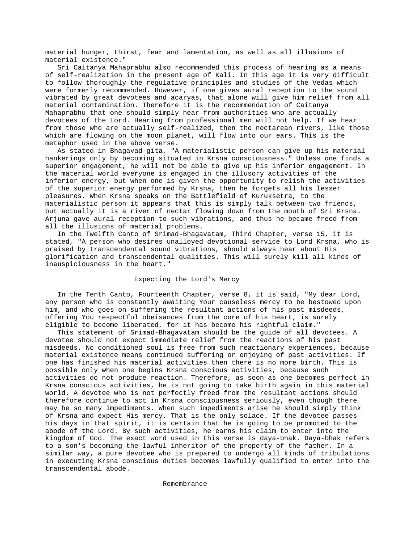material hunger, thirst, fear and lamentation, as well as all illusions of material existence."

 Sri Caitanya Mahaprabhu also recommended this process of hearing as a means of self-realization in the present age of Kali. In this age it is very difficult to follow thoroughly the regulative principles and studies of the Vedas which were formerly recommended. However, if one gives aural reception to the sound vibrated by great devotees and acaryas, that alone will give him relief from all material contamination. Therefore it is the recommendation of Caitanya Mahaprabhu that one should simply hear from authorities who are actually devotees of the Lord. Hearing from professional men will not help. If we hear from those who are actually self-realized, then the nectarean rivers, like those which are flowing on the moon planet, will flow into our ears. This is the metaphor used in the above verse.

 As stated in Bhagavad-gita, "A materialistic person can give up his material hankerings only by becoming situated in Krsna consciousness." Unless one finds a superior engagement, he will not be able to give up his inferior engagement. In the material world everyone is engaged in the illusory activities of the inferior energy, but when one is given the opportunity to relish the activities of the superior energy performed by Krsna, then he forgets all his lesser pleasures. When Krsna speaks on the Battlefield of Kuruksetra, to the materialistic person it appears that this is simply talk between two friends, but actually it is a river of nectar flowing down from the mouth of Sri Krsna. Arjuna gave aural reception to such vibrations, and thus he became freed from all the illusions of material problems.

 In the Twelfth Canto of Srimad-Bhagavatam, Third Chapter, verse 15, it is stated, "A person who desires unalloyed devotional service to Lord Krsna, who is praised by transcendental sound vibrations, should always hear about His glorification and transcendental qualities. This will surely kill all kinds of inauspiciousness in the heart."

# Expecting the Lord's Mercy

 In the Tenth Canto, Fourteenth Chapter, verse 8, it is said, "My dear Lord, any person who is constantly awaiting Your causeless mercy to be bestowed upon him, and who goes on suffering the resultant actions of his past misdeeds, offering You respectful obeisances from the core of his heart, is surely eligible to become liberated, for it has become his rightful claim."

 This statement of Srimad-Bhagavatam should be the guide of all devotees. A devotee should not expect immediate relief from the reactions of his past misdeeds. No conditioned soul is free from such reactionary experiences, because material existence means continued suffering or enjoying of past activities. If one has finished his material activities then there is no more birth. This is possible only when one begins Krsna conscious activities, because such activities do not produce reaction. Therefore, as soon as one becomes perfect in Krsna conscious activities, he is not going to take birth again in this material world. A devotee who is not perfectly freed from the resultant actions should therefore continue to act in Krsna consciousness seriously, even though there may be so many impediments. When such impediments arise he should simply think of Krsna and expect His mercy. That is the only solace. If the devotee passes his days in that spirit, it is certain that he is going to be promoted to the abode of the Lord. By such activities, he earns his claim to enter into the kingdom of God. The exact word used in this verse is daya-bhak. Daya-bhak refers to a son's becoming the lawful inheritor of the property of the father. In a similar way, a pure devotee who is prepared to undergo all kinds of tribulations in executing Krsna conscious duties becomes lawfully qualified to enter into the transcendental abode.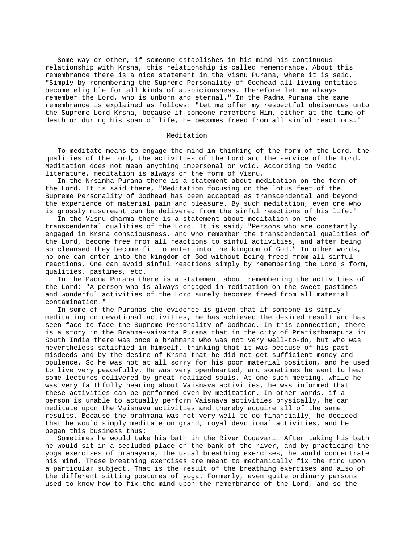Some way or other, if someone establishes in his mind his continuous relationship with Krsna, this relationship is called remembrance. About this remembrance there is a nice statement in the Visnu Purana, where it is said, "Simply by remembering the Supreme Personality of Godhead all living entities become eligible for all kinds of auspiciousness. Therefore let me always remember the Lord, who is unborn and eternal." In the Padma Purana the same remembrance is explained as follows: "Let me offer my respectful obeisances unto the Supreme Lord Krsna, because if someone remembers Him, either at the time of death or during his span of life, he becomes freed from all sinful reactions."

# Meditation

 To meditate means to engage the mind in thinking of the form of the Lord, the qualities of the Lord, the activities of the Lord and the service of the Lord. Meditation does not mean anything impersonal or void. According to Vedic literature, meditation is always on the form of Visnu.

 In the Nrsimha Purana there is a statement about meditation on the form of the Lord. It is said there, "Meditation focusing on the lotus feet of the Supreme Personality of Godhead has been accepted as transcendental and beyond the experience of material pain and pleasure. By such meditation, even one who is grossly miscreant can be delivered from the sinful reactions of his life."

 In the Visnu-dharma there is a statement about meditation on the transcendental qualities of the Lord. It is said, "Persons who are constantly engaged in Krsna consciousness, and who remember the transcendental qualities of the Lord, become free from all reactions to sinful activities, and after being so cleansed they become fit to enter into the kingdom of God." In other words, no one can enter into the kingdom of God without being freed from all sinful reactions. One can avoid sinful reactions simply by remembering the Lord's form, qualities, pastimes, etc.

 In the Padma Purana there is a statement about remembering the activities of the Lord: "A person who is always engaged in meditation on the sweet pastimes and wonderful activities of the Lord surely becomes freed from all material contamination."

 In some of the Puranas the evidence is given that if someone is simply meditating on devotional activities, he has achieved the desired result and has seen face to face the Supreme Personality of Godhead. In this connection, there is a story in the Brahma-vaivarta Purana that in the city of Pratisthanapura in South India there was once a brahmana who was not very well-to-do, but who was nevertheless satisfied in himself, thinking that it was because of his past misdeeds and by the desire of Krsna that he did not get sufficient money and opulence. So he was not at all sorry for his poor material position, and he used to live very peacefully. He was very openhearted, and sometimes he went to hear some lectures delivered by great realized souls. At one such meeting, while he was very faithfully hearing about Vaisnava activities, he was informed that these activities can be performed even by meditation. In other words, if a person is unable to actually perform Vaisnava activities physically, he can meditate upon the Vaisnava activities and thereby acquire all of the same results. Because the brahmana was not very well-to-do financially, he decided that he would simply meditate on grand, royal devotional activities, and he began this business thus:

 Sometimes he would take his bath in the River Godavari. After taking his bath he would sit in a secluded place on the bank of the river, and by practicing the yoga exercises of pranayama, the usual breathing exercises, he would concentrate his mind. These breathing exercises are meant to mechanically fix the mind upon a particular subject. That is the result of the breathing exercises and also of the different sitting postures of yoga. Formerly, even quite ordinary persons used to know how to fix the mind upon the remembrance of the Lord, and so the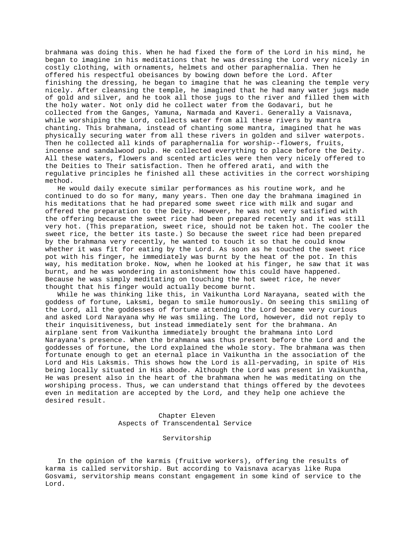brahmana was doing this. When he had fixed the form of the Lord in his mind, he began to imagine in his meditations that he was dressing the Lord very nicely in costly clothing, with ornaments, helmets and other paraphernalia. Then he offered his respectful obeisances by bowing down before the Lord. After finishing the dressing, he began to imagine that he was cleaning the temple very nicely. After cleansing the temple, he imagined that he had many water jugs made of gold and silver, and he took all those jugs to the river and filled them with the holy water. Not only did he collect water from the Godavari, but he collected from the Ganges, Yamuna, Narmada and Kaveri. Generally a Vaisnava, while worshiping the Lord, collects water from all these rivers by mantra chanting. This brahmana, instead of chanting some mantra, imagined that he was physically securing water from all these rivers in golden and silver waterpots. Then he collected all kinds of paraphernalia for worship--flowers, fruits, incense and sandalwood pulp. He collected everything to place before the Deity. All these waters, flowers and scented articles were then very nicely offered to the Deities to Their satisfaction. Then he offered arati, and with the regulative principles he finished all these activities in the correct worshiping method.

 He would daily execute similar performances as his routine work, and he continued to do so for many, many years. Then one day the brahmana imagined in his meditations that he had prepared some sweet rice with milk and sugar and offered the preparation to the Deity. However, he was not very satisfied with the offering because the sweet rice had been prepared recently and it was still very hot. (This preparation, sweet rice, should not be taken hot. The cooler the sweet rice, the better its taste.) So because the sweet rice had been prepared by the brahmana very recently, he wanted to touch it so that he could know whether it was fit for eating by the Lord. As soon as he touched the sweet rice pot with his finger, he immediately was burnt by the heat of the pot. In this way, his meditation broke. Now, when he looked at his finger, he saw that it was burnt, and he was wondering in astonishment how this could have happened. Because he was simply meditating on touching the hot sweet rice, he never thought that his finger would actually become burnt.

 While he was thinking like this, in Vaikuntha Lord Narayana, seated with the goddess of fortune, Laksmi, began to smile humorously. On seeing this smiling of the Lord, all the goddesses of fortune attending the Lord became very curious and asked Lord Narayana why He was smiling. The Lord, however, did not reply to their inquisitiveness, but instead immediately sent for the brahmana. An airplane sent from Vaikuntha immediately brought the brahmana into Lord Narayana's presence. When the brahmana was thus present before the Lord and the goddesses of fortune, the Lord explained the whole story. The brahmana was then fortunate enough to get an eternal place in Vaikuntha in the association of the Lord and His Laksmis. This shows how the Lord is all-pervading, in spite of His being locally situated in His abode. Although the Lord was present in Vaikuntha, He was present also in the heart of the brahmana when he was meditating on the worshiping process. Thus, we can understand that things offered by the devotees even in meditation are accepted by the Lord, and they help one achieve the desired result.

## Chapter Eleven Aspects of Transcendental Service

## Servitorship

 In the opinion of the karmis (fruitive workers), offering the results of karma is called servitorship. But according to Vaisnava acaryas like Rupa Gosvami, servitorship means constant engagement in some kind of service to the Lord.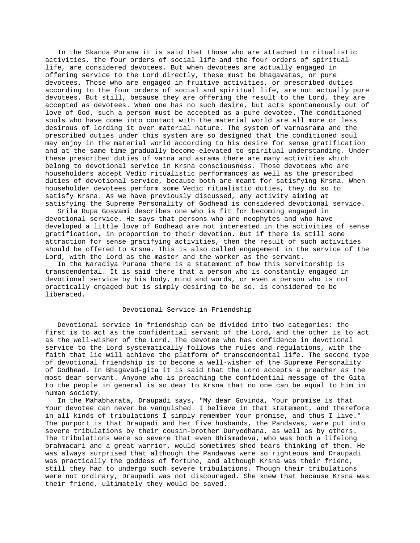In the Skanda Purana it is said that those who are attached to ritualistic activities, the four orders of social life and the four orders of spiritual life, are considered devotees. But when devotees are actually engaged in offering service to the Lord directly, these must be bhagavatas, or pure devotees. Those who are engaged in fruitive activities, or prescribed duties according to the four orders of social and spiritual life, are not actually pure devotees. But still, because they are offering the result to the Lord, they are accepted as devotees. When one has no such desire, but acts spontaneously out of love of God, such a person must be accepted as a pure devotee. The conditioned souls who have come into contact with the material world are all more or less desirous of lording it over material nature. The system of varnasrama and the prescribed duties under this system are so designed that the conditioned soul may enjoy in the material world according to his desire for sense gratification and at the same time gradually become elevated to spiritual understanding. Under these prescribed duties of varna and asrama there are many activities which belong to devotional service in Krsna consciousness. Those devotees who are householders accept Vedic ritualistic performances as well as the prescribed duties of devotional service, because both are meant for satisfying Krsna. When householder devotees perform some Vedic ritualistic duties, they do so to satisfy Krsna. As we have previously discussed, any activity aiming at satisfying the Supreme Personality of Godhead is considered devotional service.

 Srila Rupa Gosvami describes one who is fit for becoming engaged in devotional service. He says that persons who are neophytes and who have developed a little love of Godhead are not interested in the activities of sense gratification, in proportion to their devotion. But if there is still some attraction for sense gratifying activities, then the result of such activities should be offered to Krsna. This is also called engagement in the service of the Lord, with the Lord as the master and the worker as the servant.

 In the Naradiya Purana there is a statement of how this servitorship is transcendental. It is said there that a person who is constantly engaged in devotional service by his body, mind and words, or even a person who is not practically engaged but is simply desiring to be so, is considered to be liberated.

## Devotional Service in Friendship

 Devotional service in friendship can be divided into two categories: the first is to act as the confidential servant of the Lord, and the other is to act as the well-wisher of the Lord. The devotee who has confidence in devotional service to the Lord systematically follows the rules and regulations, with the faith that lie will achieve the platform of transcendental life. The second type of devotional friendship is to become a well-wisher of the Supreme Personality of Godhead. In Bhagavad-gita it is said that the Lord accepts a preacher as the most dear servant. Anyone who is preaching the confidential message of the Gita to the people in general is so dear to Krsna that no one can be equal to him in human society.

 In the Mahabharata, Draupadi says, "My dear Govinda, Your promise is that Your devotee can never be vanquished. I believe in that statement, and therefore in all kinds of tribulations I simply remember Your promise, and thus I live." The purport is that Draupadi and her five husbands, the Pandavas, were put into severe tribulations by their cousin-brother Duryodhana, as well as by others. The tribulations were so severe that even Bhismadeva, who was both a lifelong brahmacari and a great warrior, would sometimes shed tears thinking of them. He was always surprised that although the Pandavas were so righteous and Draupadi was practically the goddess of fortune, and although Krsna was their friend, still they had to undergo such severe tribulations. Though their tribulations were not ordinary, Draupadi was not discouraged. She knew that because Krsna was their friend, ultimately they would be saved.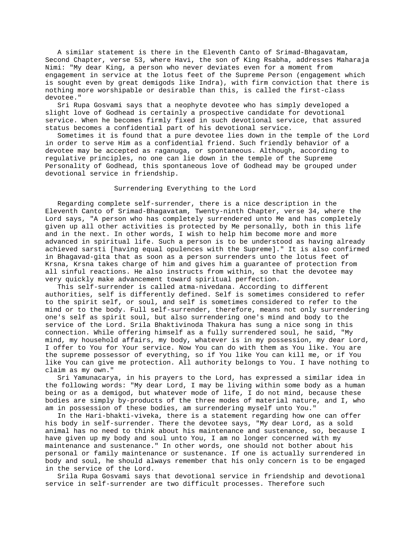A similar statement is there in the Eleventh Canto of Srimad-Bhagavatam, Second Chapter, verse 53, where Havi, the son of King Rsabha, addresses Maharaja Nimi: "My dear King, a person who never deviates even for a moment from engagement in service at the lotus feet of the Supreme Person (engagement which is sought even by great demigods like Indra), with firm conviction that there is nothing more worshipable or desirable than this, is called the first-class devotee."

 Sri Rupa Gosvami says that a neophyte devotee who has simply developed a slight love of Godhead is certainly a prospective candidate for devotional service. When he becomes firmly fixed in such devotional service, that assured status becomes a confidential part of his devotional service.

 Sometimes it is found that a pure devotee lies down in the temple of the Lord in order to serve Him as a confidential friend. Such friendly behavior of a devotee may be accepted as raganuga, or spontaneous. Although, according to regulative principles, no one can lie down in the temple of the Supreme Personality of Godhead, this spontaneous love of Godhead may be grouped under devotional service in friendship.

# Surrendering Everything to the Lord

 Regarding complete self-surrender, there is a nice description in the Eleventh Canto of Srimad-Bhagavatam, Twenty-ninth Chapter, verse 34, where the Lord says, "A person who has completely surrendered unto Me and has completely given up all other activities is protected by Me personally, both in this life and in the next. In other words, I wish to help him become more and more advanced in spiritual life. Such a person is to be understood as having already achieved sarsti [having equal opulences with the Supreme]." It is also confirmed in Bhagavad-gita that as soon as a person surrenders unto the lotus feet of Krsna, Krsna takes charge of him and gives him a guarantee of protection from all sinful reactions. He also instructs from within, so that the devotee may very quickly make advancement toward spiritual perfection.

 This self-surrender is called atma-nivedana. According to different authorities, self is differently defined. Self is sometimes considered to refer to the spirit self, or soul, and self is sometimes considered to refer to the mind or to the body. Full self-surrender, therefore, means not only surrendering one's self as spirit soul, but also surrendering one's mind and body to the service of the Lord. Srila Bhaktivinoda Thakura has sung a nice song in this connection. While offering himself as a fully surrendered soul, he said, "My mind, my household affairs, my body, whatever is in my possession, my dear Lord, I offer to You for Your service. Now You can do with them as You like. You are the supreme possessor of everything, so if You like You can kill me, or if You like You can give me protection. All authority belongs to You. I have nothing to claim as my own."

 Sri Yamunacarya, in his prayers to the Lord, has expressed a similar idea in the following words: "My dear Lord, I may be living within some body as a human being or as a demigod, but whatever mode of life, I do not mind, because these bodies are simply by-products of the three modes of material nature, and I, who am in possession of these bodies, am surrendering myself unto You."

 In the Hari-bhakti-viveka, there is a statement regarding how one can offer his body in self-surrender. There the devotee says, "My dear Lord, as a sold animal has no need to think about his maintenance and sustenance, so, because I have given up my body and soul unto You, I am no longer concerned with my maintenance and sustenance." In other words, one should not bother about his personal or family maintenance or sustenance. If one is actually surrendered in body and soul, he should always remember that his only concern is to be engaged in the service of the Lord.

 Srila Rupa Gosvami says that devotional service in friendship and devotional service in self-surrender are two difficult processes. Therefore such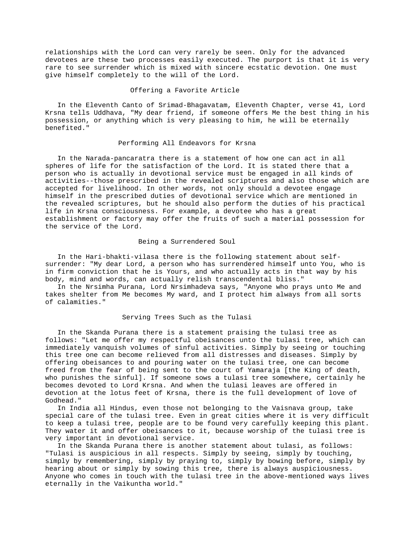relationships with the Lord can very rarely be seen. Only for the advanced devotees are these two processes easily executed. The purport is that it is very rare to see surrender which is mixed with sincere ecstatic devotion. One must give himself completely to the will of the Lord.

## Offering a Favorite Article

 In the Eleventh Canto of Srimad-Bhagavatam, Eleventh Chapter, verse 41, Lord Krsna tells Uddhava, "My dear friend, if someone offers Me the best thing in his possession, or anything which is very pleasing to him, he will be eternally benefited."

## Performing All Endeavors for Krsna

 In the Narada-pancaratra there is a statement of how one can act in all spheres of life for the satisfaction of the Lord. It is stated there that a person who is actually in devotional service must be engaged in all kinds of activities--those prescribed in the revealed scriptures and also those which are accepted for livelihood. In other words, not only should a devotee engage himself in the prescribed duties of devotional service which are mentioned in the revealed scriptures, but he should also perform the duties of his practical life in Krsna consciousness. For example, a devotee who has a great establishment or factory may offer the fruits of such a material possession for the service of the Lord.

## Being a Surrendered Soul

 In the Hari-bhakti-vilasa there is the following statement about selfsurrender: "My dear Lord, a person who has surrendered himself unto You, who is in firm conviction that he is Yours, and who actually acts in that way by his body, mind and words, can actually relish transcendental bliss."

 In the Nrsimha Purana, Lord Nrsimhadeva says, "Anyone who prays unto Me and takes shelter from Me becomes My ward, and I protect him always from all sorts of calamities."

## Serving Trees Such as the Tulasi

 In the Skanda Purana there is a statement praising the tulasi tree as follows: "Let me offer my respectful obeisances unto the tulasi tree, which can immediately vanquish volumes of sinful activities. Simply by seeing or touching this tree one can become relieved from all distresses and diseases. Simply by offering obeisances to and pouring water on the tulasi tree, one can become freed from the fear of being sent to the court of Yamaraja [the King of death, who punishes the sinful]. If someone sows a tulasi tree somewhere, certainly he becomes devoted to Lord Krsna. And when the tulasi leaves are offered in devotion at the lotus feet of Krsna, there is the full development of love of Godhead."

 In India all Hindus, even those not belonging to the Vaisnava group, take special care of the tulasi tree. Even in great cities where it is very difficult to keep a tulasi tree, people are to be found very carefully keeping this plant. They water it and offer obeisances to it, because worship of the tulasi tree is very important in devotional service.

 In the Skanda Purana there is another statement about tulasi, as follows: "Tulasi is auspicious in all respects. Simply by seeing, simply by touching, simply by remembering, simply by praying to, simply by bowing before, simply by hearing about or simply by sowing this tree, there is always auspiciousness. Anyone who comes in touch with the tulasi tree in the above-mentioned ways lives eternally in the Vaikuntha world."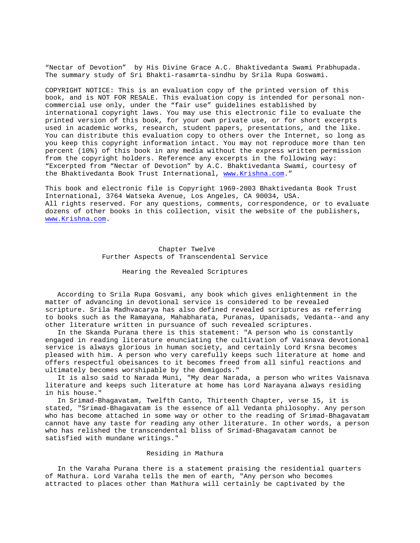"Nectar of Devotion" by His Divine Grace A.C. Bhaktivedanta Swami Prabhupada. The summary study of Sri Bhakti-rasamrta-sindhu by Srila Rupa Goswami.

COPYRIGHT NOTICE: This is an evaluation copy of the printed version of this book, and is NOT FOR RESALE. This evaluation copy is intended for personal noncommercial use only, under the "fair use" guidelines established by international copyright laws. You may use this electronic file to evaluate the printed version of this book, for your own private use, or for short excerpts used in academic works, research, student papers, presentations, and the like. You can distribute this evaluation copy to others over the Internet, so long as you keep this copyright information intact. You may not reproduce more than ten percent (10%) of this book in any media without the express written permission from the copyright holders. Reference any excerpts in the following way: "Excerpted from "Nectar of Devotion" by A.C. Bhaktivedanta Swami, courtesy of the Bhaktivedanta Book Trust International, www.Krishna.com."

This book and electronic file is Copyright 1969-2003 Bhaktivedanta Book Trust International, 3764 Watseka Avenue, Los Angeles, CA 90034, USA. All rights reserved. For any questions, comments, correspondence, or to evaluate dozens of other books in this collection, visit the website of the publishers, www.Krishna.com.

> Chapter Twelve Further Aspects of Transcendental Service

## Hearing the Revealed Scriptures

 According to Srila Rupa Gosvami, any book which gives enlightenment in the matter of advancing in devotional service is considered to be revealed scripture. Srila Madhvacarya has also defined revealed scriptures as referring to books such as the Ramayana, Mahabharata, Puranas, Upanisads, Vedanta--and any other literature written in pursuance of such revealed scriptures.

 In the Skanda Purana there is this statement: "A person who is constantly engaged in reading literature enunciating the cultivation of Vaisnava devotional service is always glorious in human society, and certainly Lord Krsna becomes pleased with him. A person who very carefully keeps such literature at home and offers respectful obeisances to it becomes freed from all sinful reactions and ultimately becomes worshipable by the demigods."

 It is also said to Narada Muni, "My dear Narada, a person who writes Vaisnava literature and keeps such literature at home has Lord Narayana always residing in his house."

 In Srimad-Bhagavatam, Twelfth Canto, Thirteenth Chapter, verse 15, it is stated, "Srimad-Bhagavatam is the essence of all Vedanta philosophy. Any person who has become attached in some way or other to the reading of Srimad-Bhagavatam cannot have any taste for reading any other literature. In other words, a person who has relished the transcendental bliss of Srimad-Bhagavatam cannot be satisfied with mundane writings."

## Residing in Mathura

 In the Varaha Purana there is a statement praising the residential quarters of Mathura. Lord Varaha tells the men of earth, "Any person who becomes attracted to places other than Mathura will certainly be captivated by the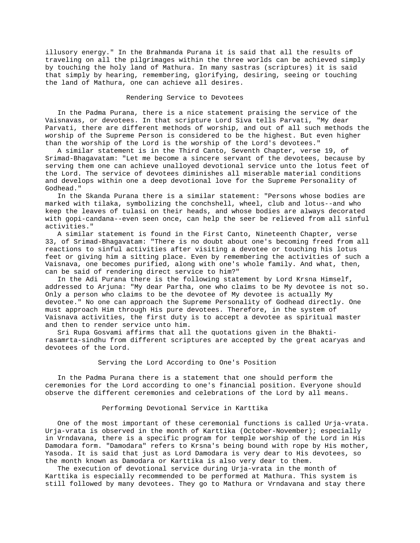illusory energy." In the Brahmanda Purana it is said that all the results of traveling on all the pilgrimages within the three worlds can be achieved simply by touching the holy land of Mathura. In many sastras (scriptures) it is said that simply by hearing, remembering, glorifying, desiring, seeing or touching the land of Mathura, one can achieve all desires.

## Rendering Service to Devotees

 In the Padma Purana, there is a nice statement praising the service of the Vaisnavas, or devotees. In that scripture Lord Siva tells Parvati, "My dear Parvati, there are different methods of worship, and out of all such methods the worship of the Supreme Person is considered to be the highest. But even higher than the worship of the Lord is the worship of the Lord's devotees."

 A similar statement is in the Third Canto, Seventh Chapter, verse 19, of Srimad-Bhagavatam: "Let me become a sincere servant of the devotees, because by serving them one can achieve unalloyed devotional service unto the lotus feet of the Lord. The service of devotees diminishes all miserable material conditions and develops within one a deep devotional love for the Supreme Personality of Godhead."

 In the Skanda Purana there is a similar statement: "Persons whose bodies are marked with tilaka, symbolizing the conchshell, wheel, club and lotus--and who keep the leaves of tulasi on their heads, and whose bodies are always decorated with gopi-candana--even seen once, can help the seer be relieved from all sinful activities."

 A similar statement is found in the First Canto, Nineteenth Chapter, verse 33, of Srimad-Bhagavatam: "There is no doubt about one's becoming freed from all reactions to sinful activities after visiting a devotee or touching his lotus feet or giving him a sitting place. Even by remembering the activities of such a Vaisnava, one becomes purified, along with one's whole family. And what, then, can be said of rendering direct service to him?"

 In the Adi Purana there is the following statement by Lord Krsna Himself, addressed to Arjuna: "My dear Partha, one who claims to be My devotee is not so. Only a person who claims to be the devotee of My devotee is actually My devotee." No one can approach the Supreme Personality of Godhead directly. One must approach Him through His pure devotees. Therefore, in the system of Vaisnava activities, the first duty is to accept a devotee as spiritual master and then to render service unto him.

 Sri Rupa Gosvami affirms that all the quotations given in the Bhaktirasamrta-sindhu from different scriptures are accepted by the great acaryas and devotees of the Lord.

#### Serving the Lord According to One's Position

 In the Padma Purana there is a statement that one should perform the ceremonies for the Lord according to one's financial position. Everyone should observe the different ceremonies and celebrations of the Lord by all means.

#### Performing Devotional Service in Karttika

 One of the most important of these ceremonial functions is called Urja-vrata. Urja-vrata is observed in the month of Karttika (October-November); especially in Vrndavana, there is a specific program for temple worship of the Lord in His Damodara form. "Damodara" refers to Krsna's being bound with rope by His mother, Yasoda. It is said that just as Lord Damodara is very dear to His devotees, so the month known as Damodara or Karttika is also very dear to them.

The execution of devotional service during Urja-vrata in the month of Karttika is especially recommended to be performed at Mathura. This system is still followed by many devotees. They go to Mathura or Vrndavana and stay there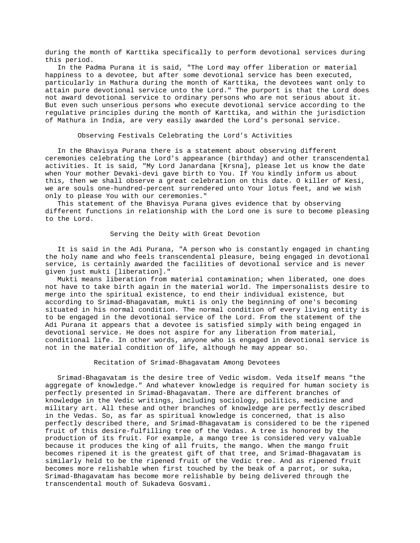during the month of Karttika specifically to perform devotional services during this period.

 In the Padma Purana it is said, "The Lord may offer liberation or material happiness to a devotee, but after some devotional service has been executed, particularly in Mathura during the month of Karttika, the devotees want only to attain pure devotional service unto the Lord." The purport is that the Lord does not award devotional service to ordinary persons who are not serious about it. But even such unserious persons who execute devotional service according to the regulative principles during the month of Karttika, and within the jurisdiction of Mathura in India, are very easily awarded the Lord's personal service.

# Observing Festivals Celebrating the Lord's Activities

 In the Bhavisya Purana there is a statement about observing different ceremonies celebrating the Lord's appearance (birthday) and other transcendental activities. It is said, "My Lord Janardana [Krsna], please let us know the date when Your mother Devaki-devi gave birth to You. If You kindly inform us about this, then we shall observe a great celebration on this date. O killer of Kesi, we are souls one-hundred-percent surrendered unto Your lotus feet, and we wish only to please You with our ceremonies."

 This statement of the Bhavisya Purana gives evidence that by observing different functions in relationship with the Lord one is sure to become pleasing to the Lord.

# Serving the Deity with Great Devotion

 It is said in the Adi Purana, "A person who is constantly engaged in chanting the holy name and who feels transcendental pleasure, being engaged in devotional service, is certainly awarded the facilities of devotional service and is never given just mukti [liberation]."

 Mukti means liberation from material contamination; when liberated, one does not have to take birth again in the material world. The impersonalists desire to merge into the spiritual existence, to end their individual existence, but according to Srimad-Bhagavatam, mukti is only the beginning of one's becoming situated in his normal condition. The normal condition of every living entity is to be engaged in the devotional service of the Lord. From the statement of the Adi Purana it appears that a devotee is satisfied simply with being engaged in devotional service. He does not aspire for any liberation from material, conditional life. In other words, anyone who is engaged in devotional service is not in the material condition of life, although he may appear so.

#### Recitation of Srimad-Bhagavatam Among Devotees

 Srimad-Bhagavatam is the desire tree of Vedic wisdom. Veda itself means "the aggregate of knowledge." And whatever knowledge is required for human society is perfectly presented in Srimad-Bhagavatam. There are different branches of knowledge in the Vedic writings, including sociology, politics, medicine and military art. All these and other branches of knowledge are perfectly described in the Vedas. So, as far as spiritual knowledge is concerned, that is also perfectly described there, and Srimad-Bhagavatam is considered to be the ripened fruit of this desire-fulfilling tree of the Vedas. A tree is honored by the production of its fruit. For example, a mango tree is considered very valuable because it produces the king of all fruits, the mango. When the mango fruit becomes ripened it is the greatest gift of that tree, and Srimad-Bhagavatam is similarly held to be the ripened fruit of the Vedic tree. And as ripened fruit becomes more relishable when first touched by the beak of a parrot, or suka, Srimad-Bhagavatam has become more relishable by being delivered through the transcendental mouth of Sukadeva Gosvami.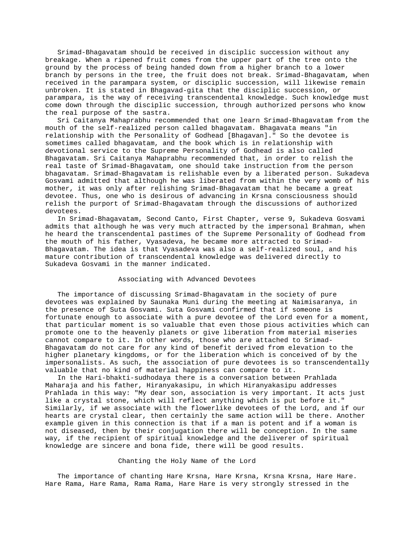Srimad-Bhagavatam should be received in disciplic succession without any breakage. When a ripened fruit comes from the upper part of the tree onto the ground by the process of being handed down from a higher branch to a lower branch by persons in the tree, the fruit does not break. Srimad-Bhagavatam, when received in the parampara system, or disciplic succession, will likewise remain unbroken. It is stated in Bhagavad-gita that the disciplic succession, or parampara, is the way of receiving transcendental knowledge. Such knowledge must come down through the disciplic succession, through authorized persons who know the real purpose of the sastra.

 Sri Caitanya Mahaprabhu recommended that one learn Srimad-Bhagavatam from the mouth of the self-realized person called bhagavatam. Bhagavata means "in relationship with the Personality of Godhead [Bhagavan]." So the devotee is sometimes called bhagavatam, and the book which is in relationship with devotional service to the Supreme Personality of Godhead is also called Bhagavatam. Sri Caitanya Mahaprabhu recommended that, in order to relish the real taste of Srimad-Bhagavatam, one should take instruction from the person bhagavatam. Srimad-Bhagavatam is relishable even by a liberated person. Sukadeva Gosvami admitted that although he was liberated from within the very womb of his mother, it was only after relishing Srimad-Bhagavatam that he became a great devotee. Thus, one who is desirous of advancing in Krsna consciousness should relish the purport of Srimad-Bhagavatam through the discussions of authorized devotees.

 In Srimad-Bhagavatam, Second Canto, First Chapter, verse 9, Sukadeva Gosvami admits that although he was very much attracted by the impersonal Brahman, when he heard the transcendental pastimes of the Supreme Personality of Godhead from the mouth of his father, Vyasadeva, he became more attracted to Srimad-Bhagavatam. The idea is that Vyasadeva was also a self-realized soul, and his mature contribution of transcendental knowledge was delivered directly to Sukadeva Gosvami in the manner indicated.

#### Associating with Advanced Devotees

 The importance of discussing Srimad-Bhagavatam in the society of pure devotees was explained by Saunaka Muni during the meeting at Naimisaranya, in the presence of Suta Gosvami. Suta Gosvami confirmed that if someone is fortunate enough to associate with a pure devotee of the Lord even for a moment, that particular moment is so valuable that even those pious activities which can promote one to the heavenly planets or give liberation from material miseries cannot compare to it. In other words, those who are attached to Srimad-Bhagavatam do not care for any kind of benefit derived from elevation to the higher planetary kingdoms, or for the liberation which is conceived of by the impersonalists. As such, the association of pure devotees is so transcendentally valuable that no kind of material happiness can compare to it.

 In the Hari-bhakti-sudhodaya there is a conversation between Prahlada Maharaja and his father, Hiranyakasipu, in which Hiranyakasipu addresses Prahlada in this way: "My dear son, association is very important. It acts just like a crystal stone, which will reflect anything which is put before it." Similarly, if we associate with the flowerlike devotees of the Lord, and if our hearts are crystal clear, then certainly the same action will be there. Another example given in this connection is that if a man is potent and if a woman is not diseased, then by their conjugation there will be conception. In the same way, if the recipient of spiritual knowledge and the deliverer of spiritual knowledge are sincere and bona fide, there will be good results.

#### Chanting the Holy Name of the Lord

 The importance of chanting Hare Krsna, Hare Krsna, Krsna Krsna, Hare Hare. Hare Rama, Hare Rama, Rama Rama, Hare Hare is very strongly stressed in the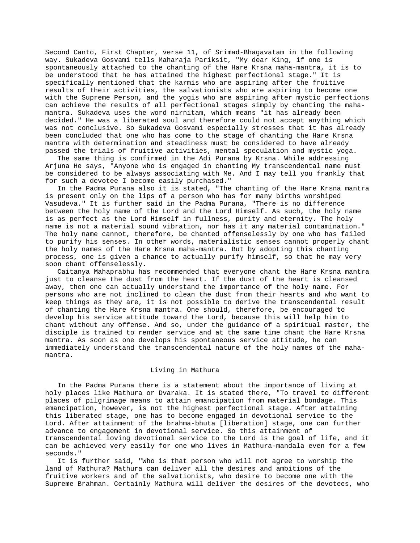Second Canto, First Chapter, verse 11, of Srimad-Bhagavatam in the following way. Sukadeva Gosvami tells Maharaja Pariksit, "My dear King, if one is spontaneously attached to the chanting of the Hare Krsna maha-mantra, it is to be understood that he has attained the highest perfectional stage." It is specifically mentioned that the karmis who are aspiring after the fruitive results of their activities, the salvationists who are aspiring to become one with the Supreme Person, and the yogis who are aspiring after mystic perfections can achieve the results of all perfectional stages simply by chanting the mahamantra. Sukadeva uses the word nirnitam, which means "it has already been decided." He was a liberated soul and therefore could not accept anything which was not conclusive. So Sukadeva Gosvami especially stresses that it has already been concluded that one who has come to the stage of chanting the Hare Krsna mantra with determination and steadiness must be considered to have already passed the trials of fruitive activities, mental speculation and mystic yoga.

 The same thing is confirmed in the Adi Purana by Krsna. While addressing Arjuna He says, "Anyone who is engaged in chanting My transcendental name must be considered to be always associating with Me. And I may tell you frankly that for such a devotee I become easily purchased."

 In the Padma Purana also it is stated, "The chanting of the Hare Krsna mantra is present only on the lips of a person who has for many births worshiped Vasudeva." It is further said in the Padma Purana, "There is no difference between the holy name of the Lord and the Lord Himself. As such, the holy name is as perfect as the Lord Himself in fullness, purity and eternity. The holy name is not a material sound vibration, nor has it any material contamination." The holy name cannot, therefore, be chanted offenselessly by one who has failed to purify his senses. In other words, materialistic senses cannot properly chant the holy names of the Hare Krsna maha-mantra. But by adopting this chanting process, one is given a chance to actually purify himself, so that he may very soon chant offenselessly.

 Caitanya Mahaprabhu has recommended that everyone chant the Hare Krsna mantra just to cleanse the dust from the heart. If the dust of the heart is cleansed away, then one can actually understand the importance of the holy name. For persons who are not inclined to clean the dust from their hearts and who want to keep things as they are, it is not possible to derive the transcendental result of chanting the Hare Krsna mantra. One should, therefore, be encouraged to develop his service attitude toward the Lord, because this will help him to chant without any offense. And so, under the guidance of a spiritual master, the disciple is trained to render service and at the same time chant the Hare Krsna mantra. As soon as one develops his spontaneous service attitude, he can immediately understand the transcendental nature of the holy names of the mahamantra.

## Living in Mathura

 In the Padma Purana there is a statement about the importance of living at holy places like Mathura or Dvaraka. It is stated there, "To travel to different places of pilgrimage means to attain emancipation from material bondage. This emancipation, however, is not the highest perfectional stage. After attaining this liberated stage, one has to become engaged in devotional service to the Lord. After attainment of the brahma-bhuta [liberation] stage, one can further advance to engagement in devotional service. So this attainment of transcendental loving devotional service to the Lord is the goal of life, and it can be achieved very easily for one who lives in Mathura-mandala even for a few seconds."

 It is further said, "Who is that person who will not agree to worship the land of Mathura? Mathura can deliver all the desires and ambitions of the fruitive workers and of the salvationists, who desire to become one with the Supreme Brahman. Certainly Mathura will deliver the desires of the devotees, who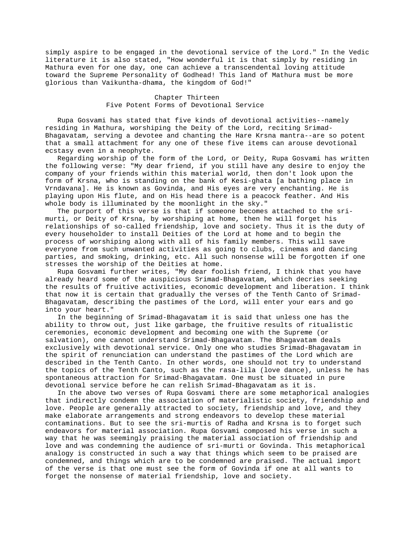simply aspire to be engaged in the devotional service of the Lord." In the Vedic literature it is also stated, "How wonderful it is that simply by residing in Mathura even for one day, one can achieve a transcendental loving attitude toward the Supreme Personality of Godhead! This land of Mathura must be more glorious than Vaikuntha-dhama, the kingdom of God!"

> Chapter Thirteen Five Potent Forms of Devotional Service

 Rupa Gosvami has stated that five kinds of devotional activities--namely residing in Mathura, worshiping the Deity of the Lord, reciting Srimad-Bhagavatam, serving a devotee and chanting the Hare Krsna mantra--are so potent that a small attachment for any one of these five items can arouse devotional ecstasy even in a neophyte.

 Regarding worship of the form of the Lord, or Deity, Rupa Gosvami has written the following verse: "My dear friend, if you still have any desire to enjoy the company of your friends within this material world, then don't look upon the form of Krsna, who is standing on the bank of Kesi-ghata [a bathing place in Vrndavana]. He is known as Govinda, and His eyes are very enchanting. He is playing upon His flute, and on His head there is a peacock feather. And His whole body is illuminated by the moonlight in the sky."

 The purport of this verse is that if someone becomes attached to the srimurti, or Deity of Krsna, by worshiping at home, then he will forget his relationships of so-called friendship, love and society. Thus it is the duty of every householder to install Deities of the Lord at home and to begin the process of worshiping along with all of his family members. This will save everyone from such unwanted activities as going to clubs, cinemas and dancing parties, and smoking, drinking, etc. All such nonsense will be forgotten if one stresses the worship of the Deities at home.

 Rupa Gosvami further writes, "My dear foolish friend, I think that you have already heard some of the auspicious Srimad-Bhagavatam, which decries seeking the results of fruitive activities, economic development and liberation. I think that now it is certain that gradually the verses of the Tenth Canto of Srimad-Bhagavatam, describing the pastimes of the Lord, will enter your ears and go into your heart."

 In the beginning of Srimad-Bhagavatam it is said that unless one has the ability to throw out, just like garbage, the fruitive results of ritualistic ceremonies, economic development and becoming one with the Supreme (or salvation), one cannot understand Srimad-Bhagavatam. The Bhagavatam deals exclusively with devotional service. Only one who studies Srimad-Bhagavatam in the spirit of renunciation can understand the pastimes of the Lord which are described in the Tenth Canto. In other words, one should not try to understand the topics of the Tenth Canto, such as the rasa-lila (love dance), unless he has spontaneous attraction for Srimad-Bhagavatam. One must be situated in pure devotional service before he can relish Srimad-Bhagavatam as it is.

 In the above two verses of Rupa Gosvami there are some metaphorical analogies that indirectly condemn the association of materialistic society, friendship and love. People are generally attracted to society, friendship and love, and they make elaborate arrangements and strong endeavors to develop these material contaminations. But to see the sri-murtis of Radha and Krsna is to forget such endeavors for material association. Rupa Gosvami composed his verse in such a way that he was seemingly praising the material association of friendship and love and was condemning the audience of sri-murti or Govinda. This metaphorical analogy is constructed in such a way that things which seem to be praised are condemned, and things which are to be condemned are praised. The actual import of the verse is that one must see the form of Govinda if one at all wants to forget the nonsense of material friendship, love and society.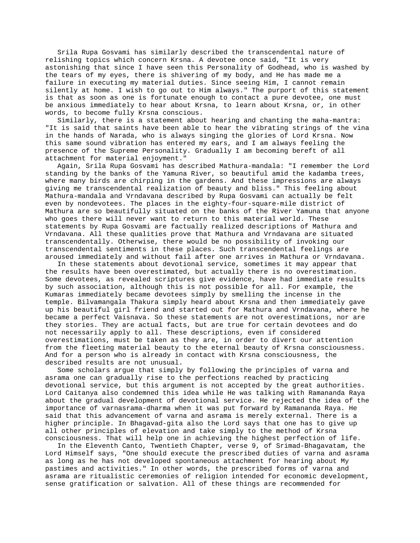Srila Rupa Gosvami has similarly described the transcendental nature of relishing topics which concern Krsna. A devotee once said, "It is very astonishing that since I have seen this Personality of Godhead, who is washed by the tears of my eyes, there is shivering of my body, and He has made me a failure in executing my material duties. Since seeing Him, I cannot remain silently at home. I wish to go out to Him always." The purport of this statement is that as soon as one is fortunate enough to contact a pure devotee, one must be anxious immediately to hear about Krsna, to learn about Krsna, or, in other words, to become fully Krsna conscious.

 Similarly, there is a statement about hearing and chanting the maha-mantra: "It is said that saints have been able to hear the vibrating strings of the vina in the hands of Narada, who is always singing the glories of Lord Krsna. Now this same sound vibration has entered my ears, and I am always feeling the presence of the Supreme Personality. Gradually I am becoming bereft of all attachment for material enjoyment."

 Again, Srila Rupa Gosvami has described Mathura-mandala: "I remember the Lord standing by the banks of the Yamuna River, so beautiful amid the kadamba trees, where many birds are chirping in the gardens. And these impressions are always giving me transcendental realization of beauty and bliss." This feeling about Mathura-mandala and Vrndavana described by Rupa Gosvami can actually be felt even by nondevotees. The places in the eighty-four-square-mile district of Mathura are so beautifully situated on the banks of the River Yamuna that anyone who goes there will never want to return to this material world. These statements by Rupa Gosvami are factually realized descriptions of Mathura and Vrndavana. All these qualities prove that Mathura and Vrndavana are situated transcendentally. Otherwise, there would be no possibility of invoking our transcendental sentiments in these places. Such transcendental feelings are aroused immediately and without fail after one arrives in Mathura or Vrndavana.

 In these statements about devotional service, sometimes it may appear that the results have been overestimated, but actually there is no overestimation. Some devotees, as revealed scriptures give evidence, have had immediate results by such association, although this is not possible for all. For example, the Kumaras immediately became devotees simply by smelling the incense in the temple. Bilvamangala Thakura simply heard about Krsna and then immediately gave up his beautiful girl friend and started out for Mathura and Vrndavana, where he became a perfect Vaisnava. So these statements are not overestimations, nor are they stories. They are actual facts, but are true for certain devotees and do not necessarily apply to all. These descriptions, even if considered overestimations, must be taken as they are, in order to divert our attention from the fleeting material beauty to the eternal beauty of Krsna consciousness. And for a person who is already in contact with Krsna consciousness, the described results are not unusual.

 Some scholars argue that simply by following the principles of varna and asrama one can gradually rise to the perfections reached by practicing devotional service, but this argument is not accepted by the great authorities. Lord Caitanya also condemned this idea while He was talking with Ramananda Raya about the gradual development of devotional service. He rejected the idea of the importance of varnasrama-dharma when it was put forward by Ramananda Raya. He said that this advancement of varna and asrama is merely external. There is a higher principle. In Bhagavad-gita also the Lord says that one has to give up all other principles of elevation and take simply to the method of Krsna consciousness. That will help one in achieving the highest perfection of life.

 In the Eleventh Canto, Twentieth Chapter, verse 9, of Srimad-Bhagavatam, the Lord Himself says, "One should execute the prescribed duties of varna and asrama as long as he has not developed spontaneous attachment for hearing about My pastimes and activities." In other words, the prescribed forms of varna and asrama are ritualistic ceremonies of religion intended for economic development, sense gratification or salvation. All of these things are recommended for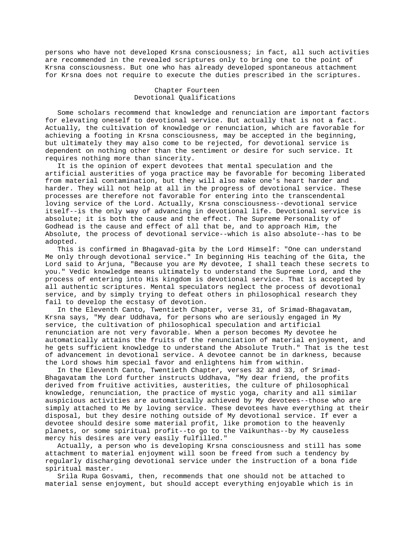persons who have not developed Krsna consciousness; in fact, all such activities are recommended in the revealed scriptures only to bring one to the point of Krsna consciousness. But one who has already developed spontaneous attachment for Krsna does not require to execute the duties prescribed in the scriptures.

# Chapter Fourteen Devotional Qualifications

 Some scholars recommend that knowledge and renunciation are important factors for elevating oneself to devotional service. But actually that is not a fact. Actually, the cultivation of knowledge or renunciation, which are favorable for achieving a footing in Krsna consciousness, may be accepted in the beginning, but ultimately they may also come to be rejected, for devotional service is dependent on nothing other than the sentiment or desire for such service. It requires nothing more than sincerity.

 It is the opinion of expert devotees that mental speculation and the artificial austerities of yoga practice may be favorable for becoming liberated from material contamination, but they will also make one's heart harder and harder. They will not help at all in the progress of devotional service. These processes are therefore not favorable for entering into the transcendental loving service of the Lord. Actually, Krsna consciousness--devotional service itself--is the only way of advancing in devotional life. Devotional service is absolute; it is both the cause and the effect. The Supreme Personality of Godhead is the cause and effect of all that be, and to approach Him, the Absolute, the process of devotional service--which is also absolute--has to be adopted.

 This is confirmed in Bhagavad-gita by the Lord Himself: "One can understand Me only through devotional service." In beginning His teaching of the Gita, the Lord said to Arjuna, "Because you are My devotee, I shall teach these secrets to you." Vedic knowledge means ultimately to understand the Supreme Lord, and the process of entering into His kingdom is devotional service. That is accepted by all authentic scriptures. Mental speculators neglect the process of devotional service, and by simply trying to defeat others in philosophical research they fail to develop the ecstasy of devotion.

 In the Eleventh Canto, Twentieth Chapter, verse 31, of Srimad-Bhagavatam, Krsna says, "My dear Uddhava, for persons who are seriously engaged in My service, the cultivation of philosophical speculation and artificial renunciation are not very favorable. When a person becomes My devotee he automatically attains the fruits of the renunciation of material enjoyment, and he gets sufficient knowledge to understand the Absolute Truth." That is the test of advancement in devotional service. A devotee cannot be in darkness, because the Lord shows him special favor and enlightens him from within.

 In the Eleventh Canto, Twentieth Chapter, verses 32 and 33, of Srimad-Bhagavatam the Lord further instructs Uddhava, "My dear friend, the profits derived from fruitive activities, austerities, the culture of philosophical knowledge, renunciation, the practice of mystic yoga, charity and all similar auspicious activities are automatically achieved by My devotees--those who are simply attached to Me by loving service. These devotees have everything at their disposal, but they desire nothing outside of My devotional service. If ever a devotee should desire some material profit, like promotion to the heavenly planets, or some spiritual profit--to go to the Vaikunthas--by My causeless mercy his desires are very easily fulfilled."

 Actually, a person who is developing Krsna consciousness and still has some attachment to material enjoyment will soon be freed from such a tendency by regularly discharging devotional service under the instruction of a bona fide spiritual master.

 Srila Rupa Gosvami, then, recommends that one should not be attached to material sense enjoyment, but should accept everything enjoyable which is in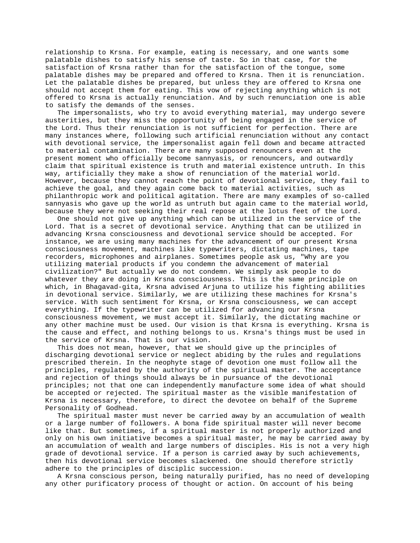relationship to Krsna. For example, eating is necessary, and one wants some palatable dishes to satisfy his sense of taste. So in that case, for the satisfaction of Krsna rather than for the satisfaction of the tongue, some palatable dishes may be prepared and offered to Krsna. Then it is renunciation. Let the palatable dishes be prepared, but unless they are offered to Krsna one should not accept them for eating. This vow of rejecting anything which is not offered to Krsna is actually renunciation. And by such renunciation one is able to satisfy the demands of the senses.

 The impersonalists, who try to avoid everything material, may undergo severe austerities, but they miss the opportunity of being engaged in the service of the Lord. Thus their renunciation is not sufficient for perfection. There are many instances where, following such artificial renunciation without any contact with devotional service, the impersonalist again fell down and became attracted to material contamination. There are many supposed renouncers even at the present moment who officially become sannyasis, or renouncers, and outwardly claim that spiritual existence is truth and material existence untruth. In this way, artificially they make a show of renunciation of the material world. However, because they cannot reach the point of devotional service, they fail to achieve the goal, and they again come back to material activities, such as philanthropic work and political agitation. There are many examples of so-called sannyasis who gave up the world as untruth but again came to the material world, because they were not seeking their real repose at the lotus feet of the Lord.

 One should not give up anything which can be utilized in the service of the Lord. That is a secret of devotional service. Anything that can be utilized in advancing Krsna consciousness and devotional service should be accepted. For instance, we are using many machines for the advancement of our present Krsna consciousness movement, machines like typewriters, dictating machines, tape recorders, microphones and airplanes. Sometimes people ask us, "Why are you utilizing material products if you condemn the advancement of material civilization?" But actually we do not condemn. We simply ask people to do whatever they are doing in Krsna consciousness. This is the same principle on which, in Bhagavad-gita, Krsna advised Arjuna to utilize his fighting abilities in devotional service. Similarly, we are utilizing these machines for Krsna's service. With such sentiment for Krsna, or Krsna consciousness, we can accept everything. If the typewriter can be utilized for advancing our Krsna consciousness movement, we must accept it. Similarly, the dictating machine or any other machine must be used. Our vision is that Krsna is everything. Krsna is the cause and effect, and nothing belongs to us. Krsna's things must be used in the service of Krsna. That is our vision.

 This does not mean, however, that we should give up the principles of discharging devotional service or neglect abiding by the rules and regulations prescribed therein. In the neophyte stage of devotion one must follow all the principles, regulated by the authority of the spiritual master. The acceptance and rejection of things should always be in pursuance of the devotional principles; not that one can independently manufacture some idea of what should be accepted or rejected. The spiritual master as the visible manifestation of Krsna is necessary, therefore, to direct the devotee on behalf of the Supreme Personality of Godhead.

 The spiritual master must never be carried away by an accumulation of wealth or a large number of followers. A bona fide spiritual master will never become like that. But sometimes, if a spiritual master is not properly authorized and only on his own initiative becomes a spiritual master, he may be carried away by an accumulation of wealth and large numbers of disciples. His is not a very high grade of devotional service. If a person is carried away by such achievements, then his devotional service becomes slackened. One should therefore strictly adhere to the principles of disciplic succession.

 A Krsna conscious person, being naturally purified, has no need of developing any other purificatory process of thought or action. On account of his being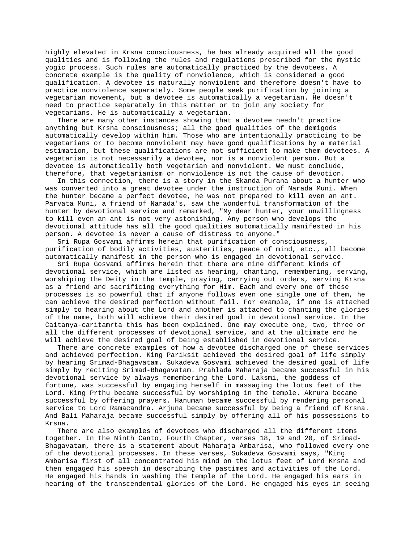highly elevated in Krsna consciousness, he has already acquired all the good qualities and is following the rules and regulations prescribed for the mystic yogic process. Such rules are automatically practiced by the devotees. A concrete example is the quality of nonviolence, which is considered a good qualification. A devotee is naturally nonviolent and therefore doesn't have to practice nonviolence separately. Some people seek purification by joining a vegetarian movement, but a devotee is automatically a vegetarian. He doesn't need to practice separately in this matter or to join any society for vegetarians. He is automatically a vegetarian.

 There are many other instances showing that a devotee needn't practice anything but Krsna consciousness; all the good qualities of the demigods automatically develop within him. Those who are intentionally practicing to be vegetarians or to become nonviolent may have good qualifications by a material estimation, but these qualifications are not sufficient to make them devotees. A vegetarian is not necessarily a devotee, nor is a nonviolent person. But a devotee is automatically both vegetarian and nonviolent. We must conclude, therefore, that vegetarianism or nonviolence is not the cause of devotion.

 In this connection, there is a story in the Skanda Purana about a hunter who was converted into a great devotee under the instruction of Narada Muni. When the hunter became a perfect devotee, he was not prepared to kill even an ant. Parvata Muni, a friend of Narada's, saw the wonderful transformation of the hunter by devotional service and remarked, "My dear hunter, your unwillingness to kill even an ant is not very astonishing. Any person who develops the devotional attitude has all the good qualities automatically manifested in his person. A devotee is never a cause of distress to anyone."

 Sri Rupa Gosvami affirms herein that purification of consciousness, purification of bodily activities, austerities, peace of mind, etc., all become automatically manifest in the person who is engaged in devotional service.

 Sri Rupa Gosvami affirms herein that there are nine different kinds of devotional service, which are listed as hearing, chanting, remembering, serving, worshiping the Deity in the temple, praying, carrying out orders, serving Krsna as a friend and sacrificing everything for Him. Each and every one of these processes is so powerful that if anyone follows even one single one of them, he can achieve the desired perfection without fail. For example, if one is attached simply to hearing about the Lord and another is attached to chanting the glories of the name, both will achieve their desired goal in devotional service. In the Caitanya-caritamrta this has been explained. One may execute one, two, three or all the different processes of devotional service, and at the ultimate end he will achieve the desired goal of being established in devotional service.

 There are concrete examples of how a devotee discharged one of these services and achieved perfection. King Pariksit achieved the desired goal of life simply by hearing Srimad-Bhagavatam. Sukadeva Gosvami achieved the desired goal of life simply by reciting Srimad-Bhagavatam. Prahlada Maharaja became successful in his devotional service by always remembering the Lord. Laksmi, the goddess of fortune, was successful by engaging herself in massaging the lotus feet of the Lord. King Prthu became successful by worshiping in the temple. Akrura became successful by offering prayers. Hanuman became successful by rendering personal service to Lord Ramacandra. Arjuna became successful by being a friend of Krsna. And Bali Maharaja became successful simply by offering all of his possessions to Krsna.

 There are also examples of devotees who discharged all the different items together. In the Ninth Canto, Fourth Chapter, verses 18, 19 and 20, of Srimad-Bhagavatam, there is a statement about Maharaja Ambarisa, who followed every one of the devotional processes. In these verses, Sukadeva Gosvami says, "King Ambarisa first of all concentrated his mind on the lotus feet of Lord Krsna and then engaged his speech in describing the pastimes and activities of the Lord. He engaged his hands in washing the temple of the Lord. He engaged his ears in hearing of the transcendental glories of the Lord. He engaged his eyes in seeing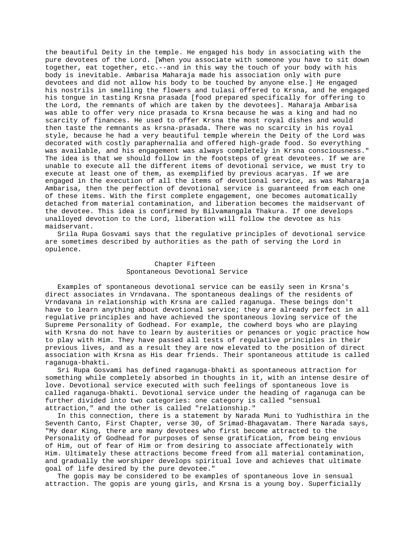the beautiful Deity in the temple. He engaged his body in associating with the pure devotees of the Lord. [When you associate with someone you have to sit down together, eat together, etc.--and in this way the touch of your body with his body is inevitable. Ambarisa Maharaja made his association only with pure devotees and did not allow his body to be touched by anyone else.] He engaged his nostrils in smelling the flowers and tulasi offered to Krsna, and he engaged his tongue in tasting Krsna prasada [food prepared specifically for offering to the Lord, the remnants of which are taken by the devotees]. Maharaja Ambarisa was able to offer very nice prasada to Krsna because he was a king and had no scarcity of finances. He used to offer Krsna the most royal dishes and would then taste the remnants as krsna-prasada. There was no scarcity in his royal style, because he had a very beautiful temple wherein the Deity of the Lord was decorated with costly paraphernalia and offered high-grade food. So everything was available, and his engagement was always completely in Krsna consciousness." The idea is that we should follow in the footsteps of great devotees. If we are unable to execute all the different items of devotional service, we must try to execute at least one of them, as exemplified by previous acaryas. If we are engaged in the execution of all the items of devotional service, as was Maharaja Ambarisa, then the perfection of devotional service is guaranteed from each one of these items. With the first complete engagement, one becomes automatically detached from material contamination, and liberation becomes the maidservant of the devotee. This idea is confirmed by Bilvamangala Thakura. If one develops unalloyed devotion to the Lord, liberation will follow the devotee as his maidservant.

 Srila Rupa Gosvami says that the regulative principles of devotional service are sometimes described by authorities as the path of serving the Lord in opulence.

# Chapter Fifteen Spontaneous Devotional Service

 Examples of spontaneous devotional service can be easily seen in Krsna's direct associates in Vrndavana. The spontaneous dealings of the residents of Vrndavana in relationship with Krsna are called raganuga. These beings don't have to learn anything about devotional service; they are already perfect in all regulative principles and have achieved the spontaneous loving service of the Supreme Personality of Godhead. For example, the cowherd boys who are playing with Krsna do not have to learn by austerities or penances or yogic practice how to play with Him. They have passed all tests of regulative principles in their previous lives, and as a result they are now elevated to the position of direct association with Krsna as His dear friends. Their spontaneous attitude is called raganuga-bhakti.

 Sri Rupa Gosvami has defined raganuga-bhakti as spontaneous attraction for something while completely absorbed in thoughts in it, with an intense desire of love. Devotional service executed with such feelings of spontaneous love is called raganuga-bhakti. Devotional service under the heading of raganuga can be further divided into two categories: one category is called "sensual attraction," and the other is called "relationship."

 In this connection, there is a statement by Narada Muni to Yudhisthira in the Seventh Canto, First Chapter, verse 30, of Srimad-Bhagavatam. There Narada says, "My dear King, there are many devotees who first become attracted to the Personality of Godhead for purposes of sense gratification, from being envious of Him, out of fear of Him or from desiring to associate affectionately with Him. Ultimately these attractions become freed from all material contamination, and gradually the worshiper develops spiritual love and achieves that ultimate goal of life desired by the pure devotee."

 The gopis may be considered to be examples of spontaneous love in sensual attraction. The gopis are young girls, and Krsna is a young boy. Superficially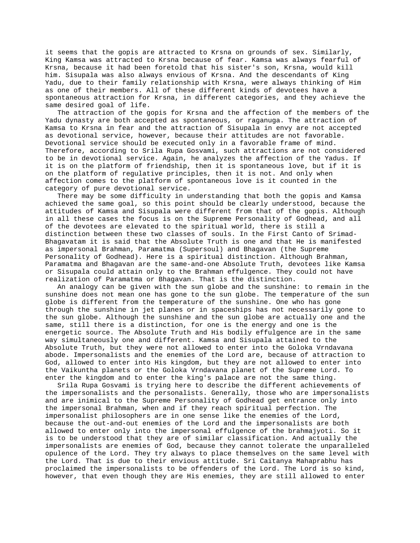it seems that the gopis are attracted to Krsna on grounds of sex. Similarly, King Kamsa was attracted to Krsna because of fear. Kamsa was always fearful of Krsna, because it had been foretold that his sister's son, Krsna, would kill him. Sisupala was also always envious of Krsna. And the descendants of King Yadu, due to their family relationship with Krsna, were always thinking of Him as one of their members. All of these different kinds of devotees have a spontaneous attraction for Krsna, in different categories, and they achieve the same desired goal of life.

 The attraction of the gopis for Krsna and the affection of the members of the Yadu dynasty are both accepted as spontaneous, or raganuga. The attraction of Kamsa to Krsna in fear and the attraction of Sisupala in envy are not accepted as devotional service, however, because their attitudes are not favorable. Devotional service should be executed only in a favorable frame of mind. Therefore, according to Srila Rupa Gosvami, such attractions are not considered to be in devotional service. Again, he analyzes the affection of the Yadus. If it is on the platform of friendship, then it is spontaneous love, but if it is on the platform of regulative principles, then it is not. And only when affection comes to the platform of spontaneous love is it counted in the category of pure devotional service.

 There may be some difficulty in understanding that both the gopis and Kamsa achieved the same goal, so this point should be clearly understood, because the attitudes of Kamsa and Sisupala were different from that of the gopis. Although in all these cases the focus is on the Supreme Personality of Godhead, and all of the devotees are elevated to the spiritual world, there is still a distinction between these two classes of souls. In the First Canto of Srimad-Bhagavatam it is said that the Absolute Truth is one and that He is manifested as impersonal Brahman, Paramatma (Supersoul) and Bhagavan (the Supreme Personality of Godhead). Here is a spiritual distinction. Although Brahman, Paramatma and Bhagavan are the same-and-one Absolute Truth, devotees like Kamsa or Sisupala could attain only to the Brahman effulgence. They could not have realization of Paramatma or Bhagavan. That is the distinction.

 An analogy can be given with the sun globe and the sunshine: to remain in the sunshine does not mean one has gone to the sun globe. The temperature of the sun globe is different from the temperature of the sunshine. One who has gone through the sunshine in jet planes or in spaceships has not necessarily gone to the sun globe. Although the sunshine and the sun globe are actually one and the same, still there is a distinction, for one is the energy and one is the energetic source. The Absolute Truth and His bodily effulgence are in the same way simultaneously one and different. Kamsa and Sisupala attained to the Absolute Truth, but they were not allowed to enter into the Goloka Vrndavana abode. Impersonalists and the enemies of the Lord are, because of attraction to God, allowed to enter into His kingdom, but they are not allowed to enter into the Vaikuntha planets or the Goloka Vrndavana planet of the Supreme Lord. To enter the kingdom and to enter the king's palace are not the same thing.

 Srila Rupa Gosvami is trying here to describe the different achievements of the impersonalists and the personalists. Generally, those who are impersonalists and are inimical to the Supreme Personality of Godhead get entrance only into the impersonal Brahman, when and if they reach spiritual perfection. The impersonalist philosophers are in one sense like the enemies of the Lord, because the out-and-out enemies of the Lord and the impersonalists are both allowed to enter only into the impersonal effulgence of the brahmajyoti. So it is to be understood that they are of similar classification. And actually the impersonalists are enemies of God, because they cannot tolerate the unparalleled opulence of the Lord. They try always to place themselves on the same level with the Lord. That is due to their envious attitude. Sri Caitanya Mahaprabhu has proclaimed the impersonalists to be offenders of the Lord. The Lord is so kind, however, that even though they are His enemies, they are still allowed to enter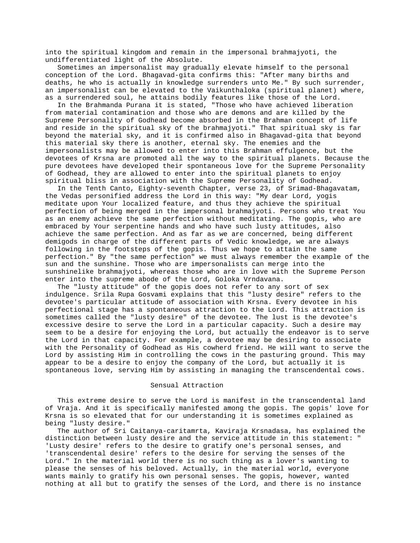into the spiritual kingdom and remain in the impersonal brahmajyoti, the undifferentiated light of the Absolute.

 Sometimes an impersonalist may gradually elevate himself to the personal conception of the Lord. Bhagavad-gita confirms this: "After many births and deaths, he who is actually in knowledge surrenders unto Me." By such surrender, an impersonalist can be elevated to the Vaikunthaloka (spiritual planet) where, as a surrendered soul, he attains bodily features like those of the Lord.

 In the Brahmanda Purana it is stated, "Those who have achieved liberation from material contamination and those who are demons and are killed by the Supreme Personality of Godhead become absorbed in the Brahman concept of life and reside in the spiritual sky of the brahmajyoti." That spiritual sky is far beyond the material sky, and it is confirmed also in Bhagavad-gita that beyond this material sky there is another, eternal sky. The enemies and the impersonalists may be allowed to enter into this Brahman effulgence, but the devotees of Krsna are promoted all the way to the spiritual planets. Because the pure devotees have developed their spontaneous love for the Supreme Personality of Godhead, they are allowed to enter into the spiritual planets to enjoy spiritual bliss in association with the Supreme Personality of Godhead.

 In the Tenth Canto, Eighty-seventh Chapter, verse 23, of Srimad-Bhagavatam, the Vedas personified address the Lord in this way: "My dear Lord, yogis meditate upon Your localized feature, and thus they achieve the spiritual perfection of being merged in the impersonal brahmajyoti. Persons who treat You as an enemy achieve the same perfection without meditating. The gopis, who are embraced by Your serpentine hands and who have such lusty attitudes, also achieve the same perfection. And as far as we are concerned, being different demigods in charge of the different parts of Vedic knowledge, we are always following in the footsteps of the gopis. Thus we hope to attain the same perfection." By "the same perfection" we must always remember the example of the sun and the sunshine. Those who are impersonalists can merge into the sunshinelike brahmajyoti, whereas those who are in love with the Supreme Person enter into the supreme abode of the Lord, Goloka Vrndavana.

 The "lusty attitude" of the gopis does not refer to any sort of sex indulgence. Srila Rupa Gosvami explains that this "lusty desire" refers to the devotee's particular attitude of association with Krsna. Every devotee in his perfectional stage has a spontaneous attraction to the Lord. This attraction is sometimes called the "lusty desire" of the devotee. The lust is the devotee's excessive desire to serve the Lord in a particular capacity. Such a desire may seem to be a desire for enjoying the Lord, but actually the endeavor is to serve the Lord in that capacity. For example, a devotee may be desiring to associate with the Personality of Godhead as His cowherd friend. He will want to serve the Lord by assisting Him in controlling the cows in the pasturing ground. This may appear to be a desire to enjoy the company of the Lord, but actually it is spontaneous love, serving Him by assisting in managing the transcendental cows.

# Sensual Attraction

 This extreme desire to serve the Lord is manifest in the transcendental land of Vraja. And it is specifically manifested among the gopis. The gopis' love for Krsna is so elevated that for our understanding it is sometimes explained as being "lusty desire."

 The author of Sri Caitanya-caritamrta, Kaviraja Krsnadasa, has explained the distinction between lusty desire and the service attitude in this statement: " 'Lusty desire' refers to the desire to gratify one's personal senses, and 'transcendental desire' refers to the desire for serving the senses of the Lord." In the material world there is no such thing as a lover's wanting to please the senses of his beloved. Actually, in the material world, everyone wants mainly to gratify his own personal senses. The gopis, however, wanted nothing at all but to gratify the senses of the Lord, and there is no instance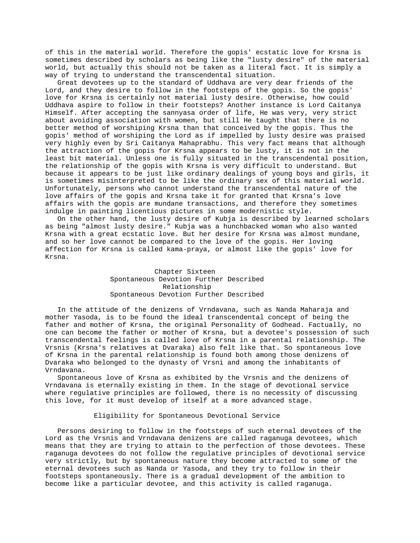of this in the material world. Therefore the gopis' ecstatic love for Krsna is sometimes described by scholars as being like the "lusty desire" of the material world, but actually this should not be taken as a literal fact. It is simply a way of trying to understand the transcendental situation.

 Great devotees up to the standard of Uddhava are very dear friends of the Lord, and they desire to follow in the footsteps of the gopis. So the gopis' love for Krsna is certainly not material lusty desire. Otherwise, how could Uddhava aspire to follow in their footsteps? Another instance is Lord Caitanya Himself. After accepting the sannyasa order of life, He was very, very strict about avoiding association with women, but still He taught that there is no better method of worshiping Krsna than that conceived by the gopis. Thus the gopis' method of worshiping the Lord as if impelled by lusty desire was praised very highly even by Sri Caitanya Mahaprabhu. This very fact means that although the attraction of the gopis for Krsna appears to be lusty, it is not in the least bit material. Unless one is fully situated in the transcendental position, the relationship of the gopis with Krsna is very difficult to understand. But because it appears to be just like ordinary dealings of young boys and girls, it is sometimes misinterpreted to be like the ordinary sex of this material world. Unfortunately, persons who cannot understand the transcendental nature of the love affairs of the gopis and Krsna take it for granted that Krsna's love affairs with the gopis are mundane transactions, and therefore they sometimes indulge in painting licentious pictures in some modernistic style.

 On the other hand, the lusty desire of Kubja is described by learned scholars as being "almost lusty desire." Kubja was a hunchbacked woman who also wanted Krsna with a great ecstatic love. But her desire for Krsna was almost mundane, and so her love cannot be compared to the love of the gopis. Her loving affection for Krsna is called kama-praya, or almost like the gopis' love for Krsna.

# Chapter Sixteen Spontaneous Devotion Further Described Relationship Spontaneous Devotion Further Described

 In the attitude of the denizens of Vrndavana, such as Nanda Maharaja and mother Yasoda, is to be found the ideal transcendental concept of being the father and mother of Krsna, the original Personality of Godhead. Factually, no one can become the father or mother of Krsna, but a devotee's possession of such transcendental feelings is called love of Krsna in a parental relationship. The Vrsnis (Krsna's relatives at Dvaraka) also felt like that. So spontaneous love of Krsna in the parental relationship is found both among those denizens of Dvaraka who belonged to the dynasty of Vrsni and among the inhabitants of Vrndavana.

 Spontaneous love of Krsna as exhibited by the Vrsnis and the denizens of Vrndavana is eternally existing in them. In the stage of devotional service where regulative principles are followed, there is no necessity of discussing this love, for it must develop of itself at a more advanced stage.

#### Eligibility for Spontaneous Devotional Service

 Persons desiring to follow in the footsteps of such eternal devotees of the Lord as the Vrsnis and Vrndavana denizens are called raganuga devotees, which means that they are trying to attain to the perfection of those devotees. These raganuga devotees do not follow the regulative principles of devotional service very strictly, but by spontaneous nature they become attracted to some of the eternal devotees such as Nanda or Yasoda, and they try to follow in their footsteps spontaneously. There is a gradual development of the ambition to become like a particular devotee, and this activity is called raganuga.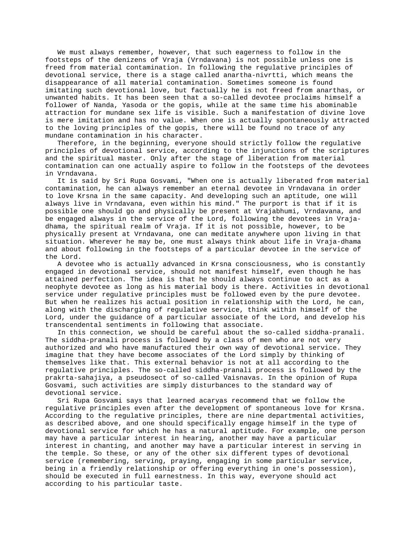We must always remember, however, that such eagerness to follow in the footsteps of the denizens of Vraja (Vrndavana) is not possible unless one is freed from material contamination. In following the regulative principles of devotional service, there is a stage called anartha-nivrtti, which means the disappearance of all material contamination. Sometimes someone is found imitating such devotional love, but factually he is not freed from anarthas, or unwanted habits. It has been seen that a so-called devotee proclaims himself a follower of Nanda, Yasoda or the gopis, while at the same time his abominable attraction for mundane sex life is visible. Such a manifestation of divine love is mere imitation and has no value. When one is actually spontaneously attracted to the loving principles of the gopis, there will be found no trace of any mundane contamination in his character.

 Therefore, in the beginning, everyone should strictly follow the regulative principles of devotional service, according to the injunctions of the scriptures and the spiritual master. Only after the stage of liberation from material contamination can one actually aspire to follow in the footsteps of the devotees in Vrndavana.

 It is said by Sri Rupa Gosvami, "When one is actually liberated from material contamination, he can always remember an eternal devotee in Vrndavana in order to love Krsna in the same capacity. And developing such an aptitude, one will always live in Vrndavana, even within his mind." The purport is that if it is possible one should go and physically be present at Vrajabhumi, Vrndavana, and be engaged always in the service of the Lord, following the devotees in Vrajadhama, the spiritual realm of Vraja. If it is not possible, however, to be physically present at Vrndavana, one can meditate anywhere upon living in that situation. Wherever he may be, one must always think about life in Vraja-dhama and about following in the footsteps of a particular devotee in the service of the Lord.

 A devotee who is actually advanced in Krsna consciousness, who is constantly engaged in devotional service, should not manifest himself, even though he has attained perfection. The idea is that he should always continue to act as a neophyte devotee as long as his material body is there. Activities in devotional service under regulative principles must be followed even by the pure devotee. But when he realizes his actual position in relationship with the Lord, he can, along with the discharging of regulative service, think within himself of the Lord, under the guidance of a particular associate of the Lord, and develop his transcendental sentiments in following that associate.

 In this connection, we should be careful about the so-called siddha-pranali. The siddha-pranali process is followed by a class of men who are not very authorized and who have manufactured their own way of devotional service. They imagine that they have become associates of the Lord simply by thinking of themselves like that. This external behavior is not at all according to the regulative principles. The so-called siddha-pranali process is followed by the prakrta-sahajiya, a pseudosect of so-called Vaisnavas. In the opinion of Rupa Gosvami, such activities are simply disturbances to the standard way of devotional service.

 Sri Rupa Gosvami says that learned acaryas recommend that we follow the regulative principles even after the development of spontaneous love for Krsna. According to the regulative principles, there are nine departmental activities, as described above, and one should specifically engage himself in the type of devotional service for which he has a natural aptitude. For example, one person may have a particular interest in hearing, another may have a particular interest in chanting, and another may have a particular interest in serving in the temple. So these, or any of the other six different types of devotional service (remembering, serving, praying, engaging in some particular service, being in a friendly relationship or offering everything in one's possession), should be executed in full earnestness. In this way, everyone should act according to his particular taste.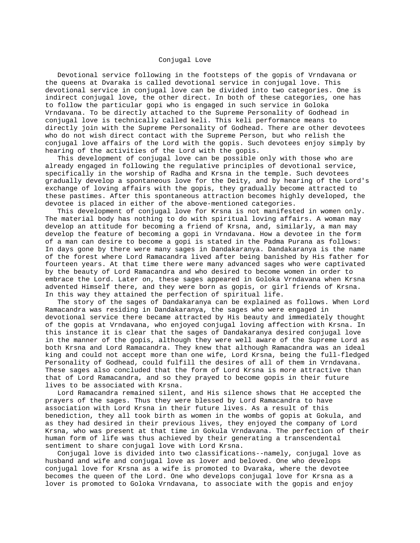### Conjugal Love

 Devotional service following in the footsteps of the gopis of Vrndavana or the queens at Dvaraka is called devotional service in conjugal love. This devotional service in conjugal love can be divided into two categories. One is indirect conjugal love, the other direct. In both of these categories, one has to follow the particular gopi who is engaged in such service in Goloka Vrndavana. To be directly attached to the Supreme Personality of Godhead in conjugal love is technically called keli. This keli performance means to directly join with the Supreme Personality of Godhead. There are other devotees who do not wish direct contact with the Supreme Person, but who relish the conjugal love affairs of the Lord with the gopis. Such devotees enjoy simply by hearing of the activities of the Lord with the gopis.

 This development of conjugal love can be possible only with those who are already engaged in following the regulative principles of devotional service, specifically in the worship of Radha and Krsna in the temple. Such devotees gradually develop a spontaneous love for the Deity, and by hearing of the Lord's exchange of loving affairs with the gopis, they gradually become attracted to these pastimes. After this spontaneous attraction becomes highly developed, the devotee is placed in either of the above-mentioned categories.

 This development of conjugal love for Krsna is not manifested in women only. The material body has nothing to do with spiritual loving affairs. A woman may develop an attitude for becoming a friend of Krsna, and, similarly, a man may develop the feature of becoming a gopi in Vrndavana. How a devotee in the form of a man can desire to become a gopi is stated in the Padma Purana as follows: In days gone by there were many sages in Dandakaranya. Dandakaranya is the name of the forest where Lord Ramacandra lived after being banished by His father for fourteen years. At that time there were many advanced sages who were captivated by the beauty of Lord Ramacandra and who desired to become women in order to embrace the Lord. Later on, these sages appeared in Goloka Vrndavana when Krsna advented Himself there, and they were born as gopis, or girl friends of Krsna. In this way they attained the perfection of spiritual life.

 The story of the sages of Dandakaranya can be explained as follows. When Lord Ramacandra was residing in Dandakaranya, the sages who were engaged in devotional service there became attracted by His beauty and immediately thought of the gopis at Vrndavana, who enjoyed conjugal loving affection with Krsna. In this instance it is clear that the sages of Dandakaranya desired conjugal love in the manner of the gopis, although they were well aware of the Supreme Lord as both Krsna and Lord Ramacandra. They knew that although Ramacandra was an ideal king and could not accept more than one wife, Lord Krsna, being the full-fledged Personality of Godhead, could fulfill the desires of all of them in Vrndavana. These sages also concluded that the form of Lord Krsna is more attractive than that of Lord Ramacandra, and so they prayed to become gopis in their future lives to be associated with Krsna.

 Lord Ramacandra remained silent, and His silence shows that He accepted the prayers of the sages. Thus they were blessed by Lord Ramacandra to have association with Lord Krsna in their future lives. As a result of this benediction, they all took birth as women in the wombs of gopis at Gokula, and as they had desired in their previous lives, they enjoyed the company of Lord Krsna, who was present at that time in Gokula Vrndavana. The perfection of their human form of life was thus achieved by their generating a transcendental sentiment to share conjugal love with Lord Krsna.

 Conjugal love is divided into two classifications--namely, conjugal love as husband and wife and conjugal love as lover and beloved. One who develops conjugal love for Krsna as a wife is promoted to Dvaraka, where the devotee becomes the queen of the Lord. One who develops conjugal love for Krsna as a lover is promoted to Goloka Vrndavana, to associate with the gopis and enjoy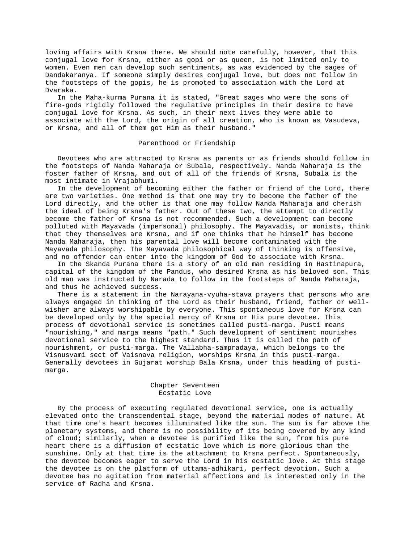loving affairs with Krsna there. We should note carefully, however, that this conjugal love for Krsna, either as gopi or as queen, is not limited only to women. Even men can develop such sentiments, as was evidenced by the sages of Dandakaranya. If someone simply desires conjugal love, but does not follow in the footsteps of the gopis, he is promoted to association with the Lord at Dvaraka.

 In the Maha-kurma Purana it is stated, "Great sages who were the sons of fire-gods rigidly followed the regulative principles in their desire to have conjugal love for Krsna. As such, in their next lives they were able to associate with the Lord, the origin of all creation, who is known as Vasudeva, or Krsna, and all of them got Him as their husband."

## Parenthood or Friendship

 Devotees who are attracted to Krsna as parents or as friends should follow in the footsteps of Nanda Maharaja or Subala, respectively. Nanda Maharaja is the foster father of Krsna, and out of all of the friends of Krsna, Subala is the most intimate in Vrajabhumi.

 In the development of becoming either the father or friend of the Lord, there are two varieties. One method is that one may try to become the father of the Lord directly, and the other is that one may follow Nanda Maharaja and cherish the ideal of being Krsna's father. Out of these two, the attempt to directly become the father of Krsna is not recommended. Such a development can become polluted with Mayavada (impersonal) philosophy. The Mayavadis, or monists, think that they themselves are Krsna, and if one thinks that he himself has become Nanda Maharaja, then his parental love will become contaminated with the Mayavada philosophy. The Mayavada philosophical way of thinking is offensive, and no offender can enter into the kingdom of God to associate with Krsna.

 In the Skanda Purana there is a story of an old man residing in Hastinapura, capital of the kingdom of the Pandus, who desired Krsna as his beloved son. This old man was instructed by Narada to follow in the footsteps of Nanda Maharaja, and thus he achieved success.

 There is a statement in the Narayana-vyuha-stava prayers that persons who are always engaged in thinking of the Lord as their husband, friend, father or wellwisher are always worshipable by everyone. This spontaneous love for Krsna can be developed only by the special mercy of Krsna or His pure devotee. This process of devotional service is sometimes called pusti-marga. Pusti means "nourishing," and marga means "path." Such development of sentiment nourishes devotional service to the highest standard. Thus it is called the path of nourishment, or pusti-marga. The Vallabha-sampradaya, which belongs to the Visnusvami sect of Vaisnava religion, worships Krsna in this pusti-marga. Generally devotees in Gujarat worship Bala Krsna, under this heading of pustimarga.

> Chapter Seventeen Ecstatic Love

 By the process of executing regulated devotional service, one is actually elevated onto the transcendental stage, beyond the material modes of nature. At that time one's heart becomes illuminated like the sun. The sun is far above the planetary systems, and there is no possibility of its being covered by any kind of cloud; similarly, when a devotee is purified like the sun, from his pure heart there is a diffusion of ecstatic love which is more glorious than the sunshine. Only at that time is the attachment to Krsna perfect. Spontaneously, the devotee becomes eager to serve the Lord in his ecstatic love. At this stage the devotee is on the platform of uttama-adhikari, perfect devotion. Such a devotee has no agitation from material affections and is interested only in the service of Radha and Krsna.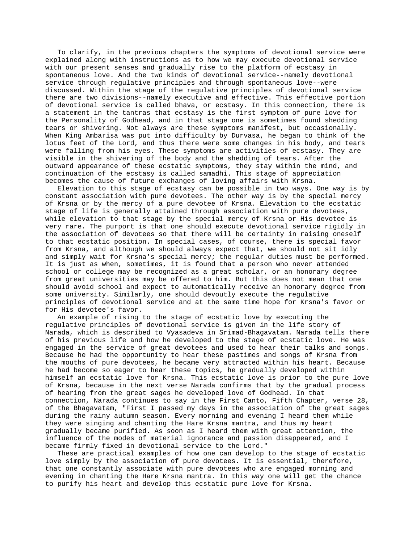To clarify, in the previous chapters the symptoms of devotional service were explained along with instructions as to how we may execute devotional service with our present senses and gradually rise to the platform of ecstasy in spontaneous love. And the two kinds of devotional service--namely devotional service through regulative principles and through spontaneous love--were discussed. Within the stage of the regulative principles of devotional service there are two divisions--namely executive and effective. This effective portion of devotional service is called bhava, or ecstasy. In this connection, there is a statement in the tantras that ecstasy is the first symptom of pure love for the Personality of Godhead, and in that stage one is sometimes found shedding tears or shivering. Not always are these symptoms manifest, but occasionally. When King Ambarisa was put into difficulty by Durvasa, he began to think of the lotus feet of the Lord, and thus there were some changes in his body, and tears were falling from his eyes. These symptoms are activities of ecstasy. They are visible in the shivering of the body and the shedding of tears. After the outward appearance of these ecstatic symptoms, they stay within the mind, and continuation of the ecstasy is called samadhi. This stage of appreciation becomes the cause of future exchanges of loving affairs with Krsna.

 Elevation to this stage of ecstasy can be possible in two ways. One way is by constant association with pure devotees. The other way is by the special mercy of Krsna or by the mercy of a pure devotee of Krsna. Elevation to the ecstatic stage of life is generally attained through association with pure devotees, while elevation to that stage by the special mercy of Krsna or His devotee is very rare. The purport is that one should execute devotional service rigidly in the association of devotees so that there will be certainty in raising oneself to that ecstatic position. In special cases, of course, there is special favor from Krsna, and although we should always expect that, we should not sit idly and simply wait for Krsna's special mercy; the regular duties must be performed. It is just as when, sometimes, it is found that a person who never attended school or college may be recognized as a great scholar, or an honorary degree from great universities may be offered to him. But this does not mean that one should avoid school and expect to automatically receive an honorary degree from some university. Similarly, one should devoutly execute the regulative principles of devotional service and at the same time hope for Krsna's favor or for His devotee's favor.

 An example of rising to the stage of ecstatic love by executing the regulative principles of devotional service is given in the life story of Narada, which is described to Vyasadeva in Srimad-Bhagavatam. Narada tells there of his previous life and how he developed to the stage of ecstatic love. He was engaged in the service of great devotees and used to hear their talks and songs. Because he had the opportunity to hear these pastimes and songs of Krsna from the mouths of pure devotees, he became very attracted within his heart. Because he had become so eager to hear these topics, he gradually developed within himself an ecstatic love for Krsna. This ecstatic love is prior to the pure love of Krsna, because in the next verse Narada confirms that by the gradual process of hearing from the great sages he developed love of Godhead. In that connection, Narada continues to say in the First Canto, Fifth Chapter, verse 28, of the Bhagavatam, "First I passed my days in the association of the great sages during the rainy autumn season. Every morning and evening I heard them while they were singing and chanting the Hare Krsna mantra, and thus my heart gradually became purified. As soon as I heard them with great attention, the influence of the modes of material ignorance and passion disappeared, and I became firmly fixed in devotional service to the Lord."

 These are practical examples of how one can develop to the stage of ecstatic love simply by the association of pure devotees. It is essential, therefore, that one constantly associate with pure devotees who are engaged morning and evening in chanting the Hare Krsna mantra. In this way one will get the chance to purify his heart and develop this ecstatic pure love for Krsna.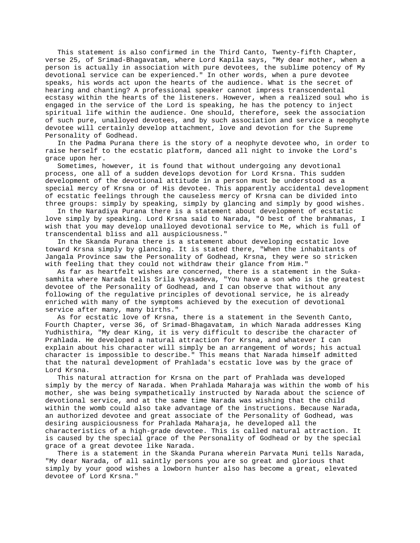This statement is also confirmed in the Third Canto, Twenty-fifth Chapter, verse 25, of Srimad-Bhagavatam, where Lord Kapila says, "My dear mother, when a person is actually in association with pure devotees, the sublime potency of My devotional service can be experienced." In other words, when a pure devotee speaks, his words act upon the hearts of the audience. What is the secret of hearing and chanting? A professional speaker cannot impress transcendental ecstasy within the hearts of the listeners. However, when a realized soul who is engaged in the service of the Lord is speaking, he has the potency to inject spiritual life within the audience. One should, therefore, seek the association of such pure, unalloyed devotees, and by such association and service a neophyte devotee will certainly develop attachment, love and devotion for the Supreme Personality of Godhead.

 In the Padma Purana there is the story of a neophyte devotee who, in order to raise herself to the ecstatic platform, danced all night to invoke the Lord's grace upon her.

 Sometimes, however, it is found that without undergoing any devotional process, one all of a sudden develops devotion for Lord Krsna. This sudden development of the devotional attitude in a person must be understood as a special mercy of Krsna or of His devotee. This apparently accidental development of ecstatic feelings through the causeless mercy of Krsna can be divided into three groups: simply by speaking, simply by glancing and simply by good wishes.

 In the Naradiya Purana there is a statement about development of ecstatic love simply by speaking. Lord Krsna said to Narada, "O best of the brahmanas, I wish that you may develop unalloyed devotional service to Me, which is full of transcendental bliss and all auspiciousness."

 In the Skanda Purana there is a statement about developing ecstatic love toward Krsna simply by glancing. It is stated there, "When the inhabitants of Jangala Province saw the Personality of Godhead, Krsna, they were so stricken with feeling that they could not withdraw their glance from Him."

 As far as heartfelt wishes are concerned, there is a statement in the Sukasamhita where Narada tells Srila Vyasadeva, "You have a son who is the greatest devotee of the Personality of Godhead, and I can observe that without any following of the regulative principles of devotional service, he is already enriched with many of the symptoms achieved by the execution of devotional service after many, many births."

 As for ecstatic love of Krsna, there is a statement in the Seventh Canto, Fourth Chapter, verse 36, of Srimad-Bhagavatam, in which Narada addresses King Yudhisthira, "My dear King, it is very difficult to describe the character of Prahlada. He developed a natural attraction for Krsna, and whatever I can explain about his character will simply be an arrangement of words; his actual character is impossible to describe." This means that Narada himself admitted that the natural development of Prahlada's ecstatic love was by the grace of Lord Krsna.

 This natural attraction for Krsna on the part of Prahlada was developed simply by the mercy of Narada. When Prahlada Maharaja was within the womb of his mother, she was being sympathetically instructed by Narada about the science of devotional service, and at the same time Narada was wishing that the child within the womb could also take advantage of the instructions. Because Narada, an authorized devotee and great associate of the Personality of Godhead, was desiring auspiciousness for Prahlada Maharaja, he developed all the characteristics of a high-grade devotee. This is called natural attraction. It is caused by the special grace of the Personality of Godhead or by the special grace of a great devotee like Narada.

 There is a statement in the Skanda Purana wherein Parvata Muni tells Narada, "My dear Narada, of all saintly persons you are so great and glorious that simply by your good wishes a lowborn hunter also has become a great, elevated devotee of Lord Krsna."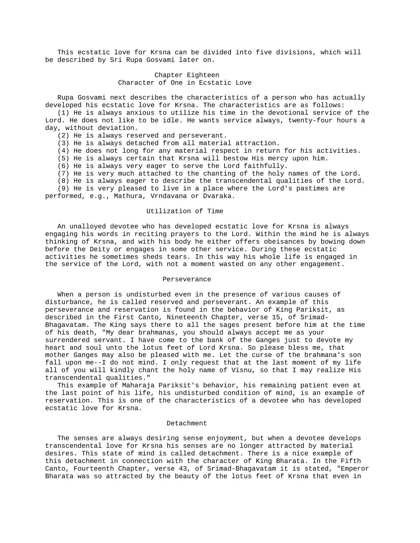This ecstatic love for Krsna can be divided into five divisions, which will be described by Sri Rupa Gosvami later on.

## Chapter Eighteen Character of One in Ecstatic Love

 Rupa Gosvami next describes the characteristics of a person who has actually developed his ecstatic love for Krsna. The characteristics are as follows:

 (1) He is always anxious to utilize his time in the devotional service of the Lord. He does not like to be idle. He wants service always, twenty-four hours a day, without deviation.

(2) He is always reserved and perseverant.

(3) He is always detached from all material attraction.

(4) He does not long for any material respect in return for his activities.

(5) He is always certain that Krsna will bestow His mercy upon him.

(6) He is always very eager to serve the Lord faithfully.

(7) He is very much attached to the chanting of the holy names of the Lord.

(8) He is always eager to describe the transcendental qualities of the Lord.

 (9) He is very pleased to live in a place where the Lord's pastimes are performed, e.g., Mathura, Vrndavana or Dvaraka.

#### Utilization of Time

 An unalloyed devotee who has developed ecstatic love for Krsna is always engaging his words in reciting prayers to the Lord. Within the mind he is always thinking of Krsna, and with his body he either offers obeisances by bowing down before the Deity or engages in some other service. During these ecstatic activities he sometimes sheds tears. In this way his whole life is engaged in the service of the Lord, with not a moment wasted on any other engagement.

#### Perseverance

 When a person is undisturbed even in the presence of various causes of disturbance, he is called reserved and perseverant. An example of this perseverance and reservation is found in the behavior of King Pariksit, as described in the First Canto, Nineteenth Chapter, verse 15, of Srimad-Bhagavatam. The King says there to all the sages present before him at the time of his death, "My dear brahmanas, you should always accept me as your surrendered servant. I have come to the bank of the Ganges just to devote my heart and soul unto the lotus feet of Lord Krsna. So please bless me, that mother Ganges may also be pleased with me. Let the curse of the brahmana's son fall upon me--I do not mind. I only request that at the last moment of my life all of you will kindly chant the holy name of Visnu, so that I may realize His transcendental qualities."

 This example of Maharaja Pariksit's behavior, his remaining patient even at the last point of his life, his undisturbed condition of mind, is an example of reservation. This is one of the characteristics of a devotee who has developed ecstatic love for Krsna.

#### Detachment

 The senses are always desiring sense enjoyment, but when a devotee develops transcendental love for Krsna his senses are no longer attracted by material desires. This state of mind is called detachment. There is a nice example of this detachment in connection with the character of King Bharata. In the Fifth Canto, Fourteenth Chapter, verse 43, of Srimad-Bhagavatam it is stated, "Emperor Bharata was so attracted by the beauty of the lotus feet of Krsna that even in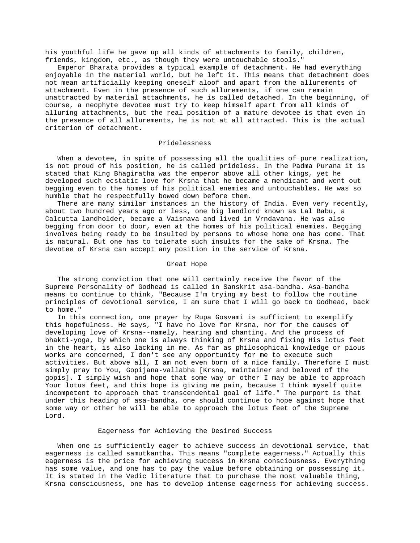his youthful life he gave up all kinds of attachments to family, children, friends, kingdom, etc., as though they were untouchable stools."

 Emperor Bharata provides a typical example of detachment. He had everything enjoyable in the material world, but he left it. This means that detachment does not mean artificially keeping oneself aloof and apart from the allurements of attachment. Even in the presence of such allurements, if one can remain unattracted by material attachments, he is called detached. In the beginning, of course, a neophyte devotee must try to keep himself apart from all kinds of alluring attachments, but the real position of a mature devotee is that even in the presence of all allurements, he is not at all attracted. This is the actual criterion of detachment.

## Pridelessness

When a devotee, in spite of possessing all the qualities of pure realization, is not proud of his position, he is called prideless. In the Padma Purana it is stated that King Bhagiratha was the emperor above all other kings, yet he developed such ecstatic love for Krsna that he became a mendicant and went out begging even to the homes of his political enemies and untouchables. He was so humble that he respectfully bowed down before them.

 There are many similar instances in the history of India. Even very recently, about two hundred years ago or less, one big landlord known as Lal Babu, a Calcutta landholder, became a Vaisnava and lived in Vrndavana. He was also begging from door to door, even at the homes of his political enemies. Begging involves being ready to be insulted by persons to whose home one has come. That is natural. But one has to tolerate such insults for the sake of Krsna. The devotee of Krsna can accept any position in the service of Krsna.

#### Great Hope

 The strong conviction that one will certainly receive the favor of the Supreme Personality of Godhead is called in Sanskrit asa-bandha. Asa-bandha means to continue to think, "Because I'm trying my best to follow the routine principles of devotional service, I am sure that I will go back to Godhead, back to home."

 In this connection, one prayer by Rupa Gosvami is sufficient to exemplify this hopefulness. He says, "I have no love for Krsna, nor for the causes of developing love of Krsna--namely, hearing and chanting. And the process of bhakti-yoga, by which one is always thinking of Krsna and fixing His lotus feet in the heart, is also lacking in me. As far as philosophical knowledge or pious works are concerned, I don't see any opportunity for me to execute such activities. But above all, I am not even born of a nice family. Therefore I must simply pray to You, Gopijana-vallabha [Krsna, maintainer and beloved of the gopis]. I simply wish and hope that some way or other I may be able to approach Your lotus feet, and this hope is giving me pain, because I think myself quite incompetent to approach that transcendental goal of life." The purport is that under this heading of asa-bandha, one should continue to hope against hope that some way or other he will be able to approach the lotus feet of the Supreme Lord.

#### Eagerness for Achieving the Desired Success

 When one is sufficiently eager to achieve success in devotional service, that eagerness is called samutkantha. This means "complete eagerness." Actually this eagerness is the price for achieving success in Krsna consciousness. Everything has some value, and one has to pay the value before obtaining or possessing it. It is stated in the Vedic literature that to purchase the most valuable thing, Krsna consciousness, one has to develop intense eagerness for achieving success.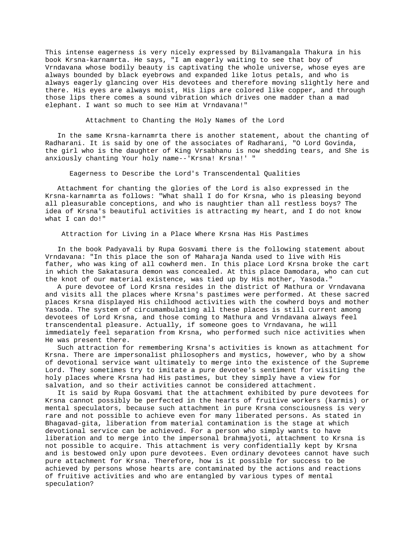This intense eagerness is very nicely expressed by Bilvamangala Thakura in his book Krsna-karnamrta. He says, "I am eagerly waiting to see that boy of Vrndavana whose bodily beauty is captivating the whole universe, whose eyes are always bounded by black eyebrows and expanded like lotus petals, and who is always eagerly glancing over His devotees and therefore moving slightly here and there. His eyes are always moist, His lips are colored like copper, and through those lips there comes a sound vibration which drives one madder than a mad elephant. I want so much to see Him at Vrndavana!"

Attachment to Chanting the Holy Names of the Lord

 In the same Krsna-karnamrta there is another statement, about the chanting of Radharani. It is said by one of the associates of Radharani, "O Lord Govinda, the girl who is the daughter of King Vrsabhanu is now shedding tears, and She is anxiously chanting Your holy name--'Krsna! Krsna!' "

Eagerness to Describe the Lord's Transcendental Qualities

 Attachment for chanting the glories of the Lord is also expressed in the Krsna-karnamrta as follows: "What shall I do for Krsna, who is pleasing beyond all pleasurable conceptions, and who is naughtier than all restless boys? The idea of Krsna's beautiful activities is attracting my heart, and I do not know what I can do!"

Attraction for Living in a Place Where Krsna Has His Pastimes

 In the book Padyavali by Rupa Gosvami there is the following statement about Vrndavana: "In this place the son of Maharaja Nanda used to live with His father, who was king of all cowherd men. In this place Lord Krsna broke the cart in which the Sakatasura demon was concealed. At this place Damodara, who can cut the knot of our material existence, was tied up by His mother, Yasoda."

 A pure devotee of Lord Krsna resides in the district of Mathura or Vrndavana and visits all the places where Krsna's pastimes were performed. At these sacred places Krsna displayed His childhood activities with the cowherd boys and mother Yasoda. The system of circumambulating all these places is still current among devotees of Lord Krsna, and those coming to Mathura and Vrndavana always feel transcendental pleasure. Actually, if someone goes to Vrndavana, he will immediately feel separation from Krsna, who performed such nice activities when He was present there.

 Such attraction for remembering Krsna's activities is known as attachment for Krsna. There are impersonalist philosophers and mystics, however, who by a show of devotional service want ultimately to merge into the existence of the Supreme Lord. They sometimes try to imitate a pure devotee's sentiment for visiting the holy places where Krsna had His pastimes, but they simply have a view for salvation, and so their activities cannot be considered attachment.

 It is said by Rupa Gosvami that the attachment exhibited by pure devotees for Krsna cannot possibly be perfected in the hearts of fruitive workers (karmis) or mental speculators, because such attachment in pure Krsna consciousness is very rare and not possible to achieve even for many liberated persons. As stated in Bhagavad-gita, liberation from material contamination is the stage at which devotional service can be achieved. For a person who simply wants to have liberation and to merge into the impersonal brahmajyoti, attachment to Krsna is not possible to acquire. This attachment is very confidentially kept by Krsna and is bestowed only upon pure devotees. Even ordinary devotees cannot have such pure attachment for Krsna. Therefore, how is it possible for success to be achieved by persons whose hearts are contaminated by the actions and reactions of fruitive activities and who are entangled by various types of mental speculation?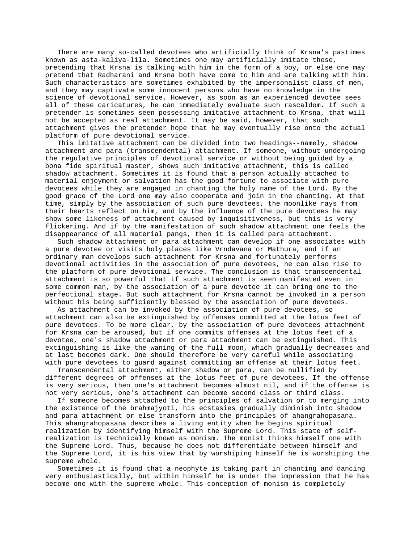There are many so-called devotees who artificially think of Krsna's pastimes known as asta-kaliya-lila. Sometimes one may artificially imitate these, pretending that Krsna is talking with him in the form of a boy, or else one may pretend that Radharani and Krsna both have come to him and are talking with him. Such characteristics are sometimes exhibited by the impersonalist class of men, and they may captivate some innocent persons who have no knowledge in the science of devotional service. However, as soon as an experienced devotee sees all of these caricatures, he can immediately evaluate such rascaldom. If such a pretender is sometimes seen possessing imitative attachment to Krsna, that will not be accepted as real attachment. It may be said, however, that such attachment gives the pretender hope that he may eventually rise onto the actual platform of pure devotional service.

 This imitative attachment can be divided into two headings--namely, shadow attachment and para (transcendental) attachment. If someone, without undergoing the regulative principles of devotional service or without being guided by a bona fide spiritual master, shows such imitative attachment, this is called shadow attachment. Sometimes it is found that a person actually attached to material enjoyment or salvation has the good fortune to associate with pure devotees while they are engaged in chanting the holy name of the Lord. By the good grace of the Lord one may also cooperate and join in the chanting. At that time, simply by the association of such pure devotees, the moonlike rays from their hearts reflect on him, and by the influence of the pure devotees he may show some likeness of attachment caused by inquisitiveness, but this is very flickering. And if by the manifestation of such shadow attachment one feels the disappearance of all material pangs, then it is called para attachment.

 Such shadow attachment or para attachment can develop if one associates with a pure devotee or visits holy places like Vrndavana or Mathura, and if an ordinary man develops such attachment for Krsna and fortunately performs devotional activities in the association of pure devotees, he can also rise to the platform of pure devotional service. The conclusion is that transcendental attachment is so powerful that if such attachment is seen manifested even in some common man, by the association of a pure devotee it can bring one to the perfectional stage. But such attachment for Krsna cannot be invoked in a person without his being sufficiently blessed by the association of pure devotees.

 As attachment can be invoked by the association of pure devotees, so attachment can also be extinguished by offenses committed at the lotus feet of pure devotees. To be more clear, by the association of pure devotees attachment for Krsna can be aroused, but if one commits offenses at the lotus feet of a devotee, one's shadow attachment or para attachment can be extinguished. This extinguishing is like the waning of the full moon, which gradually decreases and at last becomes dark. One should therefore be very careful while associating with pure devotees to guard against committing an offense at their lotus feet.

 Transcendental attachment, either shadow or para, can be nullified by different degrees of offenses at the lotus feet of pure devotees. If the offense is very serious, then one's attachment becomes almost nil, and if the offense is not very serious, one's attachment can become second class or third class.

 If someone becomes attached to the principles of salvation or to merging into the existence of the brahmajyoti, his ecstasies gradually diminish into shadow and para attachment or else transform into the principles of ahangrahopasana. This ahangrahopasana describes a living entity when he begins spiritual realization by identifying himself with the Supreme Lord. This state of selfrealization is technically known as monism. The monist thinks himself one with the Supreme Lord. Thus, because he does not differentiate between himself and the Supreme Lord, it is his view that by worshiping himself he is worshiping the supreme whole.

 Sometimes it is found that a neophyte is taking part in chanting and dancing very enthusiastically, but within himself he is under the impression that he has become one with the supreme whole. This conception of monism is completely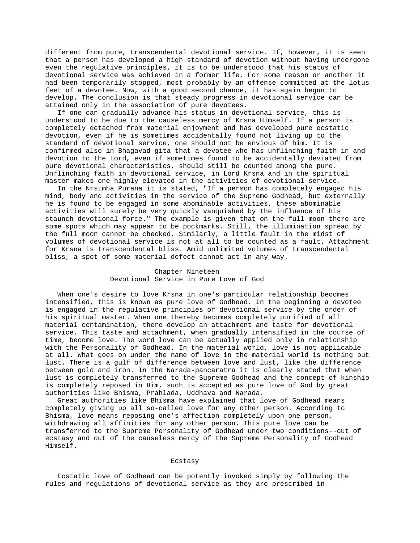different from pure, transcendental devotional service. If, however, it is seen that a person has developed a high standard of devotion without having undergone even the regulative principles, it is to be understood that his status of devotional service was achieved in a former life. For some reason or another it had been temporarily stopped, most probably by an offense committed at the lotus feet of a devotee. Now, with a good second chance, it has again begun to develop. The conclusion is that steady progress in devotional service can be attained only in the association of pure devotees.

 If one can gradually advance his status in devotional service, this is understood to be due to the causeless mercy of Krsna Himself. If a person is completely detached from material enjoyment and has developed pure ecstatic devotion, even if he is sometimes accidentally found not living up to the standard of devotional service, one should not be envious of him. It is confirmed also in Bhagavad-gita that a devotee who has unflinching faith in and devotion to the Lord, even if sometimes found to be accidentally deviated from pure devotional characteristics, should still be counted among the pure. Unflinching faith in devotional service, in Lord Krsna and in the spiritual master makes one highly elevated in the activities of devotional service.

 In the Nrsimha Purana it is stated, "If a person has completely engaged his mind, body and activities in the service of the Supreme Godhead, but externally he is found to be engaged in some abominable activities, these abominable activities will surely be very quickly vanquished by the influence of his staunch devotional force." The example is given that on the full moon there are some spots which may appear to be pockmarks. Still, the illumination spread by the full moon cannot be checked. Similarly, a little fault in the midst of volumes of devotional service is not at all to be counted as a fault. Attachment for Krsna is transcendental bliss. Amid unlimited volumes of transcendental bliss, a spot of some material defect cannot act in any way.

# Chapter Nineteen Devotional Service in Pure Love of God

 When one's desire to love Krsna in one's particular relationship becomes intensified, this is known as pure love of Godhead. In the beginning a devotee is engaged in the regulative principles of devotional service by the order of his spiritual master. When one thereby becomes completely purified of all material contamination, there develop an attachment and taste for devotional service. This taste and attachment, when gradually intensified in the course of time, become love. The word love can be actually applied only in relationship with the Personality of Godhead. In the material world, love is not applicable at all. What goes on under the name of love in the material world is nothing but lust. There is a gulf of difference between love and lust, like the difference between gold and iron. In the Narada-pancaratra it is clearly stated that when lust is completely transferred to the Supreme Godhead and the concept of kinship is completely reposed in Him, such is accepted as pure love of God by great authorities like Bhisma, Prahlada, Uddhava and Narada.

 Great authorities like Bhisma have explained that love of Godhead means completely giving up all so-called love for any other person. According to Bhisma, love means reposing one's affection completely upon one person, withdrawing all affinities for any other person. This pure love can be transferred to the Supreme Personality of Godhead under two conditions--out of ecstasy and out of the causeless mercy of the Supreme Personality of Godhead Himself.

### Ecstasy

 Ecstatic love of Godhead can be potently invoked simply by following the rules and regulations of devotional service as they are prescribed in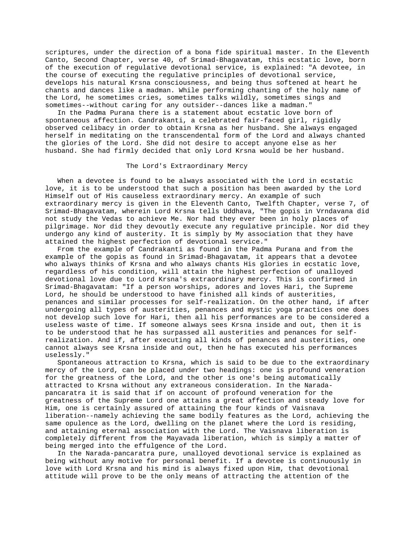scriptures, under the direction of a bona fide spiritual master. In the Eleventh Canto, Second Chapter, verse 40, of Srimad-Bhagavatam, this ecstatic love, born of the execution of regulative devotional service, is explained: "A devotee, in the course of executing the regulative principles of devotional service, develops his natural Krsna consciousness, and being thus softened at heart he chants and dances like a madman. While performing chanting of the holy name of the Lord, he sometimes cries, sometimes talks wildly, sometimes sings and sometimes--without caring for any outsider--dances like a madman."

 In the Padma Purana there is a statement about ecstatic love born of spontaneous affection. Candrakanti, a celebrated fair-faced girl, rigidly observed celibacy in order to obtain Krsna as her husband. She always engaged herself in meditating on the transcendental form of the Lord and always chanted the glories of the Lord. She did not desire to accept anyone else as her husband. She had firmly decided that only Lord Krsna would be her husband.

#### The Lord's Extraordinary Mercy

 When a devotee is found to be always associated with the Lord in ecstatic love, it is to be understood that such a position has been awarded by the Lord Himself out of His causeless extraordinary mercy. An example of such extraordinary mercy is given in the Eleventh Canto, Twelfth Chapter, verse 7, of Srimad-Bhagavatam, wherein Lord Krsna tells Uddhava, "The gopis in Vrndavana did not study the Vedas to achieve Me. Nor had they ever been in holy places of pilgrimage. Nor did they devoutly execute any regulative principle. Nor did they undergo any kind of austerity. It is simply by My association that they have attained the highest perfection of devotional service."

 From the example of Candrakanti as found in the Padma Purana and from the example of the gopis as found in Srimad-Bhagavatam, it appears that a devotee who always thinks of Krsna and who always chants His glories in ecstatic love, regardless of his condition, will attain the highest perfection of unalloyed devotional love due to Lord Krsna's extraordinary mercy. This is confirmed in Srimad-Bhagavatam: "If a person worships, adores and loves Hari, the Supreme Lord, he should be understood to have finished all kinds of austerities, penances and similar processes for self-realization. On the other hand, if after undergoing all types of austerities, penances and mystic yoga practices one does not develop such love for Hari, then all his performances are to be considered a useless waste of time. If someone always sees Krsna inside and out, then it is to be understood that he has surpassed all austerities and penances for selfrealization. And if, after executing all kinds of penances and austerities, one cannot always see Krsna inside and out, then he has executed his performances uselessly."

 Spontaneous attraction to Krsna, which is said to be due to the extraordinary mercy of the Lord, can be placed under two headings: one is profound veneration for the greatness of the Lord, and the other is one's being automatically attracted to Krsna without any extraneous consideration. In the Naradapancaratra it is said that if on account of profound veneration for the greatness of the Supreme Lord one attains a great affection and steady love for Him, one is certainly assured of attaining the four kinds of Vaisnava liberation--namely achieving the same bodily features as the Lord, achieving the same opulence as the Lord, dwelling on the planet where the Lord is residing, and attaining eternal association with the Lord. The Vaisnava liberation is completely different from the Mayavada liberation, which is simply a matter of being merged into the effulgence of the Lord.

 In the Narada-pancaratra pure, unalloyed devotional service is explained as being without any motive for personal benefit. If a devotee is continuously in love with Lord Krsna and his mind is always fixed upon Him, that devotional attitude will prove to be the only means of attracting the attention of the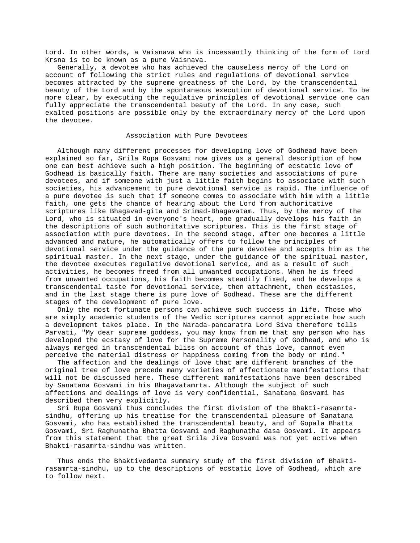Lord. In other words, a Vaisnava who is incessantly thinking of the form of Lord Krsna is to be known as a pure Vaisnava.

 Generally, a devotee who has achieved the causeless mercy of the Lord on account of following the strict rules and regulations of devotional service becomes attracted by the supreme greatness of the Lord, by the transcendental beauty of the Lord and by the spontaneous execution of devotional service. To be more clear, by executing the regulative principles of devotional service one can fully appreciate the transcendental beauty of the Lord. In any case, such exalted positions are possible only by the extraordinary mercy of the Lord upon the devotee.

## Association with Pure Devotees

 Although many different processes for developing love of Godhead have been explained so far, Srila Rupa Gosvami now gives us a general description of how one can best achieve such a high position. The beginning of ecstatic love of Godhead is basically faith. There are many societies and associations of pure devotees, and if someone with just a little faith begins to associate with such societies, his advancement to pure devotional service is rapid. The influence of a pure devotee is such that if someone comes to associate with him with a little faith, one gets the chance of hearing about the Lord from authoritative scriptures like Bhagavad-gita and Srimad-Bhagavatam. Thus, by the mercy of the Lord, who is situated in everyone's heart, one gradually develops his faith in the descriptions of such authoritative scriptures. This is the first stage of association with pure devotees. In the second stage, after one becomes a little advanced and mature, he automatically offers to follow the principles of devotional service under the guidance of the pure devotee and accepts him as the spiritual master. In the next stage, under the guidance of the spiritual master, the devotee executes regulative devotional service, and as a result of such activities, he becomes freed from all unwanted occupations. When he is freed from unwanted occupations, his faith becomes steadily fixed, and he develops a transcendental taste for devotional service, then attachment, then ecstasies, and in the last stage there is pure love of Godhead. These are the different stages of the development of pure love.

 Only the most fortunate persons can achieve such success in life. Those who are simply academic students of the Vedic scriptures cannot appreciate how such a development takes place. In the Narada-pancaratra Lord Siva therefore tells Parvati, "My dear supreme goddess, you may know from me that any person who has developed the ecstasy of love for the Supreme Personality of Godhead, and who is always merged in transcendental bliss on account of this love, cannot even perceive the material distress or happiness coming from the body or mind."

 The affection and the dealings of love that are different branches of the original tree of love precede many varieties of affectionate manifestations that will not be discussed here. These different manifestations have been described by Sanatana Gosvami in his Bhagavatamrta. Although the subject of such affections and dealings of love is very confidential, Sanatana Gosvami has described them very explicitly.

 Sri Rupa Gosvami thus concludes the first division of the Bhakti-rasamrtasindhu, offering up his treatise for the transcendental pleasure of Sanatana Gosvami, who has established the transcendental beauty, and of Gopala Bhatta Gosvami, Sri Raghunatha Bhatta Gosvami and Raghunatha dasa Gosvami. It appears from this statement that the great Srila Jiva Gosvami was not yet active when Bhakti-rasamrta-sindhu was written.

 Thus ends the Bhaktivedanta summary study of the first division of Bhaktirasamrta-sindhu, up to the descriptions of ecstatic love of Godhead, which are to follow next.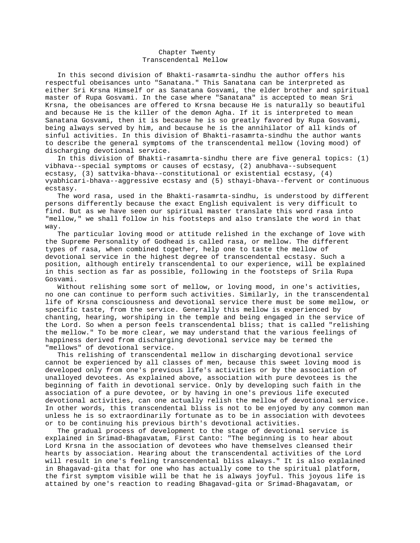# Chapter Twenty Transcendental Mellow

 In this second division of Bhakti-rasamrta-sindhu the author offers his respectful obeisances unto "Sanatana." This Sanatana can be interpreted as either Sri Krsna Himself or as Sanatana Gosvami, the elder brother and spiritual master of Rupa Gosvami. In the case where "Sanatana" is accepted to mean Sri Krsna, the obeisances are offered to Krsna because He is naturally so beautiful and because He is the killer of the demon Agha. If it is interpreted to mean Sanatana Gosvami, then it is because he is so greatly favored by Rupa Gosvami, being always served by him, and because he is the annihilator of all kinds of sinful activities. In this division of Bhakti-rasamrta-sindhu the author wants to describe the general symptoms of the transcendental mellow (loving mood) of discharging devotional service.

 In this division of Bhakti-rasamrta-sindhu there are five general topics: (1) vibhava--special symptoms or causes of ecstasy, (2) anubhava--subsequent ecstasy, (3) sattvika-bhava--constitutional or existential ecstasy, (4) vyabhicari-bhava--aggressive ecstasy and (5) sthayi-bhava--fervent or continuous ecstasy.

 The word rasa, used in the Bhakti-rasamrta-sindhu, is understood by different persons differently because the exact English equivalent is very difficult to find. But as we have seen our spiritual master translate this word rasa into "mellow," we shall follow in his footsteps and also translate the word in that way.

 The particular loving mood or attitude relished in the exchange of love with the Supreme Personality of Godhead is called rasa, or mellow. The different types of rasa, when combined together, help one to taste the mellow of devotional service in the highest degree of transcendental ecstasy. Such a position, although entirely transcendental to our experience, will be explained in this section as far as possible, following in the footsteps of Srila Rupa Gosvami.

 Without relishing some sort of mellow, or loving mood, in one's activities, no one can continue to perform such activities. Similarly, in the transcendental life of Krsna consciousness and devotional service there must be some mellow, or specific taste, from the service. Generally this mellow is experienced by chanting, hearing, worshiping in the temple and being engaged in the service of the Lord. So when a person feels transcendental bliss; that is called "relishing the mellow." To be more clear, we may understand that the various feelings of happiness derived from discharging devotional service may be termed the "mellows" of devotional service.

 This relishing of transcendental mellow in discharging devotional service cannot be experienced by all classes of men, because this sweet loving mood is developed only from one's previous life's activities or by the association of unalloyed devotees. As explained above, association with pure devotees is the beginning of faith in devotional service. Only by developing such faith in the association of a pure devotee, or by having in one's previous life executed devotional activities, can one actually relish the mellow of devotional service. In other words, this transcendental bliss is not to be enjoyed by any common man unless he is so extraordinarily fortunate as to be in association with devotees or to be continuing his previous birth's devotional activities.

 The gradual process of development to the stage of devotional service is explained in Srimad-Bhagavatam, First Canto: "The beginning is to hear about Lord Krsna in the association of devotees who have themselves cleansed their hearts by association. Hearing about the transcendental activities of the Lord will result in one's feeling transcendental bliss always." It is also explained in Bhagavad-gita that for one who has actually come to the spiritual platform, the first symptom visible will be that he is always joyful. This joyous life is attained by one's reaction to reading Bhagavad-gita or Srimad-Bhagavatam, or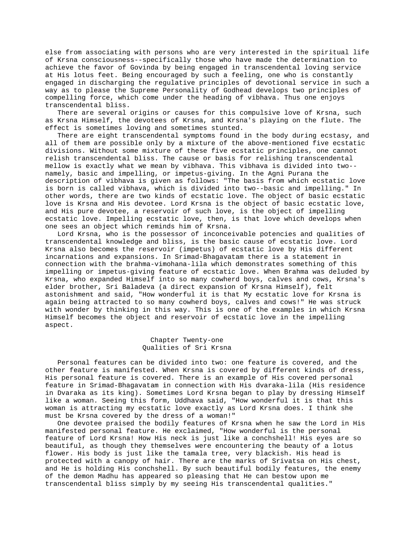else from associating with persons who are very interested in the spiritual life of Krsna consciousness--specifically those who have made the determination to achieve the favor of Govinda by being engaged in transcendental loving service at His lotus feet. Being encouraged by such a feeling, one who is constantly engaged in discharging the regulative principles of devotional service in such a way as to please the Supreme Personality of Godhead develops two principles of compelling force, which come under the heading of vibhava. Thus one enjoys transcendental bliss.

 There are several origins or causes for this compulsive love of Krsna, such as Krsna Himself, the devotees of Krsna, and Krsna's playing on the flute. The effect is sometimes loving and sometimes stunted.

 There are eight transcendental symptoms found in the body during ecstasy, and all of them are possible only by a mixture of the above-mentioned five ecstatic divisions. Without some mixture of these five ecstatic principles, one cannot relish transcendental bliss. The cause or basis for relishing transcendental mellow is exactly what we mean by vibhava. This vibhava is divided into two- namely, basic and impelling, or impetus-giving. In the Agni Purana the description of vibhava is given as follows: "The basis from which ecstatic love is born is called vibhava, which is divided into two--basic and impelling." In other words, there are two kinds of ecstatic love. The object of basic ecstatic love is Krsna and His devotee. Lord Krsna is the object of basic ecstatic love, and His pure devotee, a reservoir of such love, is the object of impelling ecstatic love. Impelling ecstatic love, then, is that love which develops when one sees an object which reminds him of Krsna.

 Lord Krsna, who is the possessor of inconceivable potencies and qualities of transcendental knowledge and bliss, is the basic cause of ecstatic love. Lord Krsna also becomes the reservoir (impetus) of ecstatic love by His different incarnations and expansions. In Srimad-Bhagavatam there is a statement in connection with the brahma-vimohana-lila which demonstrates something of this impelling or impetus-giving feature of ecstatic love. When Brahma was deluded by Krsna, who expanded Himself into so many cowherd boys, calves and cows, Krsna's elder brother, Sri Baladeva (a direct expansion of Krsna Himself), felt astonishment and said, "How wonderful it is that My ecstatic love for Krsna is again being attracted to so many cowherd boys, calves and cows!" He was struck with wonder by thinking in this way. This is one of the examples in which Krsna Himself becomes the object and reservoir of ecstatic love in the impelling aspect.

## Chapter Twenty-one Qualities of Sri Krsna

 Personal features can be divided into two: one feature is covered, and the other feature is manifested. When Krsna is covered by different kinds of dress, His personal feature is covered. There is an example of His covered personal feature in Srimad-Bhagavatam in connection with His dvaraka-lila (His residence in Dvaraka as its king). Sometimes Lord Krsna began to play by dressing Himself like a woman. Seeing this form, Uddhava said, "How wonderful it is that this woman is attracting my ecstatic love exactly as Lord Krsna does. I think she must be Krsna covered by the dress of a woman!"

 One devotee praised the bodily features of Krsna when he saw the Lord in His manifested personal feature. He exclaimed, "How wonderful is the personal feature of Lord Krsna! How His neck is just like a conchshell! His eyes are so beautiful, as though they themselves were encountering the beauty of a lotus flower. His body is just like the tamala tree, very blackish. His head is protected with a canopy of hair. There are the marks of Srivatsa on His chest, and He is holding His conchshell. By such beautiful bodily features, the enemy of the demon Madhu has appeared so pleasing that He can bestow upon me transcendental bliss simply by my seeing His transcendental qualities."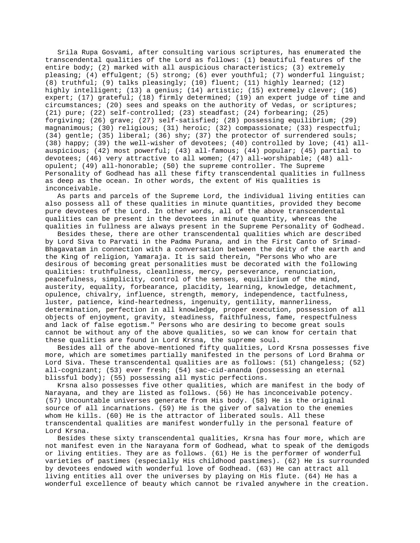Srila Rupa Gosvami, after consulting various scriptures, has enumerated the transcendental qualities of the Lord as follows: (1) beautiful features of the entire body; (2) marked with all auspicious characteristics; (3) extremely pleasing; (4) effulgent; (5) strong; (6) ever youthful; (7) wonderful linguist; (8) truthful; (9) talks pleasingly; (10) fluent; (11) highly learned; (12) highly intelligent; (13) a genius; (14) artistic; (15) extremely clever; (16) expert; (17) grateful; (18) firmly determined; (19) an expert judge of time and circumstances; (20) sees and speaks on the authority of Vedas, or scriptures; (21) pure; (22) self-controlled; (23) steadfast; (24) forbearing; (25) forgiving; (26) grave; (27) self-satisfied; (28) possessing equilibrium; (29) magnanimous; (30) religious; (31) heroic; (32) compassionate; (33) respectful; (34) gentle; (35) liberal; (36) shy; (37) the protector of surrendered souls; (38) happy; (39) the well-wisher of devotees; (40) controlled by love; (41) allauspicious; (42) most powerful; (43) all-famous; (44) popular; (45) partial to devotees; (46) very attractive to all women; (47) all-worshipable; (48) allopulent; (49) all-honorable; (50) the supreme controller. The Supreme Personality of Godhead has all these fifty transcendental qualities in fullness as deep as the ocean. In other words, the extent of His qualities is inconceivable.

 As parts and parcels of the Supreme Lord, the individual living entities can also possess all of these qualities in minute quantities, provided they become pure devotees of the Lord. In other words, all of the above transcendental qualities can be present in the devotees in minute quantity, whereas the qualities in fullness are always present in the Supreme Personality of Godhead.

 Besides these, there are other transcendental qualities which are described by Lord Siva to Parvati in the Padma Purana, and in the First Canto of Srimad-Bhagavatam in connection with a conversation between the deity of the earth and the King of religion, Yamaraja. It is said therein, "Persons Who who are desirous of becoming great personalities must be decorated with the following qualities: truthfulness, cleanliness, mercy, perseverance, renunciation, peacefulness, simplicity, control of the senses, equilibrium of the mind, austerity, equality, forbearance, placidity, learning, knowledge, detachment, opulence, chivalry, influence, strength, memory, independence, tactfulness, luster, patience, kind-heartedness, ingenuity, gentility, mannerliness, determination, perfection in all knowledge, proper execution, possession of all objects of enjoyment, gravity, steadiness, faithfulness, fame, respectfulness and lack of false egotism." Persons who are desiring to become great souls cannot be without any of the above qualities, so we can know for certain that these qualities are found in Lord Krsna, the supreme soul.

 Besides all of the above-mentioned fifty qualities, Lord Krsna possesses five more, which are sometimes partially manifested in the persons of Lord Brahma or Lord Siva. These transcendental qualities are as follows: (51) changeless; (52) all-cognizant; (53) ever fresh; (54) sac-cid-ananda (possessing an eternal blissful body); (55) possessing all mystic perfections.

 Krsna also possesses five other qualities, which are manifest in the body of Narayana, and they are listed as follows. (56) He has inconceivable potency. (57) Uncountable universes generate from His body. (58) He is the original source of all incarnations. (59) He is the giver of salvation to the enemies whom He kills. (60) He is the attractor of liberated souls. All these transcendental qualities are manifest wonderfully in the personal feature of Lord Krsna.

 Besides these sixty transcendental qualities, Krsna has four more, which are not manifest even in the Narayana form of Godhead, what to speak of the demigods or living entities. They are as follows. (61) He is the performer of wonderful varieties of pastimes (especially His childhood pastimes). (62) He is surrounded by devotees endowed with wonderful love of Godhead. (63) He can attract all living entities all over the universes by playing on His flute. (64) He has a wonderful excellence of beauty which cannot be rivaled anywhere in the creation.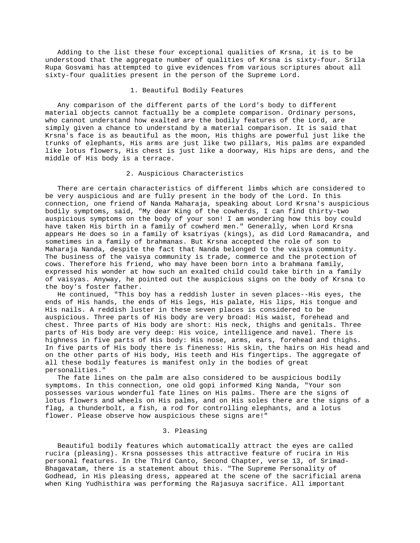Adding to the list these four exceptional qualities of Krsna, it is to be understood that the aggregate number of qualities of Krsna is sixty-four. Srila Rupa Gosvami has attempted to give evidences from various scriptures about all sixty-four qualities present in the person of the Supreme Lord.

## 1. Beautiful Bodily Features

 Any comparison of the different parts of the Lord's body to different material objects cannot factually be a complete comparison. Ordinary persons, who cannot understand how exalted are the bodily features of the Lord, are simply given a chance to understand by a material comparison. It is said that Krsna's face is as beautiful as the moon, His thighs are powerful just like the trunks of elephants, His arms are just like two pillars, His palms are expanded like lotus flowers, His chest is just like a doorway, His hips are dens, and the middle of His body is a terrace.

### 2. Auspicious Characteristics

 There are certain characteristics of different limbs which are considered to be very auspicious and are fully present in the body of the Lord. In this connection, one friend of Nanda Maharaja, speaking about Lord Krsna's auspicious bodily symptoms, said, "My dear King of the cowherds, I can find thirty-two auspicious symptoms on the body of your son! I am wondering how this boy could have taken His birth in a family of cowherd men." Generally, when Lord Krsna appears He does so in a family of ksatriyas (kings), as did Lord Ramacandra, and sometimes in a family of brahmanas. But Krsna accepted the role of son to Maharaja Nanda, despite the fact that Nanda belonged to the vaisya community. The business of the vaisya community is trade, commerce and the protection of cows. Therefore his friend, who may have been born into a brahmana family, expressed his wonder at how such an exalted child could take birth in a family of vaisyas. Anyway, he pointed out the auspicious signs on the body of Krsna to the boy's foster father.

 He continued, "This boy has a reddish luster in seven places--His eyes, the ends of His hands, the ends of His legs, His palate, His lips, His tongue and His nails. A reddish luster in these seven places is considered to be auspicious. Three parts of His body are very broad: His waist, forehead and chest. Three parts of His body are short: His neck, thighs and genitals. Three parts of His body are very deep: His voice, intelligence and navel. There is highness in five parts of His body: His nose, arms, ears, forehead and thighs. In five parts of His body there is fineness: His skin, the hairs on His head and on the other parts of His body, His teeth and His fingertips. The aggregate of all these bodily features is manifest only in the bodies of great personalities."

 The fate lines on the palm are also considered to be auspicious bodily symptoms. In this connection, one old gopi informed King Nanda, "Your son possesses various wonderful fate lines on His palms. There are the signs of lotus flowers and wheels on His palms, and on His soles there are the signs of a flag, a thunderbolt, a fish, a rod for controlling elephants, and a lotus flower. Please observe how auspicious these signs are!"

# 3. Pleasing

 Beautiful bodily features which automatically attract the eyes are called rucira (pleasing). Krsna possesses this attractive feature of rucira in His personal features. In the Third Canto, Second Chapter, verse 13, of Srimad-Bhagavatam, there is a statement about this. "The Supreme Personality of Godhead, in His pleasing dress, appeared at the scene of the sacrificial arena when King Yudhisthira was performing the Rajasuya sacrifice. All important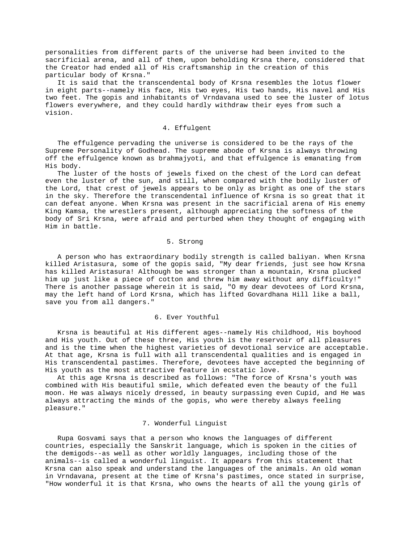personalities from different parts of the universe had been invited to the sacrificial arena, and all of them, upon beholding Krsna there, considered that the Creator had ended all of His craftsmanship in the creation of this particular body of Krsna."

 It is said that the transcendental body of Krsna resembles the lotus flower in eight parts--namely His face, His two eyes, His two hands, His navel and His two feet. The gopis and inhabitants of Vrndavana used to see the luster of lotus flowers everywhere, and they could hardly withdraw their eyes from such a vision.

#### 4. Effulgent

 The effulgence pervading the universe is considered to be the rays of the Supreme Personality of Godhead. The supreme abode of Krsna is always throwing off the effulgence known as brahmajyoti, and that effulgence is emanating from His body.

 The luster of the hosts of jewels fixed on the chest of the Lord can defeat even the luster of the sun, and still, when compared with the bodily luster of the Lord, that crest of jewels appears to be only as bright as one of the stars in the sky. Therefore the transcendental influence of Krsna is so great that it can defeat anyone. When Krsna was present in the sacrificial arena of His enemy King Kamsa, the wrestlers present, although appreciating the softness of the body of Sri Krsna, were afraid and perturbed when they thought of engaging with Him in battle.

#### 5. Strong

 A person who has extraordinary bodily strength is called baliyan. When Krsna killed Aristasura, some of the gopis said, "My dear friends, just see how Krsna has killed Aristasura! Although be was stronger than a mountain, Krsna plucked him up just like a piece of cotton and threw him away without any difficulty!" There is another passage wherein it is said, "O my dear devotees of Lord Krsna, may the left hand of Lord Krsna, which has lifted Govardhana Hill like a ball, save you from all dangers."

# 6. Ever Youthful

 Krsna is beautiful at His different ages--namely His childhood, His boyhood and His youth. Out of these three, His youth is the reservoir of all pleasures and is the time when the highest varieties of devotional service are acceptable. At that age, Krsna is full with all transcendental qualities and is engaged in His transcendental pastimes. Therefore, devotees have accepted the beginning of His youth as the most attractive feature in ecstatic love.

 At this age Krsna is described as follows: "The force of Krsna's youth was combined with His beautiful smile, which defeated even the beauty of the full moon. He was always nicely dressed, in beauty surpassing even Cupid, and He was always attracting the minds of the gopis, who were thereby always feeling pleasure."

## 7. Wonderful Linguist

 Rupa Gosvami says that a person who knows the languages of different countries, especially the Sanskrit language, which is spoken in the cities of the demigods--as well as other worldly languages, including those of the animals--is called a wonderful linguist. It appears from this statement that Krsna can also speak and understand the languages of the animals. An old woman in Vrndavana, present at the time of Krsna's pastimes, once stated in surprise, "How wonderful it is that Krsna, who owns the hearts of all the young girls of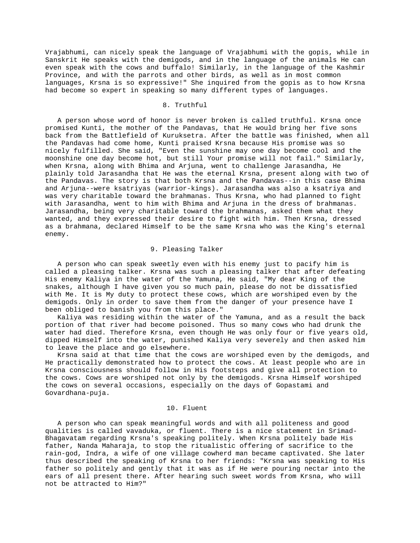Vrajabhumi, can nicely speak the language of Vrajabhumi with the gopis, while in Sanskrit He speaks with the demigods, and in the language of the animals He can even speak with the cows and buffalo! Similarly, in the language of the Kashmir Province, and with the parrots and other birds, as well as in most common languages, Krsna is so expressive!" She inquired from the gopis as to how Krsna had become so expert in speaking so many different types of languages.

### 8. Truthful

 A person whose word of honor is never broken is called truthful. Krsna once promised Kunti, the mother of the Pandavas, that He would bring her five sons back from the Battlefield of Kuruksetra. After the battle was finished, when all the Pandavas had come home, Kunti praised Krsna because His promise was so nicely fulfilled. She said, "Even the sunshine may one day become cool and the moonshine one day become hot, but still Your promise will not fail." Similarly, when Krsna, along with Bhima and Arjuna, went to challenge Jarasandha, He plainly told Jarasandha that He was the eternal Krsna, present along with two of the Pandavas. The story is that both Krsna and the Pandavas--in this case Bhima and Arjuna--were ksatriyas (warrior-kings). Jarasandha was also a ksatriya and was very charitable toward the brahmanas. Thus Krsna, who had planned to fight with Jarasandha, went to him with Bhima and Arjuna in the dress of brahmanas. Jarasandha, being very charitable toward the brahmanas, asked them what they wanted, and they expressed their desire to fight with him. Then Krsna, dressed as a brahmana, declared Himself to be the same Krsna who was the King's eternal enemy.

### 9. Pleasing Talker

 A person who can speak sweetly even with his enemy just to pacify him is called a pleasing talker. Krsna was such a pleasing talker that after defeating His enemy Kaliya in the water of the Yamuna, He said, "My dear King of the snakes, although I have given you so much pain, please do not be dissatisfied with Me. It is My duty to protect these cows, which are worshiped even by the demigods. Only in order to save them from the danger of your presence have I been obliged to banish you from this place."

 Kaliya was residing within the water of the Yamuna, and as a result the back portion of that river had become poisoned. Thus so many cows who had drunk the water had died. Therefore Krsna, even though He was only four or five years old, dipped Himself into the water, punished Kaliya very severely and then asked him to leave the place and go elsewhere.

 Krsna said at that time that the cows are worshiped even by the demigods, and He practically demonstrated how to protect the cows. At least people who are in Krsna consciousness should follow in His footsteps and give all protection to the cows. Cows are worshiped not only by the demigods. Krsna Himself worshiped the cows on several occasions, especially on the days of Gopastami and Govardhana-puja.

## 10. Fluent

 A person who can speak meaningful words and with all politeness and good qualities is called vavaduka, or fluent. There is a nice statement in Srimad-Bhagavatam regarding Krsna's speaking politely. When Krsna politely bade His father, Nanda Maharaja, to stop the ritualistic offering of sacrifice to the rain-god, Indra, a wife of one village cowherd man became captivated. She later thus described the speaking of Krsna to her friends: "Krsna was speaking to His father so politely and gently that it was as if He were pouring nectar into the ears of all present there. After hearing such sweet words from Krsna, who will not be attracted to Him?"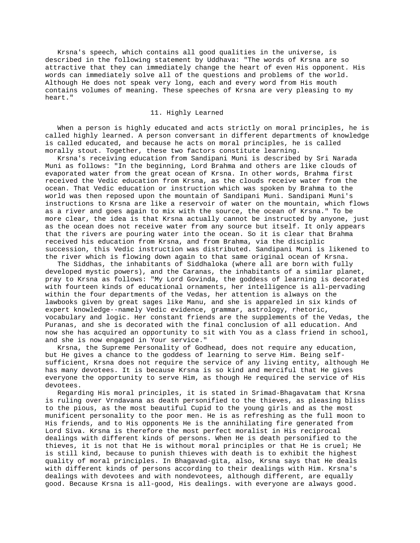Krsna's speech, which contains all good qualities in the universe, is described in the following statement by Uddhava: "The words of Krsna are so attractive that they can immediately change the heart of even His opponent. His words can immediately solve all of the questions and problems of the world. Although He does not speak very long, each and every word from His mouth contains volumes of meaning. These speeches of Krsna are very pleasing to my heart."

## 11. Highly Learned

 When a person is highly educated and acts strictly on moral principles, he is called highly learned. A person conversant in different departments of knowledge is called educated, and because he acts on moral principles, he is called morally stout. Together, these two factors constitute learning.

 Krsna's receiving education from Sandipani Muni is described by Sri Narada Muni as follows: "In the beginning, Lord Brahma and others are like clouds of evaporated water from the great ocean of Krsna. In other words, Brahma first received the Vedic education from Krsna, as the clouds receive water from the ocean. That Vedic education or instruction which was spoken by Brahma to the world was then reposed upon the mountain of Sandipani Muni. Sandipani Muni's instructions to Krsna are like a reservoir of water on the mountain, which flows as a river and goes again to mix with the source, the ocean of Krsna." To be more clear, the idea is that Krsna actually cannot be instructed by anyone, just as the ocean does not receive water from any source but itself. It only appears that the rivers are pouring water into the ocean. So it is clear that Brahma received his education from Krsna, and from Brahma, via the disciplic succession, this Vedic instruction was distributed. Sandipani Muni is likened to the river which is flowing down again to that same original ocean of Krsna.

 The Siddhas, the inhabitants of Siddhaloka (where all are born with fully developed mystic powers), and the Caranas, the inhabitants of a similar planet, pray to Krsna as follows: "My Lord Govinda, the goddess of learning is decorated with fourteen kinds of educational ornaments, her intelligence is all-pervading within the four departments of the Vedas, her attention is always on the lawbooks given by great sages like Manu, and she is appareled in six kinds of expert knowledge--namely Vedic evidence, grammar, astrology, rhetoric, vocabulary and logic. Her constant friends are the supplements of the Vedas, the Puranas, and she is decorated with the final conclusion of all education. And now she has acquired an opportunity to sit with You as a class friend in school, and she is now engaged in Your service."

 Krsna, the Supreme Personality of Godhead, does not require any education, but He gives a chance to the goddess of learning to serve Him. Being selfsufficient, Krsna does not require the service of any living entity, although He has many devotees. It is because Krsna is so kind and merciful that He gives everyone the opportunity to serve Him, as though He required the service of His devotees.

 Regarding His moral principles, it is stated in Srimad-Bhagavatam that Krsna is ruling over Vrndavana as death personified to the thieves, as pleasing bliss to the pious, as the most beautiful Cupid to the young girls and as the most munificent personality to the poor men. He is as refreshing as the full moon to His friends, and to His opponents He is the annihilating fire generated from Lord Siva. Krsna is therefore the most perfect moralist in His reciprocal dealings with different kinds of persons. When He is death personified to the thieves, it is not that He is without moral principles or that He is cruel; He is still kind, because to punish thieves with death is to exhibit the highest quality of moral principles. In Bhagavad-gita, also, Krsna says that He deals with different kinds of persons according to their dealings with Him. Krsna's dealings with devotees and with nondevotees, although different, are equally good. Because Krsna is all-good, His dealings. with everyone are always good.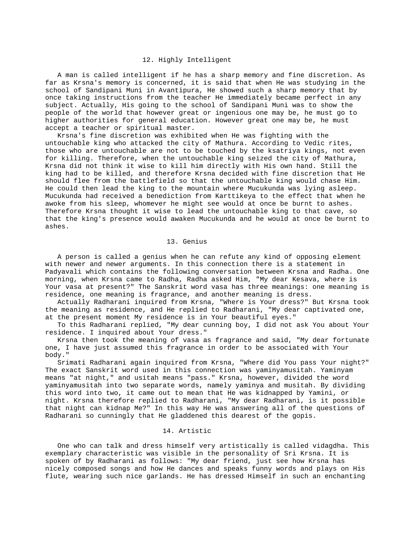# 12. Highly Intelligent

 A man is called intelligent if he has a sharp memory and fine discretion. As far as Krsna's memory is concerned, it is said that when He was studying in the school of Sandipani Muni in Avantipura, He showed such a sharp memory that by once taking instructions from the teacher He immediately became perfect in any subject. Actually, His going to the school of Sandipani Muni was to show the people of the world that however great or ingenious one may be, he must go to higher authorities for general education. However great one may be, he must accept a teacher or spiritual master.

 Krsna's fine discretion was exhibited when He was fighting with the untouchable king who attacked the city of Mathura. According to Vedic rites, those who are untouchable are not to be touched by the ksatriya kings, not even for killing. Therefore, when the untouchable king seized the city of Mathura, Krsna did not think it wise to kill him directly with His own hand. Still the king had to be killed, and therefore Krsna decided with fine discretion that He should flee from the battlefield so that the untouchable king would chase Him. He could then lead the king to the mountain where Mucukunda was lying asleep. Mucukunda had received a benediction from Karttikeya to the effect that when he awoke from his sleep, whomever he might see would at once be burnt to ashes. Therefore Krsna thought it wise to lead the untouchable king to that cave, so that the king's presence would awaken Mucukunda and he would at once be burnt to ashes.

## 13. Genius

 A person is called a genius when he can refute any kind of opposing element with newer and newer arguments. In this connection there is a statement in Padyavali which contains the following conversation between Krsna and Radha. One morning, when Krsna came to Radha, Radha asked Him, "My dear Kesava, where is Your vasa at present?" The Sanskrit word vasa has three meanings: one meaning is residence, one meaning is fragrance, and another meaning is dress.

 Actually Radharani inquired from Krsna, "Where is Your dress?" But Krsna took the meaning as residence, and He replied to Radharani, "My dear captivated one, at the present moment My residence is in Your beautiful eyes."

 To this Radharani replied, "My dear cunning boy, I did not ask You about Your residence. I inquired about Your dress."

 Krsna then took the meaning of vasa as fragrance and said, "My dear fortunate one, I have just assumed this fragrance in order to be associated with Your body."

 Srimati Radharani again inquired from Krsna, "Where did You pass Your night?" The exact Sanskrit word used in this connection was yaminyamusitah. Yaminyam means "at night," and usitah means "pass." Krsna, however, divided the word yaminyamusitah into two separate words, namely yaminya and musitah. By dividing this word into two, it came out to mean that He was kidnapped by Yamini, or night. Krsna therefore replied to Radharani, "My dear Radharani, is it possible that night can kidnap Me?" In this way He was answering all of the questions of Radharani so cunningly that He gladdened this dearest of the gopis.

# 14. Artistic

 One who can talk and dress himself very artistically is called vidagdha. This exemplary characteristic was visible in the personality of Sri Krsna. It is spoken of by Radharani as follows: "My dear friend, just see how Krsna has nicely composed songs and how He dances and speaks funny words and plays on His flute, wearing such nice garlands. He has dressed Himself in such an enchanting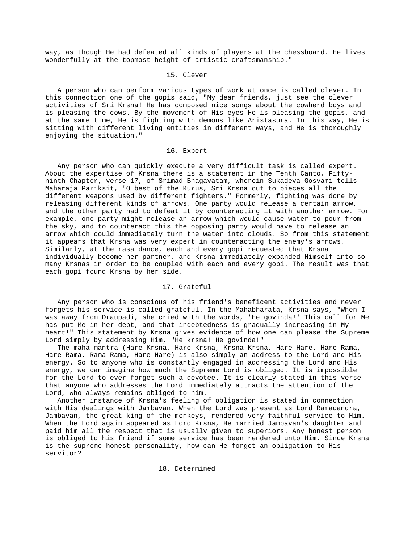way, as though He had defeated all kinds of players at the chessboard. He lives wonderfully at the topmost height of artistic craftsmanship."

#### 15. Clever

 A person who can perform various types of work at once is called clever. In this connection one of the gopis said, "My dear friends, just see the clever activities of Sri Krsna! He has composed nice songs about the cowherd boys and is pleasing the cows. By the movement of His eyes He is pleasing the gopis, and at the same time, He is fighting with demons like Aristasura. In this way, He is sitting with different living entities in different ways, and He is thoroughly enjoying the situation."

## 16. Expert

 Any person who can quickly execute a very difficult task is called expert. About the expertise of Krsna there is a statement in the Tenth Canto, Fiftyninth Chapter, verse 17, of Srimad-Bhagavatam, wherein Sukadeva Gosvami tells Maharaja Pariksit, "O best of the Kurus, Sri Krsna cut to pieces all the different weapons used by different fighters." Formerly, fighting was done by releasing different kinds of arrows. One party would release a certain arrow, and the other party had to defeat it by counteracting it with another arrow. For example, one party might release an arrow which would cause water to pour from the sky, and to counteract this the opposing party would have to release an arrow which could immediately turn the water into clouds. So from this statement it appears that Krsna was very expert in counteracting the enemy's arrows. Similarly, at the rasa dance, each and every gopi requested that Krsna individually become her partner, and Krsna immediately expanded Himself into so many Krsnas in order to be coupled with each and every gopi. The result was that each gopi found Krsna by her side.

### 17. Grateful

 Any person who is conscious of his friend's beneficent activities and never forgets his service is called grateful. In the Mahabharata, Krsna says, "When I was away from Draupadi, she cried with the words, 'He govinda!' This call for Me has put Me in her debt, and that indebtedness is gradually increasing in My heart!" This statement by Krsna gives evidence of how one can please the Supreme Lord simply by addressing Him, "He krsna! He govinda!"

 The maha-mantra (Hare Krsna, Hare Krsna, Krsna Krsna, Hare Hare. Hare Rama, Hare Rama, Rama Rama, Hare Hare) is also simply an address to the Lord and His energy. So to anyone who is constantly engaged in addressing the Lord and His energy, we can imagine how much the Supreme Lord is obliged. It is impossible for the Lord to ever forget such a devotee. It is clearly stated in this verse that anyone who addresses the Lord immediately attracts the attention of the Lord, who always remains obliged to him.

 Another instance of Krsna's feeling of obligation is stated in connection with His dealings with Jambavan. When the Lord was present as Lord Ramacandra, Jambavan, the great king of the monkeys, rendered very faithful service to Him. When the Lord again appeared as Lord Krsna, He married Jambavan's daughter and paid him all the respect that is usually given to superiors. Any honest person is obliged to his friend if some service has been rendered unto Him. Since Krsna is the supreme honest personality, how can He forget an obligation to His servitor?

18. Determined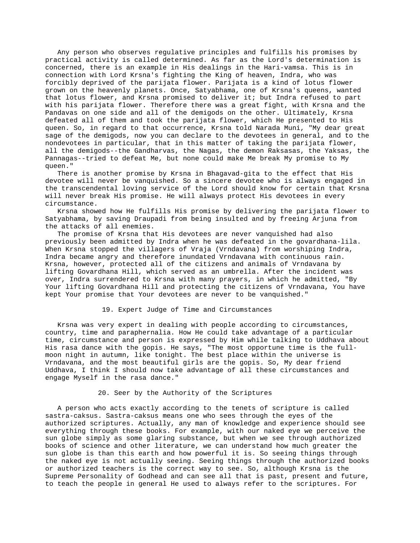Any person who observes regulative principles and fulfills his promises by practical activity is called determined. As far as the Lord's determination is concerned, there is an example in His dealings in the Hari-vamsa. This is in connection with Lord Krsna's fighting the King of heaven, Indra, who was forcibly deprived of the parijata flower. Parijata is a kind of lotus flower grown on the heavenly planets. Once, Satyabhama, one of Krsna's queens, wanted that lotus flower, and Krsna promised to deliver it; but Indra refused to part with his parijata flower. Therefore there was a great fight, with Krsna and the Pandavas on one side and all of the demigods on the other. Ultimately, Krsna defeated all of them and took the parijata flower, which He presented to His queen. So, in regard to that occurrence, Krsna told Narada Muni, "My dear great sage of the demigods, now you can declare to the devotees in general, and to the nondevotees in particular, that in this matter of taking the parijata flower, all the demigods--the Gandharvas, the Nagas, the demon Raksasas, the Yaksas, the Pannagas--tried to defeat Me, but none could make Me break My promise to My queen."

 There is another promise by Krsna in Bhagavad-gita to the effect that His devotee will never be vanquished. So a sincere devotee who is always engaged in the transcendental loving service of the Lord should know for certain that Krsna will never break His promise. He will always protect His devotees in every circumstance.

 Krsna showed how He fulfills His promise by delivering the parijata flower to Satyabhama, by saving Draupadi from being insulted and by freeing Arjuna from the attacks of all enemies.

 The promise of Krsna that His devotees are never vanquished had also previously been admitted by Indra when he was defeated in the govardhana-lila. When Krsna stopped the villagers of Vraja (Vrndavana) from worshiping Indra, Indra became angry and therefore inundated Vrndavana with continuous rain. Krsna, however, protected all of the citizens and animals of Vrndavana by lifting Govardhana Hill, which served as an umbrella. After the incident was over, Indra surrendered to Krsna with many prayers, in which he admitted, "By Your lifting Govardhana Hill and protecting the citizens of Vrndavana, You have kept Your promise that Your devotees are never to be vanquished."

## 19. Expert Judge of Time and Circumstances

 Krsna was very expert in dealing with people according to circumstances, country, time and paraphernalia. How He could take advantage of a particular time, circumstance and person is expressed by Him while talking to Uddhava about His rasa dance with the gopis. He says, "The most opportune time is the fullmoon night in autumn, like tonight. The best place within the universe is Vrndavana, and the most beautiful girls are the gopis. So, My dear friend Uddhava, I think I should now take advantage of all these circumstances and engage Myself in the rasa dance."

## 20. Seer by the Authority of the Scriptures

 A person who acts exactly according to the tenets of scripture is called sastra-caksus. Sastra-caksus means one who sees through the eyes of the authorized scriptures. Actually, any man of knowledge and experience should see everything through these books. For example, with our naked eye we perceive the sun globe simply as some glaring substance, but when we see through authorized books of science and other literature, we can understand how much greater the sun globe is than this earth and how powerful it is. So seeing things through the naked eye is not actually seeing. Seeing things through the authorized books or authorized teachers is the correct way to see. So, although Krsna is the Supreme Personality of Godhead and can see all that is past, present and future, to teach the people in general He used to always refer to the scriptures. For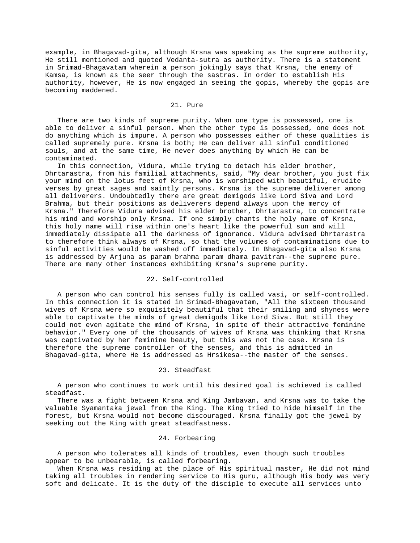example, in Bhagavad-gita, although Krsna was speaking as the supreme authority, He still mentioned and quoted Vedanta-sutra as authority. There is a statement in Srimad-Bhagavatam wherein a person jokingly says that Krsna, the enemy of Kamsa, is known as the seer through the sastras. In order to establish His authority, however, He is now engaged in seeing the gopis, whereby the gopis are becoming maddened.

#### 21. Pure

 There are two kinds of supreme purity. When one type is possessed, one is able to deliver a sinful person. When the other type is possessed, one does not do anything which is impure. A person who possesses either of these qualities is called supremely pure. Krsna is both; He can deliver all sinful conditioned souls, and at the same time, He never does anything by which He can be contaminated.

 In this connection, Vidura, while trying to detach his elder brother, Dhrtarastra, from his familial attachments, said, "My dear brother, you just fix your mind on the lotus feet of Krsna, who is worshiped with beautiful, erudite verses by great sages and saintly persons. Krsna is the supreme deliverer among all deliverers. Undoubtedly there are great demigods like Lord Siva and Lord Brahma, but their positions as deliverers depend always upon the mercy of Krsna." Therefore Vidura advised his elder brother, Dhrtarastra, to concentrate his mind and worship only Krsna. If one simply chants the holy name of Krsna, this holy name will rise within one's heart like the powerful sun and will immediately dissipate all the darkness of ignorance. Vidura advised Dhrtarastra to therefore think always of Krsna, so that the volumes of contaminations due to sinful activities would be washed off immediately. In Bhagavad-gita also Krsna is addressed by Arjuna as param brahma param dhama pavitram--the supreme pure. There are many other instances exhibiting Krsna's supreme purity.

## 22. Self-controlled

 A person who can control his senses fully is called vasi, or self-controlled. In this connection it is stated in Srimad-Bhagavatam, "All the sixteen thousand wives of Krsna were so exquisitely beautiful that their smiling and shyness were able to captivate the minds of great demigods like Lord Siva. But still they could not even agitate the mind of Krsna, in spite of their attractive feminine behavior." Every one of the thousands of wives of Krsna was thinking that Krsna was captivated by her feminine beauty, but this was not the case. Krsna is therefore the supreme controller of the senses, and this is admitted in Bhagavad-gita, where He is addressed as Hrsikesa--the master of the senses.

#### 23. Steadfast

 A person who continues to work until his desired goal is achieved is called steadfast.

 There was a fight between Krsna and King Jambavan, and Krsna was to take the valuable Syamantaka jewel from the King. The King tried to hide himself in the forest, but Krsna would not become discouraged. Krsna finally got the jewel by seeking out the King with great steadfastness.

## 24. Forbearing

 A person who tolerates all kinds of troubles, even though such troubles appear to be unbearable, is called forbearing.

 When Krsna was residing at the place of His spiritual master, He did not mind taking all troubles in rendering service to His guru, although His body was very soft and delicate. It is the duty of the disciple to execute all services unto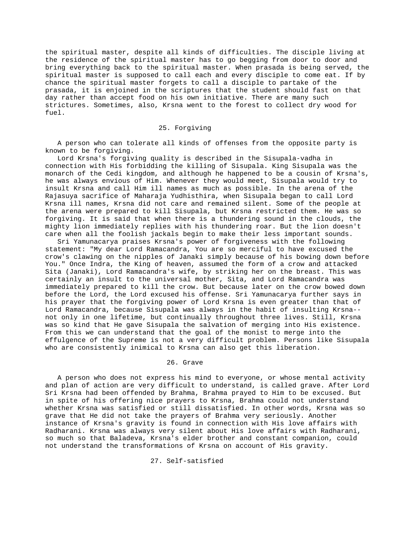the spiritual master, despite all kinds of difficulties. The disciple living at the residence of the spiritual master has to go begging from door to door and bring everything back to the spiritual master. When prasada is being served, the spiritual master is supposed to call each and every disciple to come eat. If by chance the spiritual master forgets to call a disciple to partake of the prasada, it is enjoined in the scriptures that the student should fast on that day rather than accept food on his own initiative. There are many such strictures. Sometimes, also, Krsna went to the forest to collect dry wood for fuel.

#### 25. Forgiving

 A person who can tolerate all kinds of offenses from the opposite party is known to be forgiving.

 Lord Krsna's forgiving quality is described in the Sisupala-vadha in connection with His forbidding the killing of Sisupala. King Sisupala was the monarch of the Cedi kingdom, and although he happened to be a cousin of Krsna's, he was always envious of Him. Whenever they would meet, Sisupala would try to insult Krsna and call Him ill names as much as possible. In the arena of the Rajasuya sacrifice of Maharaja Yudhisthira, when Sisupala began to call Lord Krsna ill names, Krsna did not care and remained silent. Some of the people at the arena were prepared to kill Sisupala, but Krsna restricted them. He was so forgiving. It is said that when there is a thundering sound in the clouds, the mighty lion immediately replies with his thundering roar. But the lion doesn't care when all the foolish jackals begin to make their less important sounds.

 Sri Yamunacarya praises Krsna's power of forgiveness with the following statement: "My dear Lord Ramacandra, You are so merciful to have excused the crow's clawing on the nipples of Janaki simply because of his bowing down before You." Once Indra, the King of heaven, assumed the form of a crow and attacked Sita (Janaki), Lord Ramacandra's wife, by striking her on the breast. This was certainly an insult to the universal mother, Sita, and Lord Ramacandra was immediately prepared to kill the crow. But because later on the crow bowed down before the Lord, the Lord excused his offense. Sri Yamunacarya further says in his prayer that the forgiving power of Lord Krsna is even greater than that of Lord Ramacandra, because Sisupala was always in the habit of insulting Krsna- not only in one lifetime, but continually throughout three lives. Still, Krsna was so kind that He gave Sisupala the salvation of merging into His existence. From this we can understand that the goal of the monist to merge into the effulgence of the Supreme is not a very difficult problem. Persons like Sisupala who are consistently inimical to Krsna can also get this liberation.

#### 26. Grave

 A person who does not express his mind to everyone, or whose mental activity and plan of action are very difficult to understand, is called grave. After Lord Sri Krsna had been offended by Brahma, Brahma prayed to Him to be excused. But in spite of his offering nice prayers to Krsna, Brahma could not understand whether Krsna was satisfied or still dissatisfied. In other words, Krsna was so grave that He did not take the prayers of Brahma very seriously. Another instance of Krsna's gravity is found in connection with His love affairs with Radharani. Krsna was always very silent about His love affairs with Radharani, so much so that Baladeva, Krsna's elder brother and constant companion, could not understand the transformations of Krsna on account of His gravity.

27. Self-satisfied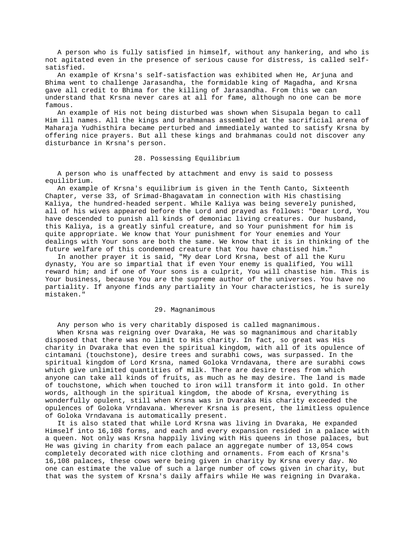A person who is fully satisfied in himself, without any hankering, and who is not agitated even in the presence of serious cause for distress, is called selfsatisfied.

 An example of Krsna's self-satisfaction was exhibited when He, Arjuna and Bhima went to challenge Jarasandha, the formidable king of Magadha, and Krsna gave all credit to Bhima for the killing of Jarasandha. From this we can understand that Krsna never cares at all for fame, although no one can be more famous.

 An example of His not being disturbed was shown when Sisupala began to call Him ill names. All the kings and brahmanas assembled at the sacrificial arena of Maharaja Yudhisthira became perturbed and immediately wanted to satisfy Krsna by offering nice prayers. But all these kings and brahmanas could not discover any disturbance in Krsna's person.

## 28. Possessing Equilibrium

 A person who is unaffected by attachment and envy is said to possess equilibrium.

 An example of Krsna's equilibrium is given in the Tenth Canto, Sixteenth Chapter, verse 33, of Srimad-Bhagavatam in connection with His chastising Kaliya, the hundred-headed serpent. While Kaliya was being severely punished, all of his wives appeared before the Lord and prayed as follows: "Dear Lord, You have descended to punish all kinds of demoniac living creatures. Our husband, this Kaliya, is a greatly sinful creature, and so Your punishment for him is quite appropriate. We know that Your punishment for Your enemies and Your dealings with Your sons are both the same. We know that it is in thinking of the future welfare of this condemned creature that You have chastised him."

 In another prayer it is said, "My dear Lord Krsna, best of all the Kuru dynasty, You are so impartial that if even Your enemy is qualified, You will reward him; and if one of Your sons is a culprit, You will chastise him. This is Your business, because You are the supreme author of the universes. You have no partiality. If anyone finds any partiality in Your characteristics, he is surely mistaken."

## 29. Magnanimous

Any person who is very charitably disposed is called magnanimous.

 When Krsna was reigning over Dvaraka, He was so magnanimous and charitably disposed that there was no limit to His charity. In fact, so great was His charity in Dvaraka that even the spiritual kingdom, with all of its opulence of cintamani (touchstone), desire trees and surabhi cows, was surpassed. In the spiritual kingdom of Lord Krsna, named Goloka Vrndavana, there are surabhi cows which give unlimited quantities of milk. There are desire trees from which anyone can take all kinds of fruits, as much as he may desire. The land is made of touchstone, which when touched to iron will transform it into gold. In other words, although in the spiritual kingdom, the abode of Krsna, everything is wonderfully opulent, still when Krsna was in Dvaraka His charity exceeded the opulences of Goloka Vrndavana. Wherever Krsna is present, the limitless opulence of Goloka Vrndavana is automatically present.

 It is also stated that while Lord Krsna was living in Dvaraka, He expanded Himself into 16,108 forms, and each and every expansion resided in a palace with a queen. Not only was Krsna happily living with His queens in those palaces, but He was giving in charity from each palace an aggregate number of 13,054 cows completely decorated with nice clothing and ornaments. From each of Krsna's 16,108 palaces, these cows were being given in charity by Krsna every day. No one can estimate the value of such a large number of cows given in charity, but that was the system of Krsna's daily affairs while He was reigning in Dvaraka.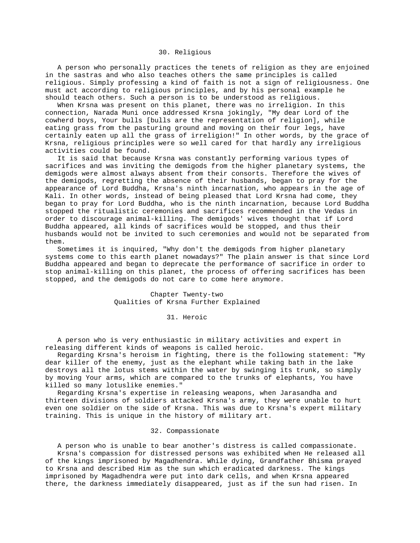## 30. Religious

 A person who personally practices the tenets of religion as they are enjoined in the sastras and who also teaches others the same principles is called religious. Simply professing a kind of faith is not a sign of religiousness. One must act according to religious principles, and by his personal example he should teach others. Such a person is to be understood as religious.

 When Krsna was present on this planet, there was no irreligion. In this connection, Narada Muni once addressed Krsna jokingly, "My dear Lord of the cowherd boys, Your bulls [bulls are the representation of religion], while eating grass from the pasturing ground and moving on their four legs, have certainly eaten up all the grass of irreligion!" In other words, by the grace of Krsna, religious principles were so well cared for that hardly any irreligious activities could be found.

 It is said that because Krsna was constantly performing various types of sacrifices and was inviting the demigods from the higher planetary systems, the demigods were almost always absent from their consorts. Therefore the wives of the demigods, regretting the absence of their husbands, began to pray for the appearance of Lord Buddha, Krsna's ninth incarnation, who appears in the age of Kali. In other words, instead of being pleased that Lord Krsna had come, they began to pray for Lord Buddha, who is the ninth incarnation, because Lord Buddha stopped the ritualistic ceremonies and sacrifices recommended in the Vedas in order to discourage animal-killing. The demigods' wives thought that if Lord Buddha appeared, all kinds of sacrifices would be stopped, and thus their husbands would not be invited to such ceremonies and would not be separated from them.

 Sometimes it is inquired, "Why don't the demigods from higher planetary systems come to this earth planet nowadays?" The plain answer is that since Lord Buddha appeared and began to deprecate the performance of sacrifice in order to stop animal-killing on this planet, the process of offering sacrifices has been stopped, and the demigods do not care to come here anymore.

## Chapter Twenty-two Qualities of Krsna Further Explained

## 31. Heroic

 A person who is very enthusiastic in military activities and expert in releasing different kinds of weapons is called heroic.

 Regarding Krsna's heroism in fighting, there is the following statement: "My dear killer of the enemy, just as the elephant while taking bath in the lake destroys all the lotus stems within the water by swinging its trunk, so simply by moving Your arms, which are compared to the trunks of elephants, You have killed so many lotuslike enemies."

 Regarding Krsna's expertise in releasing weapons, when Jarasandha and thirteen divisions of soldiers attacked Krsna's army, they were unable to hurt even one soldier on the side of Krsna. This was due to Krsna's expert military training. This is unique in the history of military art.

#### 32. Compassionate

 A person who is unable to bear another's distress is called compassionate. Krsna's compassion for distressed persons was exhibited when He released all of the kings imprisoned by Magadhendra. While dying, Grandfather Bhisma prayed to Krsna and described Him as the sun which eradicated darkness. The kings imprisoned by Magadhendra were put into dark cells, and when Krsna appeared there, the darkness immediately disappeared, just as if the sun had risen. In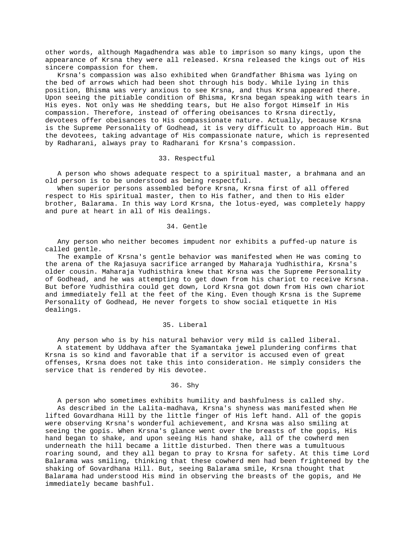other words, although Magadhendra was able to imprison so many kings, upon the appearance of Krsna they were all released. Krsna released the kings out of His sincere compassion for them.

 Krsna's compassion was also exhibited when Grandfather Bhisma was lying on the bed of arrows which had been shot through his body. While lying in this position, Bhisma was very anxious to see Krsna, and thus Krsna appeared there. Upon seeing the pitiable condition of Bhisma, Krsna began speaking with tears in His eyes. Not only was He shedding tears, but He also forgot Himself in His compassion. Therefore, instead of offering obeisances to Krsna directly, devotees offer obeisances to His compassionate nature. Actually, because Krsna is the Supreme Personality of Godhead, it is very difficult to approach Him. But the devotees, taking advantage of His compassionate nature, which is represented by Radharani, always pray to Radharani for Krsna's compassion.

## 33. Respectful

 A person who shows adequate respect to a spiritual master, a brahmana and an old person is to be understood as being respectful.

 When superior persons assembled before Krsna, Krsna first of all offered respect to His spiritual master, then to His father, and then to His elder brother, Balarama. In this way Lord Krsna, the lotus-eyed, was completely happy and pure at heart in all of His dealings.

## 34. Gentle

 Any person who neither becomes impudent nor exhibits a puffed-up nature is called gentle.

 The example of Krsna's gentle behavior was manifested when He was coming to the arena of the Rajasuya sacrifice arranged by Maharaja Yudhisthira, Krsna's older cousin. Maharaja Yudhisthira knew that Krsna was the Supreme Personality of Godhead, and he was attempting to get down from his chariot to receive Krsna. But before Yudhisthira could get down, Lord Krsna got down from His own chariot and immediately fell at the feet of the King. Even though Krsna is the Supreme Personality of Godhead, He never forgets to show social etiquette in His dealings.

## 35. Liberal

 Any person who is by his natural behavior very mild is called liberal. A statement by Uddhava after the Syamantaka jewel plundering confirms that Krsna is so kind and favorable that if a servitor is accused even of great offenses, Krsna does not take this into consideration. He simply considers the service that is rendered by His devotee.

#### 36. Shy

 A person who sometimes exhibits humility and bashfulness is called shy. As described in the Lalita-madhava, Krsna's shyness was manifested when He lifted Govardhana Hill by the little finger of His left hand. All of the gopis were observing Krsna's wonderful achievement, and Krsna was also smiling at seeing the gopis. When Krsna's glance went over the breasts of the gopis, His hand began to shake, and upon seeing His hand shake, all of the cowherd men underneath the hill became a little disturbed. Then there was a tumultuous roaring sound, and they all began to pray to Krsna for safety. At this time Lord Balarama was smiling, thinking that these cowherd men had been frightened by the shaking of Govardhana Hill. But, seeing Balarama smile, Krsna thought that Balarama had understood His mind in observing the breasts of the gopis, and He immediately became bashful.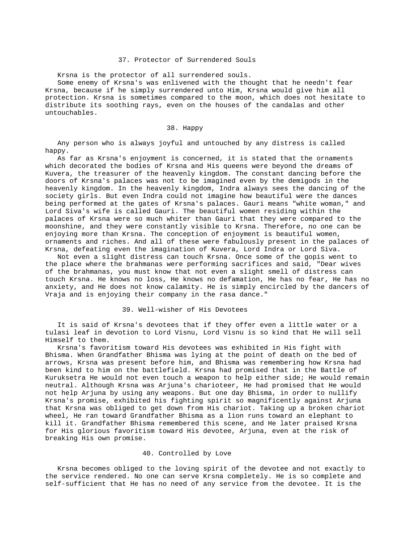## 37. Protector of Surrendered Souls

Krsna is the protector of all surrendered souls.

 Some enemy of Krsna's was enlivened with the thought that he needn't fear Krsna, because if he simply surrendered unto Him, Krsna would give him all protection. Krsna is sometimes compared to the moon, which does not hesitate to distribute its soothing rays, even on the houses of the candalas and other untouchables.

#### 38. Happy

 Any person who is always joyful and untouched by any distress is called happy.

 As far as Krsna's enjoyment is concerned, it is stated that the ornaments which decorated the bodies of Krsna and His queens were beyond the dreams of Kuvera, the treasurer of the heavenly kingdom. The constant dancing before the doors of Krsna's palaces was not to be imagined even by the demigods in the heavenly kingdom. In the heavenly kingdom, Indra always sees the dancing of the society girls. But even Indra could not imagine how beautiful were the dances being performed at the gates of Krsna's palaces. Gauri means "white woman," and Lord Siva's wife is called Gauri. The beautiful women residing within the palaces of Krsna were so much whiter than Gauri that they were compared to the moonshine, and they were constantly visible to Krsna. Therefore, no one can be enjoying more than Krsna. The conception of enjoyment is beautiful women, ornaments and riches. And all of these were fabulously present in the palaces of Krsna, defeating even the imagination of Kuvera, Lord Indra or Lord Siva.

 Not even a slight distress can touch Krsna. Once some of the gopis went to the place where the brahmanas were performing sacrifices and said, "Dear wives of the brahmanas, you must know that not even a slight smell of distress can touch Krsna. He knows no loss, He knows no defamation, He has no fear, He has no anxiety, and He does not know calamity. He is simply encircled by the dancers of Vraja and is enjoying their company in the rasa dance."

## 39. Well-wisher of His Devotees

 It is said of Krsna's devotees that if they offer even a little water or a tulasi leaf in devotion to Lord Visnu, Lord Visnu is so kind that He will sell Himself to them.

 Krsna's favoritism toward His devotees was exhibited in His fight with Bhisma. When Grandfather Bhisma was lying at the point of death on the bed of arrows, Krsna was present before him, and Bhisma was remembering how Krsna had been kind to him on the battlefield. Krsna had promised that in the Battle of Kuruksetra He would not even touch a weapon to help either side; He would remain neutral. Although Krsna was Arjuna's charioteer, He had promised that He would not help Arjuna by using any weapons. But one day Bhisma, in order to nullify Krsna's promise, exhibited his fighting spirit so magnificently against Arjuna that Krsna was obliged to get down from His chariot. Taking up a broken chariot wheel, He ran toward Grandfather Bhisma as a lion runs toward an elephant to kill it. Grandfather Bhisma remembered this scene, and He later praised Krsna for His glorious favoritism toward His devotee, Arjuna, even at the risk of breaking His own promise.

#### 40. Controlled by Love

 Krsna becomes obliged to the loving spirit of the devotee and not exactly to the service rendered. No one can serve Krsna completely. He is so complete and self-sufficient that He has no need of any service from the devotee. It is the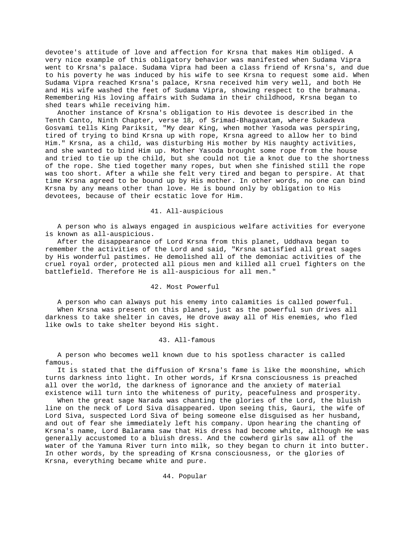devotee's attitude of love and affection for Krsna that makes Him obliged. A very nice example of this obligatory behavior was manifested when Sudama Vipra went to Krsna's palace. Sudama Vipra had been a class friend of Krsna's, and due to his poverty he was induced by his wife to see Krsna to request some aid. When Sudama Vipra reached Krsna's palace, Krsna received him very well, and both He and His wife washed the feet of Sudama Vipra, showing respect to the brahmana. Remembering His loving affairs with Sudama in their childhood, Krsna began to shed tears while receiving him.

 Another instance of Krsna's obligation to His devotee is described in the Tenth Canto, Ninth Chapter, verse 18, of Srimad-Bhagavatam, where Sukadeva Gosvami tells King Pariksit, "My dear King, when mother Yasoda was perspiring, tired of trying to bind Krsna up with rope, Krsna agreed to allow her to bind Him." Krsna, as a child, was disturbing His mother by His naughty activities, and she wanted to bind Him up. Mother Yasoda brought some rope from the house and tried to tie up the child, but she could not tie a knot due to the shortness of the rope. She tied together many ropes, but when she finished still the rope was too short. After a while she felt very tired and began to perspire. At that time Krsna agreed to be bound up by His mother. In other words, no one can bind Krsna by any means other than love. He is bound only by obligation to His devotees, because of their ecstatic love for Him.

#### 41. All-auspicious

 A person who is always engaged in auspicious welfare activities for everyone is known as all-auspicious.

 After the disappearance of Lord Krsna from this planet, Uddhava began to remember the activities of the Lord and said, "Krsna satisfied all great sages by His wonderful pastimes. He demolished all of the demoniac activities of the cruel royal order, protected all pious men and killed all cruel fighters on the battlefield. Therefore He is all-auspicious for all men."

#### 42. Most Powerful

 A person who can always put his enemy into calamities is called powerful. When Krsna was present on this planet, just as the powerful sun drives all darkness to take shelter in caves, He drove away all of His enemies, who fled like owls to take shelter beyond His sight.

#### 43. All-famous

 A person who becomes well known due to his spotless character is called famous.

 It is stated that the diffusion of Krsna's fame is like the moonshine, which turns darkness into light. In other words, if Krsna consciousness is preached all over the world, the darkness of ignorance and the anxiety of material existence will turn into the whiteness of purity, peacefulness and prosperity.

 When the great sage Narada was chanting the glories of the Lord, the bluish line on the neck of Lord Siva disappeared. Upon seeing this, Gauri, the wife of Lord Siva, suspected Lord Siva of being someone else disguised as her husband, and out of fear she immediately left his company. Upon hearing the chanting of Krsna's name, Lord Balarama saw that His dress had become white, although He was generally accustomed to a bluish dress. And the cowherd girls saw all of the water of the Yamuna River turn into milk, so they began to churn it into butter. In other words, by the spreading of Krsna consciousness, or the glories of Krsna, everything became white and pure.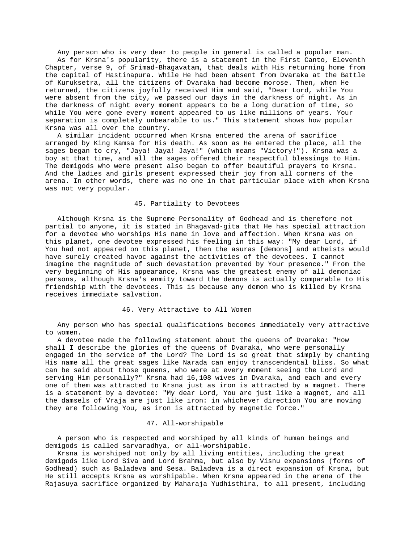Any person who is very dear to people in general is called a popular man. As for Krsna's popularity, there is a statement in the First Canto, Eleventh Chapter, verse 9, of Srimad-Bhagavatam, that deals with His returning home from the capital of Hastinapura. While He had been absent from Dvaraka at the Battle of Kuruksetra, all the citizens of Dvaraka had become morose. Then, when He returned, the citizens joyfully received Him and said, "Dear Lord, while You were absent from the city, we passed our days in the darkness of night. As in the darkness of night every moment appears to be a long duration of time, so while You were gone every moment appeared to us like millions of years. Your separation is completely unbearable to us." This statement shows how popular Krsna was all over the country.

 A similar incident occurred when Krsna entered the arena of sacrifice arranged by King Kamsa for His death. As soon as He entered the place, all the sages began to cry, "Jaya! Jaya! Jaya!" (which means "Victory!"). Krsna was a boy at that time, and all the sages offered their respectful blessings to Him. The demigods who were present also began to offer beautiful prayers to Krsna. And the ladies and girls present expressed their joy from all corners of the arena. In other words, there was no one in that particular place with whom Krsna was not very popular.

## 45. Partiality to Devotees

 Although Krsna is the Supreme Personality of Godhead and is therefore not partial to anyone, it is stated in Bhagavad-gita that He has special attraction for a devotee who worships His name in love and affection. When Krsna was on this planet, one devotee expressed his feeling in this way: "My dear Lord, if You had not appeared on this planet, then the asuras [demons] and atheists would have surely created havoc against the activities of the devotees. I cannot imagine the magnitude of such devastation prevented by Your presence." From the very beginning of His appearance, Krsna was the greatest enemy of all demoniac persons, although Krsna's enmity toward the demons is actually comparable to His friendship with the devotees. This is because any demon who is killed by Krsna receives immediate salvation.

## 46. Very Attractive to All Women

 Any person who has special qualifications becomes immediately very attractive to women.

 A devotee made the following statement about the queens of Dvaraka: "How shall I describe the glories of the queens of Dvaraka, who were personally engaged in the service of the Lord? The Lord is so great that simply by chanting His name all the great sages like Narada can enjoy transcendental bliss. So what can be said about those queens, who were at every moment seeing the Lord and serving Him personally?" Krsna had 16,108 wives in Dvaraka, and each and every one of them was attracted to Krsna just as iron is attracted by a magnet. There is a statement by a devotee: "My dear Lord, You are just like a magnet, and all the damsels of Vraja are just like iron: in whichever direction You are moving they are following You, as iron is attracted by magnetic force."

## 47. All-worshipable

 A person who is respected and worshiped by all kinds of human beings and demigods is called sarvaradhya, or all-worshipable.

 Krsna is worshiped not only by all living entities, including the great demigods like Lord Siva and Lord Brahma, but also by Visnu expansions (forms of Godhead) such as Baladeva and Sesa. Baladeva is a direct expansion of Krsna, but He still accepts Krsna as worshipable. When Krsna appeared in the arena of the Rajasuya sacrifice organized by Maharaja Yudhisthira, to all present, including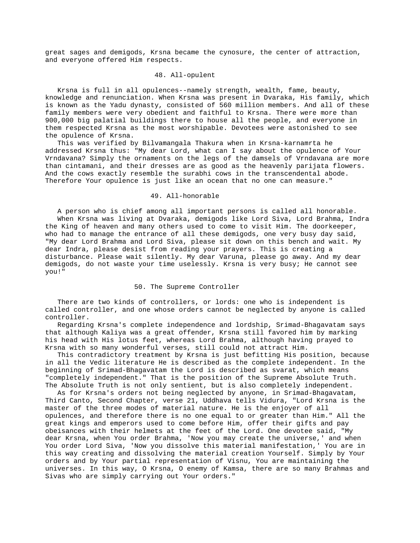great sages and demigods, Krsna became the cynosure, the center of attraction, and everyone offered Him respects.

# 48. All-opulent

 Krsna is full in all opulences--namely strength, wealth, fame, beauty, knowledge and renunciation. When Krsna was present in Dvaraka, His family, which is known as the Yadu dynasty, consisted of 560 million members. And all of these family members were very obedient and faithful to Krsna. There were more than 900,000 big palatial buildings there to house all the people, and everyone in them respected Krsna as the most worshipable. Devotees were astonished to see the opulence of Krsna.

 This was verified by Bilvamangala Thakura when in Krsna-karnamrta he addressed Krsna thus: "My dear Lord, what can I say about the opulence of Your Vrndavana? Simply the ornaments on the legs of the damsels of Vrndavana are more than cintamani, and their dresses are as good as the heavenly parijata flowers. And the cows exactly resemble the surabhi cows in the transcendental abode. Therefore Your opulence is just like an ocean that no one can measure."

#### 49. All-honorable

 A person who is chief among all important persons is called all honorable. When Krsna was living at Dvaraka, demigods like Lord Siva, Lord Brahma, Indra the King of heaven and many others used to come to visit Him. The doorkeeper, who had to manage the entrance of all these demigods, one very busy day said, "My dear Lord Brahma and Lord Siva, please sit down on this bench and wait. My dear Indra, please desist from reading your prayers. This is creating a disturbance. Please wait silently. My dear Varuna, please go away. And my dear demigods, do not waste your time uselessly. Krsna is very busy; He cannot see you!"

#### 50. The Supreme Controller

 There are two kinds of controllers, or lords: one who is independent is called controller, and one whose orders cannot be neglected by anyone is called controller.

 Regarding Krsna's complete independence and lordship, Srimad-Bhagavatam says that although Kaliya was a great offender, Krsna still favored him by marking his head with His lotus feet, whereas Lord Brahma, although having prayed to Krsna with so many wonderful verses, still could not attract Him.

 This contradictory treatment by Krsna is just befitting His position, because in all the Vedic literature He is described as the complete independent. In the beginning of Srimad-Bhagavatam the Lord is described as svarat, which means "completely independent." That is the position of the Supreme Absolute Truth. The Absolute Truth is not only sentient, but is also completely independent.

 As for Krsna's orders not being neglected by anyone, in Srimad-Bhagavatam, Third Canto, Second Chapter, verse 21, Uddhava tells Vidura, "Lord Krsna is the master of the three modes of material nature. He is the enjoyer of all opulences, and therefore there is no one equal to or greater than Him." All the great kings and emperors used to come before Him, offer their gifts and pay obeisances with their helmets at the feet of the Lord. One devotee said, "My dear Krsna, when You order Brahma, 'Now you may create the universe,' and when You order Lord Siva, 'Now you dissolve this material manifestation,' You are in this way creating and dissolving the material creation Yourself. Simply by Your orders and by Your partial representation of Visnu, You are maintaining the universes. In this way, O Krsna, O enemy of Kamsa, there are so many Brahmas and Sivas who are simply carrying out Your orders."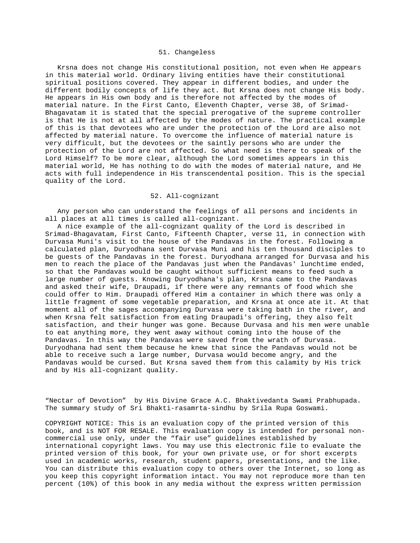### 51. Changeless

 Krsna does not change His constitutional position, not even when He appears in this material world. Ordinary living entities have their constitutional spiritual positions covered. They appear in different bodies, and under the different bodily concepts of life they act. But Krsna does not change His body. He appears in His own body and is therefore not affected by the modes of material nature. In the First Canto, Eleventh Chapter, verse 38, of Srimad-Bhagavatam it is stated that the special prerogative of the supreme controller is that He is not at all affected by the modes of nature. The practical example of this is that devotees who are under the protection of the Lord are also not affected by material nature. To overcome the influence of material nature is very difficult, but the devotees or the saintly persons who are under the protection of the Lord are not affected. So what need is there to speak of the Lord Himself? To be more clear, although the Lord sometimes appears in this material world, He has nothing to do with the modes of material nature, and He acts with full independence in His transcendental position. This is the special quality of the Lord.

## 52. All-cognizant

 Any person who can understand the feelings of all persons and incidents in all places at all times is called all-cognizant.

 A nice example of the all-cognizant quality of the Lord is described in Srimad-Bhagavatam, First Canto, Fifteenth Chapter, verse 11, in connection with Durvasa Muni's visit to the house of the Pandavas in the forest. Following a calculated plan, Duryodhana sent Durvasa Muni and his ten thousand disciples to be guests of the Pandavas in the forest. Duryodhana arranged for Durvasa and his men to reach the place of the Pandavas just when the Pandavas' lunchtime ended, so that the Pandavas would be caught without sufficient means to feed such a large number of guests. Knowing Duryodhana's plan, Krsna came to the Pandavas and asked their wife, Draupadi, if there were any remnants of food which she could offer to Him. Draupadi offered Him a container in which there was only a little fragment of some vegetable preparation, and Krsna at once ate it. At that moment all of the sages accompanying Durvasa were taking bath in the river, and when Krsna felt satisfaction from eating Draupadi's offering, they also felt satisfaction, and their hunger was gone. Because Durvasa and his men were unable to eat anything more, they went away without coming into the house of the Pandavas. In this way the Pandavas were saved from the wrath of Durvasa. Duryodhana had sent them because he knew that since the Pandavas would not be able to receive such a large number, Durvasa would become angry, and the Pandavas would be cursed. But Krsna saved them from this calamity by His trick and by His all-cognizant quality.

"Nectar of Devotion" by His Divine Grace A.C. Bhaktivedanta Swami Prabhupada. The summary study of Sri Bhakti-rasamrta-sindhu by Srila Rupa Goswami.

COPYRIGHT NOTICE: This is an evaluation copy of the printed version of this book, and is NOT FOR RESALE. This evaluation copy is intended for personal noncommercial use only, under the "fair use" guidelines established by international copyright laws. You may use this electronic file to evaluate the printed version of this book, for your own private use, or for short excerpts used in academic works, research, student papers, presentations, and the like. You can distribute this evaluation copy to others over the Internet, so long as you keep this copyright information intact. You may not reproduce more than ten percent (10%) of this book in any media without the express written permission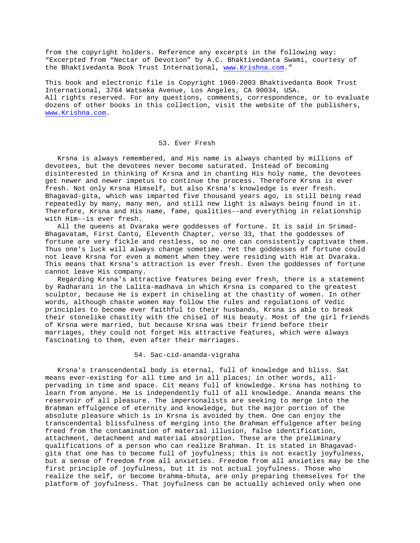from the copyright holders. Reference any excerpts in the following way: "Excerpted from "Nectar of Devotion" by A.C. Bhaktivedanta Swami, courtesy of the Bhaktivedanta Book Trust International, www.Krishna.com."

This book and electronic file is Copyright 1969-2003 Bhaktivedanta Book Trust International, 3764 Watseka Avenue, Los Angeles, CA 90034, USA. All rights reserved. For any questions, comments, correspondence, or to evaluate dozens of other books in this collection, visit the website of the publishers, www.Krishna.com.

## 53. Ever Fresh

 Krsna is always remembered, and His name is always chanted by millions of devotees, but the devotees never become saturated. Instead of becoming disinterested in thinking of Krsna and in chanting His holy name, the devotees get newer and newer impetus to continue the process. Therefore Krsna is ever fresh. Not only Krsna Himself, but also Krsna's knowledge is ever fresh. Bhagavad-gita, which was imparted five thousand years ago, is still being read repeatedly by many, many men, and still new light is always being found in it. Therefore, Krsna and His name, fame, qualities--and everything in relationship with Him--is ever fresh.

 All the queens at Dvaraka were goddesses of fortune. It is said in Srimad-Bhagavatam, First Canto, Eleventh Chapter, verse 33, that the goddesses of fortune are very fickle and restless, so no one can consistently captivate them. Thus one's luck will always change sometime. Yet the goddesses of fortune could not leave Krsna for even a moment when they were residing with Him at Dvaraka. This means that Krsna's attraction is ever fresh. Even the goddesses of fortune cannot leave His company.

 Regarding Krsna's attractive features being ever fresh, there is a statement by Radharani in the Lalita-madhava in which Krsna is compared to the greatest sculptor, because He is expert in chiseling at the chastity of women. In other words, although chaste women may follow the rules and regulations of Vedic principles to become ever faithful to their husbands, Krsna is able to break their stonelike chastity with the chisel of His beauty. Most of the girl friends of Krsna were married, but because Krsna was their friend before their marriages, they could not forget His attractive features, which were always fascinating to them, even after their marriages.

### 54. Sac-cid-ananda-vigraha

 Krsna's transcendental body is eternal, full of knowledge and bliss. Sat means ever-existing for all time and in all places; in other words, allpervading in time and space. Cit means full of knowledge. Krsna has nothing to learn from anyone. He is independently full of all knowledge. Ananda means the reservoir of all pleasure. The impersonalists are seeking to merge into the Brahman effulgence of eternity and knowledge, but the major portion of the absolute pleasure which is in Krsna is avoided by them. One can enjoy the transcendental blissfulness of merging into the Brahman effulgence after being freed from the contamination of material illusion, false identification, attachment, detachment and material absorption. These are the preliminary qualifications of a person who can realize Brahman. It is stated in Bhagavadgita that one has to become full of joyfulness; this is not exactly joyfulness, but a sense of freedom from all anxieties. Freedom from all anxieties may be the first principle of joyfulness, but it is not actual joyfulness. Those who realize the self, or become brahma-bhuta, are only preparing themselves for the platform of joyfulness. That joyfulness can be actually achieved only when one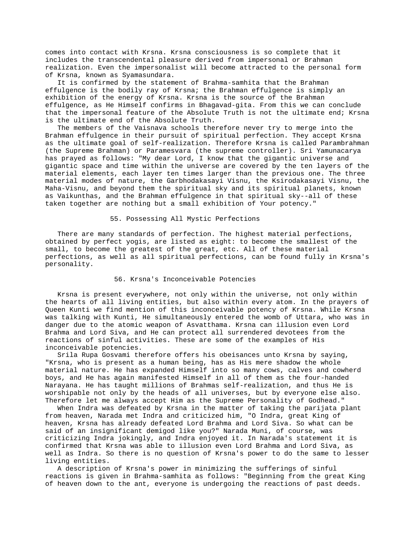comes into contact with Krsna. Krsna consciousness is so complete that it includes the transcendental pleasure derived from impersonal or Brahman realization. Even the impersonalist will become attracted to the personal form of Krsna, known as Syamasundara.

 It is confirmed by the statement of Brahma-samhita that the Brahman effulgence is the bodily ray of Krsna; the Brahman effulgence is simply an exhibition of the energy of Krsna. Krsna is the source of the Brahman effulgence, as He Himself confirms in Bhagavad-gita. From this we can conclude that the impersonal feature of the Absolute Truth is not the ultimate end; Krsna is the ultimate end of the Absolute Truth.

 The members of the Vaisnava schools therefore never try to merge into the Brahman effulgence in their pursuit of spiritual perfection. They accept Krsna as the ultimate goal of self-realization. Therefore Krsna is called Parambrahman (the Supreme Brahman) or Paramesvara (the supreme controller). Sri Yamunacarya has prayed as follows: "My dear Lord, I know that the gigantic universe and gigantic space and time within the universe are covered by the ten layers of the material elements, each layer ten times larger than the previous one. The three material modes of nature, the Garbhodakasayi Visnu, the Ksirodakasayi Visnu, the Maha-Visnu, and beyond them the spiritual sky and its spiritual planets, known as Vaikunthas, and the Brahman effulgence in that spiritual sky--all of these taken together are nothing but a small exhibition of Your potency."

## 55. Possessing All Mystic Perfections

 There are many standards of perfection. The highest material perfections, obtained by perfect yogis, are listed as eight: to become the smallest of the small, to become the greatest of the great, etc. All of these material perfections, as well as all spiritual perfections, can be found fully in Krsna's personality.

#### 56. Krsna's Inconceivable Potencies

 Krsna is present everywhere, not only within the universe, not only within the hearts of all living entities, but also within every atom. In the prayers of Queen Kunti we find mention of this inconceivable potency of Krsna. While Krsna was talking with Kunti, He simultaneously entered the womb of Uttara, who was in danger due to the atomic weapon of Asvatthama. Krsna can illusion even Lord Brahma and Lord Siva, and He can protect all surrendered devotees from the reactions of sinful activities. These are some of the examples of His inconceivable potencies.

 Srila Rupa Gosvami therefore offers his obeisances unto Krsna by saying, "Krsna, who is present as a human being, has as His mere shadow the whole material nature. He has expanded Himself into so many cows, calves and cowherd boys, and He has again manifested Himself in all of them as the four-handed Narayana. He has taught millions of Brahmas self-realization, and thus He is worshipable not only by the heads of all universes, but by everyone else also. Therefore let me always accept Him as the Supreme Personality of Godhead."

 When Indra was defeated by Krsna in the matter of taking the parijata plant from heaven, Narada met Indra and criticized him, "O Indra, great King of heaven, Krsna has already defeated Lord Brahma and Lord Siva. So what can be said of an insignificant demigod like you?" Narada Muni, of course, was criticizing Indra jokingly, and Indra enjoyed it. In Narada's statement it is confirmed that Krsna was able to illusion even Lord Brahma and Lord Siva, as well as Indra. So there is no question of Krsna's power to do the same to lesser living entities.

 A description of Krsna's power in minimizing the sufferings of sinful reactions is given in Brahma-samhita as follows: "Beginning from the great King of heaven down to the ant, everyone is undergoing the reactions of past deeds.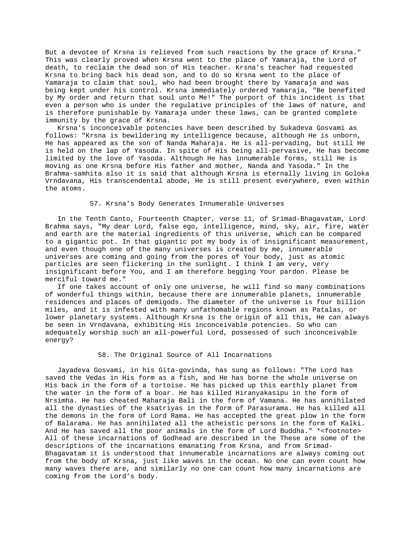But a devotee of Krsna is relieved from such reactions by the grace of Krsna." This was clearly proved when Krsna went to the place of Yamaraja, the Lord of death, to reclaim the dead son of His teacher. Krsna's teacher had requested Krsna to bring back his dead son, and to do so Krsna went to the place of Yamaraja to claim that soul, who had been brought there by Yamaraja and was being kept under his control. Krsna immediately ordered Yamaraja, "Be benefited by My order and return that soul unto Me!" The purport of this incident is that even a person who is under the regulative principles of the laws of nature, and is therefore punishable by Yamaraja under these laws, can be granted complete immunity by the grace of Krsna.

 Krsna's inconceivable potencies have been described by Sukadeva Gosvami as follows: "Krsna is bewildering my intelligence because, although He is unborn, He has appeared as the son of Nanda Maharaja. He is all-pervading, but still He is held on the lap of Yasoda. In spite of His being all-pervasive, He has become limited by the love of Yasoda. Although He has innumerable forms, still He is moving as one Krsna before His father and mother, Nanda and Yasoda." In the Brahma-samhita also it is said that although Krsna is eternally living in Goloka Vrndavana, His transcendental abode, He is still present everywhere, even within the atoms.

#### 57. Krsna's Body Generates Innumerable Universes

 In the Tenth Canto, Fourteenth Chapter, verse 11, of Srimad-Bhagavatam, Lord Brahma says, "My dear Lord, false ego, intelligence, mind, sky, air, fire, water and earth are the material ingredients of this universe, which can be compared to a gigantic pot. In that gigantic pot my body is of insignificant measurement, and even though one of the many universes is created by me, innumerable universes are coming and going from the pores of Your body, just as atomic particles are seen flickering in the sunlight. I think I am very, very insignificant before You, and I am therefore begging Your pardon. Please be merciful toward me."

 If one takes account of only one universe, he will find so many combinations of wonderful things within, because there are innumerable planets, innumerable residences and places of demigods. The diameter of the universe is four billion miles, and it is infested with many unfathomable regions known as Patalas, or lower planetary systems. Although Krsna is the origin of all this, He can always be seen in Vrndavana, exhibiting His inconceivable potencies. So who can adequately worship such an all-powerful Lord, possessed of such inconceivable energy?

### 58. The Original Source of All Incarnations

 Jayadeva Gosvami, in his Gita-govinda, has sung as follows: "The Lord has saved the Vedas in His form as a fish, and He has borne the whole universe on His back in the form of a tortoise. He has picked up this earthly planet from the water in the form of a boar. He has killed Hiranyakasipu in the form of Nrsimha. He has cheated Maharaja Bali in the form of Vamana. He has annihilated all the dynasties of the ksatriyas in the form of Parasurama. He has killed all the demons in the form of Lord Rama. He has accepted the great plow in the form of Balarama. He has annihilated all the atheistic persons in the form of Kalki. And He has saved all the poor animals in the form of Lord Buddha." \*<footnote> All of these incarnations of Godhead are described in the These are some of the descriptions of the incarnations emanating from Krsna, and from Srimad-Bhagavatam it is understood that innumerable incarnations are always coming out from the body of Krsna, just like waves in the ocean. No one can even count how many waves there are, and similarly no one can count how many incarnations are coming from the Lord's body.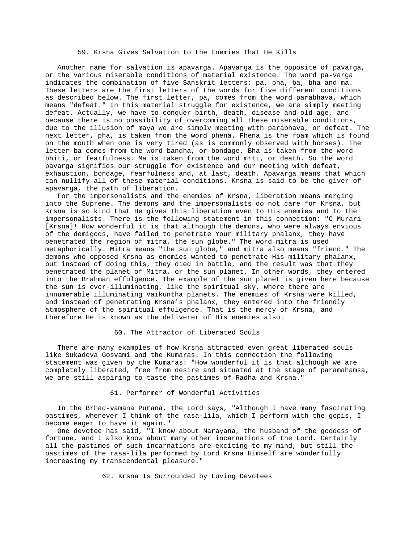## 59. Krsna Gives Salvation to the Enemies That He Kills

 Another name for salvation is apavarga. Apavarga is the opposite of pavarga, or the various miserable conditions of material existence. The word pa-varga indicates the combination of five Sanskrit letters: pa, pha, ba, bha and ma. These letters are the first letters of the words for five different conditions as described below. The first letter, pa, comes from the word parabhava, which means "defeat." In this material struggle for existence, we are simply meeting defeat. Actually, we have to conquer birth, death, disease and old age, and because there is no possibility of overcoming all these miserable conditions, due to the illusion of maya we are simply meeting with parabhava, or defeat. The next letter, pha, is taken from the word phena. Phena is the foam which is found on the mouth when one is very tired (as is commonly observed with horses). The letter ba comes from the word bandha, or bondage. Bha is taken from the word bhiti, or fearfulness. Ma is taken from the word mrti, or death. So the word pavarga signifies our struggle for existence and our meeting with defeat, exhaustion, bondage, fearfulness and, at last, death. Apavarga means that which can nullify all of these material conditions. Krsna is said to be the giver of apavarga, the path of liberation.

 For the impersonalists and the enemies of Krsna, liberation means merging into the Supreme. The demons and the impersonalists do not care for Krsna, but Krsna is so kind that He gives this liberation even to His enemies and to the impersonalists. There is the following statement in this connection: "O Murari [Krsna]! How wonderful it is that although the demons, who were always envious of the demigods, have failed to penetrate Your military phalanx, they have penetrated the region of mitra, the sun globe." The word mitra is used metaphorically. Mitra means "the sun globe," and mitra also means "friend." The demons who opposed Krsna as enemies wanted to penetrate His military phalanx, but instead of doing this, they died in battle, and the result was that they penetrated the planet of Mitra, or the sun planet. In other words, they entered into the Brahman effulgence. The example of the sun planet is given here because the sun is ever-illuminating, like the spiritual sky, where there are innumerable illuminating Vaikuntha planets. The enemies of Krsna were killed, and instead of penetrating Krsna's phalanx, they entered into the friendly atmosphere of the spiritual effulgence. That is the mercy of Krsna, and therefore He is known as the deliverer of His enemies also.

### 60. The Attractor of Liberated Souls

 There are many examples of how Krsna attracted even great liberated souls like Sukadeva Gosvami and the Kumaras. In this connection the following statement was given by the Kumaras: "How wonderful it is that although we are completely liberated, free from desire and situated at the stage of paramahamsa, we are still aspiring to taste the pastimes of Radha and Krsna."

## 61. Performer of Wonderful Activities

 In the Brhad-vamana Purana, the Lord says, "Although I have many fascinating pastimes, whenever I think of the rasa-lila, which I perform with the gopis, I become eager to have it again."

 One devotee has said, "I know about Narayana, the husband of the goddess of fortune, and I also know about many other incarnations of the Lord. Certainly all the pastimes of such incarnations are exciting to my mind, but still the pastimes of the rasa-lila performed by Lord Krsna Himself are wonderfully increasing my transcendental pleasure."

62. Krsna Is Surrounded by Loving Devotees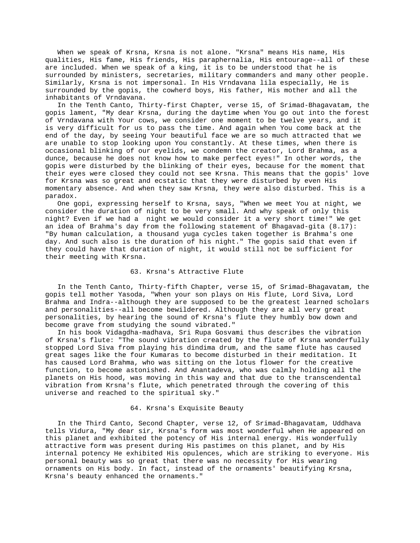When we speak of Krsna, Krsna is not alone. "Krsna" means His name, His qualities, His fame, His friends, His paraphernalia, His entourage--all of these are included. When we speak of a king, it is to be understood that he is surrounded by ministers, secretaries, military commanders and many other people. Similarly, Krsna is not impersonal. In His Vrndavana lila especially, He is surrounded by the gopis, the cowherd boys, His father, His mother and all the inhabitants of Vrndavana.

 In the Tenth Canto, Thirty-first Chapter, verse 15, of Srimad-Bhagavatam, the gopis lament, "My dear Krsna, during the daytime when You go out into the forest of Vrndavana with Your cows, we consider one moment to be twelve years, and it is very difficult for us to pass the time. And again when You come back at the end of the day, by seeing Your beautiful face we are so much attracted that we are unable to stop looking upon You constantly. At these times, when there is occasional blinking of our eyelids, we condemn the creator, Lord Brahma, as a dunce, because he does not know how to make perfect eyes!" In other words, the gopis were disturbed by the blinking of their eyes, because for the moment that their eyes were closed they could not see Krsna. This means that the gopis' love for Krsna was so great and ecstatic that they were disturbed by even His momentary absence. And when they saw Krsna, they were also disturbed. This is a paradox.

 One gopi, expressing herself to Krsna, says, "When we meet You at night, we consider the duration of night to be very small. And why speak of only this night? Even if we had a night we would consider it a very short time!" We get an idea of Brahma's day from the following statement of Bhagavad-gita (8.17): "By human calculation, a thousand yuga cycles taken together is Brahma's one day. And such also is the duration of his night." The gopis said that even if they could have that duration of night, it would still not be sufficient for their meeting with Krsna.

## 63. Krsna's Attractive Flute

 In the Tenth Canto, Thirty-fifth Chapter, verse 15, of Srimad-Bhagavatam, the gopis tell mother Yasoda, "When your son plays on His flute, Lord Siva, Lord Brahma and Indra--although they are supposed to be the greatest learned scholars and personalities--all become bewildered. Although they are all very great personalities, by hearing the sound of Krsna's flute they humbly bow down and become grave from studying the sound vibrated."

 In his book Vidagdha-madhava, Sri Rupa Gosvami thus describes the vibration of Krsna's flute: "The sound vibration created by the flute of Krsna wonderfully stopped Lord Siva from playing his dindima drum, and the same flute has caused great sages like the four Kumaras to become disturbed in their meditation. It has caused Lord Brahma, who was sitting on the lotus flower for the creative function, to become astonished. And Anantadeva, who was calmly holding all the planets on His hood, was moving in this way and that due to the transcendental vibration from Krsna's flute, which penetrated through the covering of this universe and reached to the spiritual sky."

### 64. Krsna's Exquisite Beauty

 In the Third Canto, Second Chapter, verse 12, of Srimad-Bhagavatam, Uddhava tells Vidura, "My dear sir, Krsna's form was most wonderful when He appeared on this planet and exhibited the potency of His internal energy. His wonderfully attractive form was present during His pastimes on this planet, and by His internal potency He exhibited His opulences, which are striking to everyone. His personal beauty was so great that there was no necessity for His wearing ornaments on His body. In fact, instead of the ornaments' beautifying Krsna, Krsna's beauty enhanced the ornaments."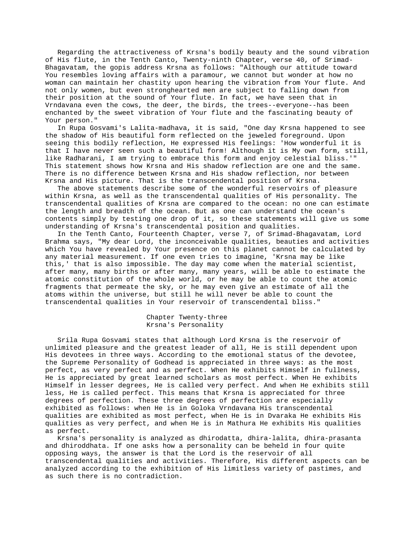Regarding the attractiveness of Krsna's bodily beauty and the sound vibration of His flute, in the Tenth Canto, Twenty-ninth Chapter, verse 40, of Srimad-Bhagavatam, the gopis address Krsna as follows: "Although our attitude toward You resembles loving affairs with a paramour, we cannot but wonder at how no woman can maintain her chastity upon hearing the vibration from Your flute. And not only women, but even stronghearted men are subject to falling down from their position at the sound of Your flute. In fact, we have seen that in Vrndavana even the cows, the deer, the birds, the trees--everyone--has been enchanted by the sweet vibration of Your flute and the fascinating beauty of Your person."

 In Rupa Gosvami's Lalita-madhava, it is said, "One day Krsna happened to see the shadow of His beautiful form reflected on the jeweled foreground. Upon seeing this bodily reflection, He expressed His feelings: 'How wonderful it is that I have never seen such a beautiful form! Although it is My own form, still, like Radharani, I am trying to embrace this form and enjoy celestial bliss.'" This statement shows how Krsna and His shadow reflection are one and the same. There is no difference between Krsna and His shadow reflection, nor between Krsna and His picture. That is the transcendental position of Krsna.

 The above statements describe some of the wonderful reservoirs of pleasure within Krsna, as well as the transcendental qualities of His personality. The transcendental qualities of Krsna are compared to the ocean: no one can estimate the length and breadth of the ocean. But as one can understand the ocean's contents simply by testing one drop of it, so these statements will give us some understanding of Krsna's transcendental position and qualities.

 In the Tenth Canto, Fourteenth Chapter, verse 7, of Srimad-Bhagavatam, Lord Brahma says, "My dear Lord, the inconceivable qualities, beauties and activities which You have revealed by Your presence on this planet cannot be calculated by any material measurement. If one even tries to imagine, 'Krsna may be like this,' that is also impossible. The day may come when the material scientist, after many, many births or after many, many years, will be able to estimate the atomic constitution of the whole world, or he may be able to count the atomic fragments that permeate the sky, or he may even give an estimate of all the atoms within the universe, but still he will never be able to count the transcendental qualities in Your reservoir of transcendental bliss."

> Chapter Twenty-three Krsna's Personality

 Srila Rupa Gosvami states that although Lord Krsna is the reservoir of unlimited pleasure and the greatest leader of all, He is still dependent upon His devotees in three ways. According to the emotional status of the devotee, the Supreme Personality of Godhead is appreciated in three ways: as the most perfect, as very perfect and as perfect. When He exhibits Himself in fullness, He is appreciated by great learned scholars as most perfect. When He exhibits Himself in lesser degrees, He is called very perfect. And when He exhibits still less, He is called perfect. This means that Krsna is appreciated for three degrees of perfection. These three degrees of perfection are especially exhibited as follows: when He is in Goloka Vrndavana His transcendental qualities are exhibited as most perfect, when He is in Dvaraka He exhibits His qualities as very perfect, and when He is in Mathura He exhibits His qualities as perfect.

 Krsna's personality is analyzed as dhirodatta, dhira-lalita, dhira-prasanta and dhiroddhata. If one asks how a personality can be beheld in four quite opposing ways, the answer is that the Lord is the reservoir of all transcendental qualities and activities. Therefore, His different aspects can be analyzed according to the exhibition of His limitless variety of pastimes, and as such there is no contradiction.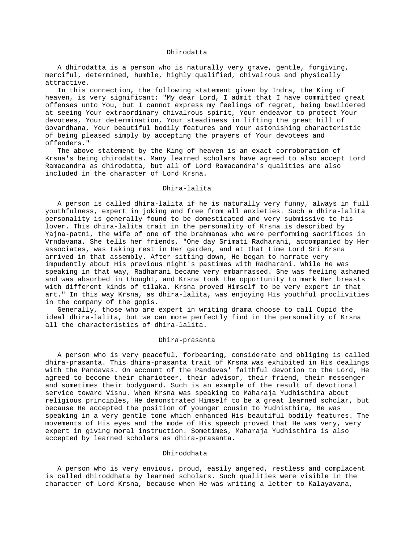### Dhirodatta

 A dhirodatta is a person who is naturally very grave, gentle, forgiving, merciful, determined, humble, highly qualified, chivalrous and physically attractive.

 In this connection, the following statement given by Indra, the King of heaven, is very significant: "My dear Lord, I admit that I have committed great offenses unto You, but I cannot express my feelings of regret, being bewildered at seeing Your extraordinary chivalrous spirit, Your endeavor to protect Your devotees, Your determination, Your steadiness in lifting the great hill of Govardhana, Your beautiful bodily features and Your astonishing characteristic of being pleased simply by accepting the prayers of Your devotees and offenders."

 The above statement by the King of heaven is an exact corroboration of Krsna's being dhirodatta. Many learned scholars have agreed to also accept Lord Ramacandra as dhirodatta, but all of Lord Ramacandra's qualities are also included in the character of Lord Krsna.

## Dhira-lalita

 A person is called dhira-lalita if he is naturally very funny, always in full youthfulness, expert in joking and free from all anxieties. Such a dhira-lalita personality is generally found to be domesticated and very submissive to his lover. This dhira-lalita trait in the personality of Krsna is described by Yajna-patni, the wife of one of the brahmanas who were performing sacrifices in Vrndavana. She tells her friends, "One day Srimati Radharani, accompanied by Her associates, was taking rest in Her garden, and at that time Lord Sri Krsna arrived in that assembly. After sitting down, He began to narrate very impudently about His previous night's pastimes with Radharani. While He was speaking in that way, Radharani became very embarrassed. She was feeling ashamed and was absorbed in thought, and Krsna took the opportunity to mark Her breasts with different kinds of tilaka. Krsna proved Himself to be very expert in that art." In this way Krsna, as dhira-lalita, was enjoying His youthful proclivities in the company of the gopis.

 Generally, those who are expert in writing drama choose to call Cupid the ideal dhira-lalita, but we can more perfectly find in the personality of Krsna all the characteristics of dhira-lalita.

### Dhira-prasanta

 A person who is very peaceful, forbearing, considerate and obliging is called dhira-prasanta. This dhira-prasanta trait of Krsna was exhibited in His dealings with the Pandavas. On account of the Pandavas' faithful devotion to the Lord, He agreed to become their charioteer, their advisor, their friend, their messenger and sometimes their bodyguard. Such is an example of the result of devotional service toward Visnu. When Krsna was speaking to Maharaja Yudhisthira about religious principles, He demonstrated Himself to be a great learned scholar, but because He accepted the position of younger cousin to Yudhisthira, He was speaking in a very gentle tone which enhanced His beautiful bodily features. The movements of His eyes and the mode of His speech proved that He was very, very expert in giving moral instruction. Sometimes, Maharaja Yudhisthira is also accepted by learned scholars as dhira-prasanta.

## Dhiroddhata

 A person who is very envious, proud, easily angered, restless and complacent is called dhiroddhata by learned scholars. Such qualities were visible in the character of Lord Krsna, because when He was writing a letter to Kalayavana,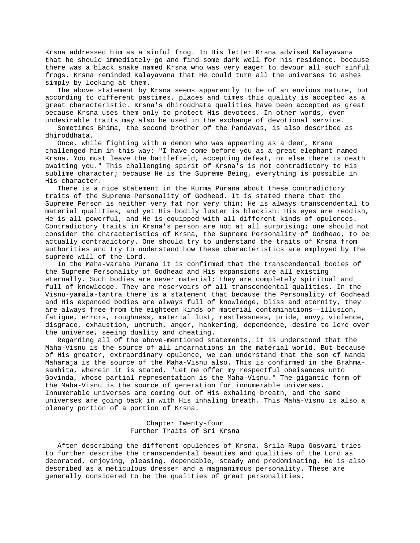Krsna addressed him as a sinful frog. In His letter Krsna advised Kalayavana that he should immediately go and find some dark well for his residence, because there was a black snake named Krsna who was very eager to devour all such sinful frogs. Krsna reminded Kalayavana that He could turn all the universes to ashes simply by looking at them.

 The above statement by Krsna seems apparently to be of an envious nature, but according to different pastimes, places and times this quality is accepted as a great characteristic. Krsna's dhiroddhata qualities have been accepted as great because Krsna uses them only to protect His devotees. In other words, even undesirable traits may also be used in the exchange of devotional service.

 Sometimes Bhima, the second brother of the Pandavas, is also described as dhiroddhata.

 Once, while fighting with a demon who was appearing as a deer, Krsna challenged him in this way: "I have come before you as a great elephant named Krsna. You must leave the battlefield, accepting defeat, or else there is death awaiting you." This challenging spirit of Krsna's is not contradictory to His sublime character; because He is the Supreme Being, everything is possible in His character.

 There is a nice statement in the Kurma Purana about these contradictory traits of the Supreme Personality of Godhead. It is stated there that the Supreme Person is neither very fat nor very thin; He is always transcendental to material qualities, and yet His bodily luster is blackish. His eyes are reddish, He is all-powerful, and He is equipped with all different kinds of opulences. Contradictory traits in Krsna's person are not at all surprising; one should not consider the characteristics of Krsna, the Supreme Personality of Godhead, to be actually contradictory. One should try to understand the traits of Krsna from authorities and try to understand how these characteristics are employed by the supreme will of the Lord.

 In the Maha-varaha Purana it is confirmed that the transcendental bodies of the Supreme Personality of Godhead and His expansions are all existing eternally. Such bodies are never material; they are completely spiritual and full of knowledge. They are reservoirs of all transcendental qualities. In the Visnu-yamala-tantra there is a statement that because the Personality of Godhead and His expanded bodies are always full of knowledge, bliss and eternity, they are always free from the eighteen kinds of material contaminations--illusion, fatigue, errors, roughness, material lust, restlessness, pride, envy, violence, disgrace, exhaustion, untruth, anger, hankering, dependence, desire to lord over the universe, seeing duality and cheating.

 Regarding all of the above-mentioned statements, it is understood that the Maha-Visnu is the source of all incarnations in the material world. But because of His greater, extraordinary opulence, we can understand that the son of Nanda Maharaja is the source of the Maha-Visnu also. This is confirmed in the Brahmasamhita, wherein it is stated, "Let me offer my respectful obeisances unto Govinda, whose partial representation is the Maha-Visnu." The gigantic form of the Maha-Visnu is the source of generation for innumerable universes. Innumerable universes are coming out of His exhaling breath, and the same universes are going back in with His inhaling breath. This Maha-Visnu is also a plenary portion of a portion of Krsna.

> Chapter Twenty-four Further Traits of Sri Krsna

 After describing the different opulences of Krsna, Srila Rupa Gosvami tries to further describe the transcendental beauties and qualities of the Lord as decorated, enjoying, pleasing, dependable, steady and predominating. He is also described as a meticulous dresser and a magnanimous personality. These are generally considered to be the qualities of great personalities.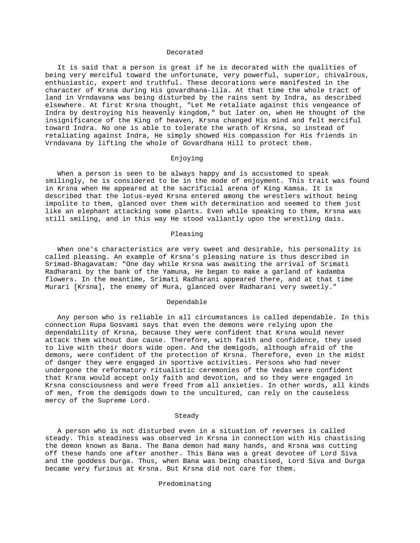#### Decorated

 It is said that a person is great if he is decorated with the qualities of being very merciful toward the unfortunate, very powerful, superior, chivalrous, enthusiastic, expert and truthful. These decorations were manifested in the character of Krsna during His govardhana-lila. At that time the whole tract of land in Vrndavana was being disturbed by the rains sent by Indra, as described elsewhere. At first Krsna thought, "Let Me retaliate against this vengeance of Indra by destroying his heavenly kingdom," but later on, when He thought of the insignificance of the King of heaven, Krsna changed His mind and felt merciful toward Indra. No one is able to tolerate the wrath of Krsna, so instead of retaliating against Indra, He simply showed His compassion for His friends in Vrndavana by lifting the whole of Govardhana Hill to protect them.

#### Enjoying

 When a person is seen to be always happy and is accustomed to speak smilingly, he is considered to be in the mode of enjoyment. This trait was found in Krsna when He appeared at the sacrificial arena of King Kamsa. It is described that the lotus-eyed Krsna entered among the wrestlers without being impolite to them, glanced over them with determination and seemed to them just like an elephant attacking some plants. Even while speaking to them, Krsna was still smiling, and in this way He stood valiantly upon the wrestling dais.

## Pleasing

 When one's characteristics are very sweet and desirable, his personality is called pleasing. An example of Krsna's pleasing nature is thus described in Srimad-Bhagavatam: "One day while Krsna was awaiting the arrival of Srimati Radharani by the bank of the Yamuna, He began to make a garland of kadamba flowers. In the meantime, Srimati Radharani appeared there, and at that time Murari [Krsna], the enemy of Mura, glanced over Radharani very sweetly."

## Dependable

 Any person who is reliable in all circumstances is called dependable. In this connection Rupa Gosvami says that even the demons were relying upon the dependability of Krsna, because they were confident that Krsna would never attack them without due cause. Therefore, with faith and confidence, they used to live with their doors wide open. And the demigods, although afraid of the demons, were confident of the protection of Krsna. Therefore, even in the midst of danger they were engaged in sportive activities. Persons who had never undergone the reformatory ritualistic ceremonies of the Vedas were confident that Krsna would accept only faith and devotion, and so they were engaged in Krsna consciousness and were freed from all anxieties. In other words, all kinds of men, from the demigods down to the uncultured, can rely on the causeless mercy of the Supreme Lord.

### Steady

 A person who is not disturbed even in a situation of reverses is called steady. This steadiness was observed in Krsna in connection with His chastising the demon known as Bana. The Bana demon had many hands, and Krsna was cutting off these hands one after another. This Bana was a great devotee of Lord Siva and the goddess Durga. Thus, when Bana was being chastised, Lord Siva and Durga became very furious at Krsna. But Krsna did not care for them.

Predominating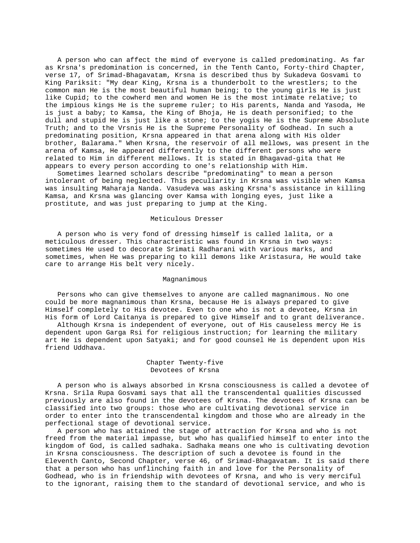A person who can affect the mind of everyone is called predominating. As far as Krsna's predomination is concerned, in the Tenth Canto, Forty-third Chapter, verse 17, of Srimad-Bhagavatam, Krsna is described thus by Sukadeva Gosvami to King Pariksit: "My dear King, Krsna is a thunderbolt to the wrestlers; to the common man He is the most beautiful human being; to the young girls He is just like Cupid; to the cowherd men and women He is the most intimate relative; to the impious kings He is the supreme ruler; to His parents, Nanda and Yasoda, He is just a baby; to Kamsa, the King of Bhoja, He is death personified; to the dull and stupid He is just like a stone; to the yogis He is the Supreme Absolute Truth; and to the Vrsnis He is the Supreme Personality of Godhead. In such a predominating position, Krsna appeared in that arena along with His older brother, Balarama." When Krsna, the reservoir of all mellows, was present in the arena of Kamsa, He appeared differently to the different persons who were related to Him in different mellows. It is stated in Bhagavad-gita that He appears to every person according to one's relationship with Him.

 Sometimes learned scholars describe "predominating" to mean a person intolerant of being neglected. This peculiarity in Krsna was visible when Kamsa was insulting Maharaja Nanda. Vasudeva was asking Krsna's assistance in killing Kamsa, and Krsna was glancing over Kamsa with longing eyes, just like a prostitute, and was just preparing to jump at the King.

## Meticulous Dresser

 A person who is very fond of dressing himself is called lalita, or a meticulous dresser. This characteristic was found in Krsna in two ways: sometimes He used to decorate Srimati Radharani with various marks, and sometimes, when He was preparing to kill demons like Aristasura, He would take care to arrange His belt very nicely.

#### Magnanimous

 Persons who can give themselves to anyone are called magnanimous. No one could be more magnanimous than Krsna, because He is always prepared to give Himself completely to His devotee. Even to one who is not a devotee, Krsna in His form of Lord Caitanya is prepared to give Himself and to grant deliverance.

 Although Krsna is independent of everyone, out of His causeless mercy He is dependent upon Garga Rsi for religious instruction; for learning the military art He is dependent upon Satyaki; and for good counsel He is dependent upon His friend Uddhava.

## Chapter Twenty-five Devotees of Krsna

 A person who is always absorbed in Krsna consciousness is called a devotee of Krsna. Srila Rupa Gosvami says that all the transcendental qualities discussed previously are also found in the devotees of Krsna. The devotees of Krsna can be classified into two groups: those who are cultivating devotional service in order to enter into the transcendental kingdom and those who are already in the perfectional stage of devotional service.

 A person who has attained the stage of attraction for Krsna and who is not freed from the material impasse, but who has qualified himself to enter into the kingdom of God, is called sadhaka. Sadhaka means one who is cultivating devotion in Krsna consciousness. The description of such a devotee is found in the Eleventh Canto, Second Chapter, verse 46, of Srimad-Bhagavatam. It is said there that a person who has unflinching faith in and love for the Personality of Godhead, who is in friendship with devotees of Krsna, and who is very merciful to the ignorant, raising them to the standard of devotional service, and who is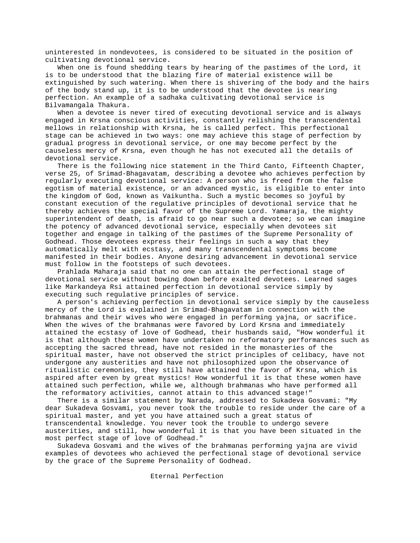uninterested in nondevotees, is considered to be situated in the position of cultivating devotional service.

 When one is found shedding tears by hearing of the pastimes of the Lord, it is to be understood that the blazing fire of material existence will be extinguished by such watering. When there is shivering of the body and the hairs of the body stand up, it is to be understood that the devotee is nearing perfection. An example of a sadhaka cultivating devotional service is Bilvamangala Thakura.

 When a devotee is never tired of executing devotional service and is always engaged in Krsna conscious activities, constantly relishing the transcendental mellows in relationship with Krsna, he is called perfect. This perfectional stage can be achieved in two ways: one may achieve this stage of perfection by gradual progress in devotional service, or one may become perfect by the causeless mercy of Krsna, even though he has not executed all the details of devotional service.

 There is the following nice statement in the Third Canto, Fifteenth Chapter, verse 25, of Srimad-Bhagavatam, describing a devotee who achieves perfection by regularly executing devotional service: A person who is freed from the false egotism of material existence, or an advanced mystic, is eligible to enter into the kingdom of God, known as Vaikuntha. Such a mystic becomes so joyful by constant execution of the regulative principles of devotional service that he thereby achieves the special favor of the Supreme Lord. Yamaraja, the mighty superintendent of death, is afraid to go near such a devotee; so we can imagine the potency of advanced devotional service, especially when devotees sit together and engage in talking of the pastimes of the Supreme Personality of Godhead. Those devotees express their feelings in such a way that they automatically melt with ecstasy, and many transcendental symptoms become manifested in their bodies. Anyone desiring advancement in devotional service must follow in the footsteps of such devotees.

 Prahlada Maharaja said that no one can attain the perfectional stage of devotional service without bowing down before exalted devotees. Learned sages like Markandeya Rsi attained perfection in devotional service simply by executing such regulative principles of service.

 A person's achieving perfection in devotional service simply by the causeless mercy of the Lord is explained in Srimad-Bhagavatam in connection with the brahmanas and their wives who were engaged in performing yajna, or sacrifice. When the wives of the brahmanas were favored by Lord Krsna and immediately attained the ecstasy of love of Godhead, their husbands said, "How wonderful it is that although these women have undertaken no reformatory performances such as accepting the sacred thread, have not resided in the monasteries of the spiritual master, have not observed the strict principles of celibacy, have not undergone any austerities and have not philosophized upon the observance of ritualistic ceremonies, they still have attained the favor of Krsna, which is aspired after even by great mystics! How wonderful it is that these women have attained such perfection, while we, although brahmanas who have performed all the reformatory activities, cannot attain to this advanced stage!"

 There is a similar statement by Narada, addressed to Sukadeva Gosvami: "My dear Sukadeva Gosvami, you never took the trouble to reside under the care of a spiritual master, and yet you have attained such a great status of transcendental knowledge. You never took the trouble to undergo severe austerities, and still, how wonderful it is that you have been situated in the most perfect stage of love of Godhead."

 Sukadeva Gosvami and the wives of the brahmanas performing yajna are vivid examples of devotees who achieved the perfectional stage of devotional service by the grace of the Supreme Personality of Godhead.

Eternal Perfection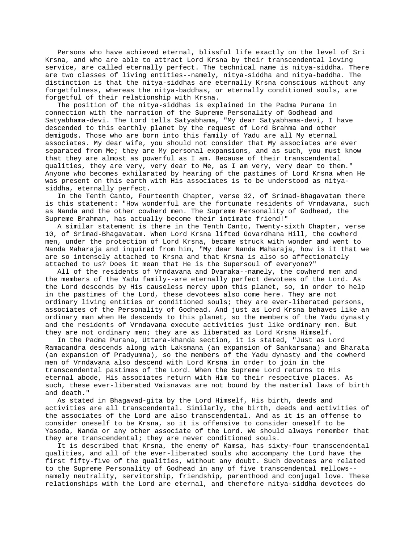Persons who have achieved eternal, blissful life exactly on the level of Sri Krsna, and who are able to attract Lord Krsna by their transcendental loving service, are called eternally perfect. The technical name is nitya-siddha. There are two classes of living entities--namely, nitya-siddha and nitya-baddha. The distinction is that the nitya-siddhas are eternally Krsna conscious without any forgetfulness, whereas the nitya-baddhas, or eternally conditioned souls, are forgetful of their relationship with Krsna.

 The position of the nitya-siddhas is explained in the Padma Purana in connection with the narration of the Supreme Personality of Godhead and Satyabhama-devi. The Lord tells Satyabhama, "My dear Satyabhama-devi, I have descended to this earthly planet by the request of Lord Brahma and other demigods. Those who are born into this family of Yadu are all My eternal associates. My dear wife, you should not consider that My associates are ever separated from Me; they are My personal expansions, and as such, you must know that they are almost as powerful as I am. Because of their transcendental qualities, they are very, very dear to Me, as I am very, very dear to them." Anyone who becomes exhilarated by hearing of the pastimes of Lord Krsna when He was present on this earth with His associates is to be understood as nityasiddha, eternally perfect.

 In the Tenth Canto, Fourteenth Chapter, verse 32, of Srimad-Bhagavatam there is this statement: "How wonderful are the fortunate residents of Vrndavana, such as Nanda and the other cowherd men. The Supreme Personality of Godhead, the Supreme Brahman, has actually become their intimate friend!"

 A similar statement is there in the Tenth Canto, Twenty-sixth Chapter, verse 10, of Srimad-Bhagavatam. When Lord Krsna lifted Govardhana Hill, the cowherd men, under the protection of Lord Krsna, became struck with wonder and went to Nanda Maharaja and inquired from him, "My dear Nanda Maharaja, how is it that we are so intensely attached to Krsna and that Krsna is also so affectionately attached to us? Does it mean that He is the Supersoul of everyone?"

 All of the residents of Vrndavana and Dvaraka--namely, the cowherd men and the members of the Yadu family--are eternally perfect devotees of the Lord. As the Lord descends by His causeless mercy upon this planet, so, in order to help in the pastimes of the Lord, these devotees also come here. They are not ordinary living entities or conditioned souls; they are ever-liberated persons, associates of the Personality of Godhead. And just as Lord Krsna behaves like an ordinary man when He descends to this planet, so the members of the Yadu dynasty and the residents of Vrndavana execute activities just like ordinary men. But they are not ordinary men; they are as liberated as Lord Krsna Himself.

 In the Padma Purana, Uttara-khanda section, it is stated, "Just as Lord Ramacandra descends along with Laksmana (an expansion of Sankarsana) and Bharata (an expansion of Pradyumna), so the members of the Yadu dynasty and the cowherd men of Vrndavana also descend with Lord Krsna in order to join in the transcendental pastimes of the Lord. When the Supreme Lord returns to His eternal abode, His associates return with Him to their respective places. As such, these ever-liberated Vaisnavas are not bound by the material laws of birth and death."

 As stated in Bhagavad-gita by the Lord Himself, His birth, deeds and activities are all transcendental. Similarly, the birth, deeds and activities of the associates of the Lord are also transcendental. And as it is an offense to consider oneself to be Krsna, so it is offensive to consider oneself to be Yasoda, Nanda or any other associate of the Lord. We should always remember that they are transcendental; they are never conditioned souls.

 It is described that Krsna, the enemy of Kamsa, has sixty-four transcendental qualities, and all of the ever-liberated souls who accompany the Lord have the first fifty-five of the qualities, without any doubt. Such devotees are related to the Supreme Personality of Godhead in any of five transcendental mellows- namely neutrality, servitorship, friendship, parenthood and conjugal love. These relationships with the Lord are eternal, and therefore nitya-siddha devotees do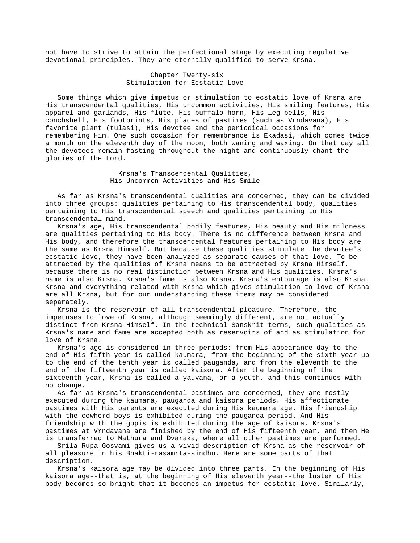not have to strive to attain the perfectional stage by executing regulative devotional principles. They are eternally qualified to serve Krsna.

> Chapter Twenty-six Stimulation for Ecstatic Love

 Some things which give impetus or stimulation to ecstatic love of Krsna are His transcendental qualities, His uncommon activities, His smiling features, His apparel and garlands, His flute, His buffalo horn, His leg bells, His conchshell, His footprints, His places of pastimes (such as Vrndavana), His favorite plant (tulasi), His devotee and the periodical occasions for remembering Him. One such occasion for remembrance is Ekadasi, which comes twice a month on the eleventh day of the moon, both waning and waxing. On that day all the devotees remain fasting throughout the night and continuously chant the glories of the Lord.

> Krsna's Transcendental Qualities, His Uncommon Activities and His Smile

 As far as Krsna's transcendental qualities are concerned, they can be divided into three groups: qualities pertaining to His transcendental body, qualities pertaining to His transcendental speech and qualities pertaining to His transcendental mind.

 Krsna's age, His transcendental bodily features, His beauty and His mildness are qualities pertaining to His body. There is no difference between Krsna and His body, and therefore the transcendental features pertaining to His body are the same as Krsna Himself. But because these qualities stimulate the devotee's ecstatic love, they have been analyzed as separate causes of that love. To be attracted by the qualities of Krsna means to be attracted by Krsna Himself, because there is no real distinction between Krsna and His qualities. Krsna's name is also Krsna. Krsna's fame is also Krsna. Krsna's entourage is also Krsna. Krsna and everything related with Krsna which gives stimulation to love of Krsna are all Krsna, but for our understanding these items may be considered separately.

 Krsna is the reservoir of all transcendental pleasure. Therefore, the impetuses to love of Krsna, although seemingly different, are not actually distinct from Krsna Himself. In the technical Sanskrit terms, such qualities as Krsna's name and fame are accepted both as reservoirs of and as stimulation for love of Krsna.

 Krsna's age is considered in three periods: from His appearance day to the end of His fifth year is called kaumara, from the beginning of the sixth year up to the end of the tenth year is called pauganda, and from the eleventh to the end of the fifteenth year is called kaisora. After the beginning of the sixteenth year, Krsna is called a yauvana, or a youth, and this continues with no change.

 As far as Krsna's transcendental pastimes are concerned, they are mostly executed during the kaumara, pauganda and kaisora periods. His affectionate pastimes with His parents are executed during His kaumara age. His friendship with the cowherd boys is exhibited during the pauganda period. And His friendship with the gopis is exhibited during the age of kaisora. Krsna's pastimes at Vrndavana are finished by the end of His fifteenth year, and then He is transferred to Mathura and Dvaraka, where all other pastimes are performed.

 Srila Rupa Gosvami gives us a vivid description of Krsna as the reservoir of all pleasure in his Bhakti-rasamrta-sindhu. Here are some parts of that description.

 Krsna's kaisora age may be divided into three parts. In the beginning of His kaisora age--that is, at the beginning of His eleventh year--the luster of His body becomes so bright that it becomes an impetus for ecstatic love. Similarly,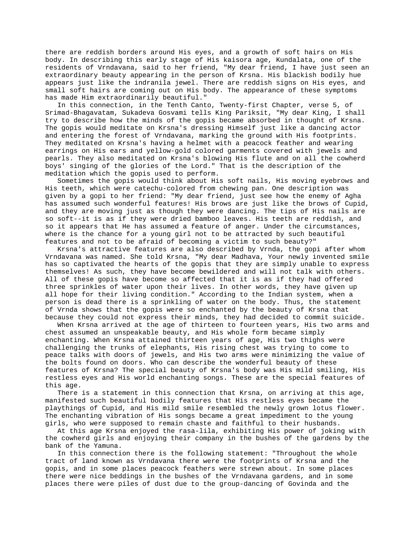there are reddish borders around His eyes, and a growth of soft hairs on His body. In describing this early stage of His kaisora age, Kundalata, one of the residents of Vrndavana, said to her friend, "My dear friend, I have just seen an extraordinary beauty appearing in the person of Krsna. His blackish bodily hue appears just like the indranila jewel. There are reddish signs on His eyes, and small soft hairs are coming out on His body. The appearance of these symptoms has made Him extraordinarily beautiful."

 In this connection, in the Tenth Canto, Twenty-first Chapter, verse 5, of Srimad-Bhagavatam, Sukadeva Gosvami tells King Pariksit, "My dear King, I shall try to describe how the minds of the gopis became absorbed in thought of Krsna. The gopis would meditate on Krsna's dressing Himself just like a dancing actor and entering the forest of Vrndavana, marking the ground with His footprints. They meditated on Krsna's having a helmet with a peacock feather and wearing earrings on His ears and yellow-gold colored garments covered with jewels and pearls. They also meditated on Krsna's blowing His flute and on all the cowherd boys' singing of the glories of the Lord." That is the description of the meditation which the gopis used to perform.

 Sometimes the gopis would think about His soft nails, His moving eyebrows and His teeth, which were catechu-colored from chewing pan. One description was given by a gopi to her friend: "My dear friend, just see how the enemy of Agha has assumed such wonderful features! His brows are just like the brows of Cupid, and they are moving just as though they were dancing. The tips of His nails are so soft--it is as if they were dried bamboo leaves. His teeth are reddish, and so it appears that He has assumed a feature of anger. Under the circumstances, where is the chance for a young girl not to be attracted by such beautiful features and not to be afraid of becoming a victim to such beauty?"

 Krsna's attractive features are also described by Vrnda, the gopi after whom Vrndavana was named. She told Krsna, "My dear Madhava, Your newly invented smile has so captivated the hearts of the gopis that they are simply unable to express themselves! As such, they have become bewildered and will not talk with others. All of these gopis have become so affected that it is as if they had offered three sprinkles of water upon their lives. In other words, they have given up all hope for their living condition." According to the Indian system, when a person is dead there is a sprinkling of water on the body. Thus, the statement of Vrnda shows that the gopis were so enchanted by the beauty of Krsna that because they could not express their minds, they had decided to commit suicide.

 When Krsna arrived at the age of thirteen to fourteen years, His two arms and chest assumed an unspeakable beauty, and His whole form became simply enchanting. When Krsna attained thirteen years of age, His two thighs were challenging the trunks of elephants, His rising chest was trying to come to peace talks with doors of jewels, and His two arms were minimizing the value of the bolts found on doors. Who can describe the wonderful beauty of these features of Krsna? The special beauty of Krsna's body was His mild smiling, His restless eyes and His world enchanting songs. These are the special features of this age.

 There is a statement in this connection that Krsna, on arriving at this age, manifested such beautiful bodily features that His restless eyes became the playthings of Cupid, and His mild smile resembled the newly grown lotus flower. The enchanting vibration of His songs became a great impediment to the young girls, who were supposed to remain chaste and faithful to their husbands.

 At this age Krsna enjoyed the rasa-lila, exhibiting His power of joking with the cowherd girls and enjoying their company in the bushes of the gardens by the bank of the Yamuna.

 In this connection there is the following statement: "Throughout the whole tract of land known as Vrndavana there were the footprints of Krsna and the gopis, and in some places peacock feathers were strewn about. In some places there were nice beddings in the bushes of the Vrndavana gardens, and in some places there were piles of dust due to the group-dancing of Govinda and the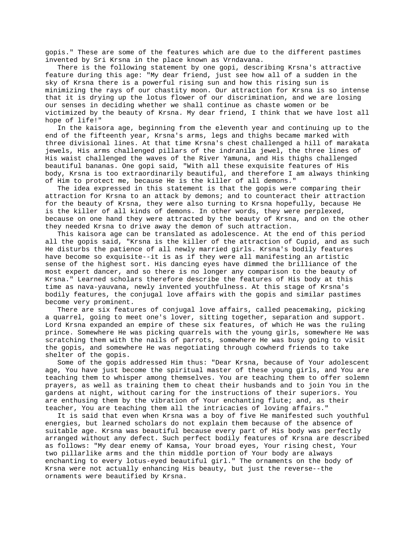gopis." These are some of the features which are due to the different pastimes invented by Sri Krsna in the place known as Vrndavana.

 There is the following statement by one gopi, describing Krsna's attractive feature during this age: "My dear friend, just see how all of a sudden in the sky of Krsna there is a powerful rising sun and how this rising sun is minimizing the rays of our chastity moon. Our attraction for Krsna is so intense that it is drying up the lotus flower of our discrimination, and we are losing our senses in deciding whether we shall continue as chaste women or be victimized by the beauty of Krsna. My dear friend, I think that we have lost all hope of life!"

 In the kaisora age, beginning from the eleventh year and continuing up to the end of the fifteenth year, Krsna's arms, legs and thighs became marked with three divisional lines. At that time Krsna's chest challenged a hill of marakata jewels, His arms challenged pillars of the indranila jewel, the three lines of His waist challenged the waves of the River Yamuna, and His thighs challenged beautiful bananas. One gopi said, "With all these exquisite features of His body, Krsna is too extraordinarily beautiful, and therefore I am always thinking of Him to protect me, because He is the killer of all demons."

 The idea expressed in this statement is that the gopis were comparing their attraction for Krsna to an attack by demons; and to counteract their attraction for the beauty of Krsna, they were also turning to Krsna hopefully, because He is the killer of all kinds of demons. In other words, they were perplexed, because on one hand they were attracted by the beauty of Krsna, and on the other they needed Krsna to drive away the demon of such attraction.

 This kaisora age can be translated as adolescence. At the end of this period all the gopis said, "Krsna is the killer of the attraction of Cupid, and as such He disturbs the patience of all newly married girls. Krsna's bodily features have become so exquisite--it is as if they were all manifesting an artistic sense of the highest sort. His dancing eyes have dimmed the brilliance of the most expert dancer, and so there is no longer any comparison to the beauty of Krsna." Learned scholars therefore describe the features of His body at this time as nava-yauvana, newly invented youthfulness. At this stage of Krsna's bodily features, the conjugal love affairs with the gopis and similar pastimes become very prominent.

 There are six features of conjugal love affairs, called peacemaking, picking a quarrel, going to meet one's lover, sitting together, separation and support. Lord Krsna expanded an empire of these six features, of which He was the ruling prince. Somewhere He was picking quarrels with the young girls, somewhere He was scratching them with the nails of parrots, somewhere He was busy going to visit the gopis, and somewhere He was negotiating through cowherd friends to take shelter of the gopis.

 Some of the gopis addressed Him thus: "Dear Krsna, because of Your adolescent age, You have just become the spiritual master of these young girls, and You are teaching them to whisper among themselves. You are teaching them to offer solemn prayers, as well as training them to cheat their husbands and to join You in the gardens at night, without caring for the instructions of their superiors. You are enthusing them by the vibration of Your enchanting flute; and, as their teacher, You are teaching them all the intricacies of loving affairs."

 It is said that even when Krsna was a boy of five He manifested such youthful energies, but learned scholars do not explain them because of the absence of suitable age. Krsna was beautiful because every part of His body was perfectly arranged without any defect. Such perfect bodily features of Krsna are described as follows: "My dear enemy of Kamsa, Your broad eyes, Your rising chest, Your two pillarlike arms and the thin middle portion of Your body are always enchanting to every lotus-eyed beautiful girl." The ornaments on the body of Krsna were not actually enhancing His beauty, but just the reverse--the ornaments were beautified by Krsna.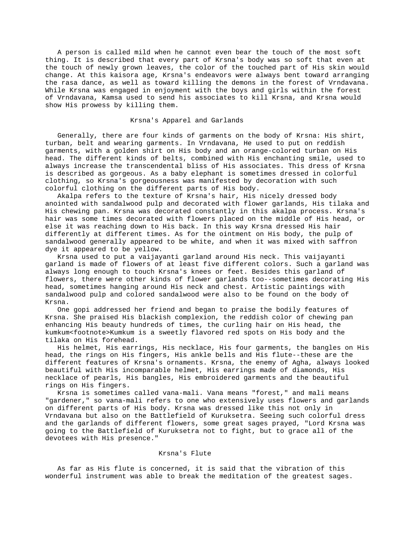A person is called mild when he cannot even bear the touch of the most soft thing. It is described that every part of Krsna's body was so soft that even at the touch of newly grown leaves, the color of the touched part of His skin would change. At this kaisora age, Krsna's endeavors were always bent toward arranging the rasa dance, as well as toward killing the demons in the forest of Vrndavana. While Krsna was engaged in enjoyment with the boys and girls within the forest of Vrndavana, Kamsa used to send his associates to kill Krsna, and Krsna would show His prowess by killing them.

#### Krsna's Apparel and Garlands

 Generally, there are four kinds of garments on the body of Krsna: His shirt, turban, belt and wearing garments. In Vrndavana, He used to put on reddish garments, with a golden shirt on His body and an orange-colored turban on His head. The different kinds of belts, combined with His enchanting smile, used to always increase the transcendental bliss of His associates. This dress of Krsna is described as gorgeous. As a baby elephant is sometimes dressed in colorful clothing, so Krsna's gorgeousness was manifested by decoration with such colorful clothing on the different parts of His body.

 Akalpa refers to the texture of Krsna's hair, His nicely dressed body anointed with sandalwood pulp and decorated with flower garlands, His tilaka and His chewing pan. Krsna was decorated constantly in this akalpa process. Krsna's hair was some times decorated with flowers placed on the middle of His head, or else it was reaching down to His back. In this way Krsna dressed His hair differently at different times. As for the ointment on His body, the pulp of sandalwood generally appeared to be white, and when it was mixed with saffron dye it appeared to be yellow.

 Krsna used to put a vaijayanti garland around His neck. This vaijayanti garland is made of flowers of at least five different colors. Such a garland was always long enough to touch Krsna's knees or feet. Besides this garland of flowers, there were other kinds of flower garlands too--sometimes decorating His head, sometimes hanging around His neck and chest. Artistic paintings with sandalwood pulp and colored sandalwood were also to be found on the body of Krsna.

 One gopi addressed her friend and began to praise the bodily features of Krsna. She praised His blackish complexion, the reddish color of chewing pan enhancing His beauty hundreds of times, the curling hair on His head, the kumkum<footnote>Kumkum is a sweetly flavored red spots on His body and the tilaka on His forehead.

 His helmet, His earrings, His necklace, His four garments, the bangles on His head, the rings on His fingers, His ankle bells and His flute--these are the different features of Krsna's ornaments. Krsna, the enemy of Agha, always looked beautiful with His incomparable helmet, His earrings made of diamonds, His necklace of pearls, His bangles, His embroidered garments and the beautiful rings on His fingers.

 Krsna is sometimes called vana-mali. Vana means "forest," and mali means "gardener," so vana-mali refers to one who extensively uses flowers and garlands on different parts of His body. Krsna was dressed like this not only in Vrndavana but also on the Battlefield of Kuruksetra. Seeing such colorful dress and the garlands of different flowers, some great sages prayed, "Lord Krsna was going to the Battlefield of Kuruksetra not to fight, but to grace all of the devotees with His presence."

## Krsna's Flute

 As far as His flute is concerned, it is said that the vibration of this wonderful instrument was able to break the meditation of the greatest sages.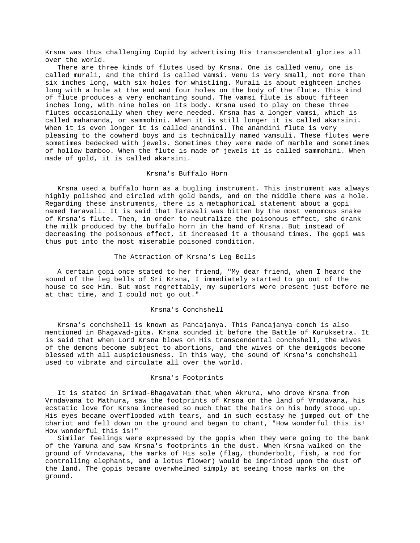Krsna was thus challenging Cupid by advertising His transcendental glories all over the world.

 There are three kinds of flutes used by Krsna. One is called venu, one is called murali, and the third is called vamsi. Venu is very small, not more than six inches long, with six holes for whistling. Murali is about eighteen inches long with a hole at the end and four holes on the body of the flute. This kind of flute produces a very enchanting sound. The vamsi flute is about fifteen inches long, with nine holes on its body. Krsna used to play on these three flutes occasionally when they were needed. Krsna has a longer vamsi, which is called mahananda, or sammohini. When it is still longer it is called akarsini. When it is even longer it is called anandini. The anandini flute is very pleasing to the cowherd boys and is technically named vamsuli. These flutes were sometimes bedecked with jewels. Sometimes they were made of marble and sometimes of hollow bamboo. When the flute is made of jewels it is called sammohini. When made of gold, it is called akarsini.

#### Krsna's Buffalo Horn

 Krsna used a buffalo horn as a bugling instrument. This instrument was always highly polished and circled with gold bands, and on the middle there was a hole. Regarding these instruments, there is a metaphorical statement about a gopi named Taravali. It is said that Taravali was bitten by the most venomous snake of Krsna's flute. Then, in order to neutralize the poisonous effect, she drank the milk produced by the buffalo horn in the hand of Krsna. But instead of decreasing the poisonous effect, it increased it a thousand times. The gopi was thus put into the most miserable poisoned condition.

#### The Attraction of Krsna's Leg Bells

 A certain gopi once stated to her friend, "My dear friend, when I heard the sound of the leg bells of Sri Krsna, I immediately started to go out of the house to see Him. But most regrettably, my superiors were present just before me at that time, and I could not go out."

## Krsna's Conchshell

 Krsna's conchshell is known as Pancajanya. This Pancajanya conch is also mentioned in Bhagavad-gita. Krsna sounded it before the Battle of Kuruksetra. It is said that when Lord Krsna blows on His transcendental conchshell, the wives of the demons become subject to abortions, and the wives of the demigods become blessed with all auspiciousness. In this way, the sound of Krsna's conchshell used to vibrate and circulate all over the world.

### Krsna's Footprints

 It is stated in Srimad-Bhagavatam that when Akrura, who drove Krsna from Vrndavana to Mathura, saw the footprints of Krsna on the land of Vrndavana, his ecstatic love for Krsna increased so much that the hairs on his body stood up. His eyes became overflooded with tears, and in such ecstasy he jumped out of the chariot and fell down on the ground and began to chant, "How wonderful this is! How wonderful this is!"

 Similar feelings were expressed by the gopis when they were going to the bank of the Yamuna and saw Krsna's footprints in the dust. When Krsna walked on the ground of Vrndavana, the marks of His sole (flag, thunderbolt, fish, a rod for controlling elephants, and a lotus flower) would be imprinted upon the dust of the land. The gopis became overwhelmed simply at seeing those marks on the ground.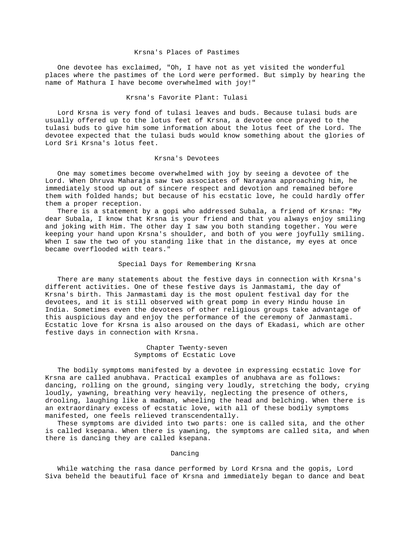### Krsna's Places of Pastimes

 One devotee has exclaimed, "Oh, I have not as yet visited the wonderful places where the pastimes of the Lord were performed. But simply by hearing the name of Mathura I have become overwhelmed with joy!"

## Krsna's Favorite Plant: Tulasi

 Lord Krsna is very fond of tulasi leaves and buds. Because tulasi buds are usually offered up to the lotus feet of Krsna, a devotee once prayed to the tulasi buds to give him some information about the lotus feet of the Lord. The devotee expected that the tulasi buds would know something about the glories of Lord Sri Krsna's lotus feet.

### Krsna's Devotees

 One may sometimes become overwhelmed with joy by seeing a devotee of the Lord. When Dhruva Maharaja saw two associates of Narayana approaching him, he immediately stood up out of sincere respect and devotion and remained before them with folded hands; but because of his ecstatic love, he could hardly offer them a proper reception.

 There is a statement by a gopi who addressed Subala, a friend of Krsna: "My dear Subala, I know that Krsna is your friend and that you always enjoy smiling and joking with Him. The other day I saw you both standing together. You were keeping your hand upon Krsna's shoulder, and both of you were joyfully smiling. When I saw the two of you standing like that in the distance, my eyes at once became overflooded with tears."

## Special Days for Remembering Krsna

 There are many statements about the festive days in connection with Krsna's different activities. One of these festive days is Janmastami, the day of Krsna's birth. This Janmastami day is the most opulent festival day for the devotees, and it is still observed with great pomp in every Hindu house in India. Sometimes even the devotees of other religious groups take advantage of this auspicious day and enjoy the performance of the ceremony of Janmastami. Ecstatic love for Krsna is also aroused on the days of Ekadasi, which are other festive days in connection with Krsna.

# Chapter Twenty-seven Symptoms of Ecstatic Love

 The bodily symptoms manifested by a devotee in expressing ecstatic love for Krsna are called anubhava. Practical examples of anubhava are as follows: dancing, rolling on the ground, singing very loudly, stretching the body, crying loudly, yawning, breathing very heavily, neglecting the presence of others, drooling, laughing like a madman, wheeling the head and belching. When there is an extraordinary excess of ecstatic love, with all of these bodily symptoms manifested, one feels relieved transcendentally.

 These symptoms are divided into two parts: one is called sita, and the other is called ksepana. When there is yawning, the symptoms are called sita, and when there is dancing they are called ksepana.

## Dancing

 While watching the rasa dance performed by Lord Krsna and the gopis, Lord Siva beheld the beautiful face of Krsna and immediately began to dance and beat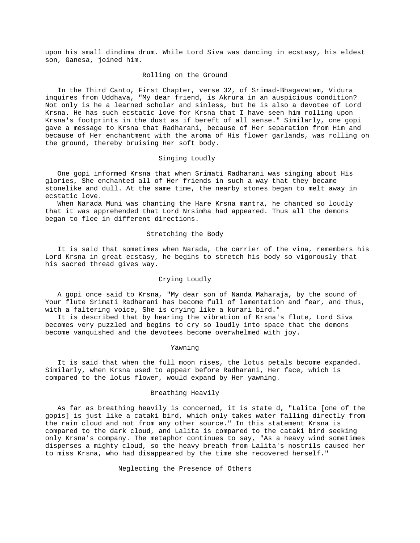upon his small dindima drum. While Lord Siva was dancing in ecstasy, his eldest son, Ganesa, joined him.

## Rolling on the Ground

 In the Third Canto, First Chapter, verse 32, of Srimad-Bhagavatam, Vidura inquires from Uddhava, "My dear friend, is Akrura in an auspicious condition? Not only is he a learned scholar and sinless, but he is also a devotee of Lord Krsna. He has such ecstatic love for Krsna that I have seen him rolling upon Krsna's footprints in the dust as if bereft of all sense." Similarly, one gopi gave a message to Krsna that Radharani, because of Her separation from Him and because of Her enchantment with the aroma of His flower garlands, was rolling on the ground, thereby bruising Her soft body.

#### Singing Loudly

 One gopi informed Krsna that when Srimati Radharani was singing about His glories, She enchanted all of Her friends in such a way that they became stonelike and dull. At the same time, the nearby stones began to melt away in ecstatic love.

 When Narada Muni was chanting the Hare Krsna mantra, he chanted so loudly that it was apprehended that Lord Nrsimha had appeared. Thus all the demons began to flee in different directions.

## Stretching the Body

 It is said that sometimes when Narada, the carrier of the vina, remembers his Lord Krsna in great ecstasy, he begins to stretch his body so vigorously that his sacred thread gives way.

# Crying Loudly

 A gopi once said to Krsna, "My dear son of Nanda Maharaja, by the sound of Your flute Srimati Radharani has become full of lamentation and fear, and thus, with a faltering voice, She is crying like a kurari bird."

 It is described that by hearing the vibration of Krsna's flute, Lord Siva becomes very puzzled and begins to cry so loudly into space that the demons become vanquished and the devotees become overwhelmed with joy.

### Yawning

 It is said that when the full moon rises, the lotus petals become expanded. Similarly, when Krsna used to appear before Radharani, Her face, which is compared to the lotus flower, would expand by Her yawning.

## Breathing Heavily

 As far as breathing heavily is concerned, it is state d, "Lalita [one of the gopis] is just like a cataki bird, which only takes water falling directly from the rain cloud and not from any other source." In this statement Krsna is compared to the dark cloud, and Lalita is compared to the cataki bird seeking only Krsna's company. The metaphor continues to say, "As a heavy wind sometimes disperses a mighty cloud, so the heavy breath from Lalita's nostrils caused her to miss Krsna, who had disappeared by the time she recovered herself."

## Neglecting the Presence of Others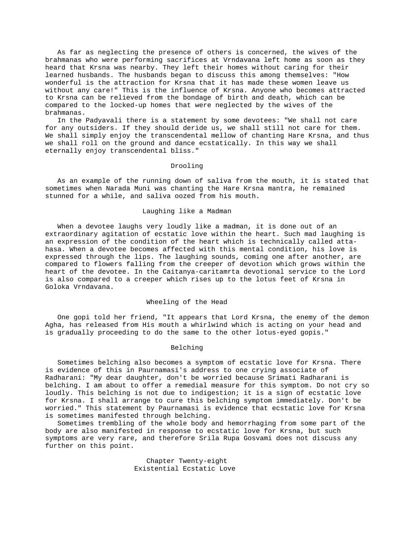As far as neglecting the presence of others is concerned, the wives of the brahmanas who were performing sacrifices at Vrndavana left home as soon as they heard that Krsna was nearby. They left their homes without caring for their learned husbands. The husbands began to discuss this among themselves: "How wonderful is the attraction for Krsna that it has made these women leave us without any care!" This is the influence of Krsna. Anyone who becomes attracted to Krsna can be relieved from the bondage of birth and death, which can be compared to the locked-up homes that were neglected by the wives of the brahmanas.

 In the Padyavali there is a statement by some devotees: "We shall not care for any outsiders. If they should deride us, we shall still not care for them. We shall simply enjoy the transcendental mellow of chanting Hare Krsna, and thus we shall roll on the ground and dance ecstatically. In this way we shall eternally enjoy transcendental bliss."

### Drooling

 As an example of the running down of saliva from the mouth, it is stated that sometimes when Narada Muni was chanting the Hare Krsna mantra, he remained stunned for a while, and saliva oozed from his mouth.

## Laughing like a Madman

 When a devotee laughs very loudly like a madman, it is done out of an extraordinary agitation of ecstatic love within the heart. Such mad laughing is an expression of the condition of the heart which is technically called attahasa. When a devotee becomes affected with this mental condition, his love is expressed through the lips. The laughing sounds, coming one after another, are compared to flowers falling from the creeper of devotion which grows within the heart of the devotee. In the Caitanya-caritamrta devotional service to the Lord is also compared to a creeper which rises up to the lotus feet of Krsna in Goloka Vrndavana.

## Wheeling of the Head

 One gopi told her friend, "It appears that Lord Krsna, the enemy of the demon Agha, has released from His mouth a whirlwind which is acting on your head and is gradually proceeding to do the same to the other lotus-eyed gopis."

## Belching

 Sometimes belching also becomes a symptom of ecstatic love for Krsna. There is evidence of this in Paurnamasi's address to one crying associate of Radharani: "My dear daughter, don't be worried because Srimati Radharani is belching. I am about to offer a remedial measure for this symptom. Do not cry so loudly. This belching is not due to indigestion; it is a sign of ecstatic love for Krsna. I shall arrange to cure this belching symptom immediately. Don't be worried." This statement by Paurnamasi is evidence that ecstatic love for Krsna is sometimes manifested through belching.

 Sometimes trembling of the whole body and hemorrhaging from some part of the body are also manifested in response to ecstatic love for Krsna, but such symptoms are very rare, and therefore Srila Rupa Gosvami does not discuss any further on this point.

> Chapter Twenty-eight Existential Ecstatic Love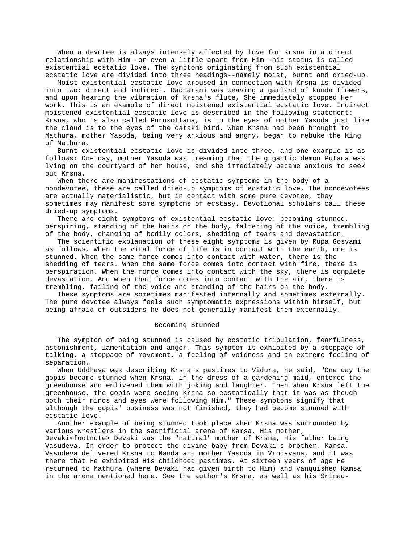When a devotee is always intensely affected by love for Krsna in a direct relationship with Him--or even a little apart from Him--his status is called existential ecstatic love. The symptoms originating from such existential ecstatic love are divided into three headings--namely moist, burnt and dried-up.

 Moist existential ecstatic love aroused in connection with Krsna is divided into two: direct and indirect. Radharani was weaving a garland of kunda flowers, and upon hearing the vibration of Krsna's flute, She immediately stopped Her work. This is an example of direct moistened existential ecstatic love. Indirect moistened existential ecstatic love is described in the following statement: Krsna, who is also called Purusottama, is to the eyes of mother Yasoda just like the cloud is to the eyes of the cataki bird. When Krsna had been brought to Mathura, mother Yasoda, being very anxious and angry, began to rebuke the King of Mathura.

 Burnt existential ecstatic love is divided into three, and one example is as follows: One day, mother Yasoda was dreaming that the gigantic demon Putana was lying on the courtyard of her house, and she immediately became anxious to seek out Krsna.

 When there are manifestations of ecstatic symptoms in the body of a nondevotee, these are called dried-up symptoms of ecstatic love. The nondevotees are actually materialistic, but in contact with some pure devotee, they sometimes may manifest some symptoms of ecstasy. Devotional scholars call these dried-up symptoms.

 There are eight symptoms of existential ecstatic love: becoming stunned, perspiring, standing of the hairs on the body, faltering of the voice, trembling of the body, changing of bodily colors, shedding of tears and devastation.

 The scientific explanation of these eight symptoms is given by Rupa Gosvami as follows. When the vital force of life is in contact with the earth, one is stunned. When the same force comes into contact with water, there is the shedding of tears. When the same force comes into contact with fire, there is perspiration. When the force comes into contact with the sky, there is complete devastation. And when that force comes into contact with the air, there is trembling, failing of the voice and standing of the hairs on the body.

 These symptoms are sometimes manifested internally and sometimes externally. The pure devotee always feels such symptomatic expressions within himself, but being afraid of outsiders he does not generally manifest them externally.

## Becoming Stunned

 The symptom of being stunned is caused by ecstatic tribulation, fearfulness, astonishment, lamentation and anger. This symptom is exhibited by a stoppage of talking, a stoppage of movement, a feeling of voidness and an extreme feeling of separation.

 When Uddhava was describing Krsna's pastimes to Vidura, he said, "One day the gopis became stunned when Krsna, in the dress of a gardening maid, entered the greenhouse and enlivened them with joking and laughter. Then when Krsna left the greenhouse, the gopis were seeing Krsna so ecstatically that it was as though both their minds and eyes were following Him." These symptoms signify that although the gopis' business was not finished, they had become stunned with ecstatic love.

 Another example of being stunned took place when Krsna was surrounded by various wrestlers in the sacrificial arena of Kamsa. His mother, Devaki<footnote> Devaki was the "natural" mother of Krsna, His father being Vasudeva. In order to protect the divine baby from Devaki's brother, Kamsa, Vasudeva delivered Krsna to Nanda and mother Yasoda in Vrndavana, and it was there that He exhibited His childhood pastimes. At sixteen years of age He returned to Mathura (where Devaki had given birth to Him) and vanquished Kamsa in the arena mentioned here. See the author's Krsna, as well as his Srimad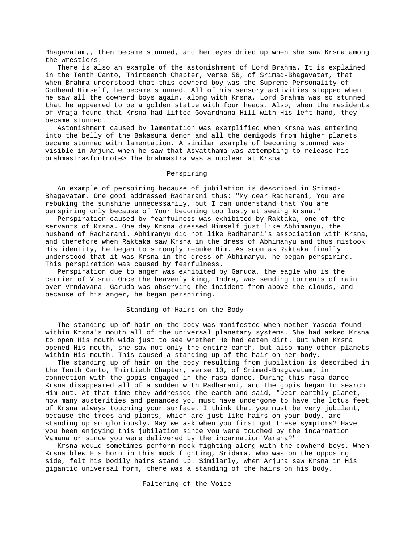Bhagavatam,, then became stunned, and her eyes dried up when she saw Krsna among the wrestlers.

 There is also an example of the astonishment of Lord Brahma. It is explained in the Tenth Canto, Thirteenth Chapter, verse 56, of Srimad-Bhagavatam, that when Brahma understood that this cowherd boy was the Supreme Personality of Godhead Himself, he became stunned. All of his sensory activities stopped when he saw all the cowherd boys again, along with Krsna. Lord Brahma was so stunned that he appeared to be a golden statue with four heads. Also, when the residents of Vraja found that Krsna had lifted Govardhana Hill with His left hand, they became stunned.

 Astonishment caused by lamentation was exemplified when Krsna was entering into the belly of the Bakasura demon and all the demigods from higher planets became stunned with lamentation. A similar example of becoming stunned was visible in Arjuna when he saw that Asvatthama was attempting to release his brahmastra<footnote> The brahmastra was a nuclear at Krsna.

#### Perspiring

 An example of perspiring because of jubilation is described in Srimad-Bhagavatam. One gopi addressed Radharani thus: "My dear Radharani, You are rebuking the sunshine unnecessarily, but I can understand that You are perspiring only because of Your becoming too lusty at seeing Krsna."

 Perspiration caused by fearfulness was exhibited by Raktaka, one of the servants of Krsna. One day Krsna dressed Himself just like Abhimanyu, the husband of Radharani. Abhimanyu did not like Radharani's association with Krsna, and therefore when Raktaka saw Krsna in the dress of Abhimanyu and thus mistook His identity, he began to strongly rebuke Him. As soon as Raktaka finally understood that it was Krsna in the dress of Abhimanyu, he began perspiring. This perspiration was caused by fearfulness.

 Perspiration due to anger was exhibited by Garuda, the eagle who is the carrier of Visnu. Once the heavenly king, Indra, was sending torrents of rain over Vrndavana. Garuda was observing the incident from above the clouds, and because of his anger, he began perspiring.

## Standing of Hairs on the Body

 The standing up of hair on the body was manifested when mother Yasoda found within Krsna's mouth all of the universal planetary systems. She had asked Krsna to open His mouth wide just to see whether He had eaten dirt. But when Krsna opened His mouth, she saw not only the entire earth, but also many other planets within His mouth. This caused a standing up of the hair on her body.

 The standing up of hair on the body resulting from jubilation is described in the Tenth Canto, Thirtieth Chapter, verse 10, of Srimad-Bhagavatam, in connection with the gopis engaged in the rasa dance. During this rasa dance Krsna disappeared all of a sudden with Radharani, and the gopis began to search Him out. At that time they addressed the earth and said, "Dear earthly planet, how many austerities and penances you must have undergone to have the lotus feet of Krsna always touching your surface. I think that you must be very jubilant, because the trees and plants, which are just like hairs on your body, are standing up so gloriously. May we ask when you first got these symptoms? Have you been enjoying this jubilation since you were touched by the incarnation Vamana or since you were delivered by the incarnation Varaha?"

 Krsna would sometimes perform mock fighting along with the cowherd boys. When Krsna blew His horn in this mock fighting, Sridama, who was on the opposing side, felt his bodily hairs stand up. Similarly, when Arjuna saw Krsna in His gigantic universal form, there was a standing of the hairs on his body.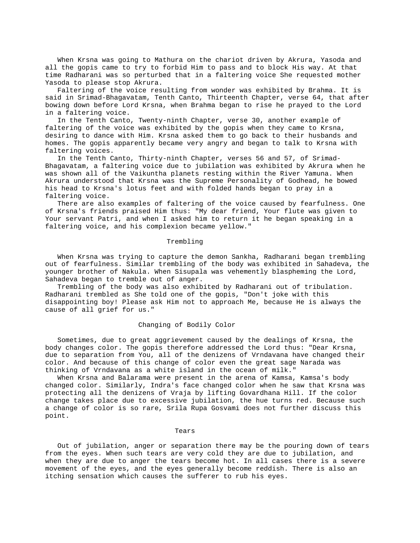When Krsna was going to Mathura on the chariot driven by Akrura, Yasoda and all the gopis came to try to forbid Him to pass and to block His way. At that time Radharani was so perturbed that in a faltering voice She requested mother Yasoda to please stop Akrura.

 Faltering of the voice resulting from wonder was exhibited by Brahma. It is said in Srimad-Bhagavatam, Tenth Canto, Thirteenth Chapter, verse 64, that after bowing down before Lord Krsna, when Brahma began to rise he prayed to the Lord in a faltering voice.

 In the Tenth Canto, Twenty-ninth Chapter, verse 30, another example of faltering of the voice was exhibited by the gopis when they came to Krsna, desiring to dance with Him. Krsna asked them to go back to their husbands and homes. The gopis apparently became very angry and began to talk to Krsna with faltering voices.

 In the Tenth Canto, Thirty-ninth Chapter, verses 56 and 57, of Srimad-Bhagavatam, a faltering voice due to jubilation was exhibited by Akrura when he was shown all of the Vaikuntha planets resting within the River Yamuna. When Akrura understood that Krsna was the Supreme Personality of Godhead, he bowed his head to Krsna's lotus feet and with folded hands began to pray in a faltering voice.

 There are also examples of faltering of the voice caused by fearfulness. One of Krsna's friends praised Him thus: "My dear friend, Your flute was given to Your servant Patri, and when I asked him to return it he began speaking in a faltering voice, and his complexion became yellow."

### Trembling

 When Krsna was trying to capture the demon Sankha, Radharani began trembling out of fearfulness. Similar trembling of the body was exhibited in Sahadeva, the younger brother of Nakula. When Sisupala was vehemently blaspheming the Lord, Sahadeva began to tremble out of anger.

 Trembling of the body was also exhibited by Radharani out of tribulation. Radharani trembled as She told one of the gopis, "Don't joke with this disappointing boy! Please ask Him not to approach Me, because He is always the cause of all grief for us."

## Changing of Bodily Color

 Sometimes, due to great aggrievement caused by the dealings of Krsna, the body changes color. The gopis therefore addressed the Lord thus: "Dear Krsna, due to separation from You, all of the denizens of Vrndavana have changed their color. And because of this change of color even the great sage Narada was thinking of Vrndavana as a white island in the ocean of milk."

 When Krsna and Balarama were present in the arena of Kamsa, Kamsa's body changed color. Similarly, Indra's face changed color when he saw that Krsna was protecting all the denizens of Vraja by lifting Govardhana Hill. If the color change takes place due to excessive jubilation, the hue turns red. Because such a change of color is so rare, Srila Rupa Gosvami does not further discuss this point.

### Tears

 Out of jubilation, anger or separation there may be the pouring down of tears from the eyes. When such tears are very cold they are due to jubilation, and when they are due to anger the tears become hot. In all cases there is a severe movement of the eyes, and the eyes generally become reddish. There is also an itching sensation which causes the sufferer to rub his eyes.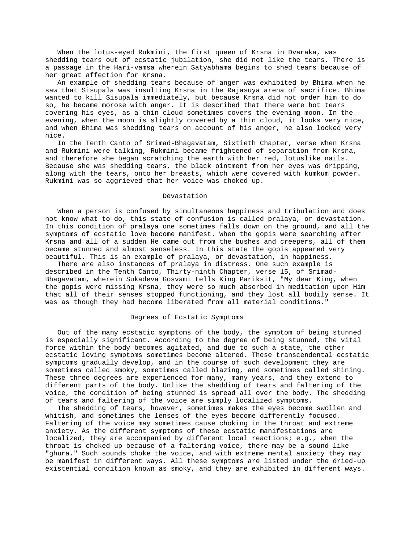When the lotus-eyed Rukmini, the first queen of Krsna in Dvaraka, was shedding tears out of ecstatic jubilation, she did not like the tears. There is a passage in the Hari-vamsa wherein Satyabhama begins to shed tears because of her great affection for Krsna.

 An example of shedding tears because of anger was exhibited by Bhima when he saw that Sisupala was insulting Krsna in the Rajasuya arena of sacrifice. Bhima wanted to kill Sisupala immediately, but because Krsna did not order him to do so, he became morose with anger. It is described that there were hot tears covering his eyes, as a thin cloud sometimes covers the evening moon. In the evening, when the moon is slightly covered by a thin cloud, it looks very nice, and when Bhima was shedding tears on account of his anger, he also looked very nice.

 In the Tenth Canto of Srimad-Bhagavatam, Sixtieth Chapter, verse When Krsna and Rukmini were talking, Rukmini became frightened of separation from Krsna, and therefore she began scratching the earth with her red, lotuslike nails. Because she was shedding tears, the black ointment from her eyes was dripping, along with the tears, onto her breasts, which were covered with kumkum powder. Rukmini was so aggrieved that her voice was choked up.

### Devastation

 When a person is confused by simultaneous happiness and tribulation and does not know what to do, this state of confusion is called pralaya, or devastation. In this condition of pralaya one sometimes falls down on the ground, and all the symptoms of ecstatic love become manifest. When the gopis were searching after Krsna and all of a sudden He came out from the bushes and creepers, all of them became stunned and almost senseless. In this state the gopis appeared very beautiful. This is an example of pralaya, or devastation, in happiness.

 There are also instances of pralaya in distress. One such example is described in the Tenth Canto, Thirty-ninth Chapter, verse 15, of Srimad-Bhagavatam, wherein Sukadeva Gosvami tells King Pariksit, "My dear King, when the gopis were missing Krsna, they were so much absorbed in meditation upon Him that all of their senses stopped functioning, and they lost all bodily sense. It was as though they had become liberated from all material conditions."

## Degrees of Ecstatic Symptoms

 Out of the many ecstatic symptoms of the body, the symptom of being stunned is especially significant. According to the degree of being stunned, the vital force within the body becomes agitated, and due to such a state, the other ecstatic loving symptoms sometimes become altered. These transcendental ecstatic symptoms gradually develop, and in the course of such development they are sometimes called smoky, sometimes called blazing, and sometimes called shining. These three degrees are experienced for many, many years, and they extend to different parts of the body. Unlike the shedding of tears and faltering of the voice, the condition of being stunned is spread all over the body. The shedding of tears and faltering of the voice are simply localized symptoms.

 The shedding of tears, however, sometimes makes the eyes become swollen and whitish, and sometimes the lenses of the eyes become differently focused. Faltering of the voice may sometimes cause choking in the throat and extreme anxiety. As the different symptoms of these ecstatic manifestations are localized, they are accompanied by different local reactions; e.g., when the throat is choked up because of a faltering voice, there may be a sound like "ghura." Such sounds choke the voice, and with extreme mental anxiety they may be manifest in different ways. All these symptoms are listed under the dried-up existential condition known as smoky, and they are exhibited in different ways.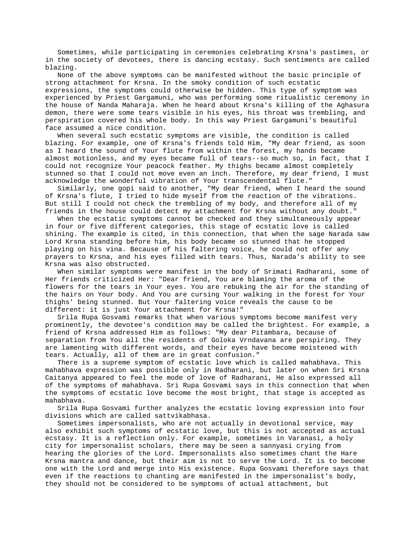Sometimes, while participating in ceremonies celebrating Krsna's pastimes, or in the society of devotees, there is dancing ecstasy. Such sentiments are called blazing.

 None of the above symptoms can be manifested without the basic principle of strong attachment for Krsna. In the smoky condition of such ecstatic expressions, the symptoms could otherwise be hidden. This type of symptom was experienced by Priest Gargamuni, who was performing some ritualistic ceremony in the house of Nanda Maharaja. When he heard about Krsna's killing of the Aghasura demon, there were some tears visible in his eyes, his throat was trembling, and perspiration covered his whole body. In this way Priest Gargamuni's beautiful face assumed a nice condition.

 When several such ecstatic symptoms are visible, the condition is called blazing. For example, one of Krsna's friends told Him, "My dear friend, as soon as I heard the sound of Your flute from within the forest, my hands became almost motionless, and my eyes became full of tears--so much so, in fact, that I could not recognize Your peacock feather. My thighs became almost completely stunned so that I could not move even an inch. Therefore, my dear friend, I must acknowledge the wonderful vibration of Your transcendental flute."

 Similarly, one gopi said to another, "My dear friend, when I heard the sound of Krsna's flute, I tried to hide myself from the reaction of the vibrations. But still I could not check the trembling of my body, and therefore all of my friends in the house could detect my attachment for Krsna without any doubt."

 When the ecstatic symptoms cannot be checked and they simultaneously appear in four or five different categories, this stage of ecstatic love is called shining. The example is cited, in this connection, that when the sage Narada saw Lord Krsna standing before him, his body became so stunned that he stopped playing on his vina. Because of his faltering voice, he could not offer any prayers to Krsna, and his eyes filled with tears. Thus, Narada's ability to see Krsna was also obstructed.

 When similar symptoms were manifest in the body of Srimati Radharani, some of Her friends criticized Her: "Dear friend, You are blaming the aroma of the flowers for the tears in Your eyes. You are rebuking the air for the standing of the hairs on Your body. And You are cursing Your walking in the forest for Your thighs' being stunned. But Your faltering voice reveals the cause to be different: it is just Your attachment for Krsna!"

 Srila Rupa Gosvami remarks that when various symptoms become manifest very prominently, the devotee's condition may be called the brightest. For example, a friend of Krsna addressed Him as follows: "My dear Pitambara, because of separation from You all the residents of Goloka Vrndavana are perspiring. They are lamenting with different words, and their eyes have become moistened with tears. Actually, all of them are in great confusion."

 There is a supreme symptom of ecstatic love which is called mahabhava. This mahabhava expression was possible only in Radharani, but later on when Sri Krsna Caitanya appeared to feel the mode of love of Radharani, He also expressed all of the symptoms of mahabhava. Sri Rupa Gosvami says in this connection that when the symptoms of ecstatic love become the most bright, that stage is accepted as mahabhava.

 Srila Rupa Gosvami further analyzes the ecstatic loving expression into four divisions which are called sattvikabhasa.

 Sometimes impersonalists, who are not actually in devotional service, may also exhibit such symptoms of ecstatic love, but this is not accepted as actual ecstasy. It is a reflection only. For example, sometimes in Varanasi, a holy city for impersonalist scholars, there may be seen a sannyasi crying from hearing the glories of the Lord. Impersonalists also sometimes chant the Hare Krsna mantra and dance, but their aim is not to serve the Lord. It is to become one with the Lord and merge into His existence. Rupa Gosvami therefore says that even if the reactions to chanting are manifested in the impersonalist's body, they should not be considered to be symptoms of actual attachment, but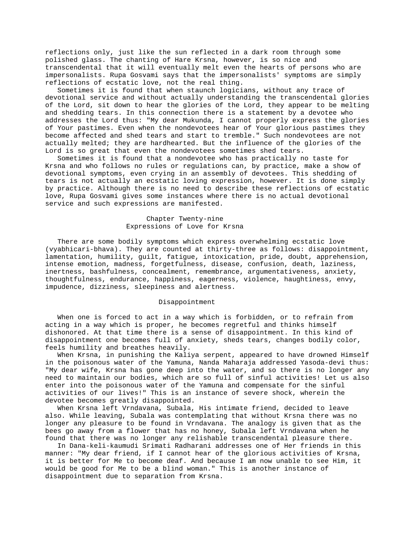reflections only, just like the sun reflected in a dark room through some polished glass. The chanting of Hare Krsna, however, is so nice and transcendental that it will eventually melt even the hearts of persons who are impersonalists. Rupa Gosvami says that the impersonalists' symptoms are simply reflections of ecstatic love, not the real thing.

 Sometimes it is found that when staunch logicians, without any trace of devotional service and without actually understanding the transcendental glories of the Lord, sit down to hear the glories of the Lord, they appear to be melting and shedding tears. In this connection there is a statement by a devotee who addresses the Lord thus: "My dear Mukunda, I cannot properly express the glories of Your pastimes. Even when the nondevotees hear of Your glorious pastimes they become affected and shed tears and start to tremble." Such nondevotees are not actually melted; they are hardhearted. But the influence of the glories of the Lord is so great that even the nondevotees sometimes shed tears.

 Sometimes it is found that a nondevotee who has practically no taste for Krsna and who follows no rules or regulations can, by practice, make a show of devotional symptoms, even crying in an assembly of devotees. This shedding of tears is not actually an ecstatic loving expression, however. It is done simply by practice. Although there is no need to describe these reflections of ecstatic love, Rupa Gosvami gives some instances where there is no actual devotional service and such expressions are manifested.

# Chapter Twenty-nine Expressions of Love for Krsna

 There are some bodily symptoms which express overwhelming ecstatic love (vyabhicari-bhava). They are counted at thirty-three as follows: disappointment, lamentation, humility, guilt, fatigue, intoxication, pride, doubt, apprehension, intense emotion, madness, forgetfulness, disease, confusion, death, laziness, inertness, bashfulness, concealment, remembrance, argumentativeness, anxiety, thoughtfulness, endurance, happiness, eagerness, violence, haughtiness, envy, impudence, dizziness, sleepiness and alertness.

## Disappointment

 When one is forced to act in a way which is forbidden, or to refrain from acting in a way which is proper, he becomes regretful and thinks himself dishonored. At that time there is a sense of disappointment. In this kind of disappointment one becomes full of anxiety, sheds tears, changes bodily color, feels humility and breathes heavily.

 When Krsna, in punishing the Kaliya serpent, appeared to have drowned Himself in the poisonous water of the Yamuna, Nanda Maharaja addressed Yasoda-devi thus: "My dear wife, Krsna has gone deep into the water, and so there is no longer any need to maintain our bodies, which are so full of sinful activities! Let us also enter into the poisonous water of the Yamuna and compensate for the sinful activities of our lives!" This is an instance of severe shock, wherein the devotee becomes greatly disappointed.

 When Krsna left Vrndavana, Subala, His intimate friend, decided to leave also. While leaving, Subala was contemplating that without Krsna there was no longer any pleasure to be found in Vrndavana. The analogy is given that as the bees go away from a flower that has no honey, Subala left Vrndavana when he found that there was no longer any relishable transcendental pleasure there.

 In Dana-keli-kaumudi Srimati Radharani addresses one of Her friends in this manner: "My dear friend, if I cannot hear of the glorious activities of Krsna, it is better for Me to become deaf. And because I am now unable to see Him, it would be good for Me to be a blind woman." This is another instance of disappointment due to separation from Krsna.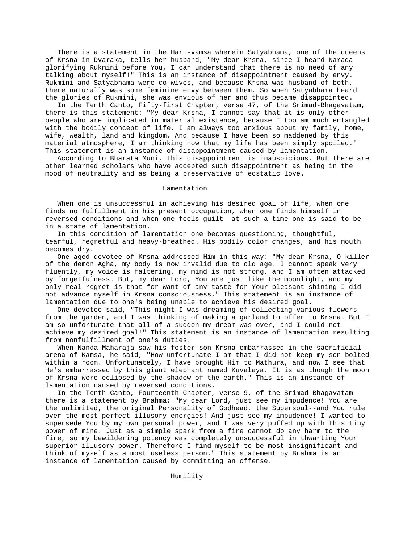There is a statement in the Hari-vamsa wherein Satyabhama, one of the queens of Krsna in Dvaraka, tells her husband, "My dear Krsna, since I heard Narada glorifying Rukmini before You, I can understand that there is no need of any talking about myself!" This is an instance of disappointment caused by envy. Rukmini and Satyabhama were co-wives, and because Krsna was husband of both, there naturally was some feminine envy between them. So when Satyabhama heard the glories of Rukmini, she was envious of her and thus became disappointed.

 In the Tenth Canto, Fifty-first Chapter, verse 47, of the Srimad-Bhagavatam, there is this statement: "My dear Krsna, I cannot say that it is only other people who are implicated in material existence, because I too am much entangled with the bodily concept of life. I am always too anxious about my family, home, wife, wealth, land and kingdom. And because I have been so maddened by this material atmosphere, I am thinking now that my life has been simply spoiled." This statement is an instance of disappointment caused by lamentation.

 According to Bharata Muni, this disappointment is inauspicious. But there are other learned scholars who have accepted such disappointment as being in the mood of neutrality and as being a preservative of ecstatic love.

## Lamentation

 When one is unsuccessful in achieving his desired goal of life, when one finds no fulfillment in his present occupation, when one finds himself in reversed conditions and when one feels guilt--at such a time one is said to be in a state of lamentation.

 In this condition of lamentation one becomes questioning, thoughtful, tearful, regretful and heavy-breathed. His bodily color changes, and his mouth becomes dry.

 One aged devotee of Krsna addressed Him in this way: "My dear Krsna, O killer of the demon Agha, my body is now invalid due to old age. I cannot speak very fluently, my voice is faltering, my mind is not strong, and I am often attacked by forgetfulness. But, my dear Lord, You are just like the moonlight, and my only real regret is that for want of any taste for Your pleasant shining I did not advance myself in Krsna consciousness." This statement is an instance of lamentation due to one's being unable to achieve his desired goal.

 One devotee said, "This night I was dreaming of collecting various flowers from the garden, and I was thinking of making a garland to offer to Krsna. But I am so unfortunate that all of a sudden my dream was over, and I could not achieve my desired goal!" This statement is an instance of lamentation resulting from nonfulfillment of one's duties.

 When Nanda Maharaja saw his foster son Krsna embarrassed in the sacrificial arena of Kamsa, he said, "How unfortunate I am that I did not keep my son bolted within a room. Unfortunately, I have brought Him to Mathura, and now I see that He's embarrassed by this giant elephant named Kuvalaya. It is as though the moon of Krsna were eclipsed by the shadow of the earth." This is an instance of lamentation caused by reversed conditions.

 In the Tenth Canto, Fourteenth Chapter, verse 9, of the Srimad-Bhagavatam there is a statement by Brahma: "My dear Lord, just see my impudence! You are the unlimited, the original Personality of Godhead, the Supersoul--and You rule over the most perfect illusory energies! And just see my impudence! I wanted to supersede You by my own personal power, and I was very puffed up with this tiny power of mine. Just as a simple spark from a fire cannot do any harm to the fire, so my bewildering potency was completely unsuccessful in thwarting Your superior illusory power. Therefore I find myself to be most insignificant and think of myself as a most useless person." This statement by Brahma is an instance of lamentation caused by committing an offense.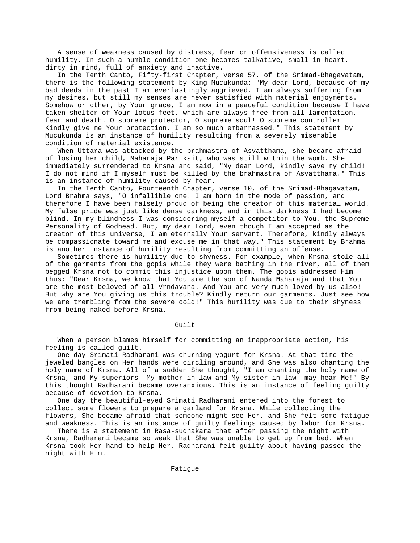A sense of weakness caused by distress, fear or offensiveness is called humility. In such a humble condition one becomes talkative, small in heart, dirty in mind, full of anxiety and inactive.

 In the Tenth Canto, Fifty-first Chapter, verse 57, of the Srimad-Bhagavatam, there is the following statement by King Mucukunda: "My dear Lord, because of my bad deeds in the past I am everlastingly aggrieved. I am always suffering from my desires, but still my senses are never satisfied with material enjoyments. Somehow or other, by Your grace, I am now in a peaceful condition because I have taken shelter of Your lotus feet, which are always free from all lamentation, fear and death. O supreme protector, O supreme soul! O supreme controller! Kindly give me Your protection. I am so much embarrassed." This statement by Mucukunda is an instance of humility resulting from a severely miserable condition of material existence.

 When Uttara was attacked by the brahmastra of Asvatthama, she became afraid of losing her child, Maharaja Pariksit, who was still within the womb. She immediately surrendered to Krsna and said, "My dear Lord, kindly save my child! I do not mind if I myself must be killed by the brahmastra of Asvatthama." This is an instance of humility caused by fear.

 In the Tenth Canto, Fourteenth Chapter, verse 10, of the Srimad-Bhagavatam, Lord Brahma says, "O infallible one! I am born in the mode of passion, and therefore I have been falsely proud of being the creator of this material world. My false pride was just like dense darkness, and in this darkness I had become blind. In my blindness I was considering myself a competitor to You, the Supreme Personality of Godhead. But, my dear Lord, even though I am accepted as the creator of this universe, I am eternally Your servant. Therefore, kindly always be compassionate toward me and excuse me in that way." This statement by Brahma is another instance of humility resulting from committing an offense.

 Sometimes there is humility due to shyness. For example, when Krsna stole all of the garments from the gopis while they were bathing in the river, all of them begged Krsna not to commit this injustice upon them. The gopis addressed Him thus: "Dear Krsna, we know that You are the son of Nanda Maharaja and that You are the most beloved of all Vrndavana. And You are very much loved by us also! But why are You giving us this trouble? Kindly return our garments. Just see how we are trembling from the severe cold!" This humility was due to their shyness from being naked before Krsna.

### Guilt

 When a person blames himself for committing an inappropriate action, his feeling is called guilt.

 One day Srimati Radharani was churning yogurt for Krsna. At that time the jeweled bangles on Her hands were circling around, and She was also chanting the holy name of Krsna. All of a sudden She thought, "I am chanting the holy name of Krsna, and My superiors--My mother-in-law and My sister-in-law--may hear Me!" By this thought Radharani became overanxious. This is an instance of feeling guilty because of devotion to Krsna.

 One day the beautiful-eyed Srimati Radharani entered into the forest to collect some flowers to prepare a garland for Krsna. While collecting the flowers, She became afraid that someone might see Her, and She felt some fatigue and weakness. This is an instance of guilty feelings caused by labor for Krsna.

 There is a statement in Rasa-sudhakara that after passing the night with Krsna, Radharani became so weak that She was unable to get up from bed. When Krsna took Her hand to help Her, Radharani felt guilty about having passed the night with Him.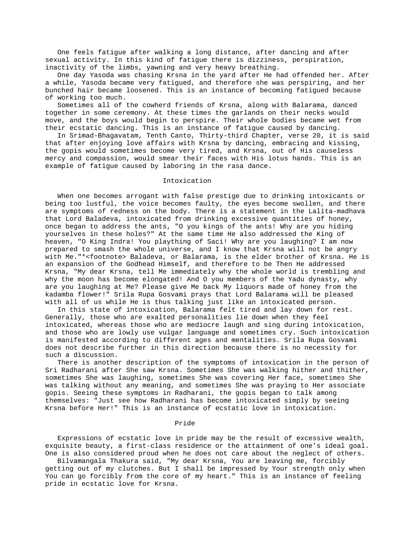One feels fatigue after walking a long distance, after dancing and after sexual activity. In this kind of fatigue there is dizziness, perspiration, inactivity of the limbs, yawning and very heavy breathing.

 One day Yasoda was chasing Krsna in the yard after He had offended her. After a while, Yasoda became very fatigued, and therefore she was perspiring, and her bunched hair became loosened. This is an instance of becoming fatigued because of working too much.

 Sometimes all of the cowherd friends of Krsna, along with Balarama, danced together in some ceremony. At these times the garlands on their necks would move, and the boys would begin to perspire. Their whole bodies became wet from their ecstatic dancing. This is an instance of fatigue caused by dancing.

 In Srimad-Bhagavatam, Tenth Canto, Thirty-third Chapter, verse 20, it is said that after enjoying love affairs with Krsna by dancing, embracing and kissing, the gopis would sometimes become very tired, and Krsna, out of His causeless mercy and compassion, would smear their faces with His lotus hands. This is an example of fatigue caused by laboring in the rasa dance.

## Intoxication

 When one becomes arrogant with false prestige due to drinking intoxicants or being too lustful, the voice becomes faulty, the eyes become swollen, and there are symptoms of redness on the body. There is a statement in the Lalita-madhava that Lord Baladeva, intoxicated from drinking excessive quantities of honey, once began to address the ants, "O you kings of the ants! Why are you hiding yourselves in these holes?" At the same time He also addressed the King of heaven, "O King Indra! You plaything of Saci! Why are you laughing? I am now prepared to smash the whole universe, and I know that Krsna will not be angry with Me."\*<footnote> Baladeva, or Balarama, is the elder brother of Krsna. He is an expansion of the Godhead Himself, and therefore to be Then He addressed Krsna, "My dear Krsna, tell Me immediately why the whole world is trembling and why the moon has become elongated! And O you members of the Yadu dynasty, why are you laughing at Me? Please give Me back My liquors made of honey from the kadamba flower!" Srila Rupa Gosvami prays that Lord Balarama will be pleased with all of us while He is thus talking just like an intoxicated person.

 In this state of intoxication, Balarama felt tired and lay down for rest. Generally, those who are exalted personalities lie down when they feel intoxicated, whereas those who are mediocre laugh and sing during intoxication, and those who are lowly use vulgar language and sometimes cry. Such intoxication is manifested according to different ages and mentalities. Srila Rupa Gosvami does not describe further in this direction because there is no necessity for such a discussion.

 There is another description of the symptoms of intoxication in the person of Sri Radharani after She saw Krsna. Sometimes She was walking hither and thither, sometimes She was laughing, sometimes She was covering Her face, sometimes She was talking without any meaning, and sometimes She was praying to Her associate gopis. Seeing these symptoms in Radharani, the gopis began to talk among themselves: "Just see how Radharani has become intoxicated simply by seeing Krsna before Her!" This is an instance of ecstatic love in intoxication.

### Pride

 Expressions of ecstatic love in pride may be the result of excessive wealth, exquisite beauty, a first-class residence or the attainment of one's ideal goal. One is also considered proud when he does not care about the neglect of others.

 Bilvamangala Thakura said, "My dear Krsna, You are leaving me, forcibly getting out of my clutches. But I shall be impressed by Your strength only when You can go forcibly from the core of my heart." This is an instance of feeling pride in ecstatic love for Krsna.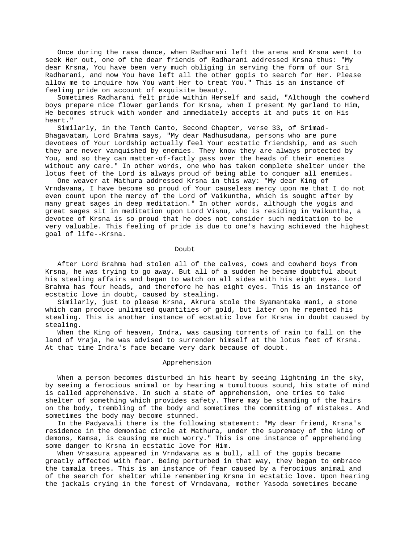Once during the rasa dance, when Radharani left the arena and Krsna went to seek Her out, one of the dear friends of Radharani addressed Krsna thus: "My dear Krsna, You have been very much obliging in serving the form of our Sri Radharani, and now You have left all the other gopis to search for Her. Please allow me to inquire how You want Her to treat You." This is an instance of feeling pride on account of exquisite beauty.

 Sometimes Radharani felt pride within Herself and said, "Although the cowherd boys prepare nice flower garlands for Krsna, when I present My garland to Him, He becomes struck with wonder and immediately accepts it and puts it on His heart."

 Similarly, in the Tenth Canto, Second Chapter, verse 33, of Srimad-Bhagavatam, Lord Brahma says, "My dear Madhusudana, persons who are pure devotees of Your Lordship actually feel Your ecstatic friendship, and as such they are never vanquished by enemies. They know they are always protected by You, and so they can matter-of-factly pass over the heads of their enemies without any care." In other words, one who has taken complete shelter under the lotus feet of the Lord is always proud of being able to conquer all enemies.

 One weaver at Mathura addressed Krsna in this way: "My dear King of Vrndavana, I have become so proud of Your causeless mercy upon me that I do not even count upon the mercy of the Lord of Vaikuntha, which is sought after by many great sages in deep meditation." In other words, although the yogis and great sages sit in meditation upon Lord Visnu, who is residing in Vaikuntha, a devotee of Krsna is so proud that he does not consider such meditation to be very valuable. This feeling of pride is due to one's having achieved the highest goal of life--Krsna.

Doubt

 After Lord Brahma had stolen all of the calves, cows and cowherd boys from Krsna, he was trying to go away. But all of a sudden he became doubtful about his stealing affairs and began to watch on all sides with his eight eyes. Lord Brahma has four heads, and therefore he has eight eyes. This is an instance of ecstatic love in doubt, caused by stealing.

 Similarly, just to please Krsna, Akrura stole the Syamantaka mani, a stone which can produce unlimited quantities of gold, but later on he repented his stealing. This is another instance of ecstatic love for Krsna in doubt caused by stealing.

 When the King of heaven, Indra, was causing torrents of rain to fall on the land of Vraja, he was advised to surrender himself at the lotus feet of Krsna. At that time Indra's face became very dark because of doubt.

#### Apprehension

 When a person becomes disturbed in his heart by seeing lightning in the sky, by seeing a ferocious animal or by hearing a tumultuous sound, his state of mind is called apprehensive. In such a state of apprehension, one tries to take shelter of something which provides safety. There may be standing of the hairs on the body, trembling of the body and sometimes the committing of mistakes. And sometimes the body may become stunned.

 In the Padyavali there is the following statement: "My dear friend, Krsna's residence in the demoniac circle at Mathura, under the supremacy of the king of demons, Kamsa, is causing me much worry." This is one instance of apprehending some danger to Krsna in ecstatic love for Him.

 When Vrsasura appeared in Vrndavana as a bull, all of the gopis became greatly affected with fear. Being perturbed in that way, they began to embrace the tamala trees. This is an instance of fear caused by a ferocious animal and of the search for shelter while remembering Krsna in ecstatic love. Upon hearing the jackals crying in the forest of Vrndavana, mother Yasoda sometimes became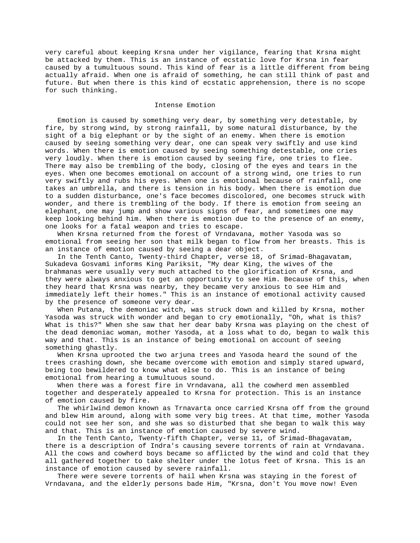very careful about keeping Krsna under her vigilance, fearing that Krsna might be attacked by them. This is an instance of ecstatic love for Krsna in fear caused by a tumultuous sound. This kind of fear is a little different from being actually afraid. When one is afraid of something, he can still think of past and future. But when there is this kind of ecstatic apprehension, there is no scope for such thinking.

### Intense Emotion

 Emotion is caused by something very dear, by something very detestable, by fire, by strong wind, by strong rainfall, by some natural disturbance, by the sight of a big elephant or by the sight of an enemy. When there is emotion caused by seeing something very dear, one can speak very swiftly and use kind words. When there is emotion caused by seeing something detestable, one cries very loudly. When there is emotion caused by seeing fire, one tries to flee. There may also be trembling of the body, closing of the eyes and tears in the eyes. When one becomes emotional on account of a strong wind, one tries to run very swiftly and rubs his eyes. When one is emotional because of rainfall, one takes an umbrella, and there is tension in his body. When there is emotion due to a sudden disturbance, one's face becomes discolored, one becomes struck with wonder, and there is trembling of the body. If there is emotion from seeing an elephant, one may jump and show various signs of fear, and sometimes one may keep looking behind him. When there is emotion due to the presence of an enemy, one looks for a fatal weapon and tries to escape.

 When Krsna returned from the forest of Vrndavana, mother Yasoda was so emotional from seeing her son that milk began to flow from her breasts. This is an instance of emotion caused by seeing a dear object.

 In the Tenth Canto, Twenty-third Chapter, verse 18, of Srimad-Bhagavatam, Sukadeva Gosvami informs King Pariksit, "My dear King, the wives of the brahmanas were usually very much attached to the glorification of Krsna, and they were always anxious to get an opportunity to see Him. Because of this, when they heard that Krsna was nearby, they became very anxious to see Him and immediately left their homes." This is an instance of emotional activity caused by the presence of someone very dear.

 When Putana, the demoniac witch, was struck down and killed by Krsna, mother Yasoda was struck with wonder and began to cry emotionally, "Oh, what is this? What is this?" When she saw that her dear baby Krsna was playing on the chest of the dead demoniac woman, mother Yasoda, at a loss what to do, began to walk this way and that. This is an instance of being emotional on account of seeing something ghastly.

 When Krsna uprooted the two arjuna trees and Yasoda heard the sound of the trees crashing down, she became overcome with emotion and simply stared upward, being too bewildered to know what else to do. This is an instance of being emotional from hearing a tumultuous sound.

 When there was a forest fire in Vrndavana, all the cowherd men assembled together and desperately appealed to Krsna for protection. This is an instance of emotion caused by fire.

 The whirlwind demon known as Trnavarta once carried Krsna off from the ground and blew Him around, along with some very big trees. At that time, mother Yasoda could not see her son, and she was so disturbed that she began to walk this way and that. This is an instance of emotion caused by severe wind.

 In the Tenth Canto, Twenty-fifth Chapter, verse 11, of Srimad-Bhagavatam, there is a description of Indra's causing severe torrents of rain at Vrndavana. All the cows and cowherd boys became so afflicted by the wind and cold that they all gathered together to take shelter under the lotus feet of Krsna. This is an instance of emotion caused by severe rainfall.

 There were severe torrents of hail when Krsna was staying in the forest of Vrndavana, and the elderly persons bade Him, "Krsna, don't You move now! Even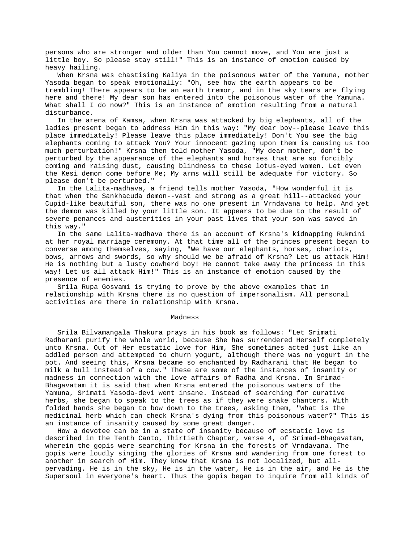persons who are stronger and older than You cannot move, and You are just a little boy. So please stay still!" This is an instance of emotion caused by heavy hailing.

 When Krsna was chastising Kaliya in the poisonous water of the Yamuna, mother Yasoda began to speak emotionally: "Oh, see how the earth appears to be trembling! There appears to be an earth tremor, and in the sky tears are flying here and there! My dear son has entered into the poisonous water of the Yamuna. What shall I do now?" This is an instance of emotion resulting from a natural disturbance.

 In the arena of Kamsa, when Krsna was attacked by big elephants, all of the ladies present began to address Him in this way: "My dear boy--please leave this place immediately! Please leave this place immediately! Don't You see the big elephants coming to attack You? Your innocent gazing upon them is causing us too much perturbation!" Krsna then told mother Yasoda, "My dear mother, don't be perturbed by the appearance of the elephants and horses that are so forcibly coming and raising dust, causing blindness to these lotus-eyed women. Let even the Kesi demon come before Me; My arms will still be adequate for victory. So please don't be perturbed."

 In the Lalita-madhava, a friend tells mother Yasoda, "How wonderful it is that when the Sankhacuda demon--vast and strong as a great hill--attacked your Cupid-like beautiful son, there was no one present in Vrndavana to help. And yet the demon was killed by your little son. It appears to be due to the result of severe penances and austerities in your past lives that your son was saved in this way."

 In the same Lalita-madhava there is an account of Krsna's kidnapping Rukmini at her royal marriage ceremony. At that time all of the princes present began to converse among themselves, saying, "We have our elephants, horses, chariots, bows, arrows and swords, so why should we be afraid of Krsna? Let us attack Him! He is nothing but a lusty cowherd boy! He cannot take away the princess in this way! Let us all attack Him!" This is an instance of emotion caused by the presence of enemies.

 Srila Rupa Gosvami is trying to prove by the above examples that in relationship with Krsna there is no question of impersonalism. All personal activities are there in relationship with Krsna.

#### Madness

 Srila Bilvamangala Thakura prays in his book as follows: "Let Srimati Radharani purify the whole world, because She has surrendered Herself completely unto Krsna. Out of Her ecstatic love for Him, She sometimes acted just like an addled person and attempted to churn yogurt, although there was no yogurt in the pot. And seeing this, Krsna became so enchanted by Radharani that He began to milk a bull instead of a cow." These are some of the instances of insanity or madness in connection with the love affairs of Radha and Krsna. In Srimad-Bhagavatam it is said that when Krsna entered the poisonous waters of the Yamuna, Srimati Yasoda-devi went insane. Instead of searching for curative herbs, she began to speak to the trees as if they were snake chanters. With folded hands she began to bow down to the trees, asking them, "What is the medicinal herb which can check Krsna's dying from this poisonous water?" This is an instance of insanity caused by some great danger.

 How a devotee can be in a state of insanity because of ecstatic love is described in the Tenth Canto, Thirtieth Chapter, verse 4, of Srimad-Bhagavatam, wherein the gopis were searching for Krsna in the forests of Vrndavana. The gopis were loudly singing the glories of Krsna and wandering from one forest to another in search of Him. They knew that Krsna is not localized, but allpervading. He is in the sky, He is in the water, He is in the air, and He is the Supersoul in everyone's heart. Thus the gopis began to inquire from all kinds of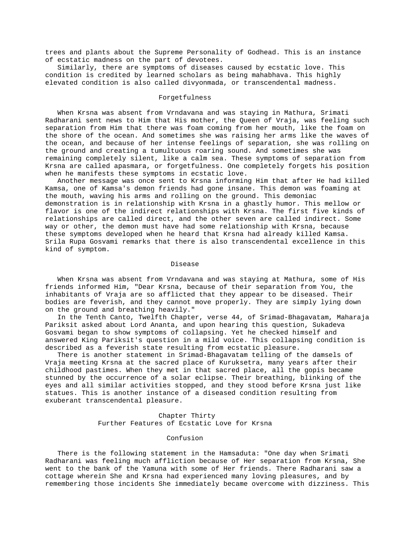trees and plants about the Supreme Personality of Godhead. This is an instance of ecstatic madness on the part of devotees.

 Similarly, there are symptoms of diseases caused by ecstatic love. This condition is credited by learned scholars as being mahabhava. This highly elevated condition is also called divyonmada, or transcendental madness.

### Forgetfulness

 When Krsna was absent from Vrndavana and was staying in Mathura, Srimati Radharani sent news to Him that His mother, the Queen of Vraja, was feeling such separation from Him that there was foam coming from her mouth, like the foam on the shore of the ocean. And sometimes she was raising her arms like the waves of the ocean, and because of her intense feelings of separation, she was rolling on the ground and creating a tumultuous roaring sound. And sometimes she was remaining completely silent, like a calm sea. These symptoms of separation from Krsna are called apasmara, or forgetfulness. One completely forgets his position when he manifests these symptoms in ecstatic love.

 Another message was once sent to Krsna informing Him that after He had killed Kamsa, one of Kamsa's demon friends had gone insane. This demon was foaming at the mouth, waving his arms and rolling on the ground. This demoniac demonstration is in relationship with Krsna in a ghastly humor. This mellow or flavor is one of the indirect relationships with Krsna. The first five kinds of relationships are called direct, and the other seven are called indirect. Some way or other, the demon must have had some relationship with Krsna, because these symptoms developed when he heard that Krsna had already killed Kamsa. Srila Rupa Gosvami remarks that there is also transcendental excellence in this kind of symptom.

#### Disease

 When Krsna was absent from Vrndavana and was staying at Mathura, some of His friends informed Him, "Dear Krsna, because of their separation from You, the inhabitants of Vraja are so afflicted that they appear to be diseased. Their bodies are feverish, and they cannot move properly. They are simply lying down on the ground and breathing heavily."

 In the Tenth Canto, Twelfth Chapter, verse 44, of Srimad-Bhagavatam, Maharaja Pariksit asked about Lord Ananta, and upon hearing this question, Sukadeva Gosvami began to show symptoms of collapsing. Yet he checked himself and answered King Pariksit's question in a mild voice. This collapsing condition is described as a feverish state resulting from ecstatic pleasure.

 There is another statement in Srimad-Bhagavatam telling of the damsels of Vraja meeting Krsna at the sacred place of Kuruksetra, many years after their childhood pastimes. When they met in that sacred place, all the gopis became stunned by the occurrence of a solar eclipse. Their breathing, blinking of the eyes and all similar activities stopped, and they stood before Krsna just like statues. This is another instance of a diseased condition resulting from exuberant transcendental pleasure.

> Chapter Thirty Further Features of Ecstatic Love for Krsna

## Confusion

 There is the following statement in the Hamsaduta: "One day when Srimati Radharani was feeling much affliction because of Her separation from Krsna, She went to the bank of the Yamuna with some of Her friends. There Radharani saw a cottage wherein She and Krsna had experienced many loving pleasures, and by remembering those incidents She immediately became overcome with dizziness. This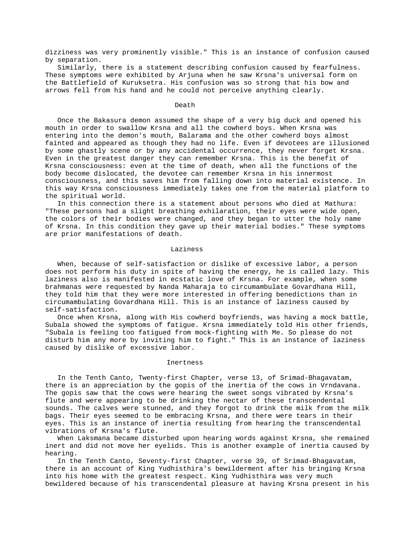dizziness was very prominently visible." This is an instance of confusion caused by separation.

 Similarly, there is a statement describing confusion caused by fearfulness. These symptoms were exhibited by Arjuna when he saw Krsna's universal form on the Battlefield of Kuruksetra. His confusion was so strong that his bow and arrows fell from his hand and he could not perceive anything clearly.

### Death

 Once the Bakasura demon assumed the shape of a very big duck and opened his mouth in order to swallow Krsna and all the cowherd boys. When Krsna was entering into the demon's mouth, Balarama and the other cowherd boys almost fainted and appeared as though they had no life. Even if devotees are illusioned by some ghastly scene or by any accidental occurrence, they never forget Krsna. Even in the greatest danger they can remember Krsna. This is the benefit of Krsna consciousness: even at the time of death, when all the functions of the body become dislocated, the devotee can remember Krsna in his innermost consciousness, and this saves him from falling down into material existence. In this way Krsna consciousness immediately takes one from the material platform to the spiritual world.

 In this connection there is a statement about persons who died at Mathura: "These persons had a slight breathing exhilaration, their eyes were wide open, the colors of their bodies were changed, and they began to utter the holy name of Krsna. In this condition they gave up their material bodies." These symptoms are prior manifestations of death.

#### Laziness

 When, because of self-satisfaction or dislike of excessive labor, a person does not perform his duty in spite of having the energy, he is called lazy. This laziness also is manifested in ecstatic love of Krsna. For example, when some brahmanas were requested by Nanda Maharaja to circumambulate Govardhana Hill, they told him that they were more interested in offering benedictions than in circumambulating Govardhana Hill. This is an instance of laziness caused by self-satisfaction.

 Once when Krsna, along with His cowherd boyfriends, was having a mock battle, Subala showed the symptoms of fatigue. Krsna immediately told His other friends, "Subala is feeling too fatigued from mock-fighting with Me. So please do not disturb him any more by inviting him to fight." This is an instance of laziness caused by dislike of excessive labor.

#### Inertness

 In the Tenth Canto, Twenty-first Chapter, verse 13, of Srimad-Bhagavatam, there is an appreciation by the gopis of the inertia of the cows in Vrndavana. The gopis saw that the cows were hearing the sweet songs vibrated by Krsna's flute and were appearing to be drinking the nectar of these transcendental sounds. The calves were stunned, and they forgot to drink the milk from the milk bags. Their eyes seemed to be embracing Krsna, and there were tears in their eyes. This is an instance of inertia resulting from hearing the transcendental vibrations of Krsna's flute.

 When Laksmana became disturbed upon hearing words against Krsna, she remained inert and did not move her eyelids. This is another example of inertia caused by hearing.

 In the Tenth Canto, Seventy-first Chapter, verse 39, of Srimad-Bhagavatam, there is an account of King Yudhisthira's bewilderment after his bringing Krsna into his home with the greatest respect. King Yudhisthira was very much bewildered because of his transcendental pleasure at having Krsna present in his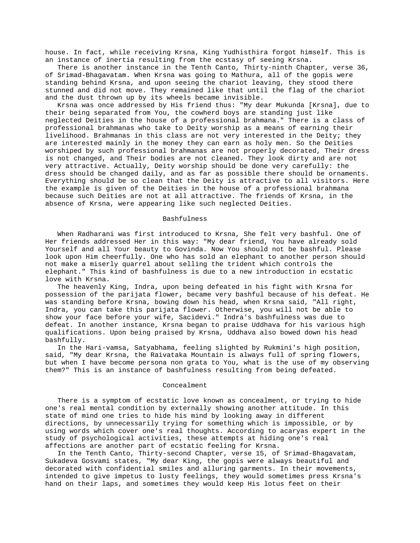house. In fact, while receiving Krsna, King Yudhisthira forgot himself. This is an instance of inertia resulting from the ecstasy of seeing Krsna.

 There is another instance in the Tenth Canto, Thirty-ninth Chapter, verse 36, of Srimad-Bhagavatam. When Krsna was going to Mathura, all of the gopis were standing behind Krsna, and upon seeing the chariot leaving, they stood there stunned and did not move. They remained like that until the flag of the chariot and the dust thrown up by its wheels became invisible.

 Krsna was once addressed by His friend thus: "My dear Mukunda [Krsna], due to their being separated from You, the cowherd boys are standing just like neglected Deities in the house of a professional brahmana." There is a class of professional brahmanas who take to Deity worship as a means of earning their livelihood. Brahmanas in this class are not very interested in the Deity; they are interested mainly in the money they can earn as holy men. So the Deities worshiped by such professional brahmanas are not properly decorated, Their dress is not changed, and Their bodies are not cleaned. They look dirty and are not very attractive. Actually, Deity worship should be done very carefully: the dress should be changed daily, and as far as possible there should be ornaments. Everything should be so clean that the Deity is attractive to all visitors. Here the example is given of the Deities in the house of a professional brahmana because such Deities are not at all attractive. The friends of Krsna, in the absence of Krsna, were appearing like such neglected Deities.

## Bashfulness

 When Radharani was first introduced to Krsna, She felt very bashful. One of Her friends addressed Her in this way: "My dear friend, You have already sold Yourself and all Your beauty to Govinda. Now You should not be bashful. Please look upon Him cheerfully. One who has sold an elephant to another person should not make a miserly quarrel about selling the trident which controls the elephant." This kind of bashfulness is due to a new introduction in ecstatic love with Krsna.

 The heavenly King, Indra, upon being defeated in his fight with Krsna for possession of the parijata flower, became very bashful because of his defeat. He was standing before Krsna, bowing down his head, when Krsna said, "All right, Indra, you can take this parijata flower. Otherwise, you will not be able to show your face before your wife, Sacidevi." Indra's bashfulness was due to defeat. In another instance, Krsna began to praise Uddhava for his various high qualifications. Upon being praised by Krsna, Uddhava also bowed down his head bashfully.

 In the Hari-vamsa, Satyabhama, feeling slighted by Rukmini's high position, said, "My dear Krsna, the Raivataka Mountain is always full of spring flowers, but when I have become persona non grata to You, what is the use of my observing them?" This is an instance of bashfulness resulting from being defeated.

#### Concealment

 There is a symptom of ecstatic love known as concealment, or trying to hide one's real mental condition by externally showing another attitude. In this state of mind one tries to hide his mind by looking away in different directions, by unnecessarily trying for something which is impossible, or by using words which cover one's real thoughts. According to acaryas expert in the study of psychological activities, these attempts at hiding one's real affections are another part of ecstatic feeling for Krsna.

 In the Tenth Canto, Thirty-second Chapter, verse 15, of Srimad-Bhagavatam, Sukadeva Gosvami states, "My dear King, the gopis were always beautiful and decorated with confidential smiles and alluring garments. In their movements, intended to give impetus to lusty feelings, they would sometimes press Krsna's hand on their laps, and sometimes they would keep His lotus feet on their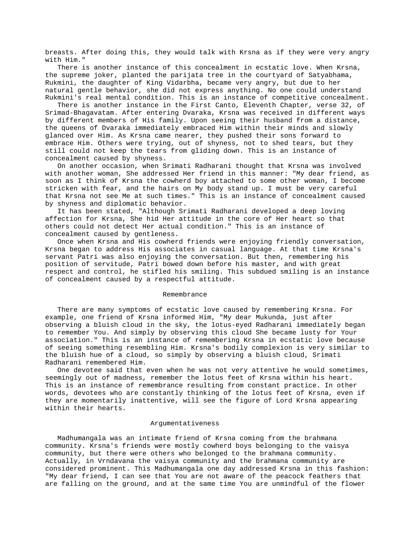breasts. After doing this, they would talk with Krsna as if they were very angry with Him."

 There is another instance of this concealment in ecstatic love. When Krsna, the supreme joker, planted the parijata tree in the courtyard of Satyabhama, Rukmini, the daughter of King Vidarbha, became very angry, but due to her natural gentle behavior, she did not express anything. No one could understand Rukmini's real mental condition. This is an instance of competitive concealment.

 There is another instance in the First Canto, Eleventh Chapter, verse 32, of Srimad-Bhagavatam. After entering Dvaraka, Krsna was received in different ways by different members of His family. Upon seeing their husband from a distance, the queens of Dvaraka immediately embraced Him within their minds and slowly glanced over Him. As Krsna came nearer, they pushed their sons forward to embrace Him. Others were trying, out of shyness, not to shed tears, but they still could not keep the tears from gliding down. This is an instance of concealment caused by shyness.

 On another occasion, when Srimati Radharani thought that Krsna was involved with another woman, She addressed Her friend in this manner: "My dear friend, as soon as I think of Krsna the cowherd boy attached to some other woman, I become stricken with fear, and the hairs on My body stand up. I must be very careful that Krsna not see Me at such times." This is an instance of concealment caused by shyness and diplomatic behavior.

 It has been stated, "Although Srimati Radharani developed a deep loving affection for Krsna, She hid Her attitude in the core of Her heart so that others could not detect Her actual condition." This is an instance of concealment caused by gentleness.

 Once when Krsna and His cowherd friends were enjoying friendly conversation, Krsna began to address His associates in casual language. At that time Krsna's servant Patri was also enjoying the conversation. But then, remembering his position of servitude, Patri bowed down before his master, and with great respect and control, he stifled his smiling. This subdued smiling is an instance of concealment caused by a respectful attitude.

### Remembrance

 There are many symptoms of ecstatic love caused by remembering Krsna. For example, one friend of Krsna informed Him, "My dear Mukunda, just after observing a bluish cloud in the sky, the lotus-eyed Radharani immediately began to remember You. And simply by observing this cloud She became lusty for Your association." This is an instance of remembering Krsna in ecstatic love because of seeing something resembling Him. Krsna's bodily complexion is very similar to the bluish hue of a cloud, so simply by observing a bluish cloud, Srimati Radharani remembered Him.

 One devotee said that even when he was not very attentive he would sometimes, seemingly out of madness, remember the lotus feet of Krsna within his heart. This is an instance of remembrance resulting from constant practice. In other words, devotees who are constantly thinking of the lotus feet of Krsna, even if they are momentarily inattentive, will see the figure of Lord Krsna appearing within their hearts.

#### Argumentativeness

 Madhumangala was an intimate friend of Krsna coming from the brahmana community. Krsna's friends were mostly cowherd boys belonging to the vaisya community, but there were others who belonged to the brahmana community. Actually, in Vrndavana the vaisya community and the brahmana community are considered prominent. This Madhumangala one day addressed Krsna in this fashion: "My dear friend, I can see that You are not aware of the peacock feathers that are falling on the ground, and at the same time You are unmindful of the flower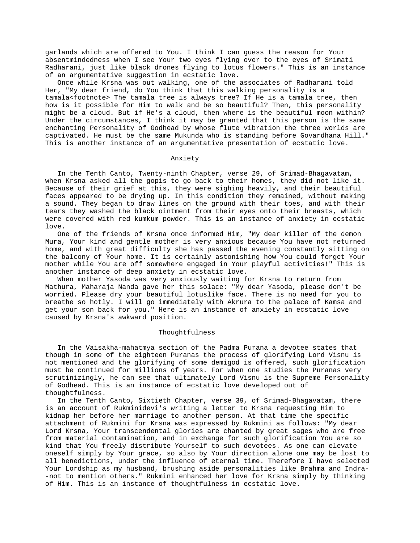garlands which are offered to You. I think I can guess the reason for Your absentmindedness when I see Your two eyes flying over to the eyes of Srimati Radharani, just like black drones flying to lotus flowers." This is an instance of an argumentative suggestion in ecstatic love.

 Once while Krsna was out walking, one of the associates of Radharani told Her, "My dear friend, do You think that this walking personality is a tamala<footnote> The tamala tree is always tree? If He is a tamala tree, then how is it possible for Him to walk and be so beautiful? Then, this personality might be a cloud. But if He's a cloud, then where is the beautiful moon within? Under the circumstances, I think it may be granted that this person is the same enchanting Personality of Godhead by whose flute vibration the three worlds are captivated. He must be the same Mukunda who is standing before Govardhana Hill." This is another instance of an argumentative presentation of ecstatic love.

### Anxiety

 In the Tenth Canto, Twenty-ninth Chapter, verse 29, of Srimad-Bhagavatam, when Krsna asked all the gopis to go back to their homes, they did not like it. Because of their grief at this, they were sighing heavily, and their beautiful faces appeared to be drying up. In this condition they remained, without making a sound. They began to draw lines on the ground with their toes, and with their tears they washed the black ointment from their eyes onto their breasts, which were covered with red kumkum powder. This is an instance of anxiety in ecstatic love.

 One of the friends of Krsna once informed Him, "My dear killer of the demon Mura, Your kind and gentle mother is very anxious because You have not returned home, and with great difficulty she has passed the evening constantly sitting on the balcony of Your home. It is certainly astonishing how You could forget Your mother while You are off somewhere engaged in Your playful activities!" This is another instance of deep anxiety in ecstatic love.

 When mother Yasoda was very anxiously waiting for Krsna to return from Mathura, Maharaja Nanda gave her this solace: "My dear Yasoda, please don't be worried. Please dry your beautiful lotuslike face. There is no need for you to breathe so hotly. I will go immediately with Akrura to the palace of Kamsa and get your son back for you." Here is an instance of anxiety in ecstatic love caused by Krsna's awkward position.

### Thoughtfulness

 In the Vaisakha-mahatmya section of the Padma Purana a devotee states that though in some of the eighteen Puranas the process of glorifying Lord Visnu is not mentioned and the glorifying of some demigod is offered, such glorification must be continued for millions of years. For when one studies the Puranas very scrutinizingly, he can see that ultimately Lord Visnu is the Supreme Personality of Godhead. This is an instance of ecstatic love developed out of thoughtfulness.

 In the Tenth Canto, Sixtieth Chapter, verse 39, of Srimad-Bhagavatam, there is an account of Rukminidevi's writing a letter to Krsna requesting Him to kidnap her before her marriage to another person. At that time the specific attachment of Rukmini for Krsna was expressed by Rukmini as follows: "My dear Lord Krsna, Your transcendental glories are chanted by great sages who are free from material contamination, and in exchange for such glorification You are so kind that You freely distribute Yourself to such devotees. As one can elevate oneself simply by Your grace, so also by Your direction alone one may be lost to all benedictions, under the influence of eternal time. Therefore I have selected Your Lordship as my husband, brushing aside personalities like Brahma and Indra- -not to mention others." Rukmini enhanced her love for Krsna simply by thinking of Him. This is an instance of thoughtfulness in ecstatic love.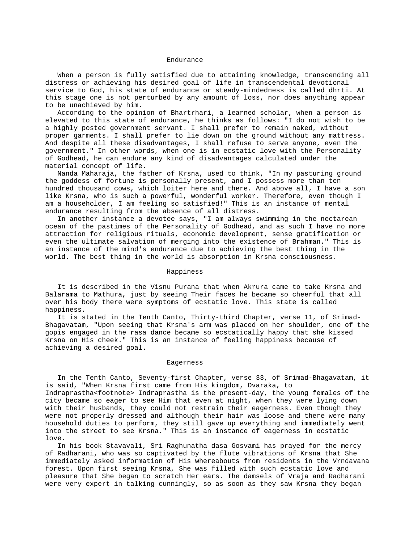### Endurance

 When a person is fully satisfied due to attaining knowledge, transcending all distress or achieving his desired goal of life in transcendental devotional service to God, his state of endurance or steady-mindedness is called dhrti. At this stage one is not perturbed by any amount of loss, nor does anything appear to be unachieved by him.

 According to the opinion of Bhartrhari, a learned scholar, when a person is elevated to this state of endurance, he thinks as follows: "I do not wish to be a highly posted government servant. I shall prefer to remain naked, without proper garments. I shall prefer to lie down on the ground without any mattress. And despite all these disadvantages, I shall refuse to serve anyone, even the government." In other words, when one is in ecstatic love with the Personality of Godhead, he can endure any kind of disadvantages calculated under the material concept of life.

 Nanda Maharaja, the father of Krsna, used to think, "In my pasturing ground the goddess of fortune is personally present, and I possess more than ten hundred thousand cows, which loiter here and there. And above all, I have a son like Krsna, who is such a powerful, wonderful worker. Therefore, even though I am a householder, I am feeling so satisfied!" This is an instance of mental endurance resulting from the absence of all distress.

 In another instance a devotee says, "I am always swimming in the nectarean ocean of the pastimes of the Personality of Godhead, and as such I have no more attraction for religious rituals, economic development, sense gratification or even the ultimate salvation of merging into the existence of Brahman." This is an instance of the mind's endurance due to achieving the best thing in the world. The best thing in the world is absorption in Krsna consciousness.

### Happiness

 It is described in the Visnu Purana that when Akrura came to take Krsna and Balarama to Mathura, just by seeing Their faces he became so cheerful that all over his body there were symptoms of ecstatic love. This state is called happiness.

 It is stated in the Tenth Canto, Thirty-third Chapter, verse 11, of Srimad-Bhagavatam, "Upon seeing that Krsna's arm was placed on her shoulder, one of the gopis engaged in the rasa dance became so ecstatically happy that she kissed Krsna on His cheek." This is an instance of feeling happiness because of achieving a desired goal.

#### Eagerness

 In the Tenth Canto, Seventy-first Chapter, verse 33, of Srimad-Bhagavatam, it is said, "When Krsna first came from His kingdom, Dvaraka, to Indraprastha<footnote> Indraprastha is the present-day, the young females of the city became so eager to see Him that even at night, when they were lying down with their husbands, they could not restrain their eagerness. Even though they were not properly dressed and although their hair was loose and there were many household duties to perform, they still gave up everything and immediately went into the street to see Krsna." This is an instance of eagerness in ecstatic love.

 In his book Stavavali, Sri Raghunatha dasa Gosvami has prayed for the mercy of Radharani, who was so captivated by the flute vibrations of Krsna that She immediately asked information of His whereabouts from residents in the Vrndavana forest. Upon first seeing Krsna, She was filled with such ecstatic love and pleasure that She began to scratch Her ears. The damsels of Vraja and Radharani were very expert in talking cunningly, so as soon as they saw Krsna they began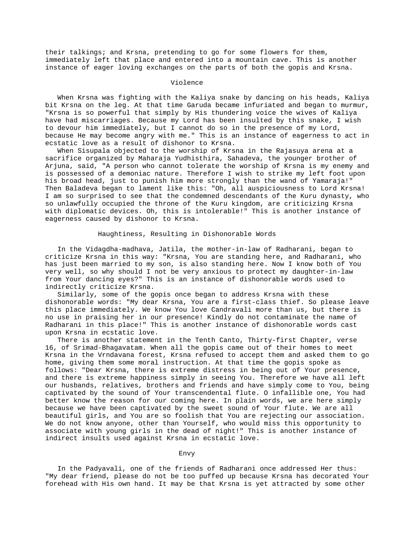their talkings; and Krsna, pretending to go for some flowers for them, immediately left that place and entered into a mountain cave. This is another instance of eager loving exchanges on the parts of both the gopis and Krsna.

#### Violence

 When Krsna was fighting with the Kaliya snake by dancing on his heads, Kaliya bit Krsna on the leg. At that time Garuda became infuriated and began to murmur, "Krsna is so powerful that simply by His thundering voice the wives of Kaliya have had miscarriages. Because my Lord has been insulted by this snake, I wish to devour him immediately, but I cannot do so in the presence of my Lord, because He may become angry with me." This is an instance of eagerness to act in ecstatic love as a result of dishonor to Krsna.

 When Sisupala objected to the worship of Krsna in the Rajasuya arena at a sacrifice organized by Maharaja Yudhisthira, Sahadeva, the younger brother of Arjuna, said, "A person who cannot tolerate the worship of Krsna is my enemy and is possessed of a demoniac nature. Therefore I wish to strike my left foot upon his broad head, just to punish him more strongly than the wand of Yamaraja!" Then Baladeva began to lament like this: "Oh, all auspiciousness to Lord Krsna! I am so surprised to see that the condemned descendants of the Kuru dynasty, who so unlawfully occupied the throne of the Kuru kingdom, are criticizing Krsna with diplomatic devices. Oh, this is intolerable!" This is another instance of eagerness caused by dishonor to Krsna.

## Haughtiness, Resulting in Dishonorable Words

 In the Vidagdha-madhava, Jatila, the mother-in-law of Radharani, began to criticize Krsna in this way: "Krsna, You are standing here, and Radharani, who has just been married to my son, is also standing here. Now I know both of You very well, so why should I not be very anxious to protect my daughter-in-law from Your dancing eyes?" This is an instance of dishonorable words used to indirectly criticize Krsna.

 Similarly, some of the gopis once began to address Krsna with these dishonorable words: "My dear Krsna, You are a first-class thief. So please leave this place immediately. We know You love Candravali more than us, but there is no use in praising her in our presence! Kindly do not contaminate the name of Radharani in this place!" This is another instance of dishonorable words cast upon Krsna in ecstatic love.

 There is another statement in the Tenth Canto, Thirty-first Chapter, verse 16, of Srimad-Bhagavatam. When all the gopis came out of their homes to meet Krsna in the Vrndavana forest, Krsna refused to accept them and asked them to go home, giving them some moral instruction. At that time the gopis spoke as follows: "Dear Krsna, there is extreme distress in being out of Your presence, and there is extreme happiness simply in seeing You. Therefore we have all left our husbands, relatives, brothers and friends and have simply come to You, being captivated by the sound of Your transcendental flute. O infallible one, You had better know the reason for our coming here. In plain words, we are here simply because we have been captivated by the sweet sound of Your flute. We are all beautiful girls, and You are so foolish that You are rejecting our association. We do not know anyone, other than Yourself, who would miss this opportunity to associate with young girls in the dead of night!" This is another instance of indirect insults used against Krsna in ecstatic love.

Envy

 In the Padyavali, one of the friends of Radharani once addressed Her thus: "My dear friend, please do not be too puffed up because Krsna has decorated Your forehead with His own hand. It may be that Krsna is yet attracted by some other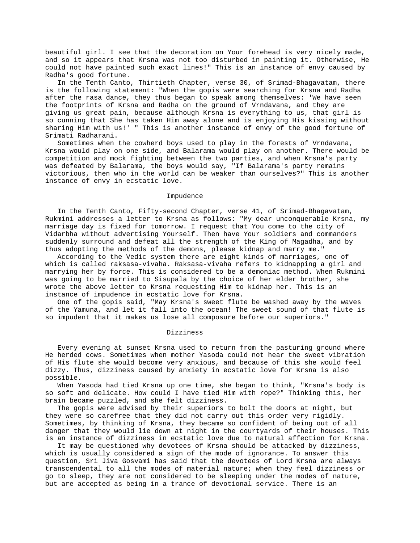beautiful girl. I see that the decoration on Your forehead is very nicely made, and so it appears that Krsna was not too disturbed in painting it. Otherwise, He could not have painted such exact lines!" This is an instance of envy caused by Radha's good fortune.

 In the Tenth Canto, Thirtieth Chapter, verse 30, of Srimad-Bhagavatam, there is the following statement: "When the gopis were searching for Krsna and Radha after the rasa dance, they thus began to speak among themselves: 'We have seen the footprints of Krsna and Radha on the ground of Vrndavana, and they are giving us great pain, because although Krsna is everything to us, that girl is so cunning that She has taken Him away alone and is enjoying His kissing without sharing Him with us!' " This is another instance of envy of the good fortune of Srimati Radharani.

 Sometimes when the cowherd boys used to play in the forests of Vrndavana, Krsna would play on one side, and Balarama would play on another. There would be competition and mock fighting between the two parties, and when Krsna's party was defeated by Balarama, the boys would say, "If Balarama's party remains victorious, then who in the world can be weaker than ourselves?" This is another instance of envy in ecstatic love.

#### Impudence

 In the Tenth Canto, Fifty-second Chapter, verse 41, of Srimad-Bhagavatam, Rukmini addresses a letter to Krsna as follows: "My dear unconquerable Krsna, my marriage day is fixed for tomorrow. I request that You come to the city of Vidarbha without advertising Yourself. Then have Your soldiers and commanders suddenly surround and defeat all the strength of the King of Magadha, and by thus adopting the methods of the demons, please kidnap and marry me."

 According to the Vedic system there are eight kinds of marriages, one of which is called raksasa-vivaha. Raksasa-vivaha refers to kidnapping a girl and marrying her by force. This is considered to be a demoniac method. When Rukmini was going to be married to Sisupala by the choice of her elder brother, she wrote the above letter to Krsna requesting Him to kidnap her. This is an instance of impudence in ecstatic love for Krsna.

 One of the gopis said, "May Krsna's sweet flute be washed away by the waves of the Yamuna, and let it fall into the ocean! The sweet sound of that flute is so impudent that it makes us lose all composure before our superiors."

### Dizziness

 Every evening at sunset Krsna used to return from the pasturing ground where He herded cows. Sometimes when mother Yasoda could not hear the sweet vibration of His flute she would become very anxious, and because of this she would feel dizzy. Thus, dizziness caused by anxiety in ecstatic love for Krsna is also possible.

 When Yasoda had tied Krsna up one time, she began to think, "Krsna's body is so soft and delicate. How could I have tied Him with rope?" Thinking this, her brain became puzzled, and she felt dizziness.

 The gopis were advised by their superiors to bolt the doors at night, but they were so carefree that they did not carry out this order very rigidly. Sometimes, by thinking of Krsna, they became so confident of being out of all danger that they would lie down at night in the courtyards of their houses. This is an instance of dizziness in ecstatic love due to natural affection for Krsna.

 It may be questioned why devotees of Krsna should be attacked by dizziness, which is usually considered a sign of the mode of ignorance. To answer this question, Sri Jiva Gosvami has said that the devotees of Lord Krsna are always transcendental to all the modes of material nature; when they feel dizziness or go to sleep, they are not considered to be sleeping under the modes of nature, but are accepted as being in a trance of devotional service. There is an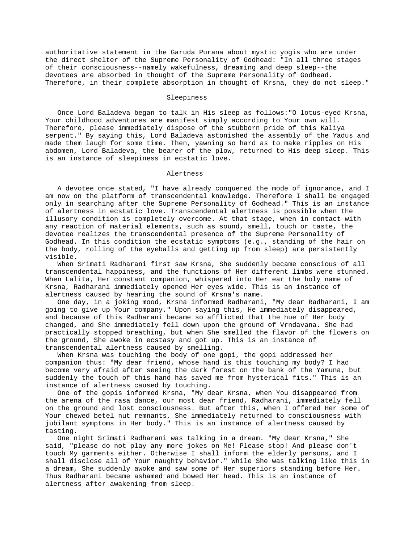authoritative statement in the Garuda Purana about mystic yogis who are under the direct shelter of the Supreme Personality of Godhead: "In all three stages of their consciousness--namely wakefulness, dreaming and deep sleep--the devotees are absorbed in thought of the Supreme Personality of Godhead. Therefore, in their complete absorption in thought of Krsna, they do not sleep."

# Sleepiness

 Once Lord Baladeva began to talk in His sleep as follows:"O lotus-eyed Krsna, Your childhood adventures are manifest simply according to Your own will. Therefore, please immediately dispose of the stubborn pride of this Kaliya serpent." By saying this, Lord Baladeva astonished the assembly of the Yadus and made them laugh for some time. Then, yawning so hard as to make ripples on His abdomen, Lord Baladeva, the bearer of the plow, returned to His deep sleep. This is an instance of sleepiness in ecstatic love.

#### Alertness

 A devotee once stated, "I have already conquered the mode of ignorance, and I am now on the platform of transcendental knowledge. Therefore I shall be engaged only in searching after the Supreme Personality of Godhead." This is an instance of alertness in ecstatic love. Transcendental alertness is possible when the illusory condition is completely overcome. At that stage, when in contact with any reaction of material elements, such as sound, smell, touch or taste, the devotee realizes the transcendental presence of the Supreme Personality of Godhead. In this condition the ecstatic symptoms (e.g., standing of the hair on the body, rolling of the eyeballs and getting up from sleep) are persistently visible.

 When Srimati Radharani first saw Krsna, She suddenly became conscious of all transcendental happiness, and the functions of Her different limbs were stunned. When Lalita, Her constant companion, whispered into Her ear the holy name of Krsna, Radharani immediately opened Her eyes wide. This is an instance of alertness caused by hearing the sound of Krsna's name.

 One day, in a joking mood, Krsna informed Radharani, "My dear Radharani, I am going to give up Your company." Upon saying this, He immediately disappeared, and because of this Radharani became so afflicted that the hue of Her body changed, and She immediately fell down upon the ground of Vrndavana. She had practically stopped breathing, but when She smelled the flavor of the flowers on the ground, She awoke in ecstasy and got up. This is an instance of transcendental alertness caused by smelling.

 When Krsna was touching the body of one gopi, the gopi addressed her companion thus: "My dear friend, whose hand is this touching my body? I had become very afraid after seeing the dark forest on the bank of the Yamuna, but suddenly the touch of this hand has saved me from hysterical fits." This is an instance of alertness caused by touching.

 One of the gopis informed Krsna, "My dear Krsna, when You disappeared from the arena of the rasa dance, our most dear friend, Radharani, immediately fell on the ground and lost consciousness. But after this, when I offered Her some of Your chewed betel nut remnants, She immediately returned to consciousness with jubilant symptoms in Her body." This is an instance of alertness caused by tasting.

 One night Srimati Radharani was talking in a dream. "My dear Krsna," She said, "please do not play any more jokes on Me! Please stop! And please don't touch My garments either. Otherwise I shall inform the elderly persons, and I shall disclose all of Your naughty behavior." While She was talking like this in a dream, She suddenly awoke and saw some of Her superiors standing before Her. Thus Radharani became ashamed and bowed Her head. This is an instance of alertness after awakening from sleep.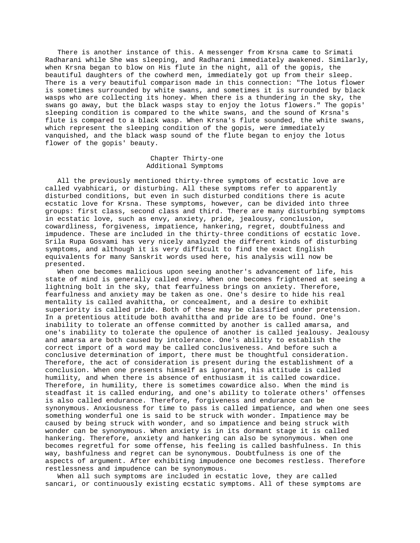There is another instance of this. A messenger from Krsna came to Srimati Radharani while She was sleeping, and Radharani immediately awakened. Similarly, when Krsna began to blow on His flute in the night, all of the gopis, the beautiful daughters of the cowherd men, immediately got up from their sleep. There is a very beautiful comparison made in this connection: "The lotus flower is sometimes surrounded by white swans, and sometimes it is surrounded by black wasps who are collecting its honey. When there is a thundering in the sky, the swans go away, but the black wasps stay to enjoy the lotus flowers." The gopis' sleeping condition is compared to the white swans, and the sound of Krsna's flute is compared to a black wasp. When Krsna's flute sounded, the white swans, which represent the sleeping condition of the gopis, were immediately vanquished, and the black wasp sound of the flute began to enjoy the lotus flower of the gopis' beauty.

# Chapter Thirty-one Additional Symptoms

 All the previously mentioned thirty-three symptoms of ecstatic love are called vyabhicari, or disturbing. All these symptoms refer to apparently disturbed conditions, but even in such disturbed conditions there is acute ecstatic love for Krsna. These symptoms, however, can be divided into three groups: first class, second class and third. There are many disturbing symptoms in ecstatic love, such as envy, anxiety, pride, jealousy, conclusion, cowardliness, forgiveness, impatience, hankering, regret, doubtfulness and impudence. These are included in the thirty-three conditions of ecstatic love. Srila Rupa Gosvami has very nicely analyzed the different kinds of disturbing symptoms, and although it is very difficult to find the exact English equivalents for many Sanskrit words used here, his analysis will now be presented.

 When one becomes malicious upon seeing another's advancement of life, his state of mind is generally called envy. When one becomes frightened at seeing a lightning bolt in the sky, that fearfulness brings on anxiety. Therefore, fearfulness and anxiety may be taken as one. One's desire to hide his real mentality is called avahittha, or concealment, and a desire to exhibit superiority is called pride. Both of these may be classified under pretension. In a pretentious attitude both avahittha and pride are to be found. One's inability to tolerate an offense committed by another is called amarsa, and one's inability to tolerate the opulence of another is called jealousy. Jealousy and amarsa are both caused by intolerance. One's ability to establish the correct import of a word may be called conclusiveness. And before such a conclusive determination of import, there must be thoughtful consideration. Therefore, the act of consideration is present during the establishment of a conclusion. When one presents himself as ignorant, his attitude is called humility, and when there is absence of enthusiasm it is called cowardice. Therefore, in humility, there is sometimes cowardice also. When the mind is steadfast it is called enduring, and one's ability to tolerate others' offenses is also called endurance. Therefore, forgiveness and endurance can be synonymous. Anxiousness for time to pass is called impatience, and when one sees something wonderful one is said to be struck with wonder. Impatience may be caused by being struck with wonder, and so impatience and being struck with wonder can be synonymous. When anxiety is in its dormant stage it is called hankering. Therefore, anxiety and hankering can also be synonymous. When one becomes regretful for some offense, his feeling is called bashfulness. In this way, bashfulness and regret can be synonymous. Doubtfulness is one of the aspects of argument. After exhibiting impudence one becomes restless. Therefore restlessness and impudence can be synonymous.

 When all such symptoms are included in ecstatic love, they are called sancari, or continuously existing ecstatic symptoms. All of these symptoms are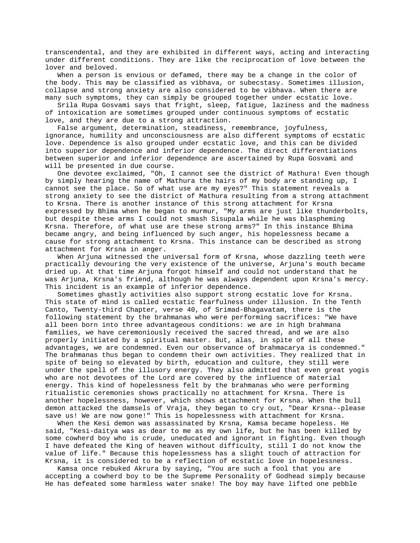transcendental, and they are exhibited in different ways, acting and interacting under different conditions. They are like the reciprocation of love between the lover and beloved.

 When a person is envious or defamed, there may be a change in the color of the body. This may be classified as vibhava, or subecstasy. Sometimes illusion, collapse and strong anxiety are also considered to be vibhava. When there are many such symptoms, they can simply be grouped together under ecstatic love.

 Srila Rupa Gosvami says that fright, sleep, fatigue, laziness and the madness of intoxication are sometimes grouped under continuous symptoms of ecstatic love, and they are due to a strong attraction.

 False argument, determination, steadiness, remembrance, joyfulness, ignorance, humility and unconsciousness are also different symptoms of ecstatic love. Dependence is also grouped under ecstatic love, and this can be divided into superior dependence and inferior dependence. The direct differentiations between superior and inferior dependence are ascertained by Rupa Gosvami and will be presented in due course.

 One devotee exclaimed, "Oh, I cannot see the district of Mathura! Even though by simply hearing the name of Mathura the hairs of my body are standing up, I cannot see the place. So of what use are my eyes?" This statement reveals a strong anxiety to see the district of Mathura resulting from a strong attachment to Krsna. There is another instance of this strong attachment for Krsna expressed by Bhima when he began to murmur, "My arms are just like thunderbolts, but despite these arms I could not smash Sisupala while he was blaspheming Krsna. Therefore, of what use are these strong arms?" In this instance Bhima became angry, and being influenced by such anger, his hopelessness became a cause for strong attachment to Krsna. This instance can be described as strong attachment for Krsna in anger.

 When Arjuna witnessed the universal form of Krsna, whose dazzling teeth were practically devouring the very existence of the universe, Arjuna's mouth became dried up. At that time Arjuna forgot himself and could not understand that he was Arjuna, Krsna's friend, although he was always dependent upon Krsna's mercy. This incident is an example of inferior dependence.

 Sometimes ghastly activities also support strong ecstatic love for Krsna. This state of mind is called ecstatic fearfulness under illusion. In the Tenth Canto, Twenty-third Chapter, verse 40, of Srimad-Bhagavatam, there is the following statement by the brahmanas who were performing sacrifices: "We have all been born into three advantageous conditions: we are in high brahmana families, we have ceremoniously received the sacred thread, and we are also properly initiated by a spiritual master. But, alas, in spite of all these advantages, we are condemned. Even our observance of brahmacarya is condemned." The brahmanas thus began to condemn their own activities. They realized that in spite of being so elevated by birth, education and culture, they still were under the spell of the illusory energy. They also admitted that even great yogis who are not devotees of the Lord are covered by the influence of material energy. This kind of hopelessness felt by the brahmanas who were performing ritualistic ceremonies shows practically no attachment for Krsna. There is another hopelessness, however, which shows attachment for Krsna. When the bull demon attacked the damsels of Vraja, they began to cry out, "Dear Krsna--please save us! We are now gone!" This is hopelessness with attachment for Krsna.

 When the Kesi demon was assassinated by Krsna, Kamsa became hopeless. He said, "Kesi-daitya was as dear to me as my own life, but he has been killed by some cowherd boy who is crude, uneducated and ignorant in fighting. Even though I have defeated the King of heaven without difficulty, still I do not know the value of life." Because this hopelessness has a slight touch of attraction for Krsna, it is considered to be a reflection of ecstatic love in hopelessness.

 Kamsa once rebuked Akrura by saying, "You are such a fool that you are accepting a cowherd boy to be the Supreme Personality of Godhead simply because He has defeated some harmless water snake! The boy may have lifted one pebble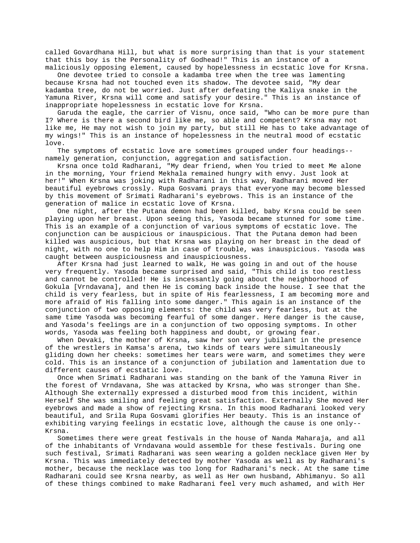called Govardhana Hill, but what is more surprising than that is your statement that this boy is the Personality of Godhead!" This is an instance of a maliciously opposing element, caused by hopelessness in ecstatic love for Krsna.

 One devotee tried to console a kadamba tree when the tree was lamenting because Krsna had not touched even its shadow. The devotee said, "My dear kadamba tree, do not be worried. Just after defeating the Kaliya snake in the Yamuna River, Krsna will come and satisfy your desire." This is an instance of inappropriate hopelessness in ecstatic love for Krsna.

 Garuda the eagle, the carrier of Visnu, once said, "Who can be more pure than I? Where is there a second bird like me, so able and competent? Krsna may not like me, He may not wish to join my party, but still He has to take advantage of my wings!" This is an instance of hopelessness in the neutral mood of ecstatic love.

 The symptoms of ecstatic love are sometimes grouped under four headings- namely generation, conjunction, aggregation and satisfaction.

 Krsna once told Radharani, "My dear friend, when You tried to meet Me alone in the morning, Your friend Mekhala remained hungry with envy. Just look at her!" When Krsna was joking with Radharani in this way, Radharani moved Her beautiful eyebrows crossly. Rupa Gosvami prays that everyone may become blessed by this movement of Srimati Radharani's eyebrows. This is an instance of the generation of malice in ecstatic love of Krsna.

 One night, after the Putana demon had been killed, baby Krsna could be seen playing upon her breast. Upon seeing this, Yasoda became stunned for some time. This is an example of a conjunction of various symptoms of ecstatic love. The conjunction can be auspicious or inauspicious. That the Putana demon had been killed was auspicious, but that Krsna was playing on her breast in the dead of night, with no one to help Him in case of trouble, was inauspicious. Yasoda was caught between auspiciousness and inauspiciousness.

 After Krsna had just learned to walk, He was going in and out of the house very frequently. Yasoda became surprised and said, "This child is too restless and cannot be controlled! He is incessantly going about the neighborhood of Gokula [Vrndavana], and then He is coming back inside the house. I see that the child is very fearless, but in spite of His fearlessness, I am becoming more and more afraid of His falling into some danger." This again is an instance of the conjunction of two opposing elements: the child was very fearless, but at the same time Yasoda was becoming fearful of some danger. Here danger is the cause, and Yasoda's feelings are in a conjunction of two opposing symptoms. In other words, Yasoda was feeling both happiness and doubt, or growing fear.

 When Devaki, the mother of Krsna, saw her son very jubilant in the presence of the wrestlers in Kamsa's arena, two kinds of tears were simultaneously gliding down her cheeks: sometimes her tears were warm, and sometimes they were cold. This is an instance of a conjunction of jubilation and lamentation due to different causes of ecstatic love.

 Once when Srimati Radharani was standing on the bank of the Yamuna River in the forest of Vrndavana, She was attacked by Krsna, who was stronger than She. Although She externally expressed a disturbed mood from this incident, within Herself She was smiling and feeling great satisfaction. Externally She moved Her eyebrows and made a show of rejecting Krsna. In this mood Radharani looked very beautiful, and Srila Rupa Gosvami glorifies Her beauty. This is an instance of exhibiting varying feelings in ecstatic love, although the cause is one only-- Krsna.

 Sometimes there were great festivals in the house of Nanda Maharaja, and all of the inhabitants of Vrndavana would assemble for these festivals. During one such festival, Srimati Radharani was seen wearing a golden necklace given Her by Krsna. This was immediately detected by mother Yasoda as well as by Radharani's mother, because the necklace was too long for Radharani's neck. At the same time Radharani could see Krsna nearby, as well as Her own husband, Abhimanyu. So all of these things combined to make Radharani feel very much ashamed, and with Her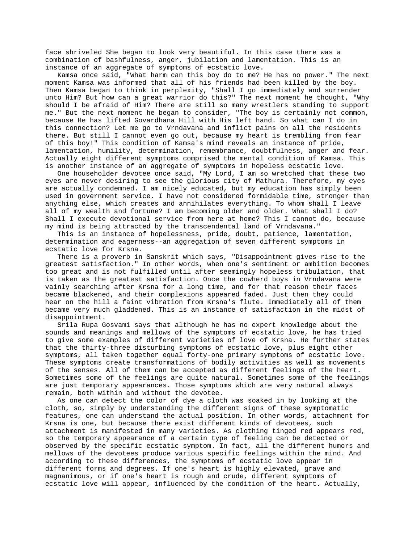face shriveled She began to look very beautiful. In this case there was a combination of bashfulness, anger, jubilation and lamentation. This is an instance of an aggregate of symptoms of ecstatic love.

 Kamsa once said, "What harm can this boy do to me? He has no power." The next moment Kamsa was informed that all of his friends had been killed by the boy. Then Kamsa began to think in perplexity, "Shall I go immediately and surrender unto Him? But how can a great warrior do this?" The next moment he thought, "Why should I be afraid of Him? There are still so many wrestlers standing to support me." But the next moment he began to consider, "The boy is certainly not common, because He has lifted Govardhana Hill with His left hand. So what can I do in this connection? Let me go to Vrndavana and inflict pains on all the residents there. But still I cannot even go out, because my heart is trembling from fear of this boy!" This condition of Kamsa's mind reveals an instance of pride, lamentation, humility, determination, remembrance, doubtfulness, anger and fear. Actually eight different symptoms comprised the mental condition of Kamsa. This is another instance of an aggregate of symptoms in hopeless ecstatic love.

 One householder devotee once said, "My Lord, I am so wretched that these two eyes are never desiring to see the glorious city of Mathura. Therefore, my eyes are actually condemned. I am nicely educated, but my education has simply been used in government service. I have not considered formidable time, stronger than anything else, which creates and annihilates everything. To whom shall I leave all of my wealth and fortune? I am becoming older and older. What shall I do? Shall I execute devotional service from here at home? This I cannot do, because my mind is being attracted by the transcendental land of Vrndavana."

 This is an instance of hopelessness, pride, doubt, patience, lamentation, determination and eagerness--an aggregation of seven different symptoms in ecstatic love for Krsna.

 There is a proverb in Sanskrit which says, "Disappointment gives rise to the greatest satisfaction." In other words, when one's sentiment or ambition becomes too great and is not fulfilled until after seemingly hopeless tribulation, that is taken as the greatest satisfaction. Once the cowherd boys in Vrndavana were vainly searching after Krsna for a long time, and for that reason their faces became blackened, and their complexions appeared faded. Just then they could hear on the hill a faint vibration from Krsna's flute. Immediately all of them became very much gladdened. This is an instance of satisfaction in the midst of disappointment.

 Srila Rupa Gosvami says that although he has no expert knowledge about the sounds and meanings and mellows of the symptoms of ecstatic love, he has tried to give some examples of different varieties of love of Krsna. He further states that the thirty-three disturbing symptoms of ecstatic love, plus eight other symptoms, all taken together equal forty-one primary symptoms of ecstatic love. These symptoms create transformations of bodily activities as well as movements of the senses. All of them can be accepted as different feelings of the heart. Sometimes some of the feelings are quite natural. Sometimes some of the feelings are just temporary appearances. Those symptoms which are very natural always remain, both within and without the devotee.

 As one can detect the color of dye a cloth was soaked in by looking at the cloth, so, simply by understanding the different signs of these symptomatic features, one can understand the actual position. In other words, attachment for Krsna is one, but because there exist different kinds of devotees, such attachment is manifested in many varieties. As clothing tinged red appears red, so the temporary appearance of a certain type of feeling can be detected or observed by the specific ecstatic symptom. In fact, all the different humors and mellows of the devotees produce various specific feelings within the mind. And according to these differences, the symptoms of ecstatic love appear in different forms and degrees. If one's heart is highly elevated, grave and magnanimous, or if one's heart is rough and crude, different symptoms of ecstatic love will appear, influenced by the condition of the heart. Actually,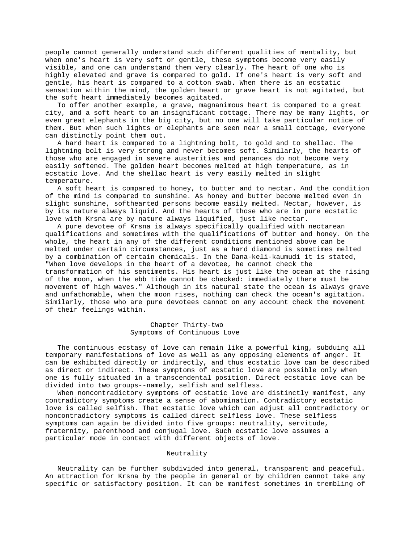people cannot generally understand such different qualities of mentality, but when one's heart is very soft or gentle, these symptoms become very easily visible, and one can understand them very clearly. The heart of one who is highly elevated and grave is compared to gold. If one's heart is very soft and gentle, his heart is compared to a cotton swab. When there is an ecstatic sensation within the mind, the golden heart or grave heart is not agitated, but the soft heart immediately becomes agitated.

 To offer another example, a grave, magnanimous heart is compared to a great city, and a soft heart to an insignificant cottage. There may be many lights, or even great elephants in the big city, but no one will take particular notice of them. But when such lights or elephants are seen near a small cottage, everyone can distinctly point them out.

 A hard heart is compared to a lightning bolt, to gold and to shellac. The lightning bolt is very strong and never becomes soft. Similarly, the hearts of those who are engaged in severe austerities and penances do not become very easily softened. The golden heart becomes melted at high temperature, as in ecstatic love. And the shellac heart is very easily melted in slight temperature.

 A soft heart is compared to honey, to butter and to nectar. And the condition of the mind is compared to sunshine. As honey and butter become melted even in slight sunshine, softhearted persons become easily melted. Nectar, however, is by its nature always liquid. And the hearts of those who are in pure ecstatic love with Krsna are by nature always liquified, just like nectar.

 A pure devotee of Krsna is always specifically qualified with nectarean qualifications and sometimes with the qualifications of butter and honey. On the whole, the heart in any of the different conditions mentioned above can be melted under certain circumstances, just as a hard diamond is sometimes melted by a combination of certain chemicals. In the Dana-keli-kaumudi it is stated, "When love develops in the heart of a devotee, he cannot check the transformation of his sentiments. His heart is just like the ocean at the rising of the moon, when the ebb tide cannot be checked: immediately there must be movement of high waves." Although in its natural state the ocean is always grave and unfathomable, when the moon rises, nothing can check the ocean's agitation. Similarly, those who are pure devotees cannot on any account check the movement of their feelings within.

## Chapter Thirty-two Symptoms of Continuous Love

 The continuous ecstasy of love can remain like a powerful king, subduing all temporary manifestations of love as well as any opposing elements of anger. It can be exhibited directly or indirectly, and thus ecstatic love can be described as direct or indirect. These symptoms of ecstatic love are possible only when one is fully situated in a transcendental position. Direct ecstatic love can be divided into two groups--namely, selfish and selfless.

 When noncontradictory symptoms of ecstatic love are distinctly manifest, any contradictory symptoms create a sense of abomination. Contradictory ecstatic love is called selfish. That ecstatic love which can adjust all contradictory or noncontradictory symptoms is called direct selfless love. These selfless symptoms can again be divided into five groups: neutrality, servitude, fraternity, parenthood and conjugal love. Such ecstatic love assumes a particular mode in contact with different objects of love.

# Neutrality

 Neutrality can be further subdivided into general, transparent and peaceful. An attraction for Krsna by the people in general or by children cannot take any specific or satisfactory position. It can be manifest sometimes in trembling of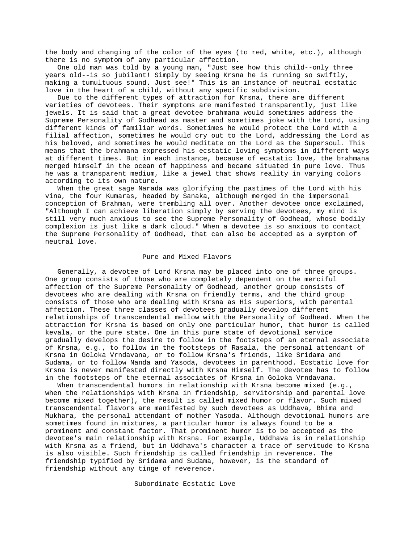the body and changing of the color of the eyes (to red, white, etc.), although there is no symptom of any particular affection.

 One old man was told by a young man, "Just see how this child--only three years old--is so jubilant! Simply by seeing Krsna he is running so swiftly, making a tumultuous sound. Just see!" This is an instance of neutral ecstatic love in the heart of a child, without any specific subdivision.

 Due to the different types of attraction for Krsna, there are different varieties of devotees. Their symptoms are manifested transparently, just like jewels. It is said that a great devotee brahmana would sometimes address the Supreme Personality of Godhead as master and sometimes joke with the Lord, using different kinds of familiar words. Sometimes he would protect the Lord with a filial affection, sometimes he would cry out to the Lord, addressing the Lord as his beloved, and sometimes he would meditate on the Lord as the Supersoul. This means that the brahmana expressed his ecstatic loving symptoms in different ways at different times. But in each instance, because of ecstatic love, the brahmana merged himself in the ocean of happiness and became situated in pure love. Thus he was a transparent medium, like a jewel that shows reality in varying colors according to its own nature.

 When the great sage Narada was glorifying the pastimes of the Lord with his vina, the four Kumaras, headed by Sanaka, although merged in the impersonal conception of Brahman, were trembling all over. Another devotee once exclaimed, "Although I can achieve liberation simply by serving the devotees, my mind is still very much anxious to see the Supreme Personality of Godhead, whose bodily complexion is just like a dark cloud." When a devotee is so anxious to contact the Supreme Personality of Godhead, that can also be accepted as a symptom of neutral love.

#### Pure and Mixed Flavors

 Generally, a devotee of Lord Krsna may be placed into one of three groups. One group consists of those who are completely dependent on the merciful affection of the Supreme Personality of Godhead, another group consists of devotees who are dealing with Krsna on friendly terms, and the third group consists of those who are dealing with Krsna as His superiors, with parental affection. These three classes of devotees gradually develop different relationships of transcendental mellow with the Personality of Godhead. When the attraction for Krsna is based on only one particular humor, that humor is called kevala, or the pure state. One in this pure state of devotional service gradually develops the desire to follow in the footsteps of an eternal associate of Krsna, e.g., to follow in the footsteps of Rasala, the personal attendant of Krsna in Goloka Vrndavana, or to follow Krsna's friends, like Sridama and Sudama, or to follow Nanda and Yasoda, devotees in parenthood. Ecstatic love for Krsna is never manifested directly with Krsna Himself. The devotee has to follow in the footsteps of the eternal associates of Krsna in Goloka Vrndavana.

When transcendental humors in relationship with Krsna become mixed (e.g., when the relationships with Krsna in friendship, servitorship and parental love become mixed together), the result is called mixed humor or flavor. Such mixed transcendental flavors are manifested by such devotees as Uddhava, Bhima and Mukhara, the personal attendant of mother Yasoda. Although devotional humors are sometimes found in mixtures, a particular humor is always found to be a prominent and constant factor. That prominent humor is to be accepted as the devotee's main relationship with Krsna. For example, Uddhava is in relationship with Krsna as a friend, but in Uddhava's character a trace of servitude to Krsna is also visible. Such friendship is called friendship in reverence. The friendship typified by Sridama and Sudama, however, is the standard of friendship without any tinge of reverence.

## Subordinate Ecstatic Love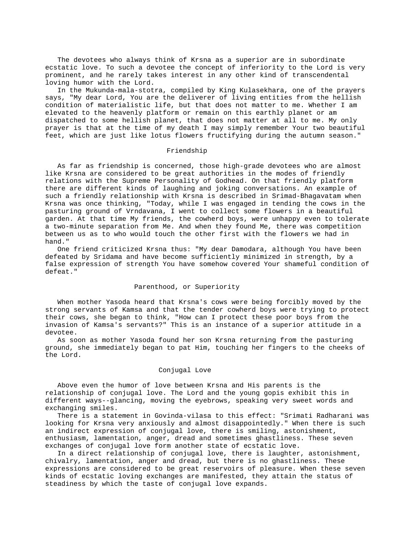The devotees who always think of Krsna as a superior are in subordinate ecstatic love. To such a devotee the concept of inferiority to the Lord is very prominent, and he rarely takes interest in any other kind of transcendental loving humor with the Lord.

 In the Mukunda-mala-stotra, compiled by King Kulasekhara, one of the prayers says, "My dear Lord, You are the deliverer of living entities from the hellish condition of materialistic life, but that does not matter to me. Whether I am elevated to the heavenly platform or remain on this earthly planet or am dispatched to some hellish planet, that does not matter at all to me. My only prayer is that at the time of my death I may simply remember Your two beautiful feet, which are just like lotus flowers fructifying during the autumn season."

## Friendship

 As far as friendship is concerned, those high-grade devotees who are almost like Krsna are considered to be great authorities in the modes of friendly relations with the Supreme Personality of Godhead. On that friendly platform there are different kinds of laughing and joking conversations. An example of such a friendly relationship with Krsna is described in Srimad-Bhagavatam when Krsna was once thinking, "Today, while I was engaged in tending the cows in the pasturing ground of Vrndavana, I went to collect some flowers in a beautiful garden. At that time My friends, the cowherd boys, were unhappy even to tolerate a two-minute separation from Me. And when they found Me, there was competition between us as to who would touch the other first with the flowers we had in hand."

 One friend criticized Krsna thus: "My dear Damodara, although You have been defeated by Sridama and have become sufficiently minimized in strength, by a false expression of strength You have somehow covered Your shameful condition of defeat."

### Parenthood, or Superiority

 When mother Yasoda heard that Krsna's cows were being forcibly moved by the strong servants of Kamsa and that the tender cowherd boys were trying to protect their cows, she began to think, "How can I protect these poor boys from the invasion of Kamsa's servants?" This is an instance of a superior attitude in a devotee.

 As soon as mother Yasoda found her son Krsna returning from the pasturing ground, she immediately began to pat Him, touching her fingers to the cheeks of the Lord.

## Conjugal Love

 Above even the humor of love between Krsna and His parents is the relationship of conjugal love. The Lord and the young gopis exhibit this in different ways--glancing, moving the eyebrows, speaking very sweet words and exchanging smiles.

 There is a statement in Govinda-vilasa to this effect: "Srimati Radharani was looking for Krsna very anxiously and almost disappointedly." When there is such an indirect expression of conjugal love, there is smiling, astonishment, enthusiasm, lamentation, anger, dread and sometimes ghastliness. These seven exchanges of conjugal love form another state of ecstatic love.

 In a direct relationship of conjugal love, there is laughter, astonishment, chivalry, lamentation, anger and dread, but there is no ghastliness. These expressions are considered to be great reservoirs of pleasure. When these seven kinds of ecstatic loving exchanges are manifested, they attain the status of steadiness by which the taste of conjugal love expands.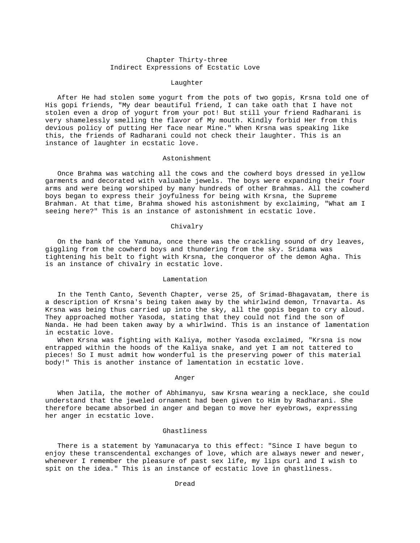## Chapter Thirty-three Indirect Expressions of Ecstatic Love

### Laughter

 After He had stolen some yogurt from the pots of two gopis, Krsna told one of His gopi friends, "My dear beautiful friend, I can take oath that I have not stolen even a drop of yogurt from your pot! But still your friend Radharani is very shamelessly smelling the flavor of My mouth. Kindly forbid Her from this devious policy of putting Her face near Mine." When Krsna was speaking like this, the friends of Radharani could not check their laughter. This is an instance of laughter in ecstatic love.

#### Astonishment

 Once Brahma was watching all the cows and the cowherd boys dressed in yellow garments and decorated with valuable jewels. The boys were expanding their four arms and were being worshiped by many hundreds of other Brahmas. All the cowherd boys began to express their joyfulness for being with Krsna, the Supreme Brahman. At that time, Brahma showed his astonishment by exclaiming, "What am I seeing here?" This is an instance of astonishment in ecstatic love.

### Chivalry

 On the bank of the Yamuna, once there was the crackling sound of dry leaves, giggling from the cowherd boys and thundering from the sky. Sridama was tightening his belt to fight with Krsna, the conqueror of the demon Agha. This is an instance of chivalry in ecstatic love.

### Lamentation

 In the Tenth Canto, Seventh Chapter, verse 25, of Srimad-Bhagavatam, there is a description of Krsna's being taken away by the whirlwind demon, Trnavarta. As Krsna was being thus carried up into the sky, all the gopis began to cry aloud. They approached mother Yasoda, stating that they could not find the son of Nanda. He had been taken away by a whirlwind. This is an instance of lamentation in ecstatic love.

 When Krsna was fighting with Kaliya, mother Yasoda exclaimed, "Krsna is now entrapped within the hoods of the Kaliya snake, and yet I am not tattered to pieces! So I must admit how wonderful is the preserving power of this material body!" This is another instance of lamentation in ecstatic love.

#### Anger

 When Jatila, the mother of Abhimanyu, saw Krsna wearing a necklace, she could understand that the jeweled ornament had been given to Him by Radharani. She therefore became absorbed in anger and began to move her eyebrows, expressing her anger in ecstatic love.

#### Ghastliness

 There is a statement by Yamunacarya to this effect: "Since I have begun to enjoy these transcendental exchanges of love, which are always newer and newer, whenever I remember the pleasure of past sex life, my lips curl and I wish to spit on the idea." This is an instance of ecstatic love in ghastliness.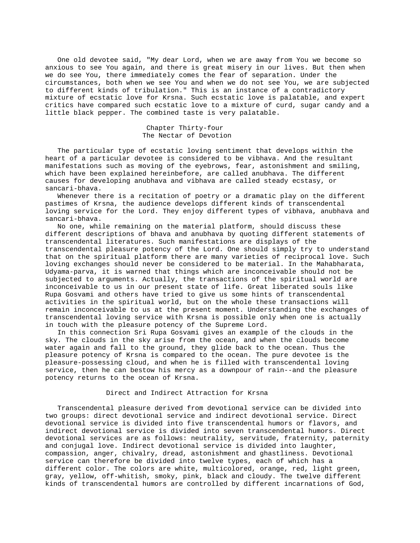One old devotee said, "My dear Lord, when we are away from You we become so anxious to see You again, and there is great misery in our lives. But then when we do see You, there immediately comes the fear of separation. Under the circumstances, both when we see You and when we do not see You, we are subjected to different kinds of tribulation." This is an instance of a contradictory mixture of ecstatic love for Krsna. Such ecstatic love is palatable, and expert critics have compared such ecstatic love to a mixture of curd, sugar candy and a little black pepper. The combined taste is very palatable.

# Chapter Thirty-four The Nectar of Devotion

 The particular type of ecstatic loving sentiment that develops within the heart of a particular devotee is considered to be vibhava. And the resultant manifestations such as moving of the eyebrows, fear, astonishment and smiling, which have been explained hereinbefore, are called anubhava. The different causes for developing anubhava and vibhava are called steady ecstasy, or sancari-bhava.

 Whenever there is a recitation of poetry or a dramatic play on the different pastimes of Krsna, the audience develops different kinds of transcendental loving service for the Lord. They enjoy different types of vibhava, anubhava and sancari-bhava.

 No one, while remaining on the material platform, should discuss these different descriptions of bhava and anubhava by quoting different statements of transcendental literatures. Such manifestations are displays of the transcendental pleasure potency of the Lord. One should simply try to understand that on the spiritual platform there are many varieties of reciprocal love. Such loving exchanges should never be considered to be material. In the Mahabharata, Udyama-parva, it is warned that things which are inconceivable should not be subjected to arguments. Actually, the transactions of the spiritual world are inconceivable to us in our present state of life. Great liberated souls like Rupa Gosvami and others have tried to give us some hints of transcendental activities in the spiritual world, but on the whole these transactions will remain inconceivable to us at the present moment. Understanding the exchanges of transcendental loving service with Krsna is possible only when one is actually in touch with the pleasure potency of the Supreme Lord.

 In this connection Sri Rupa Gosvami gives an example of the clouds in the sky. The clouds in the sky arise from the ocean, and when the clouds become water again and fall to the ground, they glide back to the ocean. Thus the pleasure potency of Krsna is compared to the ocean. The pure devotee is the pleasure-possessing cloud, and when he is filled with transcendental loving service, then he can bestow his mercy as a downpour of rain--and the pleasure potency returns to the ocean of Krsna.

# Direct and Indirect Attraction for Krsna

 Transcendental pleasure derived from devotional service can be divided into two groups: direct devotional service and indirect devotional service. Direct devotional service is divided into five transcendental humors or flavors, and indirect devotional service is divided into seven transcendental humors. Direct devotional services are as follows: neutrality, servitude, fraternity, paternity and conjugal love. Indirect devotional service is divided into laughter, compassion, anger, chivalry, dread, astonishment and ghastliness. Devotional service can therefore be divided into twelve types, each of which has a different color. The colors are white, multicolored, orange, red, light green, gray, yellow, off-whitish, smoky, pink, black and cloudy. The twelve different kinds of transcendental humors are controlled by different incarnations of God,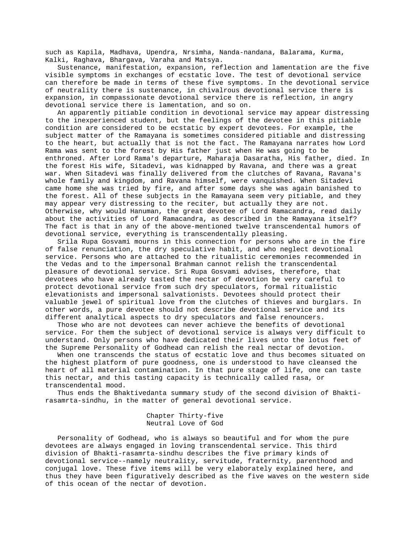such as Kapila, Madhava, Upendra, Nrsimha, Nanda-nandana, Balarama, Kurma, Kalki, Raghava, Bhargava, Varaha and Matsya.

 Sustenance, manifestation, expansion, reflection and lamentation are the five visible symptoms in exchanges of ecstatic love. The test of devotional service can therefore be made in terms of these five symptoms. In the devotional service of neutrality there is sustenance, in chivalrous devotional service there is expansion, in compassionate devotional service there is reflection, in angry devotional service there is lamentation, and so on.

 An apparently pitiable condition in devotional service may appear distressing to the inexperienced student, but the feelings of the devotee in this pitiable condition are considered to be ecstatic by expert devotees. For example, the subject matter of the Ramayana is sometimes considered pitiable and distressing to the heart, but actually that is not the fact. The Ramayana narrates how Lord Rama was sent to the forest by His father just when He was going to be enthroned. After Lord Rama's departure, Maharaja Dasaratha, His father, died. In the forest His wife, Sitadevi, was kidnapped by Ravana, and there was a great war. When Sitadevi was finally delivered from the clutches of Ravana, Ravana's whole family and kingdom, and Ravana himself, were vanquished. When Sitadevi came home she was tried by fire, and after some days she was again banished to the forest. All of these subjects in the Ramayana seem very pitiable, and they may appear very distressing to the reciter, but actually they are not. Otherwise, why would Hanuman, the great devotee of Lord Ramacandra, read daily about the activities of Lord Ramacandra, as described in the Ramayana itself? The fact is that in any of the above-mentioned twelve transcendental humors of devotional service, everything is transcendentally pleasing.

 Srila Rupa Gosvami mourns in this connection for persons who are in the fire of false renunciation, the dry speculative habit, and who neglect devotional service. Persons who are attached to the ritualistic ceremonies recommended in the Vedas and to the impersonal Brahman cannot relish the transcendental pleasure of devotional service. Sri Rupa Gosvami advises, therefore, that devotees who have already tasted the nectar of devotion be very careful to protect devotional service from such dry speculators, formal ritualistic elevationists and impersonal salvationists. Devotees should protect their valuable jewel of spiritual love from the clutches of thieves and burglars. In other words, a pure devotee should not describe devotional service and its different analytical aspects to dry speculators and false renouncers.

 Those who are not devotees can never achieve the benefits of devotional service. For them the subject of devotional service is always very difficult to understand. Only persons who have dedicated their lives unto the lotus feet of the Supreme Personality of Godhead can relish the real nectar of devotion.

 When one transcends the status of ecstatic love and thus becomes situated on the highest platform of pure goodness, one is understood to have cleansed the heart of all material contamination. In that pure stage of life, one can taste this nectar, and this tasting capacity is technically called rasa, or transcendental mood.

 Thus ends the Bhaktivedanta summary study of the second division of Bhaktirasamrta-sindhu, in the matter of general devotional service.

> Chapter Thirty-five Neutral Love of God

 Personality of Godhead, who is always so beautiful and for whom the pure devotees are always engaged in loving transcendental service. This third division of Bhakti-rasamrta-sindhu describes the five primary kinds of devotional service--namely neutrality, servitude, fraternity, parenthood and conjugal love. These five items will be very elaborately explained here, and thus they have been figuratively described as the five waves on the western side of this ocean of the nectar of devotion.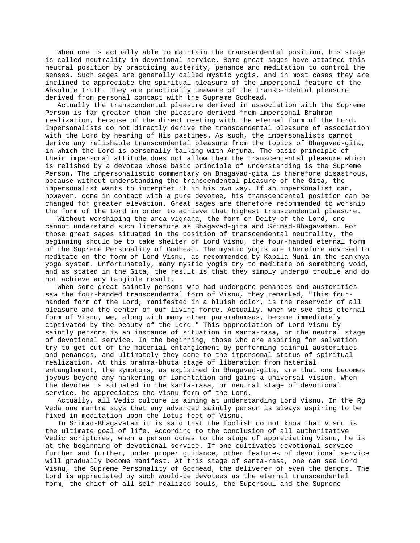When one is actually able to maintain the transcendental position, his stage is called neutrality in devotional service. Some great sages have attained this neutral position by practicing austerity, penance and meditation to control the senses. Such sages are generally called mystic yogis, and in most cases they are inclined to appreciate the spiritual pleasure of the impersonal feature of the Absolute Truth. They are practically unaware of the transcendental pleasure derived from personal contact with the Supreme Godhead.

 Actually the transcendental pleasure derived in association with the Supreme Person is far greater than the pleasure derived from impersonal Brahman realization, because of the direct meeting with the eternal form of the Lord. Impersonalists do not directly derive the transcendental pleasure of association with the Lord by hearing of His pastimes. As such, the impersonalists cannot derive any relishable transcendental pleasure from the topics of Bhagavad-gita, in which the Lord is personally talking with Arjuna. The basic principle of their impersonal attitude does not allow them the transcendental pleasure which is relished by a devotee whose basic principle of understanding is the Supreme Person. The impersonalistic commentary on Bhagavad-gita is therefore disastrous, because without understanding the transcendental pleasure of the Gita, the impersonalist wants to interpret it in his own way. If an impersonalist can, however, come in contact with a pure devotee, his transcendental position can be changed for greater elevation. Great sages are therefore recommended to worship the form of the Lord in order to achieve that highest transcendental pleasure.

 Without worshiping the arca-vigraha, the form or Deity of the Lord, one cannot understand such literature as Bhagavad-gita and Srimad-Bhagavatam. For those great sages situated in the position of transcendental neutrality, the beginning should be to take shelter of Lord Visnu, the four-handed eternal form of the Supreme Personality of Godhead. The mystic yogis are therefore advised to meditate on the form of Lord Visnu, as recommended by Kapila Muni in the sankhya yoga system. Unfortunately, many mystic yogis try to meditate on something void, and as stated in the Gita, the result is that they simply undergo trouble and do not achieve any tangible result.

 When some great saintly persons who had undergone penances and austerities saw the four-handed transcendental form of Visnu, they remarked, "This fourhanded form of the Lord, manifested in a bluish color, is the reservoir of all pleasure and the center of our living force. Actually, when we see this eternal form of Visnu, we, along with many other paramahamsas, become immediately captivated by the beauty of the Lord." This appreciation of Lord Visnu by saintly persons is an instance of situation in santa-rasa, or the neutral stage of devotional service. In the beginning, those who are aspiring for salvation try to get out of the material entanglement by performing painful austerities and penances, and ultimately they come to the impersonal status of spiritual realization. At this brahma-bhuta stage of liberation from material entanglement, the symptoms, as explained in Bhagavad-gita, are that one becomes joyous beyond any hankering or lamentation and gains a universal vision. When the devotee is situated in the santa-rasa, or neutral stage of devotional service, he appreciates the Visnu form of the Lord.

 Actually, all Vedic culture is aiming at understanding Lord Visnu. In the Rg Veda one mantra says that any advanced saintly person is always aspiring to be fixed in meditation upon the lotus feet of Visnu.

 In Srimad-Bhagavatam it is said that the foolish do not know that Visnu is the ultimate goal of life. According to the conclusion of all authoritative Vedic scriptures, when a person comes to the stage of appreciating Visnu, he is at the beginning of devotional service. If one cultivates devotional service further and further, under proper guidance, other features of devotional service will gradually become manifest. At this stage of santa-rasa, one can see Lord Visnu, the Supreme Personality of Godhead, the deliverer of even the demons. The Lord is appreciated by such would-be devotees as the eternal transcendental form, the chief of all self-realized souls, the Supersoul and the Supreme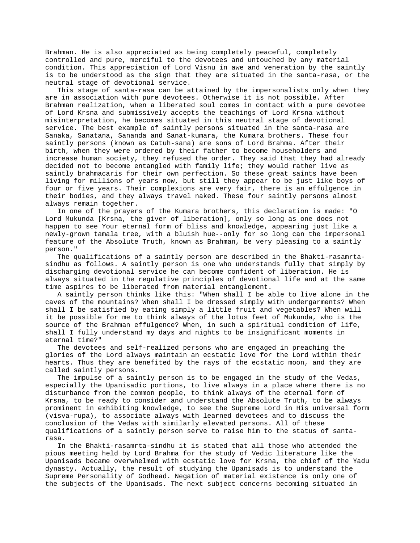Brahman. He is also appreciated as being completely peaceful, completely controlled and pure, merciful to the devotees and untouched by any material condition. This appreciation of Lord Visnu in awe and veneration by the saintly is to be understood as the sign that they are situated in the santa-rasa, or the neutral stage of devotional service.

 This stage of santa-rasa can be attained by the impersonalists only when they are in association with pure devotees. Otherwise it is not possible. After Brahman realization, when a liberated soul comes in contact with a pure devotee of Lord Krsna and submissively accepts the teachings of Lord Krsna without misinterpretation, he becomes situated in this neutral stage of devotional service. The best example of saintly persons situated in the santa-rasa are Sanaka, Sanatana, Sananda and Sanat-kumara, the Kumara brothers. These four saintly persons (known as Catuh-sana) are sons of Lord Brahma. After their birth, when they were ordered by their father to become householders and increase human society, they refused the order. They said that they had already decided not to become entangled with family life; they would rather live as saintly brahmacaris for their own perfection. So these great saints have been living for millions of years now, but still they appear to be just like boys of four or five years. Their complexions are very fair, there is an effulgence in their bodies, and they always travel naked. These four saintly persons almost always remain together.

 In one of the prayers of the Kumara brothers, this declaration is made: "O Lord Mukunda [Krsna, the giver of liberation], only so long as one does not happen to see Your eternal form of bliss and knowledge, appearing just like a newly-grown tamala tree, with a bluish hue--only for so long can the impersonal feature of the Absolute Truth, known as Brahman, be very pleasing to a saintly person."

 The qualifications of a saintly person are described in the Bhakti-rasamrtasindhu as follows. A saintly person is one who understands fully that simply by discharging devotional service he can become confident of liberation. He is always situated in the regulative principles of devotional life and at the same time aspires to be liberated from material entanglement.

 A saintly person thinks like this: "When shall I be able to live alone in the caves of the mountains? When shall I be dressed simply with undergarments? When shall I be satisfied by eating simply a little fruit and vegetables? When will it be possible for me to think always of the lotus feet of Mukunda, who is the source of the Brahman effulgence? When, in such a spiritual condition of life, shall I fully understand my days and nights to be insignificant moments in eternal time?"

 The devotees and self-realized persons who are engaged in preaching the glories of the Lord always maintain an ecstatic love for the Lord within their hearts. Thus they are benefited by the rays of the ecstatic moon, and they are called saintly persons.

 The impulse of a saintly person is to be engaged in the study of the Vedas, especially the Upanisadic portions, to live always in a place where there is no disturbance from the common people, to think always of the eternal form of Krsna, to be ready to consider and understand the Absolute Truth, to be always prominent in exhibiting knowledge, to see the Supreme Lord in His universal form (visva-rupa), to associate always with learned devotees and to discuss the conclusion of the Vedas with similarly elevated persons. All of these qualifications of a saintly person serve to raise him to the status of santarasa.

 In the Bhakti-rasamrta-sindhu it is stated that all those who attended the pious meeting held by Lord Brahma for the study of Vedic literature like the Upanisads became overwhelmed with ecstatic love for Krsna, the chief of the Yadu dynasty. Actually, the result of studying the Upanisads is to understand the Supreme Personality of Godhead. Negation of material existence is only one of the subjects of the Upanisads. The next subject concerns becoming situated in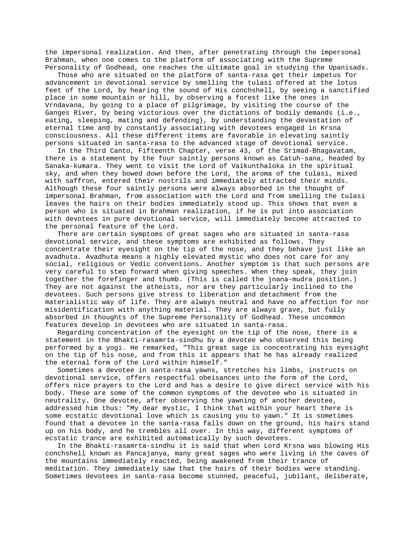the impersonal realization. And then, after penetrating through the impersonal Brahman, when one comes to the platform of associating with the Supreme Personality of Godhead, one reaches the ultimate goal in studying the Upanisads.

 Those who are situated on the platform of santa-rasa get their impetus for advancement in devotional service by smelling the tulasi offered at the lotus feet of the Lord, by hearing the sound of His conchshell, by seeing a sanctified place in some mountain or hill, by observing a forest like the ones in Vrndavana, by going to a place of pilgrimage, by visiting the course of the Ganges River, by being victorious over the dictations of bodily demands (i.e., eating, sleeping, mating and defending), by understanding the devastation of eternal time and by constantly associating with devotees engaged in Krsna consciousness. All these different items are favorable in elevating saintly persons situated in santa-rasa to the advanced stage of devotional service.

 In the Third Canto, Fifteenth Chapter, verse 43, of the Srimad-Bhagavatam, there is a statement by the four saintly persons known as Catuh-sana, headed by Sanaka-kumara. They went to visit the Lord of Vaikunthaloka in the spiritual sky, and when they bowed down before the Lord, the aroma of the tulasi, mixed with saffron, entered their nostrils and immediately attracted their minds. Although these four saintly persons were always absorbed in the thought of impersonal Brahman, from association with the Lord and from smelling the tulasi leaves the hairs on their bodies immediately stood up. This shows that even a person who is situated in Brahman realization, if he is put into association with devotees in pure devotional service, will immediately become attracted to the personal feature of the Lord.

 There are certain symptoms of great sages who are situated in santa-rasa devotional service, and these symptoms are exhibited as follows. They concentrate their eyesight on the tip of the nose, and they behave just like an avadhuta. Avadhuta means a highly elevated mystic who does not care for any social, religious or Vedic conventions. Another symptom is that such persons are very careful to step forward when giving speeches. When they speak, they join together the forefinger and thumb. (This is called the jnana-mudra position.) They are not against the atheists, nor are they particularly inclined to the devotees. Such persons give stress to liberation and detachment from the materialistic way of life. They are always neutral and have no affection for nor misidentification with anything material. They are always grave, but fully absorbed in thoughts of the Supreme Personality of Godhead. These uncommon features develop in devotees who are situated in santa-rasa.

 Regarding concentration of the eyesight on the tip of the nose, there is a statement in the Bhakti-rasamrta-sindhu by a devotee who observed this being performed by a yogi. He remarked, "This great sage is concentrating his eyesight on the tip of his nose, and from this it appears that he has already realized the eternal form of the Lord within himself."

 Sometimes a devotee in santa-rasa yawns, stretches his limbs, instructs on devotional service, offers respectful obeisances unto the form of the Lord, offers nice prayers to the Lord and has a desire to give direct service with his body. These are some of the common symptoms of the devotee who is situated in neutrality. One devotee, after observing the yawning of another devotee, addressed him thus: "My dear mystic, I think that within your heart there is some ecstatic devotional love which is causing you to yawn." It is sometimes found that a devotee in the santa-rasa falls down on the ground, his hairs stand up on his body, and he trembles all over. In this way, different symptoms of ecstatic trance are exhibited automatically by such devotees.

 In the Bhakti-rasamrta-sindhu it is said that when Lord Krsna was blowing His conchshell known as Pancajanya, many great sages who were living in the caves of the mountains immediately reacted, being awakened from their trance of meditation. They immediately saw that the hairs of their bodies were standing. Sometimes devotees in santa-rasa become stunned, peaceful, jubilant, deliberate,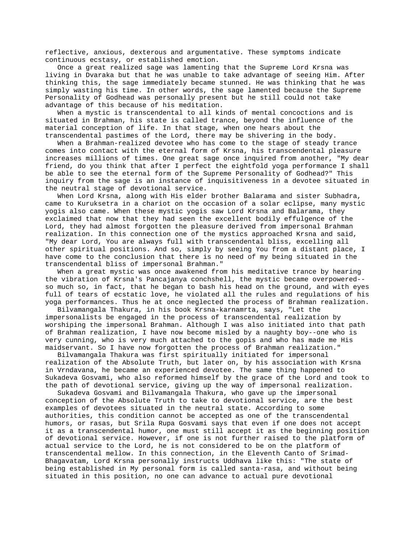reflective, anxious, dexterous and argumentative. These symptoms indicate continuous ecstasy, or established emotion.

 Once a great realized sage was lamenting that the Supreme Lord Krsna was living in Dvaraka but that he was unable to take advantage of seeing Him. After thinking this, the sage immediately became stunned. He was thinking that he was simply wasting his time. In other words, the sage lamented because the Supreme Personality of Godhead was personally present but he still could not take advantage of this because of his meditation.

 When a mystic is transcendental to all kinds of mental concoctions and is situated in Brahman, his state is called trance, beyond the influence of the material conception of life. In that stage, when one hears about the transcendental pastimes of the Lord, there may be shivering in the body.

 When a Brahman-realized devotee who has come to the stage of steady trance comes into contact with the eternal form of Krsna, his transcendental pleasure increases millions of times. One great sage once inquired from another, "My dear friend, do you think that after I perfect the eightfold yoga performance I shall be able to see the eternal form of the Supreme Personality of Godhead?" This inquiry from the sage is an instance of inquisitiveness in a devotee situated in the neutral stage of devotional service.

 When Lord Krsna, along with His elder brother Balarama and sister Subhadra, came to Kuruksetra in a chariot on the occasion of a solar eclipse, many mystic yogis also came. When these mystic yogis saw Lord Krsna and Balarama, they exclaimed that now that they had seen the excellent bodily effulgence of the Lord, they had almost forgotten the pleasure derived from impersonal Brahman realization. In this connection one of the mystics approached Krsna and said, "My dear Lord, You are always full with transcendental bliss, excelling all other spiritual positions. And so, simply by seeing You from a distant place, I have come to the conclusion that there is no need of my being situated in the transcendental bliss of impersonal Brahman."

 When a great mystic was once awakened from his meditative trance by hearing the vibration of Krsna's Pancajanya conchshell, the mystic became overpowered- so much so, in fact, that he began to bash his head on the ground, and with eyes full of tears of ecstatic love, he violated all the rules and regulations of his yoga performances. Thus he at once neglected the process of Brahman realization.

 Bilvamangala Thakura, in his book Krsna-karnamrta, says, "Let the impersonalists be engaged in the process of transcendental realization by worshiping the impersonal Brahman. Although I was also initiated into that path of Brahman realization, I have now become misled by a naughty boy--one who is very cunning, who is very much attached to the gopis and who has made me His maidservant. So I have now forgotten the process of Brahman realization."

 Bilvamangala Thakura was first spiritually initiated for impersonal realization of the Absolute Truth, but later on, by his association with Krsna in Vrndavana, he became an experienced devotee. The same thing happened to Sukadeva Gosvami, who also reformed himself by the grace of the Lord and took to the path of devotional service, giving up the way of impersonal realization.

 Sukadeva Gosvami and Bilvamangala Thakura, who gave up the impersonal conception of the Absolute Truth to take to devotional service, are the best examples of devotees situated in the neutral state. According to some authorities, this condition cannot be accepted as one of the transcendental humors, or rasas, but Srila Rupa Gosvami says that even if one does not accept it as a transcendental humor, one must still accept it as the beginning position of devotional service. However, if one is not further raised to the platform of actual service to the Lord, he is not considered to be on the platform of transcendental mellow. In this connection, in the Eleventh Canto of Srimad-Bhagavatam, Lord Krsna personally instructs Uddhava like this: "The state of being established in My personal form is called santa-rasa, and without being situated in this position, no one can advance to actual pure devotional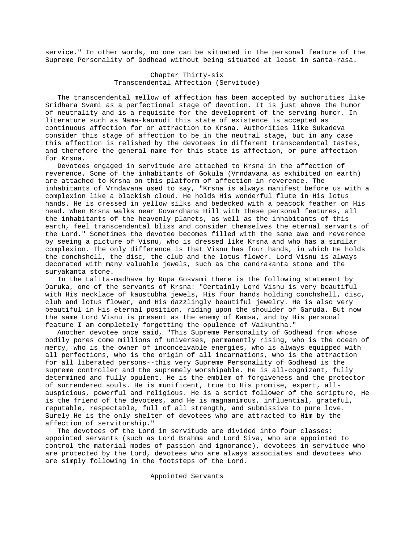service." In other words, no one can be situated in the personal feature of the Supreme Personality of Godhead without being situated at least in santa-rasa.

> Chapter Thirty-six Transcendental Affection (Servitude)

 The transcendental mellow of affection has been accepted by authorities like Sridhara Svami as a perfectional stage of devotion. It is just above the humor of neutrality and is a requisite for the development of the serving humor. In literature such as Nama-kaumudi this state of existence is accepted as continuous affection for or attraction to Krsna. Authorities like Sukadeva consider this stage of affection to be in the neutral stage, but in any case this affection is relished by the devotees in different transcendental tastes, and therefore the general name for this state is affection, or pure affection for Krsna.

 Devotees engaged in servitude are attached to Krsna in the affection of reverence. Some of the inhabitants of Gokula (Vrndavana as exhibited on earth) are attached to Krsna on this platform of affection in reverence. The inhabitants of Vrndavana used to say, "Krsna is always manifest before us with a complexion like a blackish cloud. He holds His wonderful flute in His lotus hands. He is dressed in yellow silks and bedecked with a peacock feather on His head. When Krsna walks near Govardhana Hill with these personal features, all the inhabitants of the heavenly planets, as well as the inhabitants of this earth, feel transcendental bliss and consider themselves the eternal servants of the Lord." Sometimes the devotee becomes filled with the same awe and reverence by seeing a picture of Visnu, who is dressed like Krsna and who has a similar complexion. The only difference is that Visnu has four hands, in which He holds the conchshell, the disc, the club and the lotus flower. Lord Visnu is always decorated with many valuable jewels, such as the candrakanta stone and the suryakanta stone.

 In the Lalita-madhava by Rupa Gosvami there is the following statement by Daruka, one of the servants of Krsna: "Certainly Lord Visnu is very beautiful with His necklace of kaustubha jewels, His four hands holding conchshell, disc, club and lotus flower, and His dazzlingly beautiful jewelry. He is also very beautiful in His eternal position, riding upon the shoulder of Garuda. But now the same Lord Visnu is present as the enemy of Kamsa, and by His personal feature I am completely forgetting the opulence of Vaikuntha."

 Another devotee once said, "This Supreme Personality of Godhead from whose bodily pores come millions of universes, permanently rising, who is the ocean of mercy, who is the owner of inconceivable energies, who is always equipped with all perfections, who is the origin of all incarnations, who is the attraction for all liberated persons--this very Supreme Personality of Godhead is the supreme controller and the supremely worshipable. He is all-cognizant, fully determined and fully opulent. He is the emblem of forgiveness and the protector of surrendered souls. He is munificent, true to His promise, expert, allauspicious, powerful and religious. He is a strict follower of the scripture, He is the friend of the devotees, and He is magnanimous, influential, grateful, reputable, respectable, full of all strength, and submissive to pure love. Surely He is the only shelter of devotees who are attracted to Him by the affection of servitorship."

 The devotees of the Lord in servitude are divided into four classes: appointed servants (such as Lord Brahma and Lord Siva, who are appointed to control the material modes of passion and ignorance), devotees in servitude who are protected by the Lord, devotees who are always associates and devotees who are simply following in the footsteps of the Lord.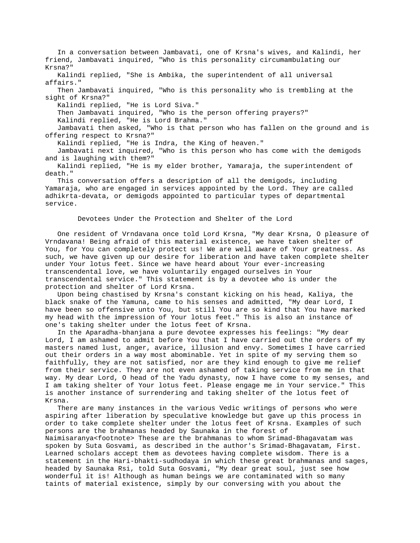In a conversation between Jambavati, one of Krsna's wives, and Kalindi, her friend, Jambavati inquired, "Who is this personality circumambulating our Krsna?" Kalindi replied, "She is Ambika, the superintendent of all universal affairs." Then Jambavati inquired, "Who is this personality who is trembling at the sight of Krsna?" Kalindi replied, "He is Lord Siva." Then Jambavati inquired, "Who is the person offering prayers?" Kalindi replied, "He is Lord Brahma." Jambavati then asked, "Who is that person who has fallen on the ground and is offering respect to Krsna?" Kalindi replied, "He is Indra, the King of heaven." Jambavati next inquired, "Who is this person who has come with the demigods and is laughing with them?" Kalindi replied, "He is my elder brother, Yamaraja, the superintendent of death." This conversation offers a description of all the demigods, including

Yamaraja, who are engaged in services appointed by the Lord. They are called adhikrta-devata, or demigods appointed to particular types of departmental service.

### Devotees Under the Protection and Shelter of the Lord

 One resident of Vrndavana once told Lord Krsna, "My dear Krsna, O pleasure of Vrndavana! Being afraid of this material existence, we have taken shelter of You, for You can completely protect us! We are well aware of Your greatness. As such, we have given up our desire for liberation and have taken complete shelter under Your lotus feet. Since we have heard about Your ever-increasing transcendental love, we have voluntarily engaged ourselves in Your transcendental service." This statement is by a devotee who is under the protection and shelter of Lord Krsna.

 Upon being chastised by Krsna's constant kicking on his head, Kaliya, the black snake of the Yamuna, came to his senses and admitted, "My dear Lord, I have been so offensive unto You, but still You are so kind that You have marked my head with the impression of Your lotus feet." This is also an instance of one's taking shelter under the lotus feet of Krsna.

 In the Aparadha-bhanjana a pure devotee expresses his feelings: "My dear Lord, I am ashamed to admit before You that I have carried out the orders of my masters named lust, anger, avarice, illusion and envy. Sometimes I have carried out their orders in a way most abominable. Yet in spite of my serving them so faithfully, they are not satisfied, nor are they kind enough to give me relief from their service. They are not even ashamed of taking service from me in that way. My dear Lord, O head of the Yadu dynasty, now I have come to my senses, and I am taking shelter of Your lotus feet. Please engage me in Your service." This is another instance of surrendering and taking shelter of the lotus feet of Krsna.

 There are many instances in the various Vedic writings of persons who were aspiring after liberation by speculative knowledge but gave up this process in order to take complete shelter under the lotus feet of Krsna. Examples of such persons are the brahmanas headed by Saunaka in the forest of Naimisaranya<footnote> These are the brahmanas to whom Srimad-Bhagavatam was spoken by Suta Gosvami, as described in the author's Srimad-Bhagavatam, First. Learned scholars accept them as devotees having complete wisdom. There is a statement in the Hari-bhakti-sudhodaya in which these great brahmanas and sages, headed by Saunaka Rsi, told Suta Gosvami, "My dear great soul, just see how wonderful it is! Although as human beings we are contaminated with so many taints of material existence, simply by our conversing with you about the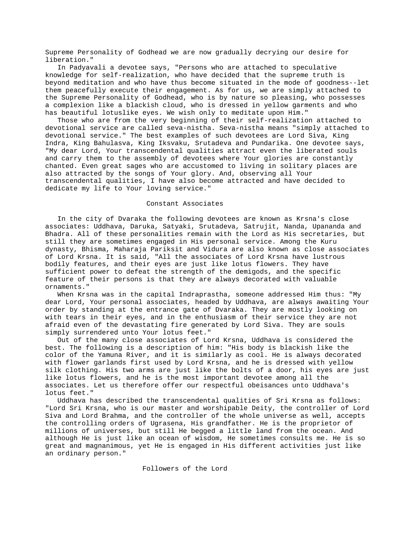Supreme Personality of Godhead we are now gradually decrying our desire for liberation."

 In Padyavali a devotee says, "Persons who are attached to speculative knowledge for self-realization, who have decided that the supreme truth is beyond meditation and who have thus become situated in the mode of goodness--let them peacefully execute their engagement. As for us, we are simply attached to the Supreme Personality of Godhead, who is by nature so pleasing, who possesses a complexion like a blackish cloud, who is dressed in yellow garments and who has beautiful lotuslike eyes. We wish only to meditate upon Him."

 Those who are from the very beginning of their self-realization attached to devotional service are called seva-nistha. Seva-nistha means "simply attached to devotional service." The best examples of such devotees are Lord Siva, King Indra, King Bahulasva, King Iksvaku, Srutadeva and Pundarika. One devotee says, "My dear Lord, Your transcendental qualities attract even the liberated souls and carry them to the assembly of devotees where Your glories are constantly chanted. Even great sages who are accustomed to living in solitary places are also attracted by the songs of Your glory. And, observing all Your transcendental qualities, I have also become attracted and have decided to dedicate my life to Your loving service."

### Constant Associates

 In the city of Dvaraka the following devotees are known as Krsna's close associates: Uddhava, Daruka, Satyaki, Srutadeva, Satrujit, Nanda, Upananda and Bhadra. All of these personalities remain with the Lord as His secretaries, but still they are sometimes engaged in His personal service. Among the Kuru dynasty, Bhisma, Maharaja Pariksit and Vidura are also known as close associates of Lord Krsna. It is said, "All the associates of Lord Krsna have lustrous bodily features, and their eyes are just like lotus flowers. They have sufficient power to defeat the strength of the demigods, and the specific feature of their persons is that they are always decorated with valuable ornaments."

 When Krsna was in the capital Indraprastha, someone addressed Him thus: "My dear Lord, Your personal associates, headed by Uddhava, are always awaiting Your order by standing at the entrance gate of Dvaraka. They are mostly looking on with tears in their eyes, and in the enthusiasm of their service they are not afraid even of the devastating fire generated by Lord Siva. They are souls simply surrendered unto Your lotus feet."

 Out of the many close associates of Lord Krsna, Uddhava is considered the best. The following is a description of him: "His body is blackish like the color of the Yamuna River, and it is similarly as cool. He is always decorated with flower garlands first used by Lord Krsna, and he is dressed with yellow silk clothing. His two arms are just like the bolts of a door, his eyes are just like lotus flowers, and he is the most important devotee among all the associates. Let us therefore offer our respectful obeisances unto Uddhava's lotus feet."

 Uddhava has described the transcendental qualities of Sri Krsna as follows: "Lord Sri Krsna, who is our master and worshipable Deity, the controller of Lord Siva and Lord Brahma, and the controller of the whole universe as well, accepts the controlling orders of Ugrasena, His grandfather. He is the proprietor of millions of universes, but still He begged a little land from the ocean. And although He is just like an ocean of wisdom, He sometimes consults me. He is so great and magnanimous, yet He is engaged in His different activities just like an ordinary person."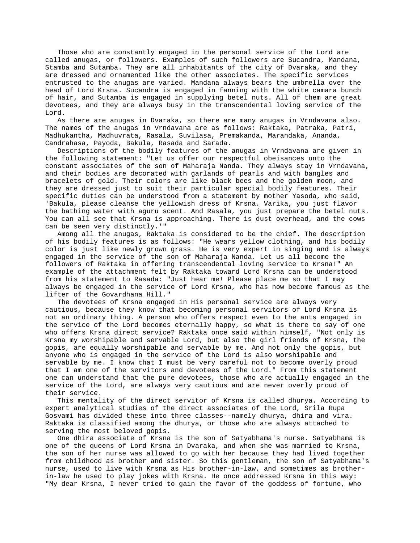Those who are constantly engaged in the personal service of the Lord are called anugas, or followers. Examples of such followers are Sucandra, Mandana, Stamba and Sutamba. They are all inhabitants of the city of Dvaraka, and they are dressed and ornamented like the other associates. The specific services entrusted to the anugas are varied. Mandana always bears the umbrella over the head of Lord Krsna. Sucandra is engaged in fanning with the white camara bunch of hair, and Sutamba is engaged in supplying betel nuts. All of them are great devotees, and they are always busy in the transcendental loving service of the Lord.

 As there are anugas in Dvaraka, so there are many anugas in Vrndavana also. The names of the anugas in Vrndavana are as follows: Raktaka, Patraka, Patri, Madhukantha, Madhuvrata, Rasala, Suvilasa, Premakanda, Marandaka, Ananda, Candrahasa, Payoda, Bakula, Rasada and Sarada.

 Descriptions of the bodily features of the anugas in Vrndavana are given in the following statement: "Let us offer our respectful obeisances unto the constant associates of the son of Maharaja Nanda. They always stay in Vrndavana, and their bodies are decorated with garlands of pearls and with bangles and bracelets of gold. Their colors are like black bees and the golden moon, and they are dressed just to suit their particular special bodily features. Their specific duties can be understood from a statement by mother Yasoda, who said, 'Bakula, please cleanse the yellowish dress of Krsna. Varika, you just flavor the bathing water with aguru scent. And Rasala, you just prepare the betel nuts. You can all see that Krsna is approaching. There is dust overhead, and the cows can be seen very distinctly.'"

 Among all the anugas, Raktaka is considered to be the chief. The description of his bodily features is as follows: "He wears yellow clothing, and his bodily color is just like newly grown grass. He is very expert in singing and is always engaged in the service of the son of Maharaja Nanda. Let us all become the followers of Raktaka in offering transcendental loving service to Krsna!" An example of the attachment felt by Raktaka toward Lord Krsna can be understood from his statement to Rasada: "Just hear me! Please place me so that I may always be engaged in the service of Lord Krsna, who has now become famous as the lifter of the Govardhana Hill."

 The devotees of Krsna engaged in His personal service are always very cautious, because they know that becoming personal servitors of Lord Krsna is not an ordinary thing. A person who offers respect even to the ants engaged in the service of the Lord becomes eternally happy, so what is there to say of one who offers Krsna direct service? Raktaka once said within himself, "Not only is Krsna my worshipable and servable Lord, but also the girl friends of Krsna, the gopis, are equally worshipable and servable by me. And not only the gopis, but anyone who is engaged in the service of the Lord is also worshipable and servable by me. I know that I must be very careful not to become overly proud that I am one of the servitors and devotees of the Lord." From this statement one can understand that the pure devotees, those who are actually engaged in the service of the Lord, are always very cautious and are never overly proud of their service.

 This mentality of the direct servitor of Krsna is called dhurya. According to expert analytical studies of the direct associates of the Lord, Srila Rupa Gosvami has divided these into three classes--namely dhurya, dhira and vira. Raktaka is classified among the dhurya, or those who are always attached to serving the most beloved gopis.

 One dhira associate of Krsna is the son of Satyabhama's nurse. Satyabhama is one of the queens of Lord Krsna in Dvaraka, and when she was married to Krsna, the son of her nurse was allowed to go with her because they had lived together from childhood as brother and sister. So this gentleman, the son of Satyabhama's nurse, used to live with Krsna as His brother-in-law, and sometimes as brotherin-law he used to play jokes with Krsna. He once addressed Krsna in this way: "My dear Krsna, I never tried to gain the favor of the goddess of fortune, who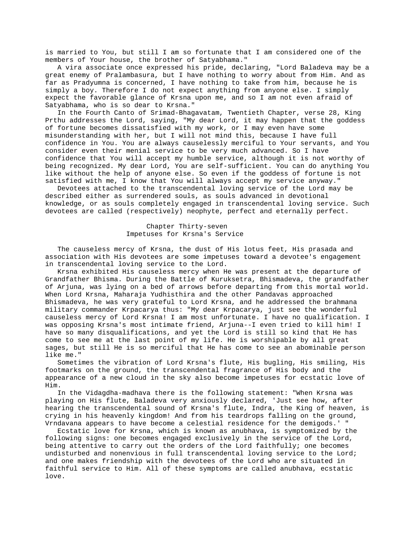is married to You, but still I am so fortunate that I am considered one of the members of Your house, the brother of Satyabhama."

 A vira associate once expressed his pride, declaring, "Lord Baladeva may be a great enemy of Pralambasura, but I have nothing to worry about from Him. And as far as Pradyumna is concerned, I have nothing to take from him, because he is simply a boy. Therefore I do not expect anything from anyone else. I simply expect the favorable glance of Krsna upon me, and so I am not even afraid of Satyabhama, who is so dear to Krsna."

 In the Fourth Canto of Srimad-Bhagavatam, Twentieth Chapter, verse 28, King Prthu addresses the Lord, saying, "My dear Lord, it may happen that the goddess of fortune becomes dissatisfied with my work, or I may even have some misunderstanding with her, but I will not mind this, because I have full confidence in You. You are always causelessly merciful to Your servants, and You consider even their menial service to be very much advanced. So I have confidence that You will accept my humble service, although it is not worthy of being recognized. My dear Lord, You are self-sufficient. You can do anything You like without the help of anyone else. So even if the goddess of fortune is not satisfied with me, I know that You will always accept my service anyway."

 Devotees attached to the transcendental loving service of the Lord may be described either as surrendered souls, as souls advanced in devotional knowledge, or as souls completely engaged in transcendental loving service. Such devotees are called (respectively) neophyte, perfect and eternally perfect.

> Chapter Thirty-seven Impetuses for Krsna's Service

 The causeless mercy of Krsna, the dust of His lotus feet, His prasada and association with His devotees are some impetuses toward a devotee's engagement in transcendental loving service to the Lord.

 Krsna exhibited His causeless mercy when He was present at the departure of Grandfather Bhisma. During the Battle of Kuruksetra, Bhismadeva, the grandfather of Arjuna, was lying on a bed of arrows before departing from this mortal world. When Lord Krsna, Maharaja Yudhisthira and the other Pandavas approached Bhismadeva, he was very grateful to Lord Krsna, and he addressed the brahmana military commander Krpacarya thus: "My dear Krpacarya, just see the wonderful causeless mercy of Lord Krsna! I am most unfortunate. I have no qualification. I was opposing Krsna's most intimate friend, Arjuna--I even tried to kill him! I have so many disqualifications, and yet the Lord is still so kind that He has come to see me at the last point of my life. He is worshipable by all great sages, but still He is so merciful that He has come to see an abominable person like me."

 Sometimes the vibration of Lord Krsna's flute, His bugling, His smiling, His footmarks on the ground, the transcendental fragrance of His body and the appearance of a new cloud in the sky also become impetuses for ecstatic love of Him.

 In the Vidagdha-madhava there is the following statement: "When Krsna was playing on His flute, Baladeva very anxiously declared, 'Just see how, after hearing the transcendental sound of Krsna's flute, Indra, the King of heaven, is crying in his heavenly kingdom! And from his teardrops falling on the ground, Vrndavana appears to have become a celestial residence for the demigods.' "

 Ecstatic love for Krsna, which is known as anubhava, is symptomized by the following signs: one becomes engaged exclusively in the service of the Lord, being attentive to carry out the orders of the Lord faithfully; one becomes undisturbed and nonenvious in full transcendental loving service to the Lord; and one makes friendship with the devotees of the Lord who are situated in faithful service to Him. All of these symptoms are called anubhava, ecstatic love.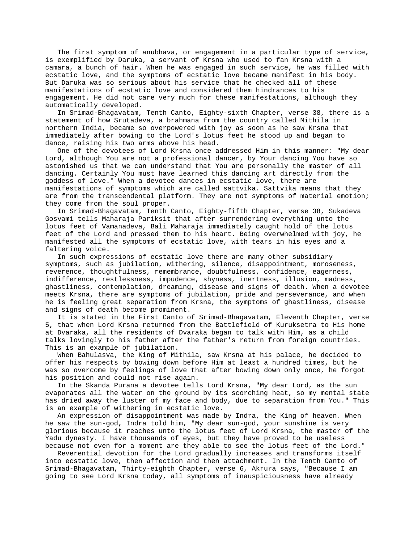The first symptom of anubhava, or engagement in a particular type of service, is exemplified by Daruka, a servant of Krsna who used to fan Krsna with a camara, a bunch of hair. When he was engaged in such service, he was filled with ecstatic love, and the symptoms of ecstatic love became manifest in his body. But Daruka was so serious about his service that he checked all of these manifestations of ecstatic love and considered them hindrances to his engagement. He did not care very much for these manifestations, although they automatically developed.

 In Srimad-Bhagavatam, Tenth Canto, Eighty-sixth Chapter, verse 38, there is a statement of how Srutadeva, a brahmana from the country called Mithila in northern India, became so overpowered with joy as soon as he saw Krsna that immediately after bowing to the Lord's lotus feet he stood up and began to dance, raising his two arms above his head.

 One of the devotees of Lord Krsna once addressed Him in this manner: "My dear Lord, although You are not a professional dancer, by Your dancing You have so astonished us that we can understand that You are personally the master of all dancing. Certainly You must have learned this dancing art directly from the goddess of love." When a devotee dances in ecstatic love, there are manifestations of symptoms which are called sattvika. Sattvika means that they are from the transcendental platform. They are not symptoms of material emotion; they come from the soul proper.

 In Srimad-Bhagavatam, Tenth Canto, Eighty-fifth Chapter, verse 38, Sukadeva Gosvami tells Maharaja Pariksit that after surrendering everything unto the lotus feet of Vamanadeva, Bali Maharaja immediately caught hold of the lotus feet of the Lord and pressed them to his heart. Being overwhelmed with joy, he manifested all the symptoms of ecstatic love, with tears in his eyes and a faltering voice.

 In such expressions of ecstatic love there are many other subsidiary symptoms, such as jubilation, withering, silence, disappointment, moroseness, reverence, thoughtfulness, remembrance, doubtfulness, confidence, eagerness, indifference, restlessness, impudence, shyness, inertness, illusion, madness, ghastliness, contemplation, dreaming, disease and signs of death. When a devotee meets Krsna, there are symptoms of jubilation, pride and perseverance, and when he is feeling great separation from Krsna, the symptoms of ghastliness, disease and signs of death become prominent.

 It is stated in the First Canto of Srimad-Bhagavatam, Eleventh Chapter, verse 5, that when Lord Krsna returned from the Battlefield of Kuruksetra to His home at Dvaraka, all the residents of Dvaraka began to talk with Him, as a child talks lovingly to his father after the father's return from foreign countries. This is an example of jubilation.

 When Bahulasva, the King of Mithila, saw Krsna at his palace, he decided to offer his respects by bowing down before Him at least a hundred times, but he was so overcome by feelings of love that after bowing down only once, he forgot his position and could not rise again.

 In the Skanda Purana a devotee tells Lord Krsna, "My dear Lord, as the sun evaporates all the water on the ground by its scorching heat, so my mental state has dried away the luster of my face and body, due to separation from You." This is an example of withering in ecstatic love.

 An expression of disappointment was made by Indra, the King of heaven. When he saw the sun-god, Indra told him, "My dear sun-god, your sunshine is very glorious because it reaches unto the lotus feet of Lord Krsna, the master of the Yadu dynasty. I have thousands of eyes, but they have proved to be useless because not even for a moment are they able to see the lotus feet of the Lord."

 Reverential devotion for the Lord gradually increases and transforms itself into ecstatic love, then affection and then attachment. In the Tenth Canto of Srimad-Bhagavatam, Thirty-eighth Chapter, verse 6, Akrura says, "Because I am going to see Lord Krsna today, all symptoms of inauspiciousness have already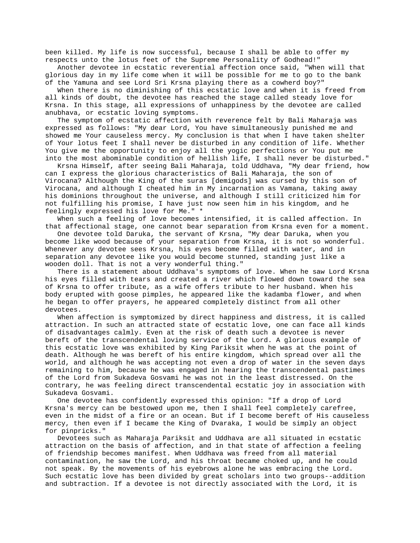been killed. My life is now successful, because I shall be able to offer my respects unto the lotus feet of the Supreme Personality of Godhead!"

 Another devotee in ecstatic reverential affection once said, "When will that glorious day in my life come when it will be possible for me to go to the bank of the Yamuna and see Lord Sri Krsna playing there as a cowherd boy?"

 When there is no diminishing of this ecstatic love and when it is freed from all kinds of doubt, the devotee has reached the stage called steady love for Krsna. In this stage, all expressions of unhappiness by the devotee are called anubhava, or ecstatic loving symptoms.

 The symptom of ecstatic affection with reverence felt by Bali Maharaja was expressed as follows: "My dear Lord, You have simultaneously punished me and showed me Your causeless mercy. My conclusion is that when I have taken shelter of Your lotus feet I shall never be disturbed in any condition of life. Whether You give me the opportunity to enjoy all the yogic perfections or You put me into the most abominable condition of hellish life, I shall never be disturbed."

 Krsna Himself, after seeing Bali Maharaja, told Uddhava, "My dear friend, how can I express the glorious characteristics of Bali Maharaja, the son of Virocana? Although the King of the suras [demigods] was cursed by this son of Virocana, and although I cheated him in My incarnation as Vamana, taking away his dominions throughout the universe, and although I still criticized him for not fulfilling his promise, I have just now seen him in his kingdom, and he feelingly expressed his love for Me." \*

 When such a feeling of love becomes intensified, it is called affection. In that affectional stage, one cannot bear separation from Krsna even for a moment.

 One devotee told Daruka, the servant of Krsna, "My dear Daruka, when you become like wood because of your separation from Krsna, it is not so wonderful. Whenever any devotee sees Krsna, his eyes become filled with water, and in separation any devotee like you would become stunned, standing just like a wooden doll. That is not a very wonderful thing."

 There is a statement about Uddhava's symptoms of love. When he saw Lord Krsna his eyes filled with tears and created a river which flowed down toward the sea of Krsna to offer tribute, as a wife offers tribute to her husband. When his body erupted with goose pimples, he appeared like the kadamba flower, and when he began to offer prayers, he appeared completely distinct from all other devotees.

 When affection is symptomized by direct happiness and distress, it is called attraction. In such an attracted state of ecstatic love, one can face all kinds of disadvantages calmly. Even at the risk of death such a devotee is never bereft of the transcendental loving service of the Lord. A glorious example of this ecstatic love was exhibited by King Pariksit when he was at the point of death. Although he was bereft of his entire kingdom, which spread over all the world, and although he was accepting not even a drop of water in the seven days remaining to him, because he was engaged in hearing the transcendental pastimes of the Lord from Sukadeva Gosvami he was not in the least distressed. On the contrary, he was feeling direct transcendental ecstatic joy in association with Sukadeva Gosvami.

 One devotee has confidently expressed this opinion: "If a drop of Lord Krsna's mercy can be bestowed upon me, then I shall feel completely carefree, even in the midst of a fire or an ocean. But if I become bereft of His causeless mercy, then even if I became the King of Dvaraka, I would be simply an object for pinpricks."

 Devotees such as Maharaja Pariksit and Uddhava are all situated in ecstatic attraction on the basis of affection, and in that state of affection a feeling of friendship becomes manifest. When Uddhava was freed from all material contamination, he saw the Lord, and his throat became choked up, and he could not speak. By the movements of his eyebrows alone he was embracing the Lord. Such ecstatic love has been divided by great scholars into two groups--addition and subtraction. If a devotee is not directly associated with the Lord, it is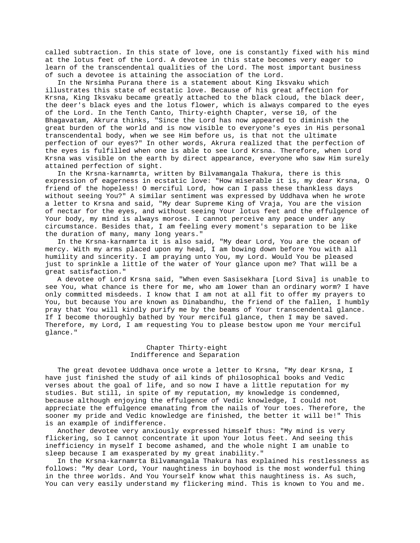called subtraction. In this state of love, one is constantly fixed with his mind at the lotus feet of the Lord. A devotee in this state becomes very eager to learn of the transcendental qualities of the Lord. The most important business of such a devotee is attaining the association of the Lord.

 In the Nrsimha Purana there is a statement about King Iksvaku which illustrates this state of ecstatic love. Because of his great affection for Krsna, King Iksvaku became greatly attached to the black cloud, the black deer, the deer's black eyes and the lotus flower, which is always compared to the eyes of the Lord. In the Tenth Canto, Thirty-eighth Chapter, verse 10, of the Bhagavatam, Akrura thinks, "Since the Lord has now appeared to diminish the great burden of the world and is now visible to everyone's eyes in His personal transcendental body, when we see Him before us, is that not the ultimate perfection of our eyes?" In other words, Akrura realized that the perfection of the eyes is fulfilled when one is able to see Lord Krsna. Therefore, when Lord Krsna was visible on the earth by direct appearance, everyone who saw Him surely attained perfection of sight.

 In the Krsna-karnamrta, written by Bilvamangala Thakura, there is this expression of eagerness in ecstatic love: "How miserable it is, my dear Krsna, O friend of the hopeless! O merciful Lord, how can I pass these thankless days without seeing You?" A similar sentiment was expressed by Uddhava when he wrote a letter to Krsna and said, "My dear Supreme King of Vraja, You are the vision of nectar for the eyes, and without seeing Your lotus feet and the effulgence of Your body, my mind is always morose. I cannot perceive any peace under any circumstance. Besides that, I am feeling every moment's separation to be like the duration of many, many long years."

 In the Krsna-karnamrta it is also said, "My dear Lord, You are the ocean of mercy. With my arms placed upon my head, I am bowing down before You with all humility and sincerity. I am praying unto You, my Lord. Would You be pleased just to sprinkle a little of the water of Your glance upon me? That will be a great satisfaction."

 A devotee of Lord Krsna said, "When even Sasisekhara [Lord Siva] is unable to see You, what chance is there for me, who am lower than an ordinary worm? I have only committed misdeeds. I know that I am not at all fit to offer my prayers to You, but because You are known as Dinabandhu, the friend of the fallen, I humbly pray that You will kindly purify me by the beams of Your transcendental glance. If I become thoroughly bathed by Your merciful glance, then I may be saved. Therefore, my Lord, I am requesting You to please bestow upon me Your merciful glance."

# Chapter Thirty-eight Indifference and Separation

 The great devotee Uddhava once wrote a letter to Krsna, "My dear Krsna, I have just finished the study of ail kinds of philosophical books and Vedic verses about the goal of life, and so now I have a little reputation for my studies. But still, in spite of my reputation, my knowledge is condemned, because although enjoying the effulgence of Vedic knowledge, I could not appreciate the effulgence emanating from the nails of Your toes. Therefore, the sooner my pride and Vedic knowledge are finished, the better it will be!" This is an example of indifference.

 Another devotee very anxiously expressed himself thus: "My mind is very flickering, so I cannot concentrate it upon Your lotus feet. And seeing this inefficiency in myself I become ashamed, and the whole night I am unable to sleep because I am exasperated by my great inability."

 In the Krsna-karnamrta Bilvamangala Thakura has explained his restlessness as follows: "My dear Lord, Your naughtiness in boyhood is the most wonderful thing in the three worlds. And You Yourself know what this naughtiness is. As such, You can very easily understand my flickering mind. This is known to You and me.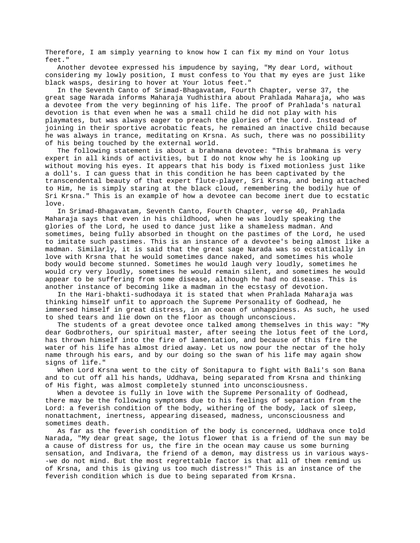Therefore, I am simply yearning to know how I can fix my mind on Your lotus feet."

 Another devotee expressed his impudence by saying, "My dear Lord, without considering my lowly position, I must confess to You that my eyes are just like black wasps, desiring to hover at Your lotus feet."

 In the Seventh Canto of Srimad-Bhagavatam, Fourth Chapter, verse 37, the great sage Narada informs Maharaja Yudhisthira about Prahlada Maharaja, who was a devotee from the very beginning of his life. The proof of Prahlada's natural devotion is that even when he was a small child he did not play with his playmates, but was always eager to preach the glories of the Lord. Instead of joining in their sportive acrobatic feats, he remained an inactive child because he was always in trance, meditating on Krsna. As such, there was no possibility of his being touched by the external world.

 The following statement is about a brahmana devotee: "This brahmana is very expert in all kinds of activities, but I do not know why he is looking up without moving his eyes. It appears that his body is fixed motionless just like a doll's. I can guess that in this condition he has been captivated by the transcendental beauty of that expert flute-player, Sri Krsna, and being attached to Him, he is simply staring at the black cloud, remembering the bodily hue of Sri Krsna." This is an example of how a devotee can become inert due to ecstatic love.

 In Srimad-Bhagavatam, Seventh Canto, Fourth Chapter, verse 40, Prahlada Maharaja says that even in his childhood, when he was loudly speaking the glories of the Lord, he used to dance just like a shameless madman. And sometimes, being fully absorbed in thought on the pastimes of the Lord, he used to imitate such pastimes. This is an instance of a devotee's being almost like a madman. Similarly, it is said that the great sage Narada was so ecstatically in love with Krsna that he would sometimes dance naked, and sometimes his whole body would become stunned. Sometimes he would laugh very loudly, sometimes he would cry very loudly, sometimes he would remain silent, and sometimes he would appear to be suffering from some disease, although he had no disease. This is another instance of becoming like a madman in the ecstasy of devotion.

 In the Hari-bhakti-sudhodaya it is stated that when Prahlada Maharaja was thinking himself unfit to approach the Supreme Personality of Godhead, he immersed himself in great distress, in an ocean of unhappiness. As such, he used to shed tears and lie down on the floor as though unconscious.

 The students of a great devotee once talked among themselves in this way: "My dear Godbrothers, our spiritual master, after seeing the lotus feet of the Lord, has thrown himself into the fire of lamentation, and because of this fire the water of his life has almost dried away. Let us now pour the nectar of the holy name through his ears, and by our doing so the swan of his life may again show signs of life."

 When Lord Krsna went to the city of Sonitapura to fight with Bali's son Bana and to cut off all his hands, Uddhava, being separated from Krsna and thinking of His fight, was almost completely stunned into unconsciousness.

 When a devotee is fully in love with the Supreme Personality of Godhead, there may be the following symptoms due to his feelings of separation from the Lord: a feverish condition of the body, withering of the body, lack of sleep, nonattachment, inertness, appearing diseased, madness, unconsciousness and sometimes death.

 As far as the feverish condition of the body is concerned, Uddhava once told Narada, "My dear great sage, the lotus flower that is a friend of the sun may be a cause of distress for us, the fire in the ocean may cause us some burning sensation, and Indivara, the friend of a demon, may distress us in various ways- -we do not mind. But the most regrettable factor is that all of them remind us of Krsna, and this is giving us too much distress!" This is an instance of the feverish condition which is due to being separated from Krsna.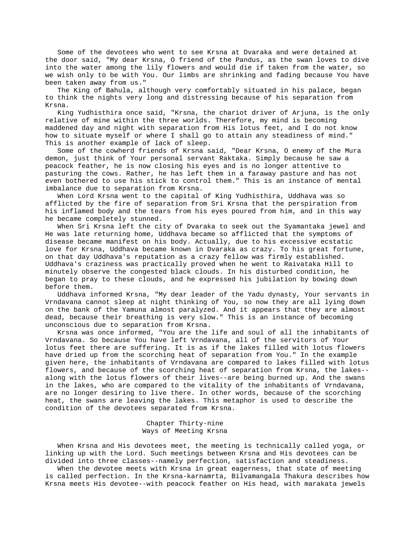Some of the devotees who went to see Krsna at Dvaraka and were detained at the door said, "My dear Krsna, O friend of the Pandus, as the swan loves to dive into the water among the lily flowers and would die if taken from the water, so we wish only to be with You. Our limbs are shrinking and fading because You have been taken away from us."

 The King of Bahula, although very comfortably situated in his palace, began to think the nights very long and distressing because of his separation from Krsna.

 King Yudhisthira once said, "Krsna, the chariot driver of Arjuna, is the only relative of mine within the three worlds. Therefore, my mind is becoming maddened day and night with separation from His lotus feet, and I do not know how to situate myself or where I shall go to attain any steadiness of mind." This is another example of lack of sleep.

 Some of the cowherd friends of Krsna said, "Dear Krsna, O enemy of the Mura demon, just think of Your personal servant Raktaka. Simply because he saw a peacock feather, he is now closing his eyes and is no longer attentive to pasturing the cows. Rather, he has left them in a faraway pasture and has not even bothered to use his stick to control them." This is an instance of mental imbalance due to separation from Krsna.

 When Lord Krsna went to the capital of King Yudhisthira, Uddhava was so afflicted by the fire of separation from Sri Krsna that the perspiration from his inflamed body and the tears from his eyes poured from him, and in this way he became completely stunned.

 When Sri Krsna left the city of Dvaraka to seek out the Syamantaka jewel and He was late returning home, Uddhava became so afflicted that the symptoms of disease became manifest on his body. Actually, due to his excessive ecstatic love for Krsna, Uddhava became known in Dvaraka as crazy. To his great fortune, on that day Uddhava's reputation as a crazy fellow was firmly established. Uddhava's craziness was practically proved when he went to Raivataka Hill to minutely observe the congested black clouds. In his disturbed condition, he began to pray to these clouds, and he expressed his jubilation by bowing down before them.

 Uddhava informed Krsna, "My dear leader of the Yadu dynasty, Your servants in Vrndavana cannot sleep at night thinking of You, so now they are all lying down on the bank of the Yamuna almost paralyzed. And it appears that they are almost dead, because their breathing is very slow." This is an instance of becoming unconscious due to separation from Krsna.

 Krsna was once informed, "You are the life and soul of all the inhabitants of Vrndavana. So because You have left Vrndavana, all of the servitors of Your lotus feet there are suffering. It is as if the lakes filled with lotus flowers have dried up from the scorching heat of separation from You." In the example given here, the inhabitants of Vrndavana are compared to lakes filled with lotus flowers, and because of the scorching heat of separation from Krsna, the lakes- along with the lotus flowers of their lives--are being burned up. And the swans in the lakes, who are compared to the vitality of the inhabitants of Vrndavana, are no longer desiring to live there. In other words, because of the scorching heat, the swans are leaving the lakes. This metaphor is used to describe the condition of the devotees separated from Krsna.

> Chapter Thirty-nine Ways of Meeting Krsna

 When Krsna and His devotees meet, the meeting is technically called yoga, or linking up with the Lord. Such meetings between Krsna and His devotees can be divided into three classes--namely perfection, satisfaction and steadiness.

 When the devotee meets with Krsna in great eagerness, that state of meeting is called perfection. In the Krsna-karnamrta, Bilvamangala Thakura describes how Krsna meets His devotee--with peacock feather on His head, with marakata jewels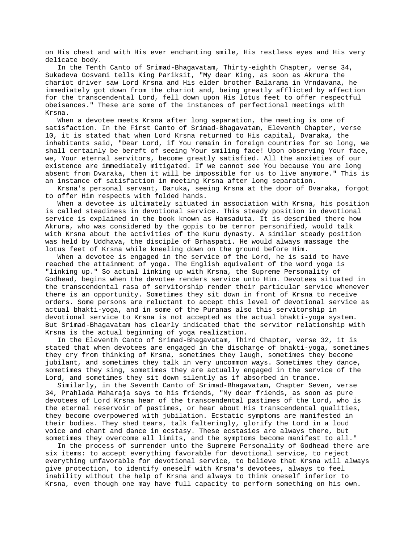on His chest and with His ever enchanting smile, His restless eyes and His very delicate body.

 In the Tenth Canto of Srimad-Bhagavatam, Thirty-eighth Chapter, verse 34, Sukadeva Gosvami tells King Pariksit, "My dear King, as soon as Akrura the chariot driver saw Lord Krsna and His elder brother Balarama in Vrndavana, he immediately got down from the chariot and, being greatly afflicted by affection for the transcendental Lord, fell down upon His lotus feet to offer respectful obeisances." These are some of the instances of perfectional meetings with Krsna.

 When a devotee meets Krsna after long separation, the meeting is one of satisfaction. In the First Canto of Srimad-Bhagavatam, Eleventh Chapter, verse 10, it is stated that when Lord Krsna returned to His capital, Dvaraka, the inhabitants said, "Dear Lord, if You remain in foreign countries for so long, we shall certainly be bereft of seeing Your smiling face! Upon observing Your face, we, Your eternal servitors, become greatly satisfied. All the anxieties of our existence are immediately mitigated. If we cannot see You because You are long absent from Dvaraka, then it will be impossible for us to live anymore." This is an instance of satisfaction in meeting Krsna after long separation.

 Krsna's personal servant, Daruka, seeing Krsna at the door of Dvaraka, forgot to offer Him respects with folded hands.

 When a devotee is ultimately situated in association with Krsna, his position is called steadiness in devotional service. This steady position in devotional service is explained in the book known as Hamsaduta. It is described there how Akrura, who was considered by the gopis to be terror personified, would talk with Krsna about the activities of the Kuru dynasty. A similar steady position was held by Uddhava, the disciple of Brhaspati. He would always massage the lotus feet of Krsna while kneeling down on the ground before Him.

 When a devotee is engaged in the service of the Lord, he is said to have reached the attainment of yoga. The English equivalent of the word yoga is "linking up." So actual linking up with Krsna, the Supreme Personality of Godhead, begins when the devotee renders service unto Him. Devotees situated in the transcendental rasa of servitorship render their particular service whenever there is an opportunity. Sometimes they sit down in front of Krsna to receive orders. Some persons are reluctant to accept this level of devotional service as actual bhakti-yoga, and in some of the Puranas also this servitorship in devotional service to Krsna is not accepted as the actual bhakti-yoga system. But Srimad-Bhagavatam has clearly indicated that the servitor relationship with Krsna is the actual beginning of yoga realization.

 In the Eleventh Canto of Srimad-Bhagavatam, Third Chapter, verse 32, it is stated that when devotees are engaged in the discharge of bhakti-yoga, sometimes they cry from thinking of Krsna, sometimes they laugh, sometimes they become jubilant, and sometimes they talk in very uncommon ways. Sometimes they dance, sometimes they sing, sometimes they are actually engaged in the service of the Lord, and sometimes they sit down silently as if absorbed in trance.

 Similarly, in the Seventh Canto of Srimad-Bhagavatam, Chapter Seven, verse 34, Prahlada Maharaja says to his friends, "My dear friends, as soon as pure devotees of Lord Krsna hear of the transcendental pastimes of the Lord, who is the eternal reservoir of pastimes, or hear about His transcendental qualities, they become overpowered with jubilation. Ecstatic symptoms are manifested in their bodies. They shed tears, talk falteringly, glorify the Lord in a loud voice and chant and dance in ecstasy. These ecstasies are always there, but sometimes they overcome all limits, and the symptoms become manifest to all."

 In the process of surrender unto the Supreme Personality of Godhead there are six items: to accept everything favorable for devotional service, to reject everything unfavorable for devotional service, to believe that Krsna will always give protection, to identify oneself with Krsna's devotees, always to feel inability without the help of Krsna and always to think oneself inferior to Krsna, even though one may have full capacity to perform something on his own.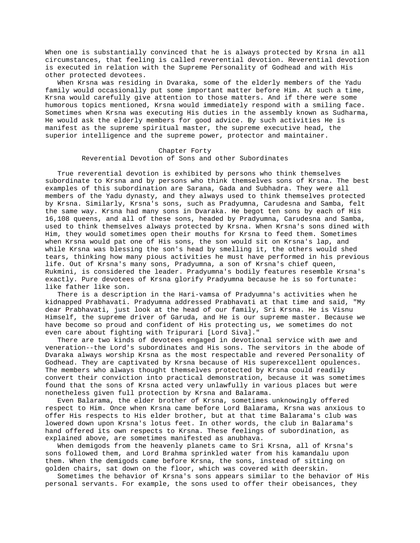When one is substantially convinced that he is always protected by Krsna in all circumstances, that feeling is called reverential devotion. Reverential devotion is executed in relation with the Supreme Personality of Godhead and with His other protected devotees.

 When Krsna was residing in Dvaraka, some of the elderly members of the Yadu family would occasionally put some important matter before Him. At such a time, Krsna would carefully give attention to those matters. And if there were some humorous topics mentioned, Krsna would immediately respond with a smiling face. Sometimes when Krsna was executing His duties in the assembly known as Sudharma, He would ask the elderly members for good advice. By such activities He is manifest as the supreme spiritual master, the supreme executive head, the superior intelligence and the supreme power, protector and maintainer.

# Chapter Forty Reverential Devotion of Sons and other Subordinates

 True reverential devotion is exhibited by persons who think themselves subordinate to Krsna and by persons who think themselves sons of Krsna. The best examples of this subordination are Sarana, Gada and Subhadra. They were all members of the Yadu dynasty, and they always used to think themselves protected by Krsna. Similarly, Krsna's sons, such as Pradyumna, Carudesna and Samba, felt the same way. Krsna had many sons in Dvaraka. He begot ten sons by each of His 16,108 queens, and all of these sons, headed by Pradyumna, Carudesna and Samba, used to think themselves always protected by Krsna. When Krsna's sons dined with Him, they would sometimes open their mouths for Krsna to feed them. Sometimes when Krsna would pat one of His sons, the son would sit on Krsna's lap, and while Krsna was blessing the son's head by smelling it, the others would shed tears, thinking how many pious activities he must have performed in his previous life. Out of Krsna's many sons, Pradyumna, a son of Krsna's chief queen, Rukmini, is considered the leader. Pradyumna's bodily features resemble Krsna's exactly. Pure devotees of Krsna glorify Pradyumna because he is so fortunate: like father like son.

 There is a description in the Hari-vamsa of Pradyumna's activities when he kidnapped Prabhavati. Pradyumna addressed Prabhavati at that time and said, "My dear Prabhavati, just look at the head of our family, Sri Krsna. He is Visnu Himself, the supreme driver of Garuda, and He is our supreme master. Because we have become so proud and confident of His protecting us, we sometimes do not even care about fighting with Tripurari [Lord Siva]."

 There are two kinds of devotees engaged in devotional service with awe and veneration--the Lord's subordinates and His sons. The servitors in the abode of Dvaraka always worship Krsna as the most respectable and revered Personality of Godhead. They are captivated by Krsna because of His superexcellent opulences. The members who always thought themselves protected by Krsna could readily convert their conviction into practical demonstration, because it was sometimes found that the sons of Krsna acted very unlawfully in various places but were nonetheless given full protection by Krsna and Balarama.

 Even Balarama, the elder brother of Krsna, sometimes unknowingly offered respect to Him. Once when Krsna came before Lord Balarama, Krsna was anxious to offer His respects to His elder brother, but at that time Balarama's club was lowered down upon Krsna's lotus feet. In other words, the club in Balarama's hand offered its own respects to Krsna. These feelings of subordination, as explained above, are sometimes manifested as anubhava.

When demigods from the heavenly planets came to Sri Krsna, all of Krsna's sons followed them, and Lord Brahma sprinkled water from his kamandalu upon them. When the demigods came before Krsna, the sons, instead of sitting on golden chairs, sat down on the floor, which was covered with deerskin.

 Sometimes the behavior of Krsna's sons appears similar to the behavior of His personal servants. For example, the sons used to offer their obeisances, they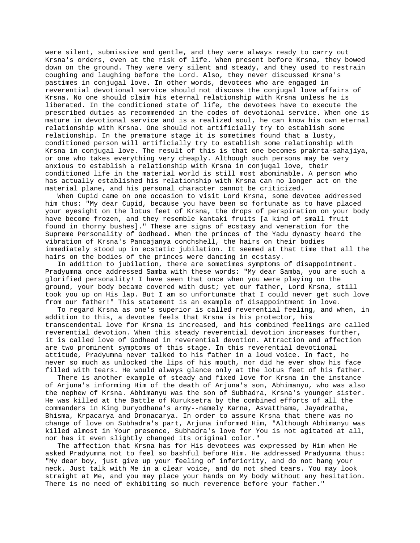were silent, submissive and gentle, and they were always ready to carry out Krsna's orders, even at the risk of life. When present before Krsna, they bowed down on the ground. They were very silent and steady, and they used to restrain coughing and laughing before the Lord. Also, they never discussed Krsna's pastimes in conjugal love. In other words, devotees who are engaged in reverential devotional service should not discuss the conjugal love affairs of Krsna. No one should claim his eternal relationship with Krsna unless he is liberated. In the conditioned state of life, the devotees have to execute the prescribed duties as recommended in the codes of devotional service. When one is mature in devotional service and is a realized soul, he can know his own eternal relationship with Krsna. One should not artificially try to establish some relationship. In the premature stage it is sometimes found that a lusty, conditioned person will artificially try to establish some relationship with Krsna in conjugal love. The result of this is that one becomes prakrta-sahajiya, or one who takes everything very cheaply. Although such persons may be very anxious to establish a relationship with Krsna in conjugal love, their conditioned life in the material world is still most abominable. A person who has actually established his relationship with Krsna can no longer act on the material plane, and his personal character cannot be criticized.

 When Cupid came on one occasion to visit Lord Krsna, some devotee addressed him thus: "My dear Cupid, because you have been so fortunate as to have placed your eyesight on the lotus feet of Krsna, the drops of perspiration on your body have become frozen, and they resemble kantaki fruits [a kind of small fruit found in thorny bushes]." These are signs of ecstasy and veneration for the Supreme Personality of Godhead. When the princes of the Yadu dynasty heard the vibration of Krsna's Pancajanya conchshell, the hairs on their bodies immediately stood up in ecstatic jubilation. It seemed at that time that all the hairs on the bodies of the princes were dancing in ecstasy.

 In addition to jubilation, there are sometimes symptoms of disappointment. Pradyumna once addressed Samba with these words: "My dear Samba, you are such a glorified personality! I have seen that once when you were playing on the ground, your body became covered with dust; yet our father, Lord Krsna, still took you up on His lap. But I am so unfortunate that I could never get such love from our father!" This statement is an example of disappointment in love.

 To regard Krsna as one's superior is called reverential feeling, and when, in addition to this, a devotee feels that Krsna is his protector, his transcendental love for Krsna is increased, and his combined feelings are called reverential devotion. When this steady reverential devotion increases further, it is called love of Godhead in reverential devotion. Attraction and affection are two prominent symptoms of this stage. In this reverential devotional attitude, Pradyumna never talked to his father in a loud voice. In fact, he never so much as unlocked the lips of his mouth, nor did he ever show his face filled with tears. He would always glance only at the lotus feet of his father.

 There is another example of steady and fixed love for Krsna in the instance of Arjuna's informing Him of the death of Arjuna's son, Abhimanyu, who was also the nephew of Krsna. Abhimanyu was the son of Subhadra, Krsna's younger sister. He was killed at the Battle of Kuruksetra by the combined efforts of all the commanders in King Duryodhana's army--namely Karna, Asvatthama, Jayadratha, Bhisma, Krpacarya and Dronacarya. In order to assure Krsna that there was no change of love on Subhadra's part, Arjuna informed Him, "Although Abhimanyu was killed almost in Your presence, Subhadra's love for You is not agitated at all, nor has it even slightly changed its original color."

 The affection that Krsna has for His devotees was expressed by Him when He asked Pradyumna not to feel so bashful before Him. He addressed Pradyumna thus: "My dear boy, just give up your feeling of inferiority, and do not hang your neck. Just talk with Me in a clear voice, and do not shed tears. You may look straight at Me, and you may place your hands on My body without any hesitation. There is no need of exhibiting so much reverence before your father."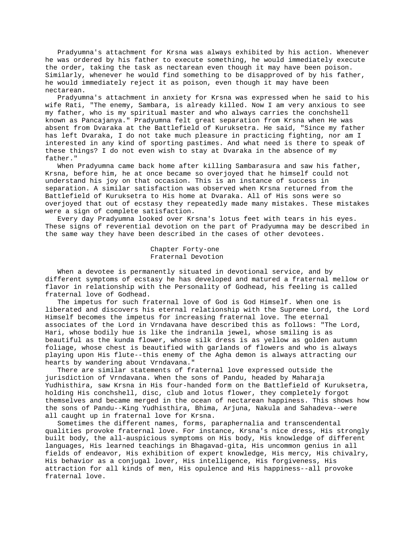Pradyumna's attachment for Krsna was always exhibited by his action. Whenever he was ordered by his father to execute something, he would immediately execute the order, taking the task as nectarean even though it may have been poison. Similarly, whenever he would find something to be disapproved of by his father, he would immediately reject it as poison, even though it may have been nectarean.

 Pradyumna's attachment in anxiety for Krsna was expressed when he said to his wife Rati, "The enemy, Sambara, is already killed. Now I am very anxious to see my father, who is my spiritual master and who always carries the conchshell known as Pancajanya." Pradyumna felt great separation from Krsna when He was absent from Dvaraka at the Battlefield of Kuruksetra. He said, "Since my father has left Dvaraka, I do not take much pleasure in practicing fighting, nor am I interested in any kind of sporting pastimes. And what need is there to speak of these things? I do not even wish to stay at Dvaraka in the absence of my father."

 When Pradyumna came back home after killing Sambarasura and saw his father, Krsna, before him, he at once became so overjoyed that he himself could not understand his joy on that occasion. This is an instance of success in separation. A similar satisfaction was observed when Krsna returned from the Battlefield of Kuruksetra to His home at Dvaraka. All of His sons were so overjoyed that out of ecstasy they repeatedly made many mistakes. These mistakes were a sign of complete satisfaction.

 Every day Pradyumna looked over Krsna's lotus feet with tears in his eyes. These signs of reverential devotion on the part of Pradyumna may be described in the same way they have been described in the cases of other devotees.

> Chapter Forty-one Fraternal Devotion

 When a devotee is permanently situated in devotional service, and by different symptoms of ecstasy he has developed and matured a fraternal mellow or flavor in relationship with the Personality of Godhead, his feeling is called fraternal love of Godhead.

 The impetus for such fraternal love of God is God Himself. When one is liberated and discovers his eternal relationship with the Supreme Lord, the Lord Himself becomes the impetus for increasing fraternal love. The eternal associates of the Lord in Vrndavana have described this as follows: "The Lord, Hari, whose bodily hue is like the indranila jewel, whose smiling is as beautiful as the kunda flower, whose silk dress is as yellow as golden autumn foliage, whose chest is beautified with garlands of flowers and who is always playing upon His flute--this enemy of the Agha demon is always attracting our hearts by wandering about Vrndavana."

 There are similar statements of fraternal love expressed outside the jurisdiction of Vrndavana. When the sons of Pandu, headed by Maharaja Yudhisthira, saw Krsna in His four-handed form on the Battlefield of Kuruksetra, holding His conchshell, disc, club and lotus flower, they completely forgot themselves and became merged in the ocean of nectarean happiness. This shows how the sons of Pandu--King Yudhisthira, Bhima, Arjuna, Nakula and Sahadeva--were all caught up in fraternal love for Krsna.

 Sometimes the different names, forms, paraphernalia and transcendental qualities provoke fraternal love. For instance, Krsna's nice dress, His strongly built body, the all-auspicious symptoms on His body, His knowledge of different languages, His learned teachings in Bhagavad-gita, His uncommon genius in all fields of endeavor, His exhibition of expert knowledge, His mercy, His chivalry, His behavior as a conjugal lover, His intelligence, His forgiveness, His attraction for all kinds of men, His opulence and His happiness--all provoke fraternal love.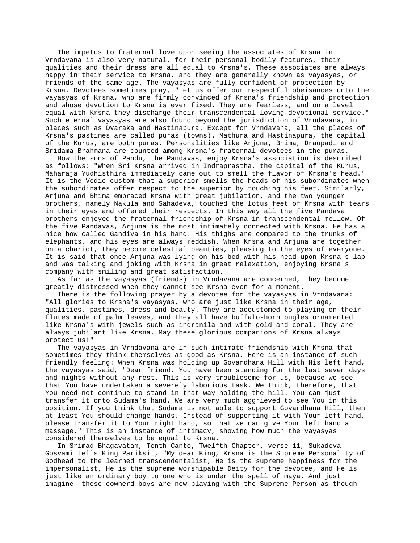The impetus to fraternal love upon seeing the associates of Krsna in Vrndavana is also very natural, for their personal bodily features, their qualities and their dress are all equal to Krsna's. These associates are always happy in their service to Krsna, and they are generally known as vayasyas, or friends of the same age. The vayasyas are fully confident of protection by Krsna. Devotees sometimes pray, "Let us offer our respectful obeisances unto the vayasyas of Krsna, who are firmly convinced of Krsna's friendship and protection and whose devotion to Krsna is ever fixed. They are fearless, and on a level equal with Krsna they discharge their transcendental loving devotional service." Such eternal vayasyas are also found beyond the jurisdiction of Vrndavana, in places such as Dvaraka and Hastinapura. Except for Vrndavana, all the places of Krsna's pastimes are called puras (towns). Mathura and Hastinapura, the capital of the Kurus, are both puras. Personalities like Arjuna, Bhima, Draupadi and Sridama Brahmana are counted among Krsna's fraternal devotees in the puras.

 How the sons of Pandu, the Pandavas, enjoy Krsna's association is described as follows: "When Sri Krsna arrived in Indraprastha, the capital of the Kurus, Maharaja Yudhisthira immediately came out to smell the flavor of Krsna's head." It is the Vedic custom that a superior smells the heads of his subordinates when the subordinates offer respect to the superior by touching his feet. Similarly, Arjuna and Bhima embraced Krsna with great jubilation, and the two younger brothers, namely Nakula and Sahadeva, touched the lotus feet of Krsna with tears in their eyes and offered their respects. In this way all the five Pandava brothers enjoyed the fraternal friendship of Krsna in transcendental mellow. Of the five Pandavas, Arjuna is the most intimately connected with Krsna. He has a nice bow called Gandiva in his hand. His thighs are compared to the trunks of elephants, and his eyes are always reddish. When Krsna and Arjuna are together on a chariot, they become celestial beauties, pleasing to the eyes of everyone. It is said that once Arjuna was lying on his bed with his head upon Krsna's lap and was talking and joking with Krsna in great relaxation, enjoying Krsna's company with smiling and great satisfaction.

 As far as the vayasyas (friends) in Vrndavana are concerned, they become greatly distressed when they cannot see Krsna even for a moment.

 There is the following prayer by a devotee for the vayasyas in Vrndavana: "All glories to Krsna's vayasyas, who are just like Krsna in their age, qualities, pastimes, dress and beauty. They are accustomed to playing on their flutes made of palm leaves, and they all have buffalo-horn bugles ornamented like Krsna's with jewels such as indranila and with gold and coral. They are always jubilant like Krsna. May these glorious companions of Krsna always protect us!"

 The vayasyas in Vrndavana are in such intimate friendship with Krsna that sometimes they think themselves as good as Krsna. Here is an instance of such friendly feeling: When Krsna was holding up Govardhana Hill with His left hand, the vayasyas said, "Dear friend, You have been standing for the last seven days and nights without any rest. This is very troublesome for us, because we see that You have undertaken a severely laborious task. We think, therefore, that You need not continue to stand in that way holding the hill. You can just transfer it onto Sudama's hand. We are very much aggrieved to see You in this position. If you think that Sudama is not able to support Govardhana Hill, then at least You should change hands. Instead of supporting it with Your left hand, please transfer it to Your right hand, so that we can give Your left hand a massage." This is an instance of intimacy, showing how much the vayasyas considered themselves to be equal to Krsna.

 In Srimad-Bhagavatam, Tenth Canto, Twelfth Chapter, verse 11, Sukadeva Gosvami tells King Pariksit, "My dear King, Krsna is the Supreme Personality of Godhead to the learned transcendentalist, He is the supreme happiness for the impersonalist, He is the supreme worshipable Deity for the devotee, and He is just like an ordinary boy to one who is under the spell of maya. And just imagine--these cowherd boys are now playing with the Supreme Person as though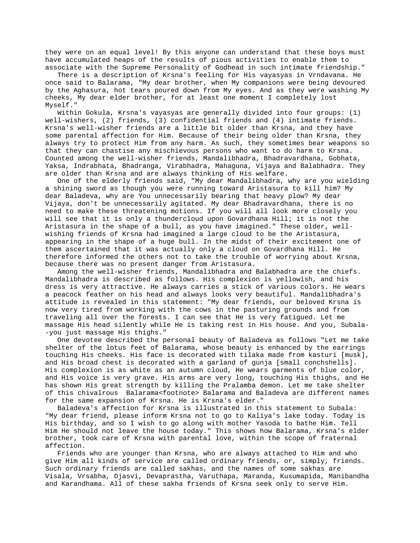they were on an equal level! By this anyone can understand that these boys must have accumulated heaps of the results of pious activities to enable them to associate with the Supreme Personality of Godhead in such intimate friendship."

 There is a description of Krsna's feeling for His vayasyas in Vrndavana. He once said to Balarama, "My dear brother, when My companions were being devoured by the Aghasura, hot tears poured down from My eyes. And as they were washing My cheeks, My dear elder brother, for at least one moment I completely lost Myself."

 Within Gokula, Krsna's vayasyas are generally divided into four groups: (1) well-wishers, (2) friends, (3) confidential friends and (4) intimate friends. Krsna's well-wisher friends are a little bit older than Krsna, and they have some parental affection for Him. Because of their being older than Krsna, they always try to protect Him from any harm. As such, they sometimes bear weapons so that they can chastise any mischievous persons who want to do harm to Krsna. Counted among the well-wisher friends, Mandalibhadra, Bhadravardhana, Gobhata, Yaksa, Indrabhata, Bhadranga, Virabhadra, Mahaguna, Vijaya and Balabhadra. They are older than Krsna and are always thinking of His welfare.

 One of the elderly friends said, "My dear Mandalibhadra, why are you wielding a shining sword as though you were running toward Aristasura to kill him? My dear Baladeva, why are You unnecessarily bearing that heavy plow? My dear Vijaya, don't be unnecessarily agitated. My dear Bhadravardhana, there is no need to make these threatening motions. If you will all look more closely you will see that it is only a thundercloud upon Govardhana Hill; it is not the Aristasura in the shape of a bull, as you have imagined." These older, wellwishing friends of Krsna had imagined a large cloud to be the Aristasura, appearing in the shape of a huge bull. In the midst of their excitement one of them ascertained that it was actually only a cloud on Govardhana Hill. He therefore informed the others not to take the trouble of worrying about Krsna, because there was no present danger from Aristasura.

 Among the well-wisher friends, Mandalibhadra and Balabhadra are the chiefs. Mandalibhadra is described as follows. His complexion is yellowish, and his dress is very attractive. He always carries a stick of various colors. He wears a peacock feather on his head and always looks very beautiful. Mandalibhadra's attitude is revealed in this statement: "My dear friends, our beloved Krsna is now very tired from working with the cows in the pasturing grounds and from traveling all over the forests. I can see that He is very fatigued. Let me massage His head silently while He is taking rest in His house. And you, Subala- -you just massage His thighs."

 One devotee described the personal beauty of Baladeva as follows "Let me take shelter of the lotus feet of Balarama, whose beauty is enhanced by the earrings touching His cheeks. His face is decorated with tilaka made from kasturi [musk], and His broad chest is decorated with a garland of gunja [small conchshells]. His complexion is as white as an autumn cloud, He wears garments of blue color, and His voice is very grave. His arms are very long, touching His thighs, and He has shown His great strength by killing the Pralamba demon. Let me take shelter of this chivalrous Balarama<footnote> Balarama and Baladeva are different names for the same expansion of Krsna. He is Krsna's elder."

 Baladeva's affection for Krsna is illustrated in this statement to Subala: "My dear friend, please inform Krsna not to go to Kaliya's lake today. Today is His birthday, and so I wish to go along with mother Yasoda to bathe Him. Tell Him He should not leave the house today." This shows how Balarama, Krsna's elder brother, took care of Krsna with parental love, within the scope of fraternal affection.

 Friends who are younger than Krsna, who are always attached to Him and who give Him all kinds of service are called ordinary friends, or, simply, friends. Such ordinary friends are called sakhas, and the names of some sakhas are Visala, Vrsabha, Ojasvi, Devaprastha, Varuthapa, Maranda, Kusumapida, Manibandha and Karandhama. All of these sakha friends of Krsna seek only to serve Him.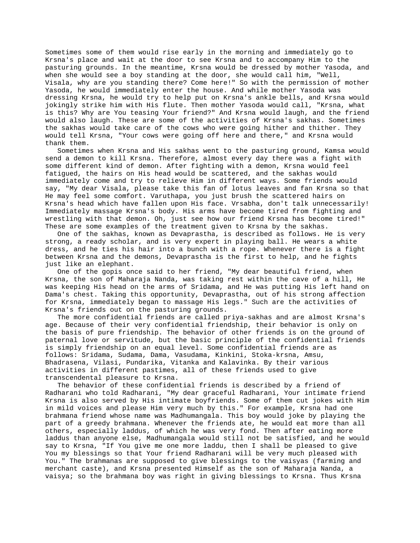Sometimes some of them would rise early in the morning and immediately go to Krsna's place and wait at the door to see Krsna and to accompany Him to the pasturing grounds. In the meantime, Krsna would be dressed by mother Yasoda, and when she would see a boy standing at the door, she would call him, "Well, Visala, why are you standing there? Come here!" So with the permission of mother Yasoda, he would immediately enter the house. And while mother Yasoda was dressing Krsna, he would try to help put on Krsna's ankle bells, and Krsna would jokingly strike him with His flute. Then mother Yasoda would call, "Krsna, what is this? Why are You teasing Your friend?" And Krsna would laugh, and the friend would also laugh. These are some of the activities of Krsna's sakhas. Sometimes the sakhas would take care of the cows who were going hither and thither. They would tell Krsna, "Your cows were going off here and there," and Krsna would thank them.

 Sometimes when Krsna and His sakhas went to the pasturing ground, Kamsa would send a demon to kill Krsna. Therefore, almost every day there was a fight with some different kind of demon. After fighting with a demon, Krsna would feel fatigued, the hairs on His head would be scattered, and the sakhas would immediately come and try to relieve Him in different ways. Some friends would say, "My dear Visala, please take this fan of lotus leaves and fan Krsna so that He may feel some comfort. Varuthapa, you just brush the scattered hairs on Krsna's head which have fallen upon His face. Vrsabha, don't talk unnecessarily! Immediately massage Krsna's body. His arms have become tired from fighting and wrestling with that demon. Oh, just see how our friend Krsna has become tired!" These are some examples of the treatment given to Krsna by the sakhas.

 One of the sakhas, known as Devaprastha, is described as follows. He is very strong, a ready scholar, and is very expert in playing ball. He wears a white dress, and he ties his hair into a bunch with a rope. Whenever there is a fight between Krsna and the demons, Devaprastha is the first to help, and he fights just like an elephant.

 One of the gopis once said to her friend, "My dear beautiful friend, when Krsna, the son of Maharaja Nanda, was taking rest within the cave of a hill, He was keeping His head on the arms of Sridama, and He was putting His left hand on Dama's chest. Taking this opportunity, Devaprastha, out of his strong affection for Krsna, immediately began to massage His legs." Such are the activities of Krsna's friends out on the pasturing grounds.

 The more confidential friends are called priya-sakhas and are almost Krsna's age. Because of their very confidential friendship, their behavior is only on the basis of pure friendship. The behavior of other friends is on the ground of paternal love or servitude, but the basic principle of the confidential friends is simply friendship on an equal level. Some confidential friends are as follows: Sridama, Sudama, Dama, Vasudama, Kinkini, Stoka-krsna, Amsu, Bhadrasena, Vilasi, Pundarika, Vitanka and Kalavinka. By their various activities in different pastimes, all of these friends used to give transcendental pleasure to Krsna.

 The behavior of these confidential friends is described by a friend of Radharani who told Radharani, "My dear graceful Radharani, Your intimate friend Krsna is also served by His intimate boyfriends. Some of them cut jokes with Him in mild voices and please Him very much by this." For example, Krsna had one brahmana friend whose name was Madhumangala. This boy would joke by playing the part of a greedy brahmana. Whenever the friends ate, he would eat more than all others, especially laddus, of which he was very fond. Then after eating more laddus than anyone else, Madhumangala would still not be satisfied, and he would say to Krsna, "If You give me one more laddu, then I shall be pleased to give You my blessings so that Your friend Radharani will be very much pleased with You." The brahmanas are supposed to give blessings to the vaisyas (farming and merchant caste), and Krsna presented Himself as the son of Maharaja Nanda, a vaisya; so the brahmana boy was right in giving blessings to Krsna. Thus Krsna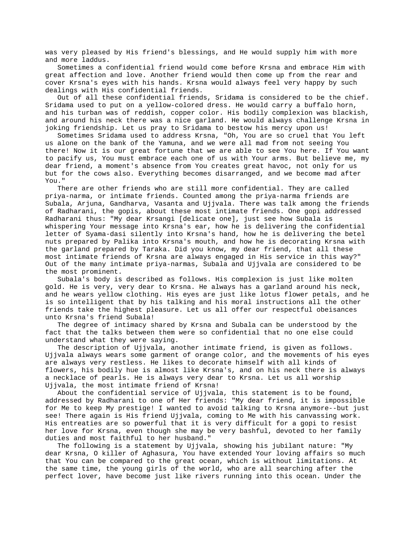was very pleased by His friend's blessings, and He would supply him with more and more laddus.

 Sometimes a confidential friend would come before Krsna and embrace Him with great affection and love. Another friend would then come up from the rear and cover Krsna's eyes with his hands. Krsna would always feel very happy by such dealings with His confidential friends.

 Out of all these confidential friends, Sridama is considered to be the chief. Sridama used to put on a yellow-colored dress. He would carry a buffalo horn, and his turban was of reddish, copper color. His bodily complexion was blackish, and around his neck there was a nice garland. He would always challenge Krsna in joking friendship. Let us pray to Sridama to bestow his mercy upon us!

 Sometimes Sridama used to address Krsna, "Oh, You are so cruel that You left us alone on the bank of the Yamuna, and we were all mad from not seeing You there! Now it is our great fortune that we are able to see You here. If You want to pacify us, You must embrace each one of us with Your arms. But believe me, my dear friend, a moment's absence from You creates great havoc, not only for us but for the cows also. Everything becomes disarranged, and we become mad after You."

 There are other friends who are still more confidential. They are called priya-narma, or intimate friends. Counted among the priya-narma friends are Subala, Arjuna, Gandharva, Vasanta and Ujjvala. There was talk among the friends of Radharani, the gopis, about these most intimate friends. One gopi addressed Radharani thus: "My dear Krsangi [delicate one], just see how Subala is whispering Your message into Krsna's ear, how he is delivering the confidential letter of Syama-dasi silently into Krsna's hand, how he is delivering the betel nuts prepared by Palika into Krsna's mouth, and how he is decorating Krsna with the garland prepared by Taraka. Did you know, my dear friend, that all these most intimate friends of Krsna are always engaged in His service in this way?" Out of the many intimate priya-narmas, Subala and Ujjvala are considered to be the most prominent.

 Subala's body is described as follows. His complexion is just like molten gold. He is very, very dear to Krsna. He always has a garland around his neck, and he wears yellow clothing. His eyes are just like lotus flower petals, and he is so intelligent that by his talking and his moral instructions all the other friends take the highest pleasure. Let us all offer our respectful obeisances unto Krsna's friend Subala!

 The degree of intimacy shared by Krsna and Subala can be understood by the fact that the talks between them were so confidential that no one else could understand what they were saying.

 The description of Ujjvala, another intimate friend, is given as follows. Ujjvala always wears some garment of orange color, and the movements of his eyes are always very restless. He likes to decorate himself with all kinds of flowers, his bodily hue is almost like Krsna's, and on his neck there is always a necklace of pearls. He is always very dear to Krsna. Let us all worship Ujjvala, the most intimate friend of Krsna!

 About the confidential service of Ujjvala, this statement is to be found, addressed by Radharani to one of Her friends: "My dear friend, it is impossible for Me to keep My prestige! I wanted to avoid talking to Krsna anymore--but just see! There again is His friend Ujjvala, coming to Me with his canvassing work. His entreaties are so powerful that it is very difficult for a gopi to resist her love for Krsna, even though she may be very bashful, devoted to her family duties and most faithful to her husband."

 The following is a statement by Ujjvala, showing his jubilant nature: "My dear Krsna, O killer of Aghasura, You have extended Your loving affairs so much that You can be compared to the great ocean, which is without limitations. At the same time, the young girls of the world, who are all searching after the perfect lover, have become just like rivers running into this ocean. Under the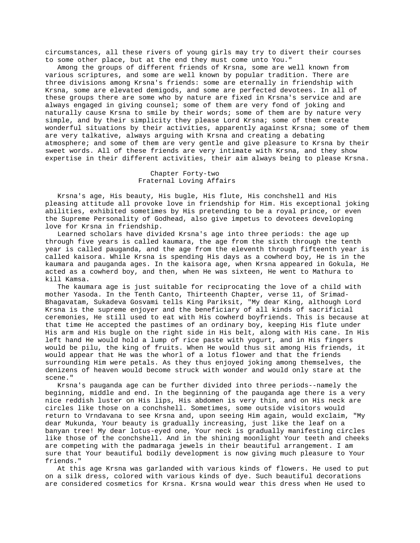circumstances, all these rivers of young girls may try to divert their courses to some other place, but at the end they must come unto You."

 Among the groups of different friends of Krsna, some are well known from various scriptures, and some are well known by popular tradition. There are three divisions among Krsna's friends: some are eternally in friendship with Krsna, some are elevated demigods, and some are perfected devotees. In all of these groups there are some who by nature are fixed in Krsna's service and are always engaged in giving counsel; some of them are very fond of joking and naturally cause Krsna to smile by their words; some of them are by nature very simple, and by their simplicity they please Lord Krsna; some of them create wonderful situations by their activities, apparently against Krsna; some of them are very talkative, always arguing with Krsna and creating a debating atmosphere; and some of them are very gentle and give pleasure to Krsna by their sweet words. All of these friends are very intimate with Krsna, and they show expertise in their different activities, their aim always being to please Krsna.

# Chapter Forty-two Fraternal Loving Affairs

 Krsna's age, His beauty, His bugle, His flute, His conchshell and His pleasing attitude all provoke love in friendship for Him. His exceptional joking abilities, exhibited sometimes by His pretending to be a royal prince, or even the Supreme Personality of Godhead, also give impetus to devotees developing love for Krsna in friendship.

 Learned scholars have divided Krsna's age into three periods: the age up through five years is called kaumara, the age from the sixth through the tenth year is called pauganda, and the age from the eleventh through fifteenth year is called kaisora. While Krsna is spending His days as a cowherd boy, He is in the kaumara and pauganda ages. In the kaisora age, when Krsna appeared in Gokula, He acted as a cowherd boy, and then, when He was sixteen, He went to Mathura to kill Kamsa.

 The kaumara age is just suitable for reciprocating the love of a child with mother Yasoda. In the Tenth Canto, Thirteenth Chapter, verse 11, of Srimad-Bhagavatam, Sukadeva Gosvami tells King Pariksit, "My dear King, although Lord Krsna is the supreme enjoyer and the beneficiary of all kinds of sacrificial ceremonies, He still used to eat with His cowherd boyfriends. This is because at that time He accepted the pastimes of an ordinary boy, keeping His flute under His arm and His bugle on the right side in His belt, along with His cane. In His left hand He would hold a lump of rice paste with yogurt, and in His fingers would be pilu, the king of fruits. When He would thus sit among His friends, it would appear that He was the whorl of a lotus flower and that the friends surrounding Him were petals. As they thus enjoyed joking among themselves, the denizens of heaven would become struck with wonder and would only stare at the scene."

 Krsna's pauganda age can be further divided into three periods--namely the beginning, middle and end. In the beginning of the pauganda age there is a very nice reddish luster on His lips, His abdomen is very thin, and on His neck are circles like those on a conchshell. Sometimes, some outside visitors would return to Vrndavana to see Krsna and, upon seeing Him again, would exclaim, "My dear Mukunda, Your beauty is gradually increasing, just like the leaf on a banyan tree! My dear lotus-eyed one, Your neck is gradually manifesting circles like those of the conchshell. And in the shining moonlight Your teeth and cheeks are competing with the padmaraga jewels in their beautiful arrangement. I am sure that Your beautiful bodily development is now giving much pleasure to Your friends."

 At this age Krsna was garlanded with various kinds of flowers. He used to put on a silk dress, colored with various kinds of dye. Such beautiful decorations are considered cosmetics for Krsna. Krsna would wear this dress when He used to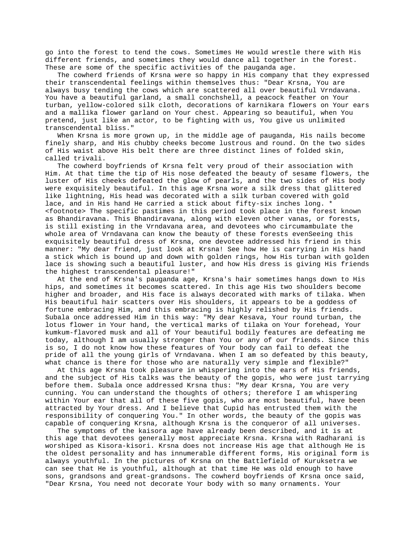go into the forest to tend the cows. Sometimes He would wrestle there with His different friends, and sometimes they would dance all together in the forest. These are some of the specific activities of the pauganda age.

 The cowherd friends of Krsna were so happy in His company that they expressed their transcendental feelings within themselves thus: "Dear Krsna, You are always busy tending the cows which are scattered all over beautiful Vrndavana. You have a beautiful garland, a small conchshell, a peacock feather on Your turban, yellow-colored silk cloth, decorations of karnikara flowers on Your ears and a mallika flower garland on Your chest. Appearing so beautiful, when You pretend, just like an actor, to be fighting with us, You give us unlimited transcendental bliss."

 When Krsna is more grown up, in the middle age of pauganda, His nails become finely sharp, and His chubby cheeks become lustrous and round. On the two sides of His waist above His belt there are three distinct lines of folded skin, called trivali.

 The cowherd boyfriends of Krsna felt very proud of their association with Him. At that time the tip of His nose defeated the beauty of sesame flowers, the luster of His cheeks defeated the glow of pearls, and the two sides of His body were exquisitely beautiful. In this age Krsna wore a silk dress that glittered like lightning, His head was decorated with a silk turban covered with gold lace, and in His hand He carried a stick about fifty-six inches long. \* <footnote> The specific pastimes in this period took place in the forest known as Bhandiravana. This Bhandiravana, along with eleven other vanas, or forests, is still existing in the Vrndavana area, and devotees who circumambulate the whole area of Vrndavana can know the beauty of these forests evenSeeing this exquisitely beautiful dress of Krsna, one devotee addressed his friend in this manner: "My dear friend, just look at Krsna! See how He is carrying in His hand a stick which is bound up and down with golden rings, how His turban with golden lace is showing such a beautiful luster, and how His dress is giving His friends the highest transcendental pleasure!"

 At the end of Krsna's pauganda age, Krsna's hair sometimes hangs down to His hips, and sometimes it becomes scattered. In this age His two shoulders become higher and broader, and His face is always decorated with marks of tilaka. When His beautiful hair scatters over His shoulders, it appears to be a goddess of fortune embracing Him, and this embracing is highly relished by His friends. Subala once addressed Him in this way: "My dear Kesava, Your round turban, the lotus flower in Your hand, the vertical marks of tilaka on Your forehead, Your kumkum-flavored musk and all of Your beautiful bodily features are defeating me today, although I am usually stronger than You or any of our friends. Since this is so, I do not know how these features of Your body can fail to defeat the pride of all the young girls of Vrndavana. When I am so defeated by this beauty, what chance is there for those who are naturally very simple and flexible?"

 At this age Krsna took pleasure in whispering into the ears of His friends, and the subject of His talks was the beauty of the gopis, who were just tarrying before them. Subala once addressed Krsna thus: "My dear Krsna, You are very cunning. You can understand the thoughts of others; therefore I am whispering within Your ear that all of these five gopis, who are most beautiful, have been attracted by Your dress. And I believe that Cupid has entrusted them with the responsibility of conquering You." In other words, the beauty of the gopis was capable of conquering Krsna, although Krsna is the conqueror of all universes.

 The symptoms of the kaisora age have already been described, and it is at this age that devotees generally most appreciate Krsna. Krsna with Radharani is worshiped as Kisora-kisori. Krsna does not increase His age that although He is the oldest personality and has innumerable different forms, His original form is always youthful. In the pictures of Krsna on the Battlefield of Kuruksetra we can see that He is youthful, although at that time He was old enough to have sons, grandsons and great-grandsons. The cowherd boyfriends of Krsna once said, "Dear Krsna, You need not decorate Your body with so many ornaments. Your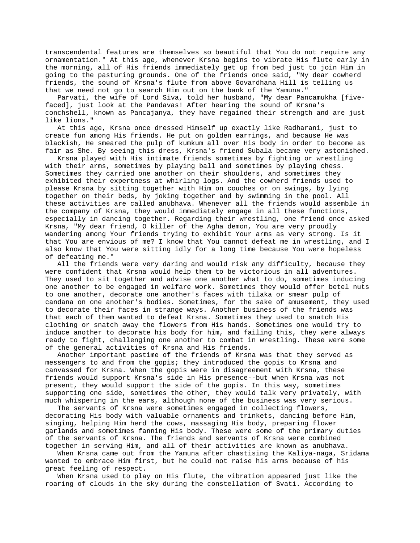transcendental features are themselves so beautiful that You do not require any ornamentation." At this age, whenever Krsna begins to vibrate His flute early in the morning, all of His friends immediately get up from bed just to join Him in going to the pasturing grounds. One of the friends once said, "My dear cowherd friends, the sound of Krsna's flute from above Govardhana Hill is telling us that we need not go to search Him out on the bank of the Yamuna."

 Parvati, the wife of Lord Siva, told her husband, "My dear Pancamukha [fivefaced], just look at the Pandavas! After hearing the sound of Krsna's conchshell, known as Pancajanya, they have regained their strength and are just like lions."

 At this age, Krsna once dressed Himself up exactly like Radharani, just to create fun among His friends. He put on golden earrings, and because He was blackish, He smeared the pulp of kumkum all over His body in order to become as fair as She. By seeing this dress, Krsna's friend Subala became very astonished.

 Krsna played with His intimate friends sometimes by fighting or wrestling with their arms, sometimes by playing ball and sometimes by playing chess. Sometimes they carried one another on their shoulders, and sometimes they exhibited their expertness at whirling logs. And the cowherd friends used to please Krsna by sitting together with Him on couches or on swings, by lying together on their beds, by joking together and by swimming in the pool. All these activities are called anubhava. Whenever all the friends would assemble in the company of Krsna, they would immediately engage in all these functions, especially in dancing together. Regarding their wrestling, one friend once asked Krsna, "My dear friend, O killer of the Agha demon, You are very proudly wandering among Your friends trying to exhibit Your arms as very strong. Is it that You are envious of me? I know that You cannot defeat me in wrestling, and I also know that You were sitting idly for a long time because You were hopeless of defeating me."

 All the friends were very daring and would risk any difficulty, because they were confident that Krsna would help them to be victorious in all adventures. They used to sit together and advise one another what to do, sometimes inducing one another to be engaged in welfare work. Sometimes they would offer betel nuts to one another, decorate one another's faces with tilaka or smear pulp of candana on one another's bodies. Sometimes, for the sake of amusement, they used to decorate their faces in strange ways. Another business of the friends was that each of them wanted to defeat Krsna. Sometimes they used to snatch His clothing or snatch away the flowers from His hands. Sometimes one would try to induce another to decorate his body for him, and failing this, they were always ready to fight, challenging one another to combat in wrestling. These were some of the general activities of Krsna and His friends.

 Another important pastime of the friends of Krsna was that they served as messengers to and from the gopis; they introduced the gopis to Krsna and canvassed for Krsna. When the gopis were in disagreement with Krsna, these friends would support Krsna's side in His presence--but when Krsna was not present, they would support the side of the gopis. In this way, sometimes supporting one side, sometimes the other, they would talk very privately, with much whispering in the ears, although none of the business was very serious.

 The servants of Krsna were sometimes engaged in collecting flowers, decorating His body with valuable ornaments and trinkets, dancing before Him, singing, helping Him herd the cows, massaging His body, preparing flower garlands and sometimes fanning His body. These were some of the primary duties of the servants of Krsna. The friends and servants of Krsna were combined together in serving Him, and all of their activities are known as anubhava.

 When Krsna came out from the Yamuna after chastising the Kaliya-naga, Sridama wanted to embrace Him first, but he could not raise his arms because of his great feeling of respect.

 When Krsna used to play on His flute, the vibration appeared just like the roaring of clouds in the sky during the constellation of Svati. According to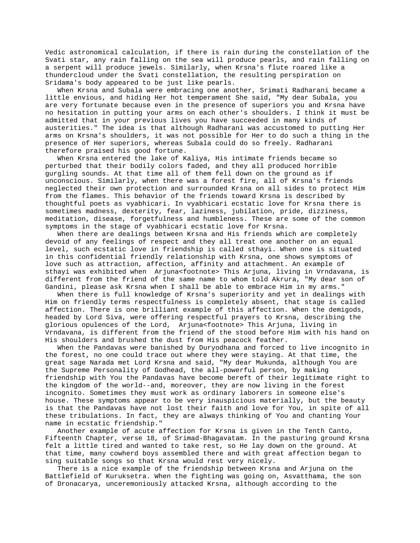Vedic astronomical calculation, if there is rain during the constellation of the Svati star, any rain falling on the sea will produce pearls, and rain falling on a serpent will produce jewels. Similarly, when Krsna's flute roared like a thundercloud under the Svati constellation, the resulting perspiration on Sridama's body appeared to be just like pearls.

 When Krsna and Subala were embracing one another, Srimati Radharani became a little envious, and hiding Her hot temperament She said, "My dear Subala, you are very fortunate because even in the presence of superiors you and Krsna have no hesitation in putting your arms on each other's shoulders. I think it must be admitted that in your previous lives you have succeeded in many kinds of austerities." The idea is that although Radharani was accustomed to putting Her arms on Krsna's shoulders, it was not possible for Her to do such a thing in the presence of Her superiors, whereas Subala could do so freely. Radharani therefore praised his good fortune.

 When Krsna entered the lake of Kaliya, His intimate friends became so perturbed that their bodily colors faded, and they all produced horrible gurgling sounds. At that time all of them fell down on the ground as if unconscious. Similarly, when there was a forest fire, all of Krsna's friends neglected their own protection and surrounded Krsna on all sides to protect Him from the flames. This behavior of the friends toward Krsna is described by thoughtful poets as vyabhicari. In vyabhicari ecstatic love for Krsna there is sometimes madness, dexterity, fear, laziness, jubilation, pride, dizziness, meditation, disease, forgetfulness and humbleness. These are some of the common symptoms in the stage of vyabhicari ecstatic love for Krsna.

 When there are dealings between Krsna and His friends which are completely devoid of any feelings of respect and they all treat one another on an equal level, such ecstatic love in friendship is called sthayi. When one is situated in this confidential friendly relationship with Krsna, one shows symptoms of love such as attraction, affection, affinity and attachment. An example of sthayi was exhibited when Arjuna<footnote> This Arjuna, living in Vrndavana, is different from the friend of the same name to whom told Akrura, "My dear son of Gandini, please ask Krsna when I shall be able to embrace Him in my arms."

 When there is full knowledge of Krsna's superiority and yet in dealings with Him on friendly terms respectfulness is completely absent, that stage is called affection. There is one brilliant example of this affection. When the demigods, headed by Lord Siva, were offering respectful prayers to Krsna, describing the glorious opulences of the Lord, Arjuna<footnote> This Arjuna, living in Vrndavana, is different from the friend of the stood before Him with his hand on His shoulders and brushed the dust from His peacock feather.

 When the Pandavas were banished by Duryodhana and forced to live incognito in the forest, no one could trace out where they were staying. At that time, the great sage Narada met Lord Krsna and said, "My dear Mukunda, although You are the Supreme Personality of Godhead, the all-powerful person, by making friendship with You the Pandavas have become bereft of their legitimate right to the kingdom of the world--and, moreover, they are now living in the forest incognito. Sometimes they must work as ordinary laborers in someone else's house. These symptoms appear to be very inauspicious materially, but the beauty is that the Pandavas have not lost their faith and love for You, in spite of all these tribulations. In fact, they are always thinking of You and chanting Your name in ecstatic friendship."

 Another example of acute affection for Krsna is given in the Tenth Canto, Fifteenth Chapter, verse 18, of Srimad-Bhagavatam. In the pasturing ground Krsna felt a little tired and wanted to take rest, so He lay down on the ground. At that time, many cowherd boys assembled there and with great affection began to sing suitable songs so that Krsna would rest very nicely.

 There is a nice example of the friendship between Krsna and Arjuna on the Battlefield of Kuruksetra. When the fighting was going on, Asvatthama, the son of Dronacarya, unceremoniously attacked Krsna, although according to the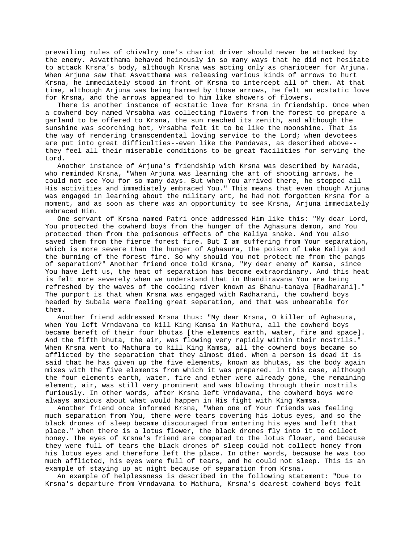prevailing rules of chivalry one's chariot driver should never be attacked by the enemy. Asvatthama behaved heinously in so many ways that he did not hesitate to attack Krsna's body, although Krsna was acting only as charioteer for Arjuna. When Arjuna saw that Asvatthama was releasing various kinds of arrows to hurt Krsna, he immediately stood in front of Krsna to intercept all of them. At that time, although Arjuna was being harmed by those arrows, he felt an ecstatic love for Krsna, and the arrows appeared to him like showers of flowers.

 There is another instance of ecstatic love for Krsna in friendship. Once when a cowherd boy named Vrsabha was collecting flowers from the forest to prepare a garland to be offered to Krsna, the sun reached its zenith, and although the sunshine was scorching hot, Vrsabha felt it to be like the moonshine. That is the way of rendering transcendental loving service to the Lord; when devotees are put into great difficulties--even like the Pandavas, as described above- they feel all their miserable conditions to be great facilities for serving the Lord.

 Another instance of Arjuna's friendship with Krsna was described by Narada, who reminded Krsna, "When Arjuna was learning the art of shooting arrows, he could not see You for so many days. But when You arrived there, he stopped all His activities and immediately embraced You." This means that even though Arjuna was engaged in learning about the military art, he had not forgotten Krsna for a moment, and as soon as there was an opportunity to see Krsna, Arjuna immediately embraced Him.

 One servant of Krsna named Patri once addressed Him like this: "My dear Lord, You protected the cowherd boys from the hunger of the Aghasura demon, and You protected them from the poisonous effects of the Kaliya snake. And You also saved them from the fierce forest fire. But I am suffering from Your separation, which is more severe than the hunger of Aghasura, the poison of Lake Kaliya and the burning of the forest fire. So why should You not protect me from the pangs of separation?" Another friend once told Krsna, "My dear enemy of Kamsa, since You have left us, the heat of separation has become extraordinary. And this heat is felt more severely when we understand that in Bhandiravana You are being refreshed by the waves of the cooling river known as Bhanu-tanaya [Radharani]." The purport is that when Krsna was engaged with Radharani, the cowherd boys headed by Subala were feeling great separation, and that was unbearable for them.

 Another friend addressed Krsna thus: "My dear Krsna, O killer of Aghasura, when You left Vrndavana to kill King Kamsa in Mathura, all the cowherd boys became bereft of their four bhutas [the elements earth, water, fire and space]. And the fifth bhuta, the air, was flowing very rapidly within their nostrils." When Krsna went to Mathura to kill King Kamsa, all the cowherd boys became so afflicted by the separation that they almost died. When a person is dead it is said that he has given up the five elements, known as bhutas, as the body again mixes with the five elements from which it was prepared. In this case, although the four elements earth, water, fire and ether were already gone, the remaining element, air, was still very prominent and was blowing through their nostrils furiously. In other words, after Krsna left Vrndavana, the cowherd boys were always anxious about what would happen in His fight with King Kamsa.

 Another friend once informed Krsna, "When one of Your friends was feeling much separation from You, there were tears covering his lotus eyes, and so the black drones of sleep became discouraged from entering his eyes and left that place." When there is a lotus flower, the black drones fly into it to collect honey. The eyes of Krsna's friend are compared to the lotus flower, and because they were full of tears the black drones of sleep could not collect honey from his lotus eyes and therefore left the place. In other words, because he was too much afflicted, his eyes were full of tears, and he could not sleep. This is an example of staying up at night because of separation from Krsna.

 An example of helplessness is described in the following statement: "Due to Krsna's departure from Vrndavana to Mathura, Krsna's dearest cowherd boys felt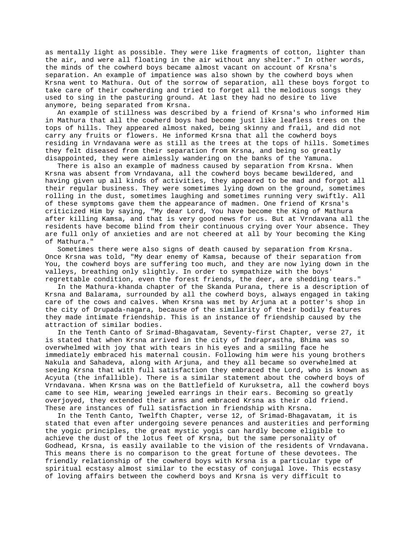as mentally light as possible. They were like fragments of cotton, lighter than the air, and were all floating in the air without any shelter." In other words, the minds of the cowherd boys became almost vacant on account of Krsna's separation. An example of impatience was also shown by the cowherd boys when Krsna went to Mathura. Out of the sorrow of separation, all these boys forgot to take care of their cowherding and tried to forget all the melodious songs they used to sing in the pasturing ground. At last they had no desire to live anymore, being separated from Krsna.

 An example of stillness was described by a friend of Krsna's who informed Him in Mathura that all the cowherd boys had become just like leafless trees on the tops of hills. They appeared almost naked, being skinny and frail, and did not carry any fruits or flowers. He informed Krsna that all the cowherd boys residing in Vrndavana were as still as the trees at the tops of hills. Sometimes they felt diseased from their separation from Krsna, and being so greatly disappointed, they were aimlessly wandering on the banks of the Yamuna.

 There is also an example of madness caused by separation from Krsna. When Krsna was absent from Vrndavana, all the cowherd boys became bewildered, and having given up all kinds of activities, they appeared to be mad and forgot all their regular business. They were sometimes lying down on the ground, sometimes rolling in the dust, sometimes laughing and sometimes running very swiftly. All of these symptoms gave them the appearance of madmen. One friend of Krsna's criticized Him by saying, "My dear Lord, You have become the King of Mathura after killing Kamsa, and that is very good news for us. But at Vrndavana all the residents have become blind from their continuous crying over Your absence. They are full only of anxieties and are not cheered at all by Your becoming the King of Mathura."

 Sometimes there were also signs of death caused by separation from Krsna. Once Krsna was told, "My dear enemy of Kamsa, because of their separation from You, the cowherd boys are suffering too much, and they are now lying down in the valleys, breathing only slightly. In order to sympathize with the boys' regrettable condition, even the forest friends, the deer, are shedding tears."

 In the Mathura-khanda chapter of the Skanda Purana, there is a description of Krsna and Balarama, surrounded by all the cowherd boys, always engaged in taking care of the cows and calves. When Krsna was met by Arjuna at a potter's shop in the city of Drupada-nagara, because of the similarity of their bodily features they made intimate friendship. This is an instance of friendship caused by the attraction of similar bodies.

 In the Tenth Canto of Srimad-Bhagavatam, Seventy-first Chapter, verse 27, it is stated that when Krsna arrived in the city of Indraprastha, Bhima was so overwhelmed with joy that with tears in his eyes and a smiling face he immediately embraced his maternal cousin. Following him were his young brothers Nakula and Sahadeva, along with Arjuna, and they all became so overwhelmed at seeing Krsna that with full satisfaction they embraced the Lord, who is known as Acyuta (the infallible). There is a similar statement about the cowherd boys of Vrndavana. When Krsna was on the Battlefield of Kuruksetra, all the cowherd boys came to see Him, wearing jeweled earrings in their ears. Becoming so greatly overjoyed, they extended their arms and embraced Krsna as their old friend. These are instances of full satisfaction in friendship with Krsna.

 In the Tenth Canto, Twelfth Chapter, verse 12, of Srimad-Bhagavatam, it is stated that even after undergoing severe penances and austerities and performing the yogic principles, the great mystic yogis can hardly become eligible to achieve the dust of the lotus feet of Krsna, but the same personality of Godhead, Krsna, is easily available to the vision of the residents of Vrndavana. This means there is no comparison to the great fortune of these devotees. The friendly relationship of the cowherd boys with Krsna is a particular type of spiritual ecstasy almost similar to the ecstasy of conjugal love. This ecstasy of loving affairs between the cowherd boys and Krsna is very difficult to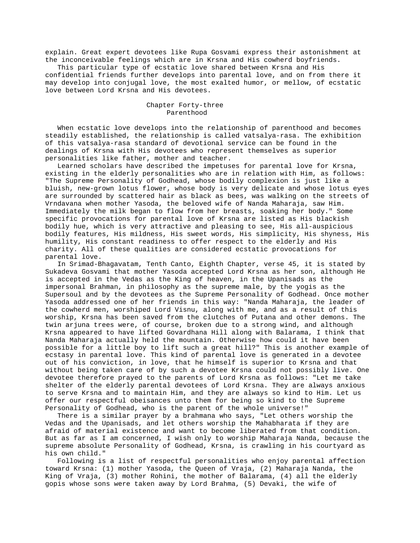explain. Great expert devotees like Rupa Gosvami express their astonishment at the inconceivable feelings which are in Krsna and His cowherd boyfriends.

 This particular type of ecstatic love shared between Krsna and His confidential friends further develops into parental love, and on from there it may develop into conjugal love, the most exalted humor, or mellow, of ecstatic love between Lord Krsna and His devotees.

# Chapter Forty-three Parenthood

 When ecstatic love develops into the relationship of parenthood and becomes steadily established, the relationship is called vatsalya-rasa. The exhibition of this vatsalya-rasa standard of devotional service can be found in the dealings of Krsna with His devotees who represent themselves as superior personalities like father, mother and teacher.

 Learned scholars have described the impetuses for parental love for Krsna, existing in the elderly personalities who are in relation with Him, as follows: "The Supreme Personality of Godhead, whose bodily complexion is just like a bluish, new-grown lotus flower, whose body is very delicate and whose lotus eyes are surrounded by scattered hair as black as bees, was walking on the streets of Vrndavana when mother Yasoda, the beloved wife of Nanda Maharaja, saw Him. Immediately the milk began to flow from her breasts, soaking her body." Some specific provocations for parental love of Krsna are listed as His blackish bodily hue, which is very attractive and pleasing to see, His all-auspicious bodily features, His mildness, His sweet words, His simplicity, His shyness, His humility, His constant readiness to offer respect to the elderly and His charity. All of these qualities are considered ecstatic provocations for parental love.

 In Srimad-Bhagavatam, Tenth Canto, Eighth Chapter, verse 45, it is stated by Sukadeva Gosvami that mother Yasoda accepted Lord Krsna as her son, although He is accepted in the Vedas as the King of heaven, in the Upanisads as the impersonal Brahman, in philosophy as the supreme male, by the yogis as the Supersoul and by the devotees as the Supreme Personality of Godhead. Once mother Yasoda addressed one of her friends in this way: "Nanda Maharaja, the leader of the cowherd men, worshiped Lord Visnu, along with me, and as a result of this worship, Krsna has been saved from the clutches of Putana and other demons. The twin arjuna trees were, of course, broken due to a strong wind, and although Krsna appeared to have lifted Govardhana Hill along with Balarama, I think that Nanda Maharaja actually held the mountain. Otherwise how could it have been possible for a little boy to lift such a great hill?" This is another example of ecstasy in parental love. This kind of parental love is generated in a devotee out of his conviction, in love, that he himself is superior to Krsna and that without being taken care of by such a devotee Krsna could not possibly live. One devotee therefore prayed to the parents of Lord Krsna as follows: "Let me take shelter of the elderly parental devotees of Lord Krsna. They are always anxious to serve Krsna and to maintain Him, and they are always so kind to Him. Let us offer our respectful obeisances unto them for being so kind to the Supreme Personality of Godhead, who is the parent of the whole universe!"

 There is a similar prayer by a brahmana who says, "Let others worship the Vedas and the Upanisads, and let others worship the Mahabharata if they are afraid of material existence and want to become liberated from that condition. But as far as I am concerned, I wish only to worship Maharaja Nanda, because the supreme absolute Personality of Godhead, Krsna, is crawling in his courtyard as his own child."

 Following is a list of respectful personalities who enjoy parental affection toward Krsna: (1) mother Yasoda, the Queen of Vraja, (2) Maharaja Nanda, the King of Vraja, (3) mother Rohini, the mother of Balarama, (4) all the elderly gopis whose sons were taken away by Lord Brahma, (5) Devaki, the wife of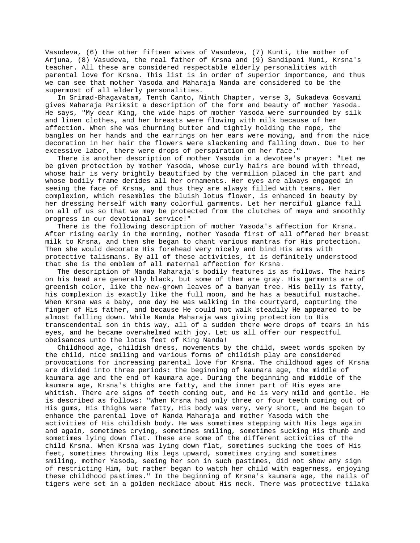Vasudeva, (6) the other fifteen wives of Vasudeva, (7) Kunti, the mother of Arjuna, (8) Vasudeva, the real father of Krsna and (9) Sandipani Muni, Krsna's teacher. All these are considered respectable elderly personalities with parental love for Krsna. This list is in order of superior importance, and thus we can see that mother Yasoda and Maharaja Nanda are considered to be the supermost of all elderly personalities.

 In Srimad-Bhagavatam, Tenth Canto, Ninth Chapter, verse 3, Sukadeva Gosvami gives Maharaja Pariksit a description of the form and beauty of mother Yasoda. He says, "My dear King, the wide hips of mother Yasoda were surrounded by silk and linen clothes, and her breasts were flowing with milk because of her affection. When she was churning butter and tightly holding the rope, the bangles on her hands and the earrings on her ears were moving, and from the nice decoration in her hair the flowers were slackening and falling down. Due to her excessive labor, there were drops of perspiration on her face."

 There is another description of mother Yasoda in a devotee's prayer: "Let me be given protection by mother Yasoda, whose curly hairs are bound with thread, whose hair is very brightly beautified by the vermilion placed in the part and whose bodily frame derides all her ornaments. Her eyes are always engaged in seeing the face of Krsna, and thus they are always filled with tears. Her complexion, which resembles the bluish lotus flower, is enhanced in beauty by her dressing herself with many colorful garments. Let her merciful glance fall on all of us so that we may be protected from the clutches of maya and smoothly progress in our devotional service!"

 There is the following description of mother Yasoda's affection for Krsna. After rising early in the morning, mother Yasoda first of all offered her breast milk to Krsna, and then she began to chant various mantras for His protection. Then she would decorate His forehead very nicely and bind His arms with protective talismans. By all of these activities, it is definitely understood that she is the emblem of all maternal affection for Krsna.

 The description of Nanda Maharaja's bodily features is as follows. The hairs on his head are generally black, but some of them are gray. His garments are of greenish color, like the new-grown leaves of a banyan tree. His belly is fatty, his complexion is exactly like the full moon, and he has a beautiful mustache. When Krsna was a baby, one day He was walking in the courtyard, capturing the finger of His father, and because He could not walk steadily He appeared to be almost falling down. While Nanda Maharaja was giving protection to His transcendental son in this way, all of a sudden there were drops of tears in his eyes, and he became overwhelmed with joy. Let us all offer our respectful obeisances unto the lotus feet of King Nanda!

 Childhood age, childish dress, movements by the child, sweet words spoken by the child, nice smiling and various forms of childish play are considered provocations for increasing parental love for Krsna. The childhood ages of Krsna are divided into three periods: the beginning of kaumara age, the middle of kaumara age and the end of kaumara age. During the beginning and middle of the kaumara age, Krsna's thighs are fatty, and the inner part of His eyes are whitish. There are signs of teeth coming out, and He is very mild and gentle. He is described as follows: "When Krsna had only three or four teeth coming out of His gums, His thighs were fatty, His body was very, very short, and He began to enhance the parental love of Nanda Maharaja and mother Yasoda with the activities of His childish body. He was sometimes stepping with His legs again and again, sometimes crying, sometimes smiling, sometimes sucking His thumb and sometimes lying down flat. These are some of the different activities of the child Krsna. When Krsna was lying down flat, sometimes sucking the toes of His feet, sometimes throwing His legs upward, sometimes crying and sometimes smiling, mother Yasoda, seeing her son in such pastimes, did not show any sign of restricting Him, but rather began to watch her child with eagerness, enjoying these childhood pastimes." In the beginning of Krsna's kaumara age, the nails of tigers were set in a golden necklace about His neck. There was protective tilaka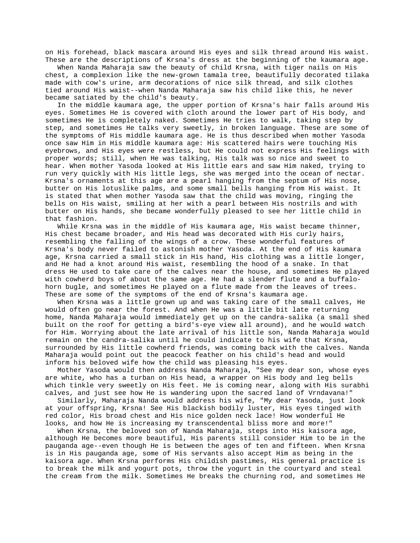on His forehead, black mascara around His eyes and silk thread around His waist. These are the descriptions of Krsna's dress at the beginning of the kaumara age.

 When Nanda Maharaja saw the beauty of child Krsna, with tiger nails on His chest, a complexion like the new-grown tamala tree, beautifully decorated tilaka made with cow's urine, arm decorations of nice silk thread, and silk clothes tied around His waist--when Nanda Maharaja saw his child like this, he never became satiated by the child's beauty.

 In the middle kaumara age, the upper portion of Krsna's hair falls around His eyes. Sometimes He is covered with cloth around the lower part of His body, and sometimes He is completely naked. Sometimes He tries to walk, taking step by step, and sometimes He talks very sweetly, in broken language. These are some of the symptoms of His middle kaumara age. He is thus described when mother Yasoda once saw Him in His middle kaumara age: His scattered hairs were touching His eyebrows, and His eyes were restless, but He could not express His feelings with proper words; still, when He was talking, His talk was so nice and sweet to hear. When mother Yasoda looked at His little ears and saw Him naked, trying to run very quickly with His little legs, she was merged into the ocean of nectar. Krsna's ornaments at this age are a pearl hanging from the septum of His nose, butter on His lotuslike palms, and some small bells hanging from His waist. It is stated that when mother Yasoda saw that the child was moving, ringing the bells on His waist, smiling at her with a pearl between His nostrils and with butter on His hands, she became wonderfully pleased to see her little child in that fashion.

 While Krsna was in the middle of His kaumara age, His waist became thinner, His chest became broader, and His head was decorated with His curly hairs, resembling the falling of the wings of a crow. These wonderful features of Krsna's body never failed to astonish mother Yasoda. At the end of His kaumara age, Krsna carried a small stick in His hand, His clothing was a little longer, and He had a knot around His waist, resembling the hood of a snake. In that dress He used to take care of the calves near the house, and sometimes He played with cowherd boys of about the same age. He had a slender flute and a buffalohorn bugle, and sometimes He played on a flute made from the leaves of trees. These are some of the symptoms of the end of Krsna's kaumara age.

 When Krsna was a little grown up and was taking care of the small calves, He would often go near the forest. And when He was a little bit late returning home, Nanda Maharaja would immediately get up on the candra-salika (a small shed built on the roof for getting a bird's-eye view all around), and he would watch for Him. Worrying about the late arrival of his little son, Nanda Maharaja would remain on the candra-salika until he could indicate to his wife that Krsna, surrounded by His little cowherd friends, was coming back with the calves. Nanda Maharaja would point out the peacock feather on his child's head and would inform his beloved wife how the child was pleasing his eyes.

 Mother Yasoda would then address Nanda Maharaja, "See my dear son, whose eyes are white, who has a turban on His head, a wrapper on His body and leg bells which tinkle very sweetly on His feet. He is coming near, along with His surabhi calves, and just see how He is wandering upon the sacred land of Vrndavana!"

 Similarly, Maharaja Nanda would address his wife, "My dear Yasoda, just look at your offspring, Krsna! See His blackish bodily luster, His eyes tinged with red color, His broad chest and His nice golden neck lace! How wonderful He looks, and how He is increasing my transcendental bliss more and more!"

 When Krsna, the beloved son of Nanda Maharaja, steps into His kaisora age, although He becomes more beautiful, His parents still consider Him to be in the pauganda age--even though He is between the ages of ten and fifteen. When Krsna is in His pauganda age, some of His servants also accept Him as being in the kaisora age. When Krsna performs His childish pastimes, His general practice is to break the milk and yogurt pots, throw the yogurt in the courtyard and steal the cream from the milk. Sometimes He breaks the churning rod, and sometimes He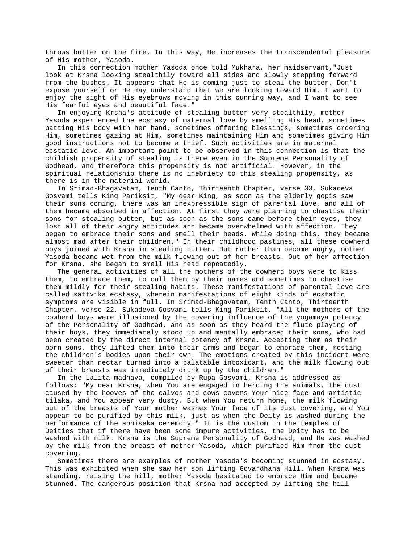throws butter on the fire. In this way, He increases the transcendental pleasure of His mother, Yasoda.

 In this connection mother Yasoda once told Mukhara, her maidservant,"Just look at Krsna looking stealthily toward all sides and slowly stepping forward from the bushes. It appears that He is coming just to steal the butter. Don't expose yourself or He may understand that we are looking toward Him. I want to enjoy the sight of His eyebrows moving in this cunning way, and I want to see His fearful eyes and beautiful face."

 In enjoying Krsna's attitude of stealing butter very stealthily, mother Yasoda experienced the ecstasy of maternal love by smelling His head, sometimes patting His body with her hand, sometimes offering blessings, sometimes ordering Him, sometimes gazing at Him, sometimes maintaining Him and sometimes giving Him good instructions not to become a thief. Such activities are in maternal ecstatic love. An important point to be observed in this connection is that the childish propensity of stealing is there even in the Supreme Personality of Godhead, and therefore this propensity is not artificial. However, in the spiritual relationship there is no inebriety to this stealing propensity, as there is in the material world.

 In Srimad-Bhagavatam, Tenth Canto, Thirteenth Chapter, verse 33, Sukadeva Gosvami tells King Pariksit, "My dear King, as soon as the elderly gopis saw their sons coming, there was an inexpressible sign of parental love, and all of them became absorbed in affection. At first they were planning to chastise their sons for stealing butter, but as soon as the sons came before their eyes, they lost all of their angry attitudes and became overwhelmed with affection. They began to embrace their sons and smell their heads. While doing this, they became almost mad after their children." In their childhood pastimes, all these cowherd boys joined with Krsna in stealing butter. But rather than become angry, mother Yasoda became wet from the milk flowing out of her breasts. Out of her affection for Krsna, she began to smell His head repeatedly.

 The general activities of all the mothers of the cowherd boys were to kiss them, to embrace them, to call them by their names and sometimes to chastise them mildly for their stealing habits. These manifestations of parental love are called sattvika ecstasy, wherein manifestations of eight kinds of ecstatic symptoms are visible in full. In Srimad-Bhagavatam, Tenth Canto, Thirteenth Chapter, verse 22, Sukadeva Gosvami tells King Pariksit, "All the mothers of the cowherd boys were illusioned by the covering influence of the yogamaya potency of the Personality of Godhead, and as soon as they heard the flute playing of their boys, they immediately stood up and mentally embraced their sons, who had been created by the direct internal potency of Krsna. Accepting them as their born sons, they lifted them into their arms and began to embrace them, resting the children's bodies upon their own. The emotions created by this incident were sweeter than nectar turned into a palatable intoxicant, and the milk flowing out of their breasts was immediately drunk up by the children."

 In the Lalita-madhava, compiled by Rupa Gosvami, Krsna is addressed as follows: "My dear Krsna, when You are engaged in herding the animals, the dust caused by the hooves of the calves and cows covers Your nice face and artistic tilaka, and You appear very dusty. But when You return home, the milk flowing out of the breasts of Your mother washes Your face of its dust covering, and You appear to be purified by this milk, just as when the Deity is washed during the performance of the abhiseka ceremony." It is the custom in the temples of Deities that if there have been some impure activities, the Deity has to be washed with milk. Krsna is the Supreme Personality of Godhead, and He was washed by the milk from the breast of mother Yasoda, which purified Him from the dust covering.

 Sometimes there are examples of mother Yasoda's becoming stunned in ecstasy. This was exhibited when she saw her son lifting Govardhana Hill. When Krsna was standing, raising the hill, mother Yasoda hesitated to embrace Him and became stunned. The dangerous position that Krsna had accepted by lifting the hill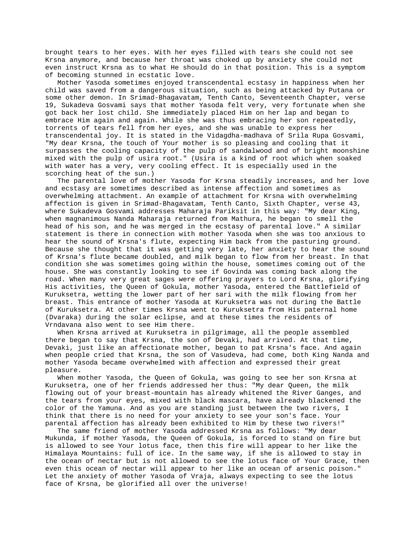brought tears to her eyes. With her eyes filled with tears she could not see Krsna anymore, and because her throat was choked up by anxiety she could not even instruct Krsna as to what He should do in that position. This is a symptom of becoming stunned in ecstatic love.

 Mother Yasoda sometimes enjoyed transcendental ecstasy in happiness when her child was saved from a dangerous situation, such as being attacked by Putana or some other demon. In Srimad-Bhagavatam, Tenth Canto, Seventeenth Chapter, verse 19, Sukadeva Gosvami says that mother Yasoda felt very, very fortunate when she got back her lost child. She immediately placed Him on her lap and began to embrace Him again and again. While she was thus embracing her son repeatedly, torrents of tears fell from her eyes, and she was unable to express her transcendental joy. It is stated in the Vidagdha-madhava of Srila Rupa Gosvami, "My dear Krsna, the touch of Your mother is so pleasing and cooling that it surpasses the cooling capacity of the pulp of sandalwood and of bright moonshine mixed with the pulp of usira root." (Usira is a kind of root which when soaked with water has a very, very cooling effect. It is especially used in the scorching heat of the sun.)

 The parental love of mother Yasoda for Krsna steadily increases, and her love and ecstasy are sometimes described as intense affection and sometimes as overwhelming attachment. An example of attachment for Krsna with overwhelming affection is given in Srimad-Bhagavatam, Tenth Canto, Sixth Chapter, verse 43, where Sukadeva Gosvami addresses Maharaja Pariksit in this way: "My dear King, when magnanimous Nanda Maharaja returned from Mathura, he began to smell the head of his son, and he was merged in the ecstasy of parental love." A similar statement is there in connection with mother Yasoda when she was too anxious to hear the sound of Krsna's flute, expecting Him back from the pasturing ground. Because she thought that it was getting very late, her anxiety to hear the sound of Krsna's flute became doubled, and milk began to flow from her breast. In that condition she was sometimes going within the house, sometimes coming out of the house. She was constantly looking to see if Govinda was coming back along the road. When many very great sages were offering prayers to Lord Krsna, glorifying His activities, the Queen of Gokula, mother Yasoda, entered the Battlefield of Kuruksetra, wetting the lower part of her sari with the milk flowing from her breast. This entrance of mother Yasoda at Kuruksetra was not during the Battle of Kuruksetra. At other times Krsna went to Kuruksetra from His paternal home (Dvaraka) during the solar eclipse, and at these times the residents of Vrndavana also went to see Him there.

 When Krsna arrived at Kuruksetra in pilgrimage, all the people assembled there began to say that Krsna, the son of Devaki, had arrived. At that time, Devaki, just like an affectionate mother, began to pat Krsna's face. And again when people cried that Krsna, the son of Vasudeva, had come, both King Nanda and mother Yasoda became overwhelmed with affection and expressed their great pleasure.

 When mother Yasoda, the Queen of Gokula, was going to see her son Krsna at Kuruksetra, one of her friends addressed her thus: "My dear Queen, the milk flowing out of your breast-mountain has already whitened the River Ganges, and the tears from your eyes, mixed with black mascara, have already blackened the color of the Yamuna. And as you are standing just between the two rivers, I think that there is no need for your anxiety to see your son's face. Your parental affection has already been exhibited to Him by these two rivers!"

 The same friend of mother Yasoda addressed Krsna as follows: "My dear Mukunda, if mother Yasoda, the Queen of Gokula, is forced to stand on fire but is allowed to see Your lotus face, then this fire will appear to her like the Himalaya Mountains: full of ice. In the same way, if she is allowed to stay in the ocean of nectar but is not allowed to see the lotus face of Your Grace, then even this ocean of nectar will appear to her like an ocean of arsenic poison." Let the anxiety of mother Yasoda of Vraja, always expecting to see the lotus face of Krsna, be glorified all over the universe!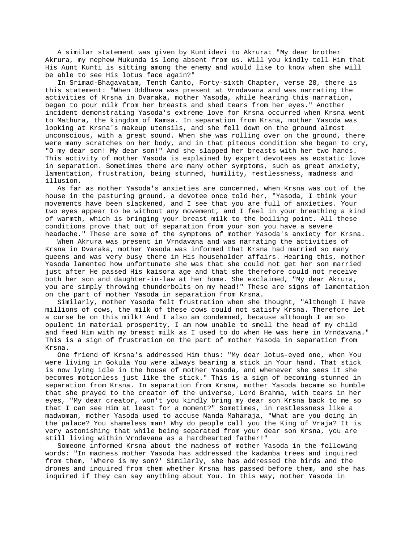A similar statement was given by Kuntidevi to Akrura: "My dear brother Akrura, my nephew Mukunda is long absent from us. Will you kindly tell Him that His Aunt Kunti is sitting among the enemy and would like to know when she will be able to see His lotus face again?"

 In Srimad-Bhagavatam, Tenth Canto, Forty-sixth Chapter, verse 28, there is this statement: "When Uddhava was present at Vrndavana and was narrating the activities of Krsna in Dvaraka, mother Yasoda, while hearing this narration, began to pour milk from her breasts and shed tears from her eyes." Another incident demonstrating Yasoda's extreme love for Krsna occurred when Krsna went to Mathura, the kingdom of Kamsa. In separation from Krsna, mother Yasoda was looking at Krsna's makeup utensils, and she fell down on the ground almost unconscious, with a great sound. When she was rolling over on the ground, there were many scratches on her body, and in that piteous condition she began to cry, "O my dear son! My dear son!" And she slapped her breasts with her two hands. This activity of mother Yasoda is explained by expert devotees as ecstatic love in separation. Sometimes there are many other symptoms, such as great anxiety, lamentation, frustration, being stunned, humility, restlessness, madness and illusion.

 As far as mother Yasoda's anxieties are concerned, when Krsna was out of the house in the pasturing ground, a devotee once told her, "Yasoda, I think your movements have been slackened, and I see that you are full of anxieties. Your two eyes appear to be without any movement, and I feel in your breathing a kind of warmth, which is bringing your breast milk to the boiling point. All these conditions prove that out of separation from your son you have a severe headache." These are some of the symptoms of mother Yasoda's anxiety for Krsna.

 When Akrura was present in Vrndavana and was narrating the activities of Krsna in Dvaraka, mother Yasoda was informed that Krsna had married so many queens and was very busy there in His householder affairs. Hearing this, mother Yasoda lamented how unfortunate she was that she could not get her son married just after He passed His kaisora age and that she therefore could not receive both her son and daughter-in-law at her home. She exclaimed, "My dear Akrura, you are simply throwing thunderbolts on my head!" These are signs of lamentation on the part of mother Yasoda in separation from Krsna.

 Similarly, mother Yasoda felt frustration when she thought, "Although I have millions of cows, the milk of these cows could not satisfy Krsna. Therefore let a curse be on this milk! And I also am condemned, because although I am so opulent in material prosperity, I am now unable to smell the head of my child and feed Him with my breast milk as I used to do when He was here in Vrndavana." This is a sign of frustration on the part of mother Yasoda in separation from Krsna.

 One friend of Krsna's addressed Him thus: "My dear lotus-eyed one, when You were living in Gokula You were always bearing a stick in Your hand. That stick is now lying idle in the house of mother Yasoda, and whenever she sees it she becomes motionless just like the stick." This is a sign of becoming stunned in separation from Krsna. In separation from Krsna, mother Yasoda became so humble that she prayed to the creator of the universe, Lord Brahma, with tears in her eyes, "My dear creator, won't you kindly bring my dear son Krsna back to me so that I can see Him at least for a moment?" Sometimes, in restlessness like a madwoman, mother Yasoda used to accuse Nanda Maharaja, "What are you doing in the palace? You shameless man! Why do people call you the King of Vraja? It is very astonishing that while being separated from your dear son Krsna, you are still living within Vrndavana as a hardhearted father!"

 Someone informed Krsna about the madness of mother Yasoda in the following words: "In madness mother Yasoda has addressed the kadamba trees and inquired from them, 'Where is my son?' Similarly, she has addressed the birds and the drones and inquired from them whether Krsna has passed before them, and she has inquired if they can say anything about You. In this way, mother Yasoda in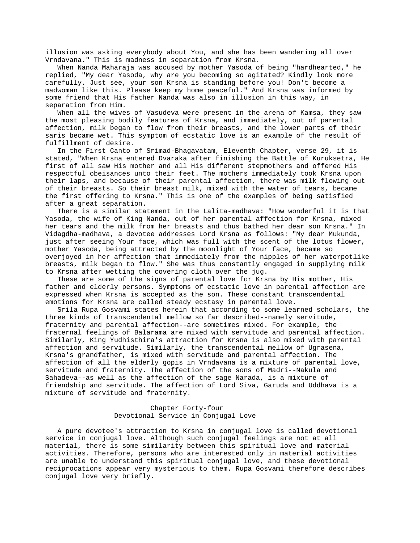illusion was asking everybody about You, and she has been wandering all over Vrndavana." This is madness in separation from Krsna.

 When Nanda Maharaja was accused by mother Yasoda of being "hardhearted," he replied, "My dear Yasoda, why are you becoming so agitated? Kindly look more carefully. Just see, your son Krsna is standing before you! Don't become a madwoman like this. Please keep my home peaceful." And Krsna was informed by some friend that His father Nanda was also in illusion in this way, in separation from Him.

 When all the wives of Vasudeva were present in the arena of Kamsa, they saw the most pleasing bodily features of Krsna, and immediately, out of parental affection, milk began to flow from their breasts, and the lower parts of their saris became wet. This symptom of ecstatic love is an example of the result of fulfillment of desire.

 In the First Canto of Srimad-Bhagavatam, Eleventh Chapter, verse 29, it is stated, "When Krsna entered Dvaraka after finishing the Battle of Kuruksetra, He first of all saw His mother and all His different stepmothers and offered His respectful obeisances unto their feet. The mothers immediately took Krsna upon their laps, and because of their parental affection, there was milk flowing out of their breasts. So their breast milk, mixed with the water of tears, became the first offering to Krsna." This is one of the examples of being satisfied after a great separation.

 There is a similar statement in the Lalita-madhava: "How wonderful it is that Yasoda, the wife of King Nanda, out of her parental affection for Krsna, mixed her tears and the milk from her breasts and thus bathed her dear son Krsna." In Vidagdha-madhava, a devotee addresses Lord Krsna as follows: "My dear Mukunda, just after seeing Your face, which was full with the scent of the lotus flower, mother Yasoda, being attracted by the moonlight of Your face, became so overjoyed in her affection that immediately from the nipples of her waterpotlike breasts, milk began to flow." She was thus constantly engaged in supplying milk to Krsna after wetting the covering cloth over the jug.

 These are some of the signs of parental love for Krsna by His mother, His father and elderly persons. Symptoms of ecstatic love in parental affection are expressed when Krsna is accepted as the son. These constant transcendental emotions for Krsna are called steady ecstasy in parental love.

 Srila Rupa Gosvami states herein that according to some learned scholars, the three kinds of transcendental mellow so far described--namely servitude, fraternity and parental affection--are sometimes mixed. For example, the fraternal feelings of Balarama are mixed with servitude and parental affection. Similarly, King Yudhisthira's attraction for Krsna is also mixed with parental affection and servitude. Similarly, the transcendental mellow of Ugrasena, Krsna's grandfather, is mixed with servitude and parental affection. The affection of all the elderly gopis in Vrndavana is a mixture of parental love, servitude and fraternity. The affection of the sons of Madri--Nakula and Sahadeva--as well as the affection of the sage Narada, is a mixture of friendship and servitude. The affection of Lord Siva, Garuda and Uddhava is a mixture of servitude and fraternity.

#### Chapter Forty-four Devotional Service in Conjugal Love

 A pure devotee's attraction to Krsna in conjugal love is called devotional service in conjugal love. Although such conjugal feelings are not at all material, there is some similarity between this spiritual love and material activities. Therefore, persons who are interested only in material activities are unable to understand this spiritual conjugal love, and these devotional reciprocations appear very mysterious to them. Rupa Gosvami therefore describes conjugal love very briefly.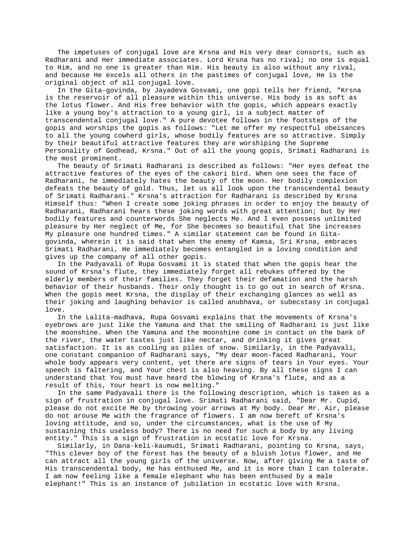The impetuses of conjugal love are Krsna and His very dear consorts, such as Radharani and Her immediate associates. Lord Krsna has no rival; no one is equal to Him, and no one is greater than Him. His beauty is also without any rival, and because He excels all others in the pastimes of conjugal love, He is the original object of all conjugal love.

 In the Gita-govinda, by Jayadeva Gosvami, one gopi tells her friend, "Krsna is the reservoir of all pleasure within this universe. His body is as soft as the lotus flower. And His free behavior with the gopis, which appears exactly like a young boy's attraction to a young girl, is a subject matter of transcendental conjugal love." A pure devotee follows in the footsteps of the gopis and worships the gopis as follows: "Let me offer my respectful obeisances to all the young cowherd girls, whose bodily features are so attractive. Simply by their beautiful attractive features they are worshiping the Supreme Personality of Godhead, Krsna." Out of all the young gopis, Srimati Radharani is the most prominent.

 The beauty of Srimati Radharani is described as follows: "Her eyes defeat the attractive features of the eyes of the cakori bird. When one sees the face of Radharani, he immediately hates the beauty of the moon. Her bodily complexion defeats the beauty of gold. Thus, let us all look upon the transcendental beauty of Srimati Radharani." Krsna's attraction for Radharani is described by Krsna Himself thus: "When I create some joking phrases in order to enjoy the beauty of Radharani, Radharani hears these joking words with great attention; but by Her bodily features and counterwords She neglects Me. And I even possess unlimited pleasure by Her neglect of Me, for She becomes so beautiful that She increases My pleasure one hundred times." A similar statement can be found in Gitagovinda, wherein it is said that when the enemy of Kamsa, Sri Krsna, embraces Srimati Radharani, He immediately becomes entangled in a loving condition and gives up the company of all other gopis.

 In the Padyavali of Rupa Gosvami it is stated that when the gopis hear the sound of Krsna's flute, they immediately forget all rebukes offered by the elderly members of their families. They forget their defamation and the harsh behavior of their husbands. Their only thought is to go out in search of Krsna. When the gopis meet Krsna, the display of their exchanging glances as well as their joking and laughing behavior is called anubhava, or subecstasy in conjugal love.

 In the Lalita-madhava, Rupa Gosvami explains that the movements of Krsna's eyebrows are just like the Yamuna and that the smiling of Radharani is just like the moonshine. When the Yamuna and the moonshine come in contact on the bank of the river, the water tastes just like nectar, and drinking it gives great satisfaction. It is as cooling as piles of snow. Similarly, in the Padyavali, one constant companion of Radharani says, "My dear moon-faced Radharani, Your whole body appears very content, yet there are signs of tears in Your eyes. Your speech is faltering, and Your chest is also heaving. By all these signs I can understand that You must have heard the blowing of Krsna's flute, and as a result of this, Your heart is now melting."

 In the same Padyavali there is the following description, which is taken as a sign of frustration in conjugal love. Srimati Radharani said, "Dear Mr. Cupid, please do not excite Me by throwing your arrows at My body. Dear Mr. Air, please do not arouse Me with the fragrance of flowers. I am now bereft of Krsna's loving attitude, and so, under the circumstances, what is the use of My sustaining this useless body? There is no need for such a body by any living entity." This is a sign of frustration in ecstatic love for Krsna.

 Similarly, in Dana-keli-kaumudi, Srimati Radharani, pointing to Krsna, says, "This clever boy of the forest has the beauty of a bluish lotus flower, and He can attract all the young girls of the universe. Now, after giving Me a taste of His transcendental body, He has enthused Me, and it is more than I can tolerate. I am now feeling like a female elephant who has been enthused by a male elephant!" This is an instance of jubilation in ecstatic love with Krsna.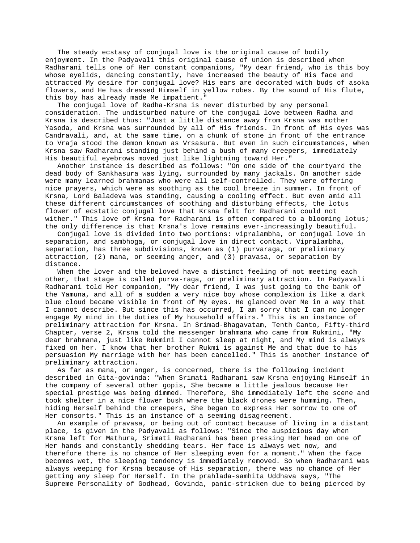The steady ecstasy of conjugal love is the original cause of bodily enjoyment. In the Padyavali this original cause of union is described when Radharani tells one of Her constant companions, "My dear friend, who is this boy whose eyelids, dancing constantly, have increased the beauty of His face and attracted My desire for conjugal love? His ears are decorated with buds of asoka flowers, and He has dressed Himself in yellow robes. By the sound of His flute, this boy has already made Me impatient."

 The conjugal love of Radha-Krsna is never disturbed by any personal consideration. The undisturbed nature of the conjugal love between Radha and Krsna is described thus: "Just a little distance away from Krsna was mother Yasoda, and Krsna was surrounded by all of His friends. In front of His eyes was Candravali, and, at the same time, on a chunk of stone in front of the entrance to Vraja stood the demon known as Vrsasura. But even in such circumstances, when Krsna saw Radharani standing just behind a bush of many creepers, immediately His beautiful eyebrows moved just like lightning toward Her."

 Another instance is described as follows: "On one side of the courtyard the dead body of Sankhasura was lying, surrounded by many jackals. On another side were many learned brahmanas who were all self-controlled. They were offering nice prayers, which were as soothing as the cool breeze in summer. In front of Krsna, Lord Baladeva was standing, causing a cooling effect. But even amid all these different circumstances of soothing and disturbing effects, the lotus flower of ecstatic conjugal love that Krsna felt for Radharani could not wither." This love of Krsna for Radharani is often compared to a blooming lotus; the only difference is that Krsna's love remains ever-increasingly beautiful.

 Conjugal love is divided into two portions: vipralambha, or conjugal love in separation, and sambhoga, or conjugal love in direct contact. Vipralambha, separation, has three subdivisions, known as (1) purvaraga, or preliminary attraction, (2) mana, or seeming anger, and (3) pravasa, or separation by distance.

 When the lover and the beloved have a distinct feeling of not meeting each other, that stage is called purva-raga, or preliminary attraction. In Padyavali Radharani told Her companion, "My dear friend, I was just going to the bank of the Yamuna, and all of a sudden a very nice boy whose complexion is like a dark blue cloud became visible in front of My eyes. He glanced over Me in a way that I cannot describe. But since this has occurred, I am sorry that I can no longer engage My mind in the duties of My household affairs." This is an instance of preliminary attraction for Krsna. In Srimad-Bhagavatam, Tenth Canto, Fifty-third Chapter, verse 2, Krsna told the messenger brahmana who came from Rukmini, "My dear brahmana, just like Rukmini I cannot sleep at night, and My mind is always fixed on her. I know that her brother Rukmi is against Me and that due to his persuasion My marriage with her has been cancelled." This is another instance of preliminary attraction.

 As far as mana, or anger, is concerned, there is the following incident described in Gita-govinda: "When Srimati Radharani saw Krsna enjoying Himself in the company of several other gopis, She became a little jealous because Her special prestige was being dimmed. Therefore, She immediately left the scene and took shelter in a nice flower bush where the black drones were humming. Then, hiding Herself behind the creepers, She began to express Her sorrow to one of Her consorts." This is an instance of a seeming disagreement.

 An example of pravasa, or being out of contact because of living in a distant place, is given in the Padyavali as follows: "Since the auspicious day when Krsna left for Mathura, Srimati Radharani has been pressing Her head on one of Her hands and constantly shedding tears. Her face is always wet now, and therefore there is no chance of Her sleeping even for a moment." When the face becomes wet, the sleeping tendency is immediately removed. So when Radharani was always weeping for Krsna because of His separation, there was no chance of Her getting any sleep for Herself. In the prahlada-samhita Uddhava says, "The Supreme Personality of Godhead, Govinda, panic-stricken due to being pierced by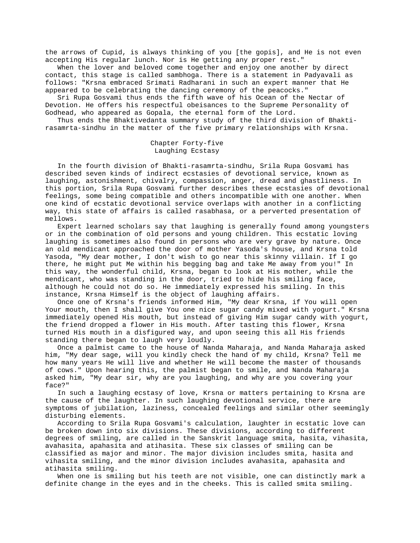the arrows of Cupid, is always thinking of you [the gopis], and He is not even accepting His regular lunch. Nor is He getting any proper rest."

 When the lover and beloved come together and enjoy one another by direct contact, this stage is called sambhoga. There is a statement in Padyavali as follows: "Krsna embraced Srimati Radharani in such an expert manner that He appeared to be celebrating the dancing ceremony of the peacocks."

 Sri Rupa Gosvami thus ends the fifth wave of his Ocean of the Nectar of Devotion. He offers his respectful obeisances to the Supreme Personality of Godhead, who appeared as Gopala, the eternal form of the Lord.

 Thus ends the Bhaktivedanta summary study of the third division of Bhaktirasamrta-sindhu in the matter of the five primary relationships with Krsna.

## Chapter Forty-five Laughing Ecstasy

 In the fourth division of Bhakti-rasamrta-sindhu, Srila Rupa Gosvami has described seven kinds of indirect ecstasies of devotional service, known as laughing, astonishment, chivalry, compassion, anger, dread and ghastliness. In this portion, Srila Rupa Gosvami further describes these ecstasies of devotional feelings, some being compatible and others incompatible with one another. When one kind of ecstatic devotional service overlaps with another in a conflicting way, this state of affairs is called rasabhasa, or a perverted presentation of mellows.

 Expert learned scholars say that laughing is generally found among youngsters or in the combination of old persons and young children. This ecstatic loving laughing is sometimes also found in persons who are very grave by nature. Once an old mendicant approached the door of mother Yasoda's house, and Krsna told Yasoda, "My dear mother, I don't wish to go near this skinny villain. If I go there, he might put Me within his begging bag and take Me away from you!" In this way, the wonderful child, Krsna, began to look at His mother, while the mendicant, who was standing in the door, tried to hide his smiling face, although he could not do so. He immediately expressed his smiling. In this instance, Krsna Himself is the object of laughing affairs.

 Once one of Krsna's friends informed Him, "My dear Krsna, if You will open Your mouth, then I shall give You one nice sugar candy mixed with yogurt." Krsna immediately opened His mouth, but instead of giving Him sugar candy with yogurt, the friend dropped a flower in His mouth. After tasting this flower, Krsna turned His mouth in a disfigured way, and upon seeing this all His friends standing there began to laugh very loudly.

 Once a palmist came to the house of Nanda Maharaja, and Nanda Maharaja asked him, "My dear sage, will you kindly check the hand of my child, Krsna? Tell me how many years He will live and whether He will become the master of thousands of cows." Upon hearing this, the palmist began to smile, and Nanda Maharaja asked him, "My dear sir, why are you laughing, and why are you covering your face?"

 In such a laughing ecstasy of love, Krsna or matters pertaining to Krsna are the cause of the laughter. In such laughing devotional service, there are symptoms of jubilation, laziness, concealed feelings and similar other seemingly disturbing elements.

 According to Srila Rupa Gosvami's calculation, laughter in ecstatic love can be broken down into six divisions. These divisions, according to different degrees of smiling, are called in the Sanskrit language smita, hasita, vihasita, avahasita, apahasita and atihasita. These six classes of smiling can be classified as major and minor. The major division includes smita, hasita and vihasita smiling, and the minor division includes avahasita, apahasita and atihasita smiling.

 When one is smiling but his teeth are not visible, one can distinctly mark a definite change in the eyes and in the cheeks. This is called smita smiling.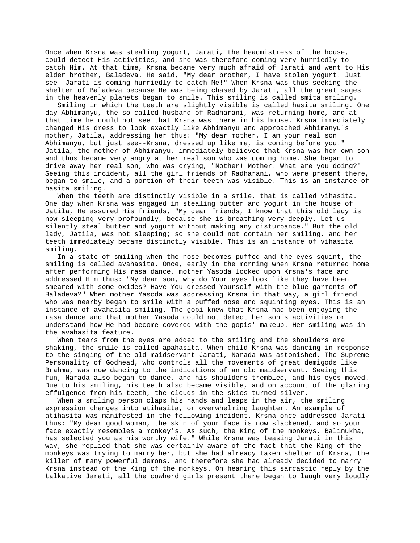Once when Krsna was stealing yogurt, Jarati, the headmistress of the house, could detect His activities, and she was therefore coming very hurriedly to catch Him. At that time, Krsna became very much afraid of Jarati and went to His elder brother, Baladeva. He said, "My dear brother, I have stolen yogurt! Just see--Jarati is coming hurriedly to catch Me!" When Krsna was thus seeking the shelter of Baladeva because He was being chased by Jarati, all the great sages in the heavenly planets began to smile. This smiling is called smita smiling.

 Smiling in which the teeth are slightly visible is called hasita smiling. One day Abhimanyu, the so-called husband of Radharani, was returning home, and at that time he could not see that Krsna was there in his house. Krsna immediately changed His dress to look exactly like Abhimanyu and approached Abhimanyu's mother, Jatila, addressing her thus: "My dear mother, I am your real son Abhimanyu, but just see--Krsna, dressed up like me, is coming before you!" Jatila, the mother of Abhimanyu, immediately believed that Krsna was her own son and thus became very angry at her real son who was coming home. She began to drive away her real son, who was crying, "Mother! Mother! What are you doing?" Seeing this incident, all the girl friends of Radharani, who were present there, began to smile, and a portion of their teeth was visible. This is an instance of hasita smiling.

 When the teeth are distinctly visible in a smile, that is called vihasita. One day when Krsna was engaged in stealing butter and yogurt in the house of Jatila, He assured His friends, "My dear friends, I know that this old lady is now sleeping very profoundly, because she is breathing very deeply. Let us silently steal butter and yogurt without making any disturbance." But the old lady, Jatila, was not sleeping; so she could not contain her smiling, and her teeth immediately became distinctly visible. This is an instance of vihasita smiling.

 In a state of smiling when the nose becomes puffed and the eyes squint, the smiling is called avahasita. Once, early in the morning when Krsna returned home after performing His rasa dance, mother Yasoda looked upon Krsna's face and addressed Him thus: "My dear son, why do Your eyes look like they have been smeared with some oxides? Have You dressed Yourself with the blue garments of Baladeva?" When mother Yasoda was addressing Krsna in that way, a girl friend who was nearby began to smile with a puffed nose and squinting eyes. This is an instance of avahasita smiling. The gopi knew that Krsna had been enjoying the rasa dance and that mother Yasoda could not detect her son's activities or understand how He had become covered with the gopis' makeup. Her smiling was in the avahasita feature.

 When tears from the eyes are added to the smiling and the shoulders are shaking, the smile is called apahasita. When child Krsna was dancing in response to the singing of the old maidservant Jarati, Narada was astonished. The Supreme Personality of Godhead, who controls all the movements of great demigods like Brahma, was now dancing to the indications of an old maidservant. Seeing this fun, Narada also began to dance, and his shoulders trembled, and his eyes moved. Due to his smiling, his teeth also became visible, and on account of the glaring effulgence from his teeth, the clouds in the skies turned silver.

 When a smiling person claps his hands and leaps in the air, the smiling expression changes into atihasita, or overwhelming laughter. An example of atihasita was manifested in the following incident. Krsna once addressed Jarati thus: "My dear good woman, the skin of your face is now slackened, and so your face exactly resembles a monkey's. As such, the King of the monkeys, Balimukha, has selected you as his worthy wife." While Krsna was teasing Jarati in this way, she replied that she was certainly aware of the fact that the King of the monkeys was trying to marry her, but she had already taken shelter of Krsna, the killer of many powerful demons, and therefore she had already decided to marry Krsna instead of the King of the monkeys. On hearing this sarcastic reply by the talkative Jarati, all the cowherd girls present there began to laugh very loudly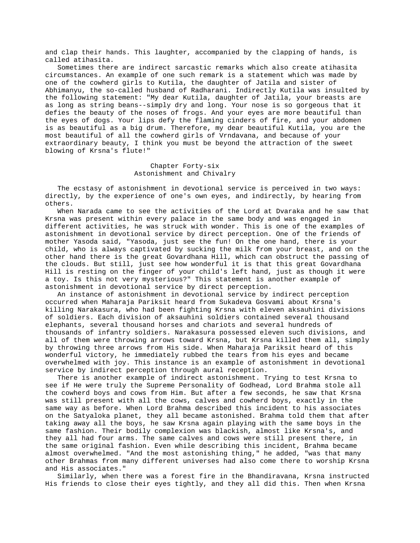and clap their hands. This laughter, accompanied by the clapping of hands, is called atihasita.

 Sometimes there are indirect sarcastic remarks which also create atihasita circumstances. An example of one such remark is a statement which was made by one of the cowherd girls to Kutila, the daughter of Jatila and sister of Abhimanyu, the so-called husband of Radharani. Indirectly Kutila was insulted by the following statement: "My dear Kutila, daughter of Jatila, your breasts are as long as string beans--simply dry and long. Your nose is so gorgeous that it defies the beauty of the noses of frogs. And your eyes are more beautiful than the eyes of dogs. Your lips defy the flaming cinders of fire, and your abdomen is as beautiful as a big drum. Therefore, my dear beautiful Kutila, you are the most beautiful of all the cowherd girls of Vrndavana, and because of your extraordinary beauty, I think you must be beyond the attraction of the sweet blowing of Krsna's flute!"

#### Chapter Forty-six Astonishment and Chivalry

 The ecstasy of astonishment in devotional service is perceived in two ways: directly, by the experience of one's own eyes, and indirectly, by hearing from others.

 When Narada came to see the activities of the Lord at Dvaraka and he saw that Krsna was present within every palace in the same body and was engaged in different activities, he was struck with wonder. This is one of the examples of astonishment in devotional service by direct perception. One of the friends of mother Yasoda said, "Yasoda, just see the fun! On the one hand, there is your child, who is always captivated by sucking the milk from your breast, and on the other hand there is the great Govardhana Hill, which can obstruct the passing of the clouds. But still, just see how wonderful it is that this great Govardhana Hill is resting on the finger of your child's left hand, just as though it were a toy. Is this not very mysterious?" This statement is another example of astonishment in devotional service by direct perception.

 An instance of astonishment in devotional service by indirect perception occurred when Maharaja Pariksit heard from Sukadeva Gosvami about Krsna's killing Narakasura, who had been fighting Krsna with eleven aksauhini divisions of soldiers. Each division of aksauhini soldiers contained several thousand elephants, several thousand horses and chariots and several hundreds of thousands of infantry soldiers. Narakasura possessed eleven such divisions, and all of them were throwing arrows toward Krsna, but Krsna killed them all, simply by throwing three arrows from His side. When Maharaja Pariksit heard of this wonderful victory, he immediately rubbed the tears from his eyes and became overwhelmed with joy. This instance is an example of astonishment in devotional service by indirect perception through aural reception.

 There is another example of indirect astonishment. Trying to test Krsna to see if He were truly the Supreme Personality of Godhead, Lord Brahma stole all the cowherd boys and cows from Him. But after a few seconds, he saw that Krsna was still present with all the cows, calves and cowherd boys, exactly in the same way as before. When Lord Brahma described this incident to his associates on the Satyaloka planet, they all became astonished. Brahma told them that after taking away all the boys, he saw Krsna again playing with the same boys in the same fashion. Their bodily complexion was blackish, almost like Krsna's, and they all had four arms. The same calves and cows were still present there, in the same original fashion. Even while describing this incident, Brahma became almost overwhelmed. "And the most astonishing thing," he added, "was that many other Brahmas from many different universes had also come there to worship Krsna and His associates."

 Similarly, when there was a forest fire in the Bhandiravana, Krsna instructed His friends to close their eyes tightly, and they all did this. Then when Krsna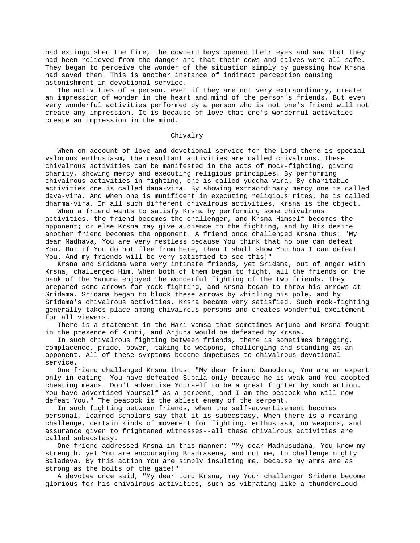had extinguished the fire, the cowherd boys opened their eyes and saw that they had been relieved from the danger and that their cows and calves were all safe. They began to perceive the wonder of the situation simply by guessing how Krsna had saved them. This is another instance of indirect perception causing astonishment in devotional service.

 The activities of a person, even if they are not very extraordinary, create an impression of wonder in the heart and mind of the person's friends. But even very wonderful activities performed by a person who is not one's friend will not create any impression. It is because of love that one's wonderful activities create an impression in the mind.

#### Chivalry

 When on account of love and devotional service for the Lord there is special valorous enthusiasm, the resultant activities are called chivalrous. These chivalrous activities can be manifested in the acts of mock-fighting, giving charity, showing mercy and executing religious principles. By performing chivalrous activities in fighting, one is called yuddha-vira. By charitable activities one is called dana-vira. By showing extraordinary mercy one is called daya-vira. And when one is munificent in executing religious rites, he is called dharma-vira. In all such different chivalrous activities, Krsna is the object.

 When a friend wants to satisfy Krsna by performing some chivalrous activities, the friend becomes the challenger, and Krsna Himself becomes the opponent; or else Krsna may give audience to the fighting, and by His desire another friend becomes the opponent. A friend once challenged Krsna thus: "My dear Madhava, You are very restless because You think that no one can defeat You. But if You do not flee from here, then I shall show You how I can defeat You. And my friends will be very satisfied to see this!"

 Krsna and Sridama were very intimate friends, yet Sridama, out of anger with Krsna, challenged Him. When both of them began to fight, all the friends on the bank of the Yamuna enjoyed the wonderful fighting of the two friends. They prepared some arrows for mock-fighting, and Krsna began to throw his arrows at Sridama. Sridama began to block these arrows by whirling his pole, and by Sridama's chivalrous activities, Krsna became very satisfied. Such mock-fighting generally takes place among chivalrous persons and creates wonderful excitement for all viewers.

 There is a statement in the Hari-vamsa that sometimes Arjuna and Krsna fought in the presence of Kunti, and Arjuna would be defeated by Krsna.

 In such chivalrous fighting between friends, there is sometimes bragging, complacence, pride, power, taking to weapons, challenging and standing as an opponent. All of these symptoms become impetuses to chivalrous devotional service.

 One friend challenged Krsna thus: "My dear friend Damodara, You are an expert only in eating. You have defeated Subala only because he is weak and You adopted cheating means. Don't advertise Yourself to be a great fighter by such action. You have advertised Yourself as a serpent, and I am the peacock who will now defeat You." The peacock is the ablest enemy of the serpent.

 In such fighting between friends, when the self-advertisement becomes personal, learned scholars say that it is subecstasy. When there is a roaring challenge, certain kinds of movement for fighting, enthusiasm, no weapons, and assurance given to frightened witnesses--all these chivalrous activities are called subecstasy.

 One friend addressed Krsna in this manner: "My dear Madhusudana, You know my strength, yet You are encouraging Bhadrasena, and not me, to challenge mighty Baladeva. By this action You are simply insulting me, because my arms are as strong as the bolts of the gate!"

 A devotee once said, "My dear Lord Krsna, may Your challenger Sridama become glorious for his chivalrous activities, such as vibrating like a thundercloud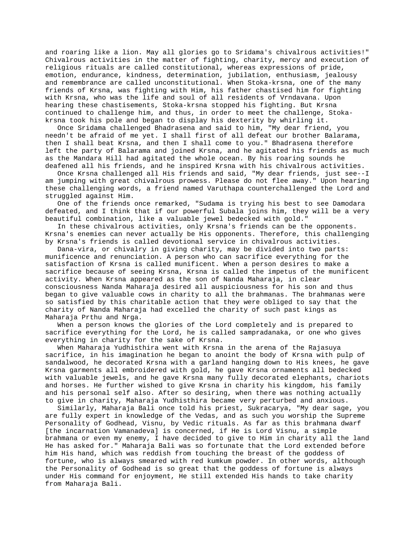and roaring like a lion. May all glories go to Sridama's chivalrous activities!" Chivalrous activities in the matter of fighting, charity, mercy and execution of religious rituals are called constitutional, whereas expressions of pride, emotion, endurance, kindness, determination, jubilation, enthusiasm, jealousy and remembrance are called unconstitutional. When Stoka-krsna, one of the many friends of Krsna, was fighting with Him, his father chastised him for fighting with Krsna, who was the life and soul of all residents of Vrndavana. Upon hearing these chastisements, Stoka-krsna stopped his fighting. But Krsna continued to challenge him, and thus, in order to meet the challenge, Stokakrsna took his pole and began to display his dexterity by whirling it.

 Once Sridama challenged Bhadrasena and said to him, "My dear friend, you needn't be afraid of me yet. I shall first of all defeat our brother Balarama, then I shall beat Krsna, and then I shall come to you." Bhadrasena therefore left the party of Balarama and joined Krsna, and he agitated his friends as much as the Mandara Hill had agitated the whole ocean. By his roaring sounds he deafened all his friends, and he inspired Krsna with his chivalrous activities.

 Once Krsna challenged all His friends and said, "My dear friends, just see--I am jumping with great chivalrous prowess. Please do not flee away." Upon hearing these challenging words, a friend named Varuthapa counterchallenged the Lord and struggled against Him.

 One of the friends once remarked, "Sudama is trying his best to see Damodara defeated, and I think that if our powerful Subala joins him, they will be a very beautiful combination, like a valuable jewel bedecked with gold."

 In these chivalrous activities, only Krsna's friends can be the opponents. Krsna's enemies can never actually be His opponents. Therefore, this challenging by Krsna's friends is called devotional service in chivalrous activities.

 Dana-vira, or chivalry in giving charity, may be divided into two parts: munificence and renunciation. A person who can sacrifice everything for the satisfaction of Krsna is called munificent. When a person desires to make a sacrifice because of seeing Krsna, Krsna is called the impetus of the munificent activity. When Krsna appeared as the son of Nanda Maharaja, in clear consciousness Nanda Maharaja desired all auspiciousness for his son and thus began to give valuable cows in charity to all the brahmanas. The brahmanas were so satisfied by this charitable action that they were obliged to say that the charity of Nanda Maharaja had excelled the charity of such past kings as Maharaja Prthu and Nrga.

 When a person knows the glories of the Lord completely and is prepared to sacrifice everything for the Lord, he is called sampradanaka, or one who gives everything in charity for the sake of Krsna.

 When Maharaja Yudhisthira went with Krsna in the arena of the Rajasuya sacrifice, in his imagination he began to anoint the body of Krsna with pulp of sandalwood, he decorated Krsna with a garland hanging down to His knees, he gave Krsna garments all embroidered with gold, he gave Krsna ornaments all bedecked with valuable jewels, and he gave Krsna many fully decorated elephants, chariots and horses. He further wished to give Krsna in charity his kingdom, his family and his personal self also. After so desiring, when there was nothing actually to give in charity, Maharaja Yudhisthira became very perturbed and anxious.

 Similarly, Maharaja Bali once told his priest, Sukracarya, "My dear sage, you are fully expert in knowledge of the Vedas, and as such you worship the Supreme Personality of Godhead, Visnu, by Vedic rituals. As far as this brahmana dwarf [the incarnation Vamanadeva] is concerned, if He is Lord Visnu, a simple brahmana or even my enemy, I have decided to give to Him in charity all the land He has asked for." Maharaja Bali was so fortunate that the Lord extended before him His hand, which was reddish from touching the breast of the goddess of fortune, who is always smeared with red kumkum powder. In other words, although the Personality of Godhead is so great that the goddess of fortune is always under His command for enjoyment, He still extended His hands to take charity from Maharaja Bali.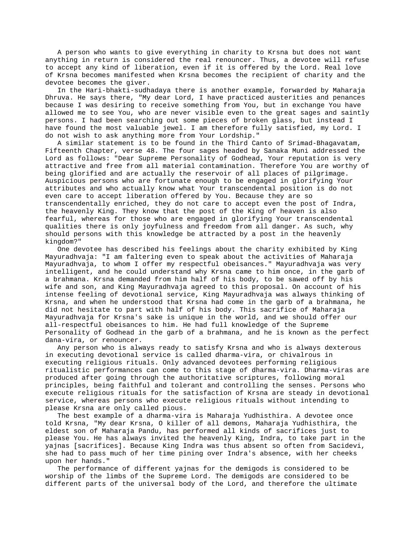A person who wants to give everything in charity to Krsna but does not want anything in return is considered the real renouncer. Thus, a devotee will refuse to accept any kind of liberation, even if it is offered by the Lord. Real love of Krsna becomes manifested when Krsna becomes the recipient of charity and the devotee becomes the giver.

 In the Hari-bhakti-sudhadaya there is another example, forwarded by Maharaja Dhruva. He says there, "My dear Lord, I have practiced austerities and penances because I was desiring to receive something from You, but in exchange You have allowed me to see You, who are never visible even to the great sages and saintly persons. I had been searching out some pieces of broken glass, but instead I have found the most valuable jewel. I am therefore fully satisfied, my Lord. I do not wish to ask anything more from Your Lordship."

 A similar statement is to be found in the Third Canto of Srimad-Bhagavatam, Fifteenth Chapter, verse 48. The four sages headed by Sanaka Muni addressed the Lord as follows: "Dear Supreme Personality of Godhead, Your reputation is very attractive and free from all material contamination. Therefore You are worthy of being glorified and are actually the reservoir of all places of pilgrimage. Auspicious persons who are fortunate enough to be engaged in glorifying Your attributes and who actually know what Your transcendental position is do not even care to accept liberation offered by You. Because they are so transcendentally enriched, they do not care to accept even the post of Indra, the heavenly King. They know that the post of the King of heaven is also fearful, whereas for those who are engaged in glorifying Your transcendental qualities there is only joyfulness and freedom from all danger. As such, why should persons with this knowledge be attracted by a post in the heavenly kingdom?"

 One devotee has described his feelings about the charity exhibited by King Mayuradhvaja: "I am faltering even to speak about the activities of Maharaja Mayuradhvaja, to whom I offer my respectful obeisances." Mayuradhvaja was very intelligent, and he could understand why Krsna came to him once, in the garb of a brahmana. Krsna demanded from him half of his body, to be sawed off by his wife and son, and King Mayuradhvaja agreed to this proposal. On account of his intense feeling of devotional service, King Mayuradhvaja was always thinking of Krsna, and when he understood that Krsna had come in the garb of a brahmana, he did not hesitate to part with half of his body. This sacrifice of Maharaja Mayuradhvaja for Krsna's sake is unique in the world, and we should offer our all-respectful obeisances to him. He had full knowledge of the Supreme Personality of Godhead in the garb of a brahmana, and he is known as the perfect dana-vira, or renouncer.

 Any person who is always ready to satisfy Krsna and who is always dexterous in executing devotional service is called dharma-vira, or chivalrous in executing religious rituals. Only advanced devotees performing religious ritualistic performances can come to this stage of dharma-vira. Dharma-viras are produced after going through the authoritative scriptures, following moral principles, being faithful and tolerant and controlling the senses. Persons who execute religious rituals for the satisfaction of Krsna are steady in devotional service, whereas persons who execute religious rituals without intending to please Krsna are only called pious.

 The best example of a dharma-vira is Maharaja Yudhisthira. A devotee once told Krsna, "My dear Krsna, O killer of all demons, Maharaja Yudhisthira, the eldest son of Maharaja Pandu, has performed all kinds of sacrifices just to please You. He has always invited the heavenly King, Indra, to take part in the yajnas [sacrifices]. Because King Indra was thus absent so often from Sacidevi, she had to pass much of her time pining over Indra's absence, with her cheeks upon her hands."

 The performance of different yajnas for the demigods is considered to be worship of the limbs of the Supreme Lord. The demigods are considered to be different parts of the universal body of the Lord, and therefore the ultimate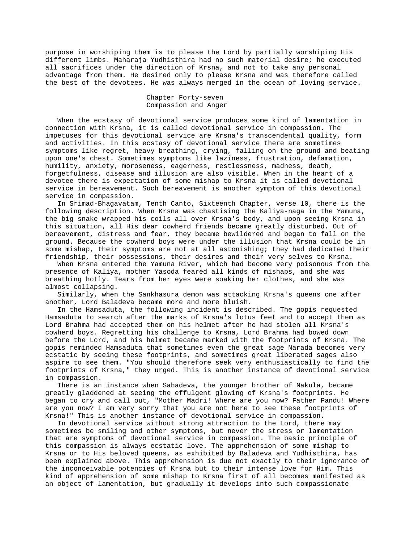purpose in worshiping them is to please the Lord by partially worshiping His different limbs. Maharaja Yudhisthira had no such material desire; he executed all sacrifices under the direction of Krsna, and not to take any personal advantage from them. He desired only to please Krsna and was therefore called the best of the devotees. He was always merged in the ocean of loving service.

## Chapter Forty-seven Compassion and Anger

 When the ecstasy of devotional service produces some kind of lamentation in connection with Krsna, it is called devotional service in compassion. The impetuses for this devotional service are Krsna's transcendental quality, form and activities. In this ecstasy of devotional service there are sometimes symptoms like regret, heavy breathing, crying, falling on the ground and beating upon one's chest. Sometimes symptoms like laziness, frustration, defamation, humility, anxiety, moroseness, eagerness, restlessness, madness, death, forgetfulness, disease and illusion are also visible. When in the heart of a devotee there is expectation of some mishap to Krsna it is called devotional service in bereavement. Such bereavement is another symptom of this devotional service in compassion.

 In Srimad-Bhagavatam, Tenth Canto, Sixteenth Chapter, verse 10, there is the following description. When Krsna was chastising the Kaliya-naga in the Yamuna, the big snake wrapped his coils all over Krsna's body, and upon seeing Krsna in this situation, all His dear cowherd friends became greatly disturbed. Out of bereavement, distress and fear, they became bewildered and began to fall on the ground. Because the cowherd boys were under the illusion that Krsna could be in some mishap, their symptoms are not at all astonishing; they had dedicated their friendship, their possessions, their desires and their very selves to Krsna.

 When Krsna entered the Yamuna River, which had become very poisonous from the presence of Kaliya, mother Yasoda feared all kinds of mishaps, and she was breathing hotly. Tears from her eyes were soaking her clothes, and she was almost collapsing.

 Similarly, when the Sankhasura demon was attacking Krsna's queens one after another, Lord Baladeva became more and more bluish.

 In the Hamsaduta, the following incident is described. The gopis requested Hamsaduta to search after the marks of Krsna's lotus feet and to accept them as Lord Brahma had accepted them on his helmet after he had stolen all Krsna's cowherd boys. Regretting his challenge to Krsna, Lord Brahma had bowed down before the Lord, and his helmet became marked with the footprints of Krsna. The gopis reminded Hamsaduta that sometimes even the great sage Narada becomes very ecstatic by seeing these footprints, and sometimes great liberated sages also aspire to see them. "You should therefore seek very enthusiastically to find the footprints of Krsna," they urged. This is another instance of devotional service in compassion.

 There is an instance when Sahadeva, the younger brother of Nakula, became greatly gladdened at seeing the effulgent glowing of Krsna's footprints. He began to cry and call out, "Mother Madri! Where are you now? Father Pandu! Where are you now? I am very sorry that you are not here to see these footprints of Krsna!" This is another instance of devotional service in compassion.

 In devotional service without strong attraction to the Lord, there may sometimes be smiling and other symptoms, but never the stress or lamentation that are symptoms of devotional service in compassion. The basic principle of this compassion is always ecstatic love. The apprehension of some mishap to Krsna or to His beloved queens, as exhibited by Baladeva and Yudhisthira, has been explained above. This apprehension is due not exactly to their ignorance of the inconceivable potencies of Krsna but to their intense love for Him. This kind of apprehension of some mishap to Krsna first of all becomes manifested as an object of lamentation, but gradually it develops into such compassionate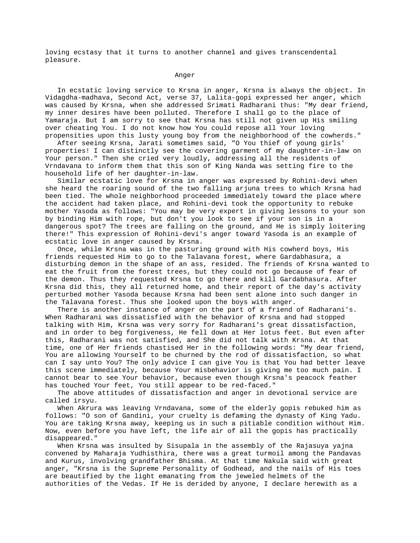loving ecstasy that it turns to another channel and gives transcendental pleasure.

## Anger

 In ecstatic loving service to Krsna in anger, Krsna is always the object. In Vidagdha-madhava, Second Act, verse 37, Lalita-gopi expressed her anger, which was caused by Krsna, when she addressed Srimati Radharani thus: "My dear friend, my inner desires have been polluted. Therefore I shall go to the place of Yamaraja. But I am sorry to see that Krsna has still not given up His smiling over cheating You. I do not know how You could repose all Your loving propensities upon this lusty young boy from the neighborhood of the cowherds."

 After seeing Krsna, Jarati sometimes said, "O You thief of young girls' properties! I can distinctly see the covering garment of my daughter-in-law on Your person." Then she cried very loudly, addressing all the residents of Vrndavana to inform them that this son of King Nanda was setting fire to the household life of her daughter-in-law.

 Similar ecstatic love for Krsna in anger was expressed by Rohini-devi when she heard the roaring sound of the two falling arjuna trees to which Krsna had been tied. The whole neighborhood proceeded immediately toward the place where the accident had taken place, and Rohini-devi took the opportunity to rebuke mother Yasoda as follows: "You may be very expert in giving lessons to your son by binding Him with rope, but don't you look to see if your son is in a dangerous spot? The trees are falling on the ground, and He is simply loitering there!" This expression of Rohini-devi's anger toward Yasoda is an example of ecstatic love in anger caused by Krsna.

 Once, while Krsna was in the pasturing ground with His cowherd boys, His friends requested Him to go to the Talavana forest, where Gardabhasura, a disturbing demon in the shape of an ass, resided. The friends of Krsna wanted to eat the fruit from the forest trees, but they could not go because of fear of the demon. Thus they requested Krsna to go there and kill Gardabhasura. After Krsna did this, they all returned home, and their report of the day's activity perturbed mother Yasoda because Krsna had been sent alone into such danger in the Talavana forest. Thus she looked upon the boys with anger.

 There is another instance of anger on the part of a friend of Radharani's. When Radharani was dissatisfied with the behavior of Krsna and had stopped talking with Him, Krsna was very sorry for Radharani's great dissatisfaction, and in order to beg forgiveness, He fell down at Her lotus feet. But even after this, Radharani was not satisfied, and She did not talk with Krsna. At that time, one of Her friends chastised Her in the following words: "My dear friend, You are allowing Yourself to be churned by the rod of dissatisfaction, so what can I say unto You? The only advice I can give You is that You had better leave this scene immediately, because Your misbehavior is giving me too much pain. I cannot bear to see Your behavior, because even though Krsna's peacock feather has touched Your feet, You still appear to be red-faced."

 The above attitudes of dissatisfaction and anger in devotional service are called irsyu.

 When Akrura was leaving Vrndavana, some of the elderly gopis rebuked him as follows: "O son of Gandini, your cruelty is defaming the dynasty of King Yadu. You are taking Krsna away, keeping us in such a pitiable condition without Him. Now, even before you have left, the life air of all the gopis has practically disappeared."

 When Krsna was insulted by Sisupala in the assembly of the Rajasuya yajna convened by Maharaja Yudhisthira, there was a great turmoil among the Pandavas and Kurus, involving grandfather Bhisma. At that time Nakula said with great anger, "Krsna is the Supreme Personality of Godhead, and the nails of His toes are beautified by the light emanating from the jeweled helmets of the authorities of the Vedas. If He is derided by anyone, I declare herewith as a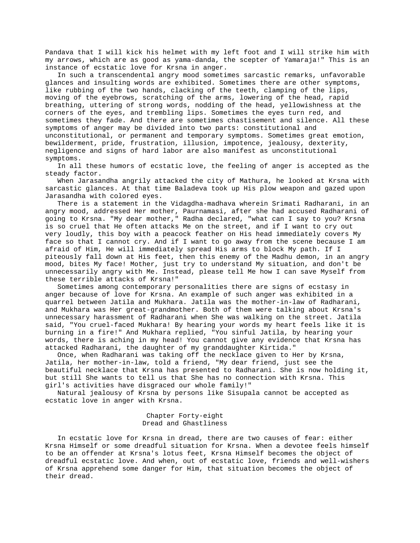Pandava that I will kick his helmet with my left foot and I will strike him with my arrows, which are as good as yama-danda, the scepter of Yamaraja!" This is an instance of ecstatic love for Krsna in anger.

 In such a transcendental angry mood sometimes sarcastic remarks, unfavorable glances and insulting words are exhibited. Sometimes there are other symptoms, like rubbing of the two hands, clacking of the teeth, clamping of the lips, moving of the eyebrows, scratching of the arms, lowering of the head, rapid breathing, uttering of strong words, nodding of the head, yellowishness at the corners of the eyes, and trembling lips. Sometimes the eyes turn red, and sometimes they fade. And there are sometimes chastisement and silence. All these symptoms of anger may be divided into two parts: constitutional and unconstitutional, or permanent and temporary symptoms. Sometimes great emotion, bewilderment, pride, frustration, illusion, impotence, jealousy, dexterity, negligence and signs of hard labor are also manifest as unconstitutional symptoms.

 In all these humors of ecstatic love, the feeling of anger is accepted as the steady factor.

 When Jarasandha angrily attacked the city of Mathura, he looked at Krsna with sarcastic glances. At that time Baladeva took up His plow weapon and gazed upon Jarasandha with colored eyes.

 There is a statement in the Vidagdha-madhava wherein Srimati Radharani, in an angry mood, addressed Her mother, Paurnamasi, after she had accused Radharani of going to Krsna. "My dear mother," Radha declared, "what can I say to you? Krsna is so cruel that He often attacks Me on the street, and if I want to cry out very loudly, this boy with a peacock feather on His head immediately covers My face so that I cannot cry. And if I want to go away from the scene because I am afraid of Him, He will immediately spread His arms to block My path. If I piteously fall down at His feet, then this enemy of the Madhu demon, in an angry mood, bites My face! Mother, just try to understand My situation, and don't be unnecessarily angry with Me. Instead, please tell Me how I can save Myself from these terrible attacks of Krsna!"

 Sometimes among contemporary personalities there are signs of ecstasy in anger because of love for Krsna. An example of such anger was exhibited in a quarrel between Jatila and Mukhara. Jatila was the mother-in-law of Radharani, and Mukhara was Her great-grandmother. Both of them were talking about Krsna's unnecessary harassment of Radharani when She was walking on the street. Jatila said, "You cruel-faced Mukhara! By hearing your words my heart feels like it is burning in a fire!" And Mukhara replied, "You sinful Jatila, by hearing your words, there is aching in my head! You cannot give any evidence that Krsna has attacked Radharani, the daughter of my granddaughter Kirtida."

 Once, when Radharani was taking off the necklace given to Her by Krsna, Jatila, her mother-in-law, told a friend, "My dear friend, just see the beautiful necklace that Krsna has presented to Radharani. She is now holding it, but still She wants to tell us that She has no connection with Krsna. This girl's activities have disgraced our whole family!"

 Natural jealousy of Krsna by persons like Sisupala cannot be accepted as ecstatic love in anger with Krsna.

> Chapter Forty-eight Dread and Ghastliness

 In ecstatic love for Krsna in dread, there are two causes of fear: either Krsna Himself or some dreadful situation for Krsna. When a devotee feels himself to be an offender at Krsna's lotus feet, Krsna Himself becomes the object of dreadful ecstatic love. And when, out of ecstatic love, friends and well-wishers of Krsna apprehend some danger for Him, that situation becomes the object of their dread.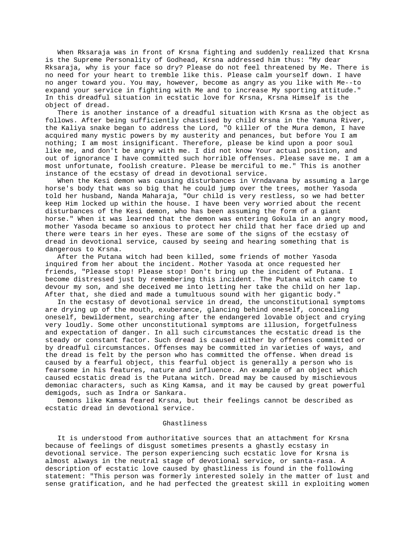When Rksaraja was in front of Krsna fighting and suddenly realized that Krsna is the Supreme Personality of Godhead, Krsna addressed him thus: "My dear Rksaraja, why is your face so dry? Please do not feel threatened by Me. There is no need for your heart to tremble like this. Please calm yourself down. I have no anger toward you. You may, however, become as angry as you like with Me--to expand your service in fighting with Me and to increase My sporting attitude." In this dreadful situation in ecstatic love for Krsna, Krsna Himself is the object of dread.

 There is another instance of a dreadful situation with Krsna as the object as follows. After being sufficiently chastised by child Krsna in the Yamuna River, the Kaliya snake began to address the Lord, "O killer of the Mura demon, I have acquired many mystic powers by my austerity and penances, but before You I am nothing; I am most insignificant. Therefore, please be kind upon a poor soul like me, and don't be angry with me. I did not know Your actual position, and out of ignorance I have committed such horrible offenses. Please save me. I am a most unfortunate, foolish creature. Please be merciful to me." This is another instance of the ecstasy of dread in devotional service.

 When the Kesi demon was causing disturbances in Vrndavana by assuming a large horse's body that was so big that he could jump over the trees, mother Yasoda told her husband, Nanda Maharaja, "Our child is very restless, so we had better keep Him locked up within the house. I have been very worried about the recent disturbances of the Kesi demon, who has been assuming the form of a giant horse." When it was learned that the demon was entering Gokula in an angry mood, mother Yasoda became so anxious to protect her child that her face dried up and there were tears in her eyes. These are some of the signs of the ecstasy of dread in devotional service, caused by seeing and hearing something that is dangerous to Krsna.

 After the Putana witch had been killed, some friends of mother Yasoda inquired from her about the incident. Mother Yasoda at once requested her friends, "Please stop! Please stop! Don't bring up the incident of Putana. I become distressed just by remembering this incident. The Putana witch came to devour my son, and she deceived me into letting her take the child on her lap. After that, she died and made a tumultuous sound with her gigantic body."

 In the ecstasy of devotional service in dread, the unconstitutional symptoms are drying up of the mouth, exuberance, glancing behind oneself, concealing oneself, bewilderment, searching after the endangered lovable object and crying very loudly. Some other unconstitutional symptoms are illusion, forgetfulness and expectation of danger. In all such circumstances the ecstatic dread is the steady or constant factor. Such dread is caused either by offenses committed or by dreadful circumstances. Offenses may be committed in varieties of ways, and the dread is felt by the person who has committed the offense. When dread is caused by a fearful object, this fearful object is generally a person who is fearsome in his features, nature and influence. An example of an object which caused ecstatic dread is the Putana witch. Dread may be caused by mischievous demoniac characters, such as King Kamsa, and it may be caused by great powerful demigods, such as Indra or Sankara.

 Demons like Kamsa feared Krsna, but their feelings cannot be described as ecstatic dread in devotional service.

#### Ghastliness

 It is understood from authoritative sources that an attachment for Krsna because of feelings of disgust sometimes presents a ghastly ecstasy in devotional service. The person experiencing such ecstatic love for Krsna is almost always in the neutral stage of devotional service, or santa-rasa. A description of ecstatic love caused by ghastliness is found in the following statement: "This person was formerly interested solely in the matter of lust and sense gratification, and he had perfected the greatest skill in exploiting women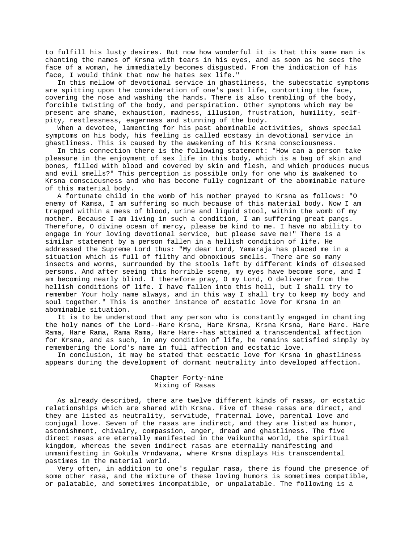to fulfill his lusty desires. But now how wonderful it is that this same man is chanting the names of Krsna with tears in his eyes, and as soon as he sees the face of a woman, he immediately becomes disgusted. From the indication of his face, I would think that now he hates sex life."

 In this mellow of devotional service in ghastliness, the subecstatic symptoms are spitting upon the consideration of one's past life, contorting the face, covering the nose and washing the hands. There is also trembling of the body, forcible twisting of the body, and perspiration. Other symptoms which may be present are shame, exhaustion, madness, illusion, frustration, humility, selfpity, restlessness, eagerness and stunning of the body.

 When a devotee, lamenting for his past abominable activities, shows special symptoms on his body, his feeling is called ecstasy in devotional service in ghastliness. This is caused by the awakening of his Krsna consciousness.

 In this connection there is the following statement: "How can a person take pleasure in the enjoyment of sex life in this body, which is a bag of skin and bones, filled with blood and covered by skin and flesh, and which produces mucus and evil smells?" This perception is possible only for one who is awakened to Krsna consciousness and who has become fully cognizant of the abominable nature of this material body.

 A fortunate child in the womb of his mother prayed to Krsna as follows: "O enemy of Kamsa, I am suffering so much because of this material body. Now I am trapped within a mess of blood, urine and liquid stool, within the womb of my mother. Because I am living in such a condition, I am suffering great pangs. Therefore, O divine ocean of mercy, please be kind to me. I have no ability to engage in Your loving devotional service, but please save me!" There is a similar statement by a person fallen in a hellish condition of life. He addressed the Supreme Lord thus: "My dear Lord, Yamaraja has placed me in a situation which is full of filthy and obnoxious smells. There are so many insects and worms, surrounded by the stools left by different kinds of diseased persons. And after seeing this horrible scene, my eyes have become sore, and I am becoming nearly blind. I therefore pray, O my Lord, O deliverer from the hellish conditions of life. I have fallen into this hell, but I shall try to remember Your holy name always, and in this way I shall try to keep my body and soul together." This is another instance of ecstatic love for Krsna in an abominable situation.

 It is to be understood that any person who is constantly engaged in chanting the holy names of the Lord--Hare Krsna, Hare Krsna, Krsna Krsna, Hare Hare. Hare Rama, Hare Rama, Rama Rama, Hare Hare--has attained a transcendental affection for Krsna, and as such, in any condition of life, he remains satisfied simply by remembering the Lord's name in full affection and ecstatic love.

 In conclusion, it may be stated that ecstatic love for Krsna in ghastliness appears during the development of dormant neutrality into developed affection.

# Chapter Forty-nine Mixing of Rasas

 As already described, there are twelve different kinds of rasas, or ecstatic relationships which are shared with Krsna. Five of these rasas are direct, and they are listed as neutrality, servitude, fraternal love, parental love and conjugal love. Seven of the rasas are indirect, and they are listed as humor, astonishment, chivalry, compassion, anger, dread and ghastliness. The five direct rasas are eternally manifested in the Vaikuntha world, the spiritual kingdom, whereas the seven indirect rasas are eternally manifesting and unmanifesting in Gokula Vrndavana, where Krsna displays His transcendental pastimes in the material world.

 Very often, in addition to one's regular rasa, there is found the presence of some other rasa, and the mixture of these loving humors is sometimes compatible, or palatable, and sometimes incompatible, or unpalatable. The following is a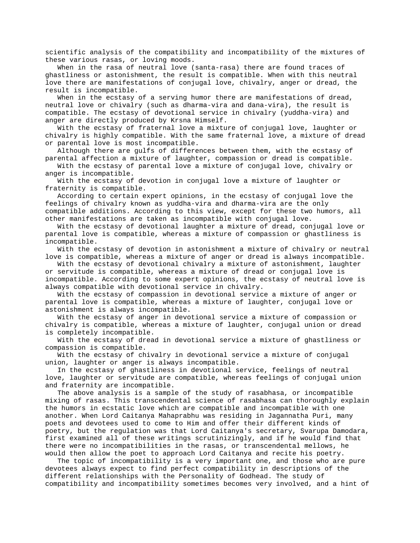scientific analysis of the compatibility and incompatibility of the mixtures of these various rasas, or loving moods.

 When in the rasa of neutral love (santa-rasa) there are found traces of ghastliness or astonishment, the result is compatible. When with this neutral love there are manifestations of conjugal love, chivalry, anger or dread, the result is incompatible.

When in the ecstasy of a serving humor there are manifestations of dread, neutral love or chivalry (such as dharma-vira and dana-vira), the result is compatible. The ecstasy of devotional service in chivalry (yuddha-vira) and anger are directly produced by Krsna Himself.

 With the ecstasy of fraternal love a mixture of conjugal love, laughter or chivalry is highly compatible. With the same fraternal love, a mixture of dread or parental love is most incompatible.

 Although there are gulfs of differences between them, with the ecstasy of parental affection a mixture of laughter, compassion or dread is compatible.

 With the ecstasy of parental love a mixture of conjugal love, chivalry or anger is incompatible.

 With the ecstasy of devotion in conjugal love a mixture of laughter or fraternity is compatible.

 According to certain expert opinions, in the ecstasy of conjugal love the feelings of chivalry known as yuddha-vira and dharma-vira are the only compatible additions. According to this view, except for these two humors, all other manifestations are taken as incompatible with conjugal love.

 With the ecstasy of devotional laughter a mixture of dread, conjugal love or parental love is compatible, whereas a mixture of compassion or ghastliness is incompatible.

 With the ecstasy of devotion in astonishment a mixture of chivalry or neutral love is compatible, whereas a mixture of anger or dread is always incompatible.

 With the ecstasy of devotional chivalry a mixture of astonishment, laughter or servitude is compatible, whereas a mixture of dread or conjugal love is incompatible. According to some expert opinions, the ecstasy of neutral love is always compatible with devotional service in chivalry.

 With the ecstasy of compassion in devotional service a mixture of anger or parental love is compatible, whereas a mixture of laughter, conjugal love or astonishment is always incompatible.

 With the ecstasy of anger in devotional service a mixture of compassion or chivalry is compatible, whereas a mixture of laughter, conjugal union or dread is completely incompatible.

 With the ecstasy of dread in devotional service a mixture of ghastliness or compassion is compatible.

 With the ecstasy of chivalry in devotional service a mixture of conjugal union, laughter or anger is always incompatible.

 In the ecstasy of ghastliness in devotional service, feelings of neutral love, laughter or servitude are compatible, whereas feelings of conjugal union and fraternity are incompatible.

 The above analysis is a sample of the study of rasabhasa, or incompatible mixing of rasas. This transcendental science of rasabhasa can thoroughly explain the humors in ecstatic love which are compatible and incompatible with one another. When Lord Caitanya Mahaprabhu was residing in Jagannatha Puri, many poets and devotees used to come to Him and offer their different kinds of poetry, but the regulation was that Lord Caitanya's secretary, Svarupa Damodara, first examined all of these writings scrutinizingly, and if he would find that there were no incompatibilities in the rasas, or transcendental mellows, he would then allow the poet to approach Lord Caitanya and recite his poetry.

 The topic of incompatibility is a very important one, and those who are pure devotees always expect to find perfect compatibility in descriptions of the different relationships with the Personality of Godhead. The study of compatibility and incompatibility sometimes becomes very involved, and a hint of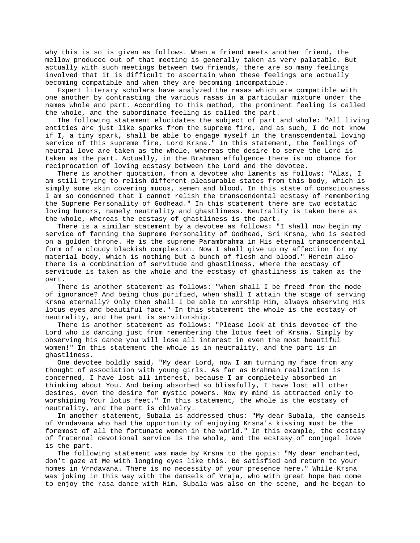why this is so is given as follows. When a friend meets another friend, the mellow produced out of that meeting is generally taken as very palatable. But actually with such meetings between two friends, there are so many feelings involved that it is difficult to ascertain when these feelings are actually becoming compatible and when they are becoming incompatible.

 Expert literary scholars have analyzed the rasas which are compatible with one another by contrasting the various rasas in a particular mixture under the names whole and part. According to this method, the prominent feeling is called the whole, and the subordinate feeling is called the part.

 The following statement elucidates the subject of part and whole: "All living entities are just like sparks from the supreme fire, and as such, I do not know if I, a tiny spark, shall be able to engage myself in the transcendental loving service of this supreme fire, Lord Krsna." In this statement, the feelings of neutral love are taken as the whole, whereas the desire to serve the Lord is taken as the part. Actually, in the Brahman effulgence there is no chance for reciprocation of loving ecstasy between the Lord and the devotee.

 There is another quotation, from a devotee who laments as follows: "Alas, I am still trying to relish different pleasurable states from this body, which is simply some skin covering mucus, semen and blood. In this state of consciousness I am so condemned that I cannot relish the transcendental ecstasy of remembering the Supreme Personality of Godhead." In this statement there are two ecstatic loving humors, namely neutrality and ghastliness. Neutrality is taken here as the whole, whereas the ecstasy of ghastliness is the part.

 There is a similar statement by a devotee as follows: "I shall now begin my service of fanning the Supreme Personality of Godhead, Sri Krsna, who is seated on a golden throne. He is the supreme Parambrahma in His eternal transcendental form of a cloudy blackish complexion. Now I shall give up my affection for my material body, which is nothing but a bunch of flesh and blood." Herein also there is a combination of servitude and ghastliness, where the ecstasy of servitude is taken as the whole and the ecstasy of ghastliness is taken as the part.

 There is another statement as follows: "When shall I be freed from the mode of ignorance? And being thus purified, when shall I attain the stage of serving Krsna eternally? Only then shall I be able to worship Him, always observing His lotus eyes and beautiful face." In this statement the whole is the ecstasy of neutrality, and the part is servitorship.

 There is another statement as follows: "Please look at this devotee of the Lord who is dancing just from remembering the lotus feet of Krsna. Simply by observing his dance you will lose all interest in even the most beautiful women!" In this statement the whole is in neutrality, and the part is in ghastliness.

 One devotee boldly said, "My dear Lord, now I am turning my face from any thought of association with young girls. As far as Brahman realization is concerned, I have lost all interest, because I am completely absorbed in thinking about You. And being absorbed so blissfully, I have lost all other desires, even the desire for mystic powers. Now my mind is attracted only to worshiping Your lotus feet." In this statement, the whole is the ecstasy of neutrality, and the part is chivalry.

 In another statement, Subala is addressed thus: "My dear Subala, the damsels of Vrndavana who had the opportunity of enjoying Krsna's kissing must be the foremost of all the fortunate women in the world." In this example, the ecstasy of fraternal devotional service is the whole, and the ecstasy of conjugal love is the part.

 The following statement was made by Krsna to the gopis: "My dear enchanted, don't gaze at Me with longing eyes like this. Be satisfied and return to your homes in Vrndavana. There is no necessity of your presence here." While Krsna was joking in this way with the damsels of Vraja, who with great hope had come to enjoy the rasa dance with Him, Subala was also on the scene, and he began to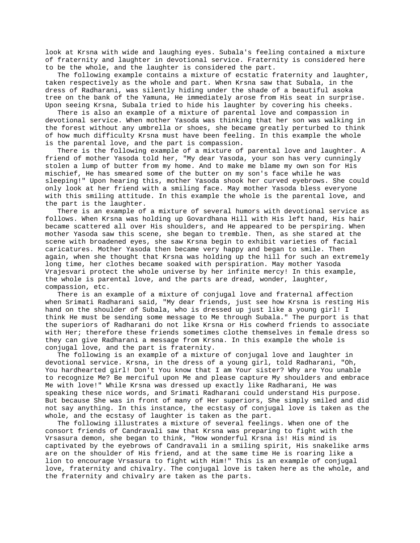look at Krsna with wide and laughing eyes. Subala's feeling contained a mixture of fraternity and laughter in devotional service. Fraternity is considered here to be the whole, and the laughter is considered the part.

 The following example contains a mixture of ecstatic fraternity and laughter, taken respectively as the whole and part. When Krsna saw that Subala, in the dress of Radharani, was silently hiding under the shade of a beautiful asoka tree on the bank of the Yamuna, He immediately arose from His seat in surprise. Upon seeing Krsna, Subala tried to hide his laughter by covering his cheeks.

 There is also an example of a mixture of parental love and compassion in devotional service. When mother Yasoda was thinking that her son was walking in the forest without any umbrella or shoes, she became greatly perturbed to think of how much difficulty Krsna must have been feeling. In this example the whole is the parental love, and the part is compassion.

 There is the following example of a mixture of parental love and laughter. A friend of mother Yasoda told her, "My dear Yasoda, your son has very cunningly stolen a lump of butter from my home. And to make me blame my own son for His mischief, He has smeared some of the butter on my son's face while he was sleeping!" Upon hearing this, mother Yasoda shook her curved eyebrows. She could only look at her friend with a smiling face. May mother Yasoda bless everyone with this smiling attitude. In this example the whole is the parental love, and the part is the laughter.

 There is an example of a mixture of several humors with devotional service as follows. When Krsna was holding up Govardhana Hill with His left hand, His hair became scattered all over His shoulders, and He appeared to be perspiring. When mother Yasoda saw this scene, she began to tremble. Then, as she stared at the scene with broadened eyes, she saw Krsna begin to exhibit varieties of facial caricatures. Mother Yasoda then became very happy and began to smile. Then again, when she thought that Krsna was holding up the hill for such an extremely long time, her clothes became soaked with perspiration. May mother Yasoda Vrajesvari protect the whole universe by her infinite mercy! In this example, the whole is parental love, and the parts are dread, wonder, laughter, compassion, etc.

 There is an example of a mixture of conjugal love and fraternal affection when Srimati Radharani said, "My dear friends, just see how Krsna is resting His hand on the shoulder of Subala, who is dressed up just like a young girl! I think He must be sending some message to Me through Subala." The purport is that the superiors of Radharani do not like Krsna or His cowherd friends to associate with Her; therefore these friends sometimes clothe themselves in female dress so they can give Radharani a message from Krsna. In this example the whole is conjugal love, and the part is fraternity.

 The following is an example of a mixture of conjugal love and laughter in devotional service. Krsna, in the dress of a young girl, told Radharani, "Oh, You hardhearted girl! Don't You know that I am Your sister? Why are You unable to recognize Me? Be merciful upon Me and please capture My shoulders and embrace Me with love!" While Krsna was dressed up exactly like Radharani, He was speaking these nice words, and Srimati Radharani could understand His purpose. But because She was in front of many of Her superiors, She simply smiled and did not say anything. In this instance, the ecstasy of conjugal love is taken as the whole, and the ecstasy of laughter is taken as the part.

 The following illustrates a mixture of several feelings. When one of the consort friends of Candravali saw that Krsna was preparing to fight with the Vrsasura demon, she began to think, "How wonderful Krsna is! His mind is captivated by the eyebrows of Candravali in a smiling spirit, His snakelike arms are on the shoulder of His friend, and at the same time He is roaring like a lion to encourage Vrsasura to fight with Him!" This is an example of conjugal love, fraternity and chivalry. The conjugal love is taken here as the whole, and the fraternity and chivalry are taken as the parts.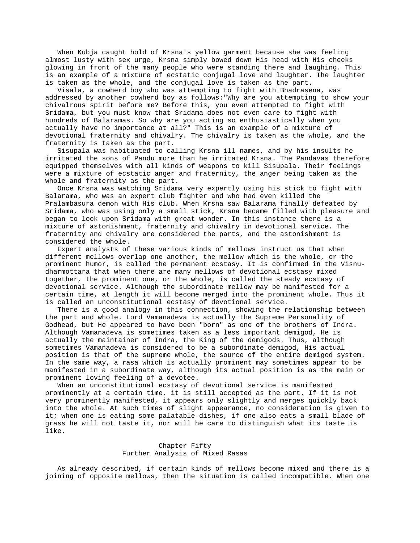When Kubja caught hold of Krsna's yellow garment because she was feeling almost lusty with sex urge, Krsna simply bowed down His head with His cheeks glowing in front of the many people who were standing there and laughing. This is an example of a mixture of ecstatic conjugal love and laughter. The laughter is taken as the whole, and the conjugal love is taken as the part.

 Visala, a cowherd boy who was attempting to fight with Bhadrasena, was addressed by another cowherd boy as follows:"Why are you attempting to show your chivalrous spirit before me? Before this, you even attempted to fight with Sridama, but you must know that Sridama does not even care to fight with hundreds of Balaramas. So why are you acting so enthusiastically when you actually have no importance at all?" This is an example of a mixture of devotional fraternity and chivalry. The chivalry is taken as the whole, and the fraternity is taken as the part.

 Sisupala was habituated to calling Krsna ill names, and by his insults he irritated the sons of Pandu more than he irritated Krsna. The Pandavas therefore equipped themselves with all kinds of weapons to kill Sisupala. Their feelings were a mixture of ecstatic anger and fraternity, the anger being taken as the whole and fraternity as the part.

 Once Krsna was watching Sridama very expertly using his stick to fight with Balarama, who was an expert club fighter and who had even killed the Pralambasura demon with His club. When Krsna saw Balarama finally defeated by Sridama, who was using only a small stick, Krsna became filled with pleasure and began to look upon Sridama with great wonder. In this instance there is a mixture of astonishment, fraternity and chivalry in devotional service. The fraternity and chivalry are considered the parts, and the astonishment is considered the whole.

 Expert analysts of these various kinds of mellows instruct us that when different mellows overlap one another, the mellow which is the whole, or the prominent humor, is called the permanent ecstasy. It is confirmed in the Visnudharmottara that when there are many mellows of devotional ecstasy mixed together, the prominent one, or the whole, is called the steady ecstasy of devotional service. Although the subordinate mellow may be manifested for a certain time, at length it will become merged into the prominent whole. Thus it is called an unconstitutional ecstasy of devotional service.

 There is a good analogy in this connection, showing the relationship between the part and whole. Lord Vamanadeva is actually the Supreme Personality of Godhead, but He appeared to have been "born" as one of the brothers of Indra. Although Vamanadeva is sometimes taken as a less important demigod, He is actually the maintainer of Indra, the King of the demigods. Thus, although sometimes Vamanadeva is considered to be a subordinate demigod, His actual position is that of the supreme whole, the source of the entire demigod system. In the same way, a rasa which is actually prominent may sometimes appear to be manifested in a subordinate way, although its actual position is as the main or prominent loving feeling of a devotee.

 When an unconstitutional ecstasy of devotional service is manifested prominently at a certain time, it is still accepted as the part. If it is not very prominently manifested, it appears only slightly and merges quickly back into the whole. At such times of slight appearance, no consideration is given to it; when one is eating some palatable dishes, if one also eats a small blade of grass he will not taste it, nor will he care to distinguish what its taste is like.

# Chapter Fifty Further Analysis of Mixed Rasas

 As already described, if certain kinds of mellows become mixed and there is a joining of opposite mellows, then the situation is called incompatible. When one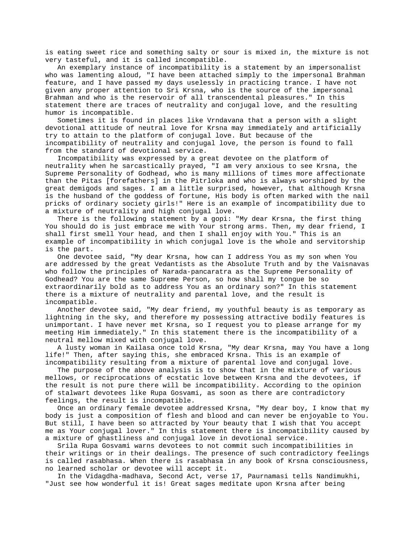is eating sweet rice and something salty or sour is mixed in, the mixture is not very tasteful, and it is called incompatible.

 An exemplary instance of incompatibility is a statement by an impersonalist who was lamenting aloud, "I have been attached simply to the impersonal Brahman feature, and I have passed my days uselessly in practicing trance. I have not given any proper attention to Sri Krsna, who is the source of the impersonal Brahman and who is the reservoir of all transcendental pleasures." In this statement there are traces of neutrality and conjugal love, and the resulting humor is incompatible.

 Sometimes it is found in places like Vrndavana that a person with a slight devotional attitude of neutral love for Krsna may immediately and artificially try to attain to the platform of conjugal love. But because of the incompatibility of neutrality and conjugal love, the person is found to fall from the standard of devotional service.

 Incompatibility was expressed by a great devotee on the platform of neutrality when he sarcastically prayed, "I am very anxious to see Krsna, the Supreme Personality of Godhead, who is many millions of times more affectionate than the Pitas [forefathers] in the Pitrloka and who is always worshiped by the great demigods and sages. I am a little surprised, however, that although Krsna is the husband of the goddess of fortune, His body is often marked with the nail pricks of ordinary society girls!" Here is an example of incompatibility due to a mixture of neutrality and high conjugal love.

There is the following statement by a gopi: "My dear Krsna, the first thing You should do is just embrace me with Your strong arms. Then, my dear friend, I shall first smell Your head, and then I shall enjoy with You." This is an example of incompatibility in which conjugal love is the whole and servitorship is the part.

 One devotee said, "My dear Krsna, how can I address You as my son when You are addressed by the great Vedantists as the Absolute Truth and by the Vaisnavas who follow the principles of Narada-pancaratra as the Supreme Personality of Godhead? You are the same Supreme Person, so how shall my tongue be so extraordinarily bold as to address You as an ordinary son?" In this statement there is a mixture of neutrality and parental love, and the result is incompatible.

 Another devotee said, "My dear friend, my youthful beauty is as temporary as lightning in the sky, and therefore my possessing attractive bodily features is unimportant. I have never met Krsna, so I request you to please arrange for my meeting Him immediately." In this statement there is the incompatibility of a neutral mellow mixed with conjugal love.

 A lusty woman in Kailasa once told Krsna, "My dear Krsna, may You have a long life!" Then, after saying this, she embraced Krsna. This is an example of incompatibility resulting from a mixture of parental love and conjugal love.

 The purpose of the above analysis is to show that in the mixture of various mellows, or reciprocations of ecstatic love between Krsna and the devotees, if the result is not pure there will be incompatibility. According to the opinion of stalwart devotees like Rupa Gosvami, as soon as there are contradictory feelings, the result is incompatible.

 Once an ordinary female devotee addressed Krsna, "My dear boy, I know that my body is just a composition of flesh and blood and can never be enjoyable to You. But still, I have been so attracted by Your beauty that I wish that You accept me as Your conjugal lover." In this statement there is incompatibility caused by a mixture of ghastliness and conjugal love in devotional service.

 Srila Rupa Gosvami warns devotees to not commit such incompatibilities in their writings or in their dealings. The presence of such contradictory feelings is called rasabhasa. When there is rasabhasa in any book of Krsna consciousness, no learned scholar or devotee will accept it.

 In the Vidagdha-madhava, Second Act, verse 17, Paurnamasi tells Nandimukhi, "Just see how wonderful it is! Great sages meditate upon Krsna after being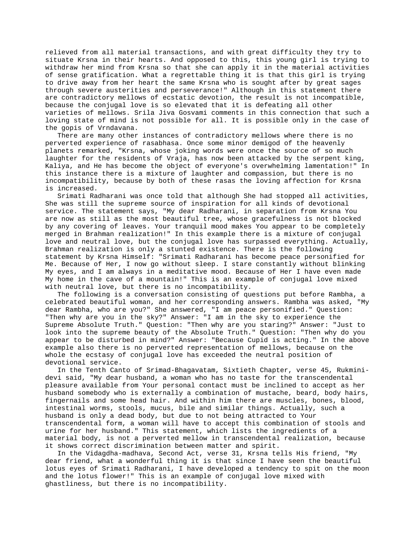relieved from all material transactions, and with great difficulty they try to situate Krsna in their hearts. And opposed to this, this young girl is trying to withdraw her mind from Krsna so that she can apply it in the material activities of sense gratification. What a regrettable thing it is that this girl is trying to drive away from her heart the same Krsna who is sought after by great sages through severe austerities and perseverance!" Although in this statement there are contradictory mellows of ecstatic devotion, the result is not incompatible, because the conjugal love is so elevated that it is defeating all other varieties of mellows. Srila Jiva Gosvami comments in this connection that such a loving state of mind is not possible for all. It is possible only in the case of the gopis of Vrndavana.

 There are many other instances of contradictory mellows where there is no perverted experience of rasabhasa. Once some minor demigod of the heavenly planets remarked, "Krsna, whose joking words were once the source of so much laughter for the residents of Vraja, has now been attacked by the serpent king, Kaliya, and He has become the object of everyone's overwhelming lamentation!" In this instance there is a mixture of laughter and compassion, but there is no incompatibility, because by both of these rasas the loving affection for Krsna is increased.

 Srimati Radharani was once told that although She had stopped all activities, She was still the supreme source of inspiration for all kinds of devotional service. The statement says, "My dear Radharani, in separation from Krsna You are now as still as the most beautiful tree, whose gracefulness is not blocked by any covering of leaves. Your tranquil mood makes You appear to be completely merged in Brahman realization!" In this example there is a mixture of conjugal love and neutral love, but the conjugal love has surpassed everything. Actually, Brahman realization is only a stunted existence. There is the following statement by Krsna Himself: "Srimati Radharani has become peace personified for Me. Because of Her, I now go without sleep. I stare constantly without blinking My eyes, and I am always in a meditative mood. Because of Her I have even made My home in the cave of a mountain!" This is an example of conjugal love mixed with neutral love, but there is no incompatibility.

 The following is a conversation consisting of questions put before Rambha, a celebrated beautiful woman, and her corresponding answers. Rambha was asked, "My dear Rambha, who are you?" She answered, "I am peace personified." Question: "Then why are you in the sky?" Answer: "I am in the sky to experience the Supreme Absolute Truth." Question: "Then why are you staring?" Answer: "Just to look into the supreme beauty of the Absolute Truth." Question: "Then why do you appear to be disturbed in mind?" Answer: "Because Cupid is acting." In the above example also there is no perverted representation of mellows, because on the whole the ecstasy of conjugal love has exceeded the neutral position of devotional service.

 In the Tenth Canto of Srimad-Bhagavatam, Sixtieth Chapter, verse 45, Rukminidevi said, "My dear husband, a woman who has no taste for the transcendental pleasure available from Your personal contact must be inclined to accept as her husband somebody who is externally a combination of mustache, beard, body hairs, fingernails and some head hair. And within him there are muscles, bones, blood, intestinal worms, stools, mucus, bile and similar things. Actually, such a husband is only a dead body, but due to not being attracted to Your transcendental form, a woman will have to accept this combination of stools and urine for her husband." This statement, which lists the ingredients of a material body, is not a perverted mellow in transcendental realization, because it shows correct discrimination between matter and spirit.

 In the Vidagdha-madhava, Second Act, verse 31, Krsna tells His friend, "My dear friend, what a wonderful thing it is that since I have seen the beautiful lotus eyes of Srimati Radharani, I have developed a tendency to spit on the moon and the lotus flower!" This is an example of conjugal love mixed with ghastliness, but there is no incompatibility.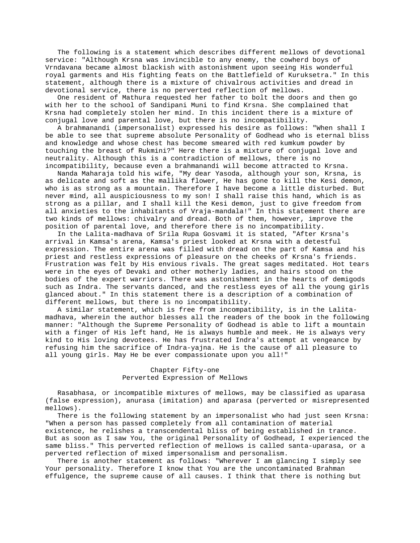The following is a statement which describes different mellows of devotional service: "Although Krsna was invincible to any enemy, the cowherd boys of Vrndavana became almost blackish with astonishment upon seeing His wonderful royal garments and His fighting feats on the Battlefield of Kuruksetra." In this statement, although there is a mixture of chivalrous activities and dread in devotional service, there is no perverted reflection of mellows.

 One resident of Mathura requested her father to bolt the doors and then go with her to the school of Sandipani Muni to find Krsna. She complained that Krsna had completely stolen her mind. In this incident there is a mixture of conjugal love and parental love, but there is no incompatibility.

 A brahmanandi (impersonalist) expressed his desire as follows: "When shall I be able to see that supreme absolute Personality of Godhead who is eternal bliss and knowledge and whose chest has become smeared with red kumkum powder by touching the breast of Rukmini?" Here there is a mixture of conjugal love and neutrality. Although this is a contradiction of mellows, there is no incompatibility, because even a brahmanandi will become attracted to Krsna.

 Nanda Maharaja told his wife, "My dear Yasoda, although your son, Krsna, is as delicate and soft as the mallika flower, He has gone to kill the Kesi demon, who is as strong as a mountain. Therefore I have become a little disturbed. But never mind, all auspiciousness to my son! I shall raise this hand, which is as strong as a pillar, and I shall kill the Kesi demon, just to give freedom from all anxieties to the inhabitants of Vraja-mandala!" In this statement there are two kinds of mellows: chivalry and dread. Both of them, however, improve the position of parental love, and therefore there is no incompatibility.

 In the Lalita-madhava of Srila Rupa Gosvami it is stated, "After Krsna's arrival in Kamsa's arena, Kamsa's priest looked at Krsna with a detestful expression. The entire arena was filled with dread on the part of Kamsa and his priest and restless expressions of pleasure on the cheeks of Krsna's friends. Frustration was felt by His envious rivals. The great sages meditated. Hot tears were in the eyes of Devaki and other motherly ladies, and hairs stood on the bodies of the expert warriors. There was astonishment in the hearts of demigods such as Indra. The servants danced, and the restless eyes of all the young girls glanced about." In this statement there is a description of a combination of different mellows, but there is no incompatibility.

 A similar statement, which is free from incompatibility, is in the Lalitamadhava, wherein the author blesses all the readers of the book in the following manner: "Although the Supreme Personality of Godhead is able to lift a mountain with a finger of His left hand, He is always humble and meek. He is always very kind to His loving devotees. He has frustrated Indra's attempt at vengeance by refusing him the sacrifice of Indra-yajna. He is the cause of all pleasure to all young girls. May He be ever compassionate upon you all!"

### Chapter Fifty-one Perverted Expression of Mellows

 Rasabhasa, or incompatible mixtures of mellows, may be classified as uparasa (false expression), anurasa (imitation) and aparasa (perverted or misrepresented mellows).

 There is the following statement by an impersonalist who had just seen Krsna: "When a person has passed completely from all contamination of material existence, he relishes a transcendental bliss of being established in trance. But as soon as I saw You, the original Personality of Godhead, I experienced the same bliss." This perverted reflection of mellows is called santa-uparasa, or a perverted reflection of mixed impersonalism and personalism.

 There is another statement as follows: "Wherever I am glancing I simply see Your personality. Therefore I know that You are the uncontaminated Brahman effulgence, the supreme cause of all causes. I think that there is nothing but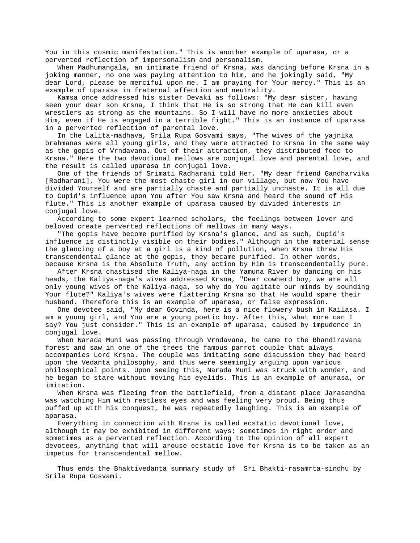You in this cosmic manifestation." This is another example of uparasa, or a perverted reflection of impersonalism and personalism.

 When Madhumangala, an intimate friend of Krsna, was dancing before Krsna in a joking manner, no one was paying attention to him, and he jokingly said, "My dear Lord, please be merciful upon me. I am praying for Your mercy." This is an example of uparasa in fraternal affection and neutrality.

 Kamsa once addressed his sister Devaki as follows: "My dear sister, having seen your dear son Krsna, I think that He is so strong that He can kill even wrestlers as strong as the mountains. So I will have no more anxieties about Him, even if He is engaged in a terrible fight." This is an instance of uparasa in a perverted reflection of parental love.

 In the Lalita-madhava, Srila Rupa Gosvami says, "The wives of the yajnika brahmanas were all young girls, and they were attracted to Krsna in the same way as the gopis of Vrndavana. Out of their attraction, they distributed food to Krsna." Here the two devotional mellows are conjugal love and parental love, and the result is called uparasa in conjugal love.

 One of the friends of Srimati Radharani told Her, "My dear friend Gandharvika [Radharani], You were the most chaste girl in our village, but now You have divided Yourself and are partially chaste and partially unchaste. It is all due to Cupid's influence upon You after You saw Krsna and heard the sound of His flute." This is another example of uparasa caused by divided interests in conjugal love.

 According to some expert learned scholars, the feelings between lover and beloved create perverted reflections of mellows in many ways.

 "The gopis have become purified by Krsna's glance, and as such, Cupid's influence is distinctly visible on their bodies." Although in the material sense the glancing of a boy at a girl is a kind of pollution, when Krsna threw His transcendental glance at the gopis, they became purified. In other words, because Krsna is the Absolute Truth, any action by Him is transcendentally pure.

 After Krsna chastised the Kaliya-naga in the Yamuna River by dancing on his heads, the Kaliya-naga's wives addressed Krsna, "Dear cowherd boy, we are all only young wives of the Kaliya-naga, so why do You agitate our minds by sounding Your flute?" Kaliya's wives were flattering Krsna so that He would spare their husband. Therefore this is an example of uparasa, or false expression.

 One devotee said, "My dear Govinda, here is a nice flowery bush in Kailasa. I am a young girl, and You are a young poetic boy. After this, what more can I say? You just consider." This is an example of uparasa, caused by impudence in conjugal love.

 When Narada Muni was passing through Vrndavana, he came to the Bhandiravana forest and saw in one of the trees the famous parrot couple that always accompanies Lord Krsna. The couple was imitating some discussion they had heard upon the Vedanta philosophy, and thus were seemingly arguing upon various philosophical points. Upon seeing this, Narada Muni was struck with wonder, and he began to stare without moving his eyelids. This is an example of anurasa, or imitation.

 When Krsna was fleeing from the battlefield, from a distant place Jarasandha was watching Him with restless eyes and was feeling very proud. Being thus puffed up with his conquest, he was repeatedly laughing. This is an example of aparasa.

 Everything in connection with Krsna is called ecstatic devotional love, although it may be exhibited in different ways: sometimes in right order and sometimes as a perverted reflection. According to the opinion of all expert devotees, anything that will arouse ecstatic love for Krsna is to be taken as an impetus for transcendental mellow.

 Thus ends the Bhaktivedanta summary study of Sri Bhakti-rasamrta-sindhu by Srila Rupa Gosvami.